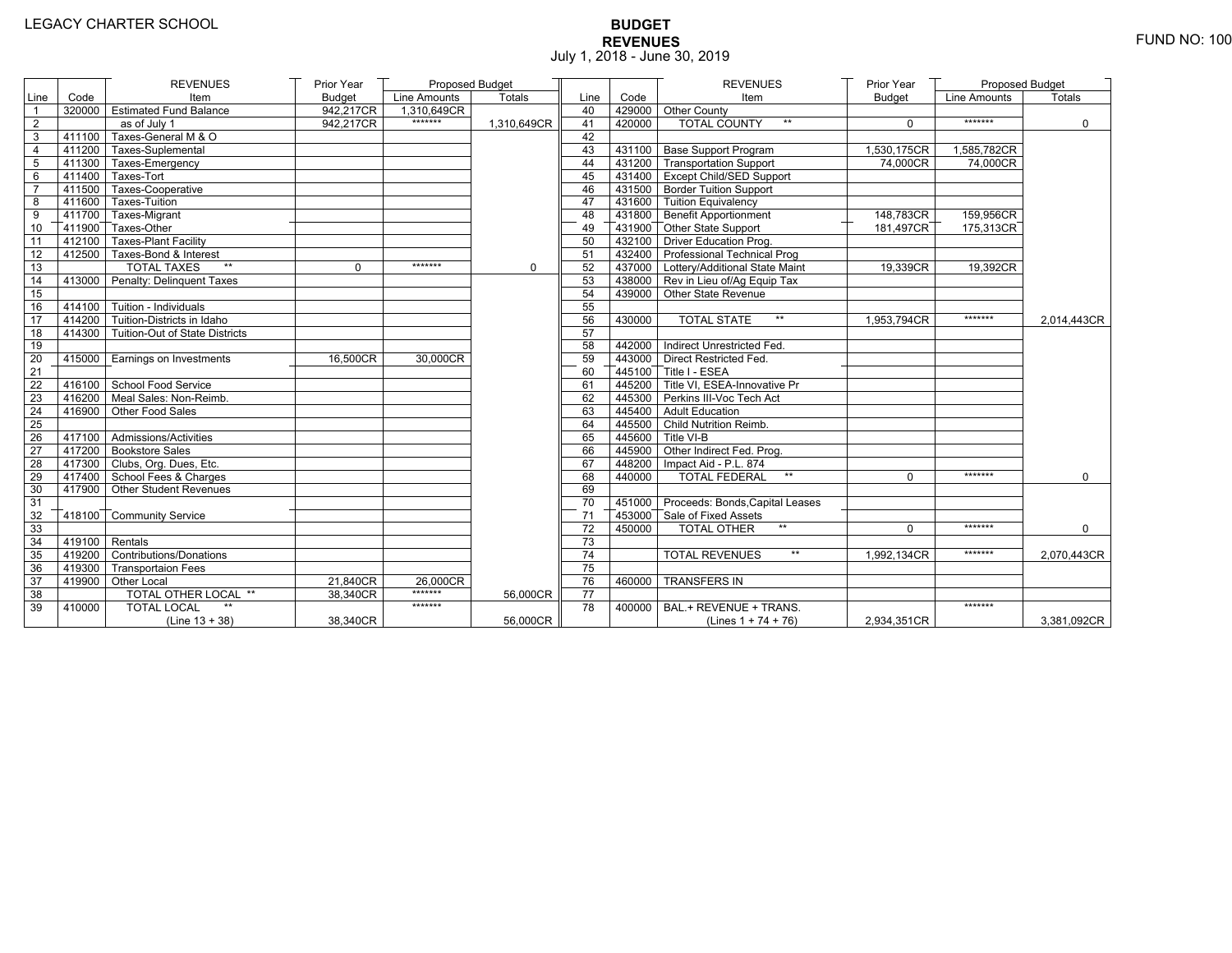# **BUDGET REVENUES** FUND NO: 100 July 1, 2018 - June 30, 2019

|                 |                         | <b>REVENUES</b>                     | Prior Year    | <b>Proposed Budget</b> |               |                 |        | <b>REVENUES</b>                         | Prior Year    | Proposed Budget |               |
|-----------------|-------------------------|-------------------------------------|---------------|------------------------|---------------|-----------------|--------|-----------------------------------------|---------------|-----------------|---------------|
| Line            | Code                    | Item                                | <b>Budget</b> | Line Amounts           | <b>Totals</b> | Line            | Code   | Item                                    | <b>Budget</b> | Line Amounts    | <b>Totals</b> |
|                 |                         | 320000 Estimated Fund Balance       | 942,217CR     | 1.310.649CR            |               | 40              |        | 429000 Other County                     |               |                 |               |
| $\overline{2}$  |                         | as of July 1                        | 942,217CR     | *******                | 1.310.649CR   | 41              | 420000 | <b>TOTAL COUNTY</b><br>$**$             | $\Omega$      | *******         | $\Omega$      |
| 3               | 411100                  | Taxes-General M & O                 |               |                        |               | 42              |        |                                         |               |                 |               |
| $\overline{4}$  |                         | 411200 Taxes-Suplemental            |               |                        |               | 43              |        | 431100 Base Support Program             | 1,530,175CR   | 1,585,782CR     |               |
| 5               | 411300                  | Taxes-Emergency                     |               |                        |               | 44              |        | 431200 Transportation Support           | 74,000CR      | 74,000CR        |               |
| 6               | 411400                  | Taxes-Tort                          |               |                        |               | 45              |        | 431400 Except Child/SED Support         |               |                 |               |
| $\overline{7}$  | 411500                  | Taxes-Cooperative                   |               |                        |               | 46              |        | 431500 Border Tuition Support           |               |                 |               |
| 8               | 411600                  | <b>Taxes-Tuition</b>                |               |                        |               | 47              |        | 431600 Tuition Equivalency              |               |                 |               |
| 9               |                         | 411700 Taxes-Migrant                |               |                        |               | 48              |        | 431800 Benefit Apportionment            | 148,783CR     | 159,956CR       |               |
| 10              | 411900                  | Taxes-Other                         |               |                        |               | 49              |        | 431900 Other State Support              | 181,497CR     | 175,313CR       |               |
| 11              | 412100                  | Taxes-Plant Facility                |               |                        |               | 50              |        | 432100 Driver Education Prog.           |               |                 |               |
| 12              |                         | 412500 Taxes-Bond & Interest        |               |                        |               | 51              |        | 432400 Professional Technical Prog      |               |                 |               |
| 13              |                         | <b>TOTAL TAXES</b><br>$\star\star$  | $\Omega$      | *******                | 0             | 52              |        | 437000   Lottery/Additional State Maint | 19,339CR      | 19,392CR        |               |
| 14              |                         | 413000 Penalty: Delinquent Taxes    |               |                        |               | 53              |        | 438000 Rev in Lieu of/Ag Equip Tax      |               |                 |               |
| 15              |                         |                                     |               |                        |               | 54              |        | 439000 Other State Revenue              |               |                 |               |
| 16              | 414100                  | Tuition - Individuals               |               |                        |               | 55              |        |                                         |               |                 |               |
| 17              |                         | $414200$ Tuition-Districts in Idaho |               |                        |               | 56              | 430000 | $**$<br><b>TOTAL STATE</b>              | 1,953,794CR   | *******         | 2,014,443CR   |
| 18              | 414300                  | Tuition-Out of State Districts      |               |                        |               | 57              |        |                                         |               |                 |               |
| 19              |                         |                                     |               |                        |               | 58              |        | 442000 Indirect Unrestricted Fed.       |               |                 |               |
| 20              |                         | 415000 Earnings on Investments      | 16,500CR      | 30,000CR               |               | 59              |        | 443000 Direct Restricted Fed.           |               |                 |               |
| 21              |                         |                                     |               |                        |               | 60              |        | 445100 Title I - ESEA                   |               |                 |               |
| 22              |                         | 416100 School Food Service          |               |                        |               | 61              |        | 445200 Title VI. ESEA-Innovative Pr     |               |                 |               |
| 23              |                         | 416200 Meal Sales: Non-Reimb.       |               |                        |               | 62              |        | 445300 Perkins III-Voc Tech Act         |               |                 |               |
| 24              |                         | 416900 Other Food Sales             |               |                        |               | 63              |        | 445400 Adult Education                  |               |                 |               |
| 25              |                         |                                     |               |                        |               | 64              |        | 445500 Child Nutrition Reimb.           |               |                 |               |
| 26              |                         | 417100 Admissions/Activities        |               |                        |               | 65              |        | 445600 Title VI-B                       |               |                 |               |
| 27              |                         | 417200 Bookstore Sales              |               |                        |               | 66              |        | 445900 Other Indirect Fed. Prog.        |               |                 |               |
| $\overline{28}$ |                         | 417300 Clubs, Org. Dues, Etc.       |               |                        |               | 67              |        | 448200   Impact Aid - P.L. 874          |               |                 |               |
| 29              |                         | T417400 School Fees & Charges       |               |                        |               | 68              | 440000 | <b>TOTAL FEDERAL</b><br>$^{\star\star}$ | $\Omega$      | *******         | $\mathbf 0$   |
| 30              |                         | 417900 Other Student Revenues       |               |                        |               | 69              |        |                                         |               |                 |               |
| 31              |                         |                                     |               |                        |               | 70              |        | 451000 Proceeds: Bonds, Capital Leases  |               |                 |               |
| 32              |                         | 418100 Community Service            |               |                        |               | 71              |        | 453000 Sale of Fixed Assets             |               |                 |               |
| 33              |                         |                                     |               |                        |               | $\overline{72}$ | 450000 | $**$<br><b>TOTAL OTHER</b>              | $\Omega$      | *******         | $\Omega$      |
| 34              | $\sqrt{419100}$ Rentals |                                     |               |                        |               | 73              |        |                                         |               |                 |               |
| 35              |                         | 419200 Contributions/Donations      |               |                        |               | 74              |        | $\star\star$<br><b>TOTAL REVENUES</b>   | 1,992,134CR   | *******         | 2,070,443CR   |
| 36              |                         | 419300 Transportaion Fees           |               |                        |               | 75              |        |                                         |               |                 |               |
| 37              |                         | 419900 Other Local                  | 21,840CR      | 26,000CR               |               | 76              | 460000 | <b>TRANSFERS IN</b>                     |               |                 |               |
| 38              |                         | <b>TOTAL OTHER LOCAL **</b>         | 38,340CR      | *******                | 56,000CR      | 77              |        |                                         |               |                 |               |
| 39              | 410000                  | <b>TOTAL LOCAL</b>                  |               | *******                |               | 78              | 400000 | BAL.+ REVENUE + TRANS.                  |               | *******         |               |
|                 |                         | $(Line 13 + 38)$                    | 38,340CR      |                        | 56,000CR      |                 |        | (Lines $1 + 74 + 76$ )                  | 2,934,351CR   |                 | 3,381,092CR   |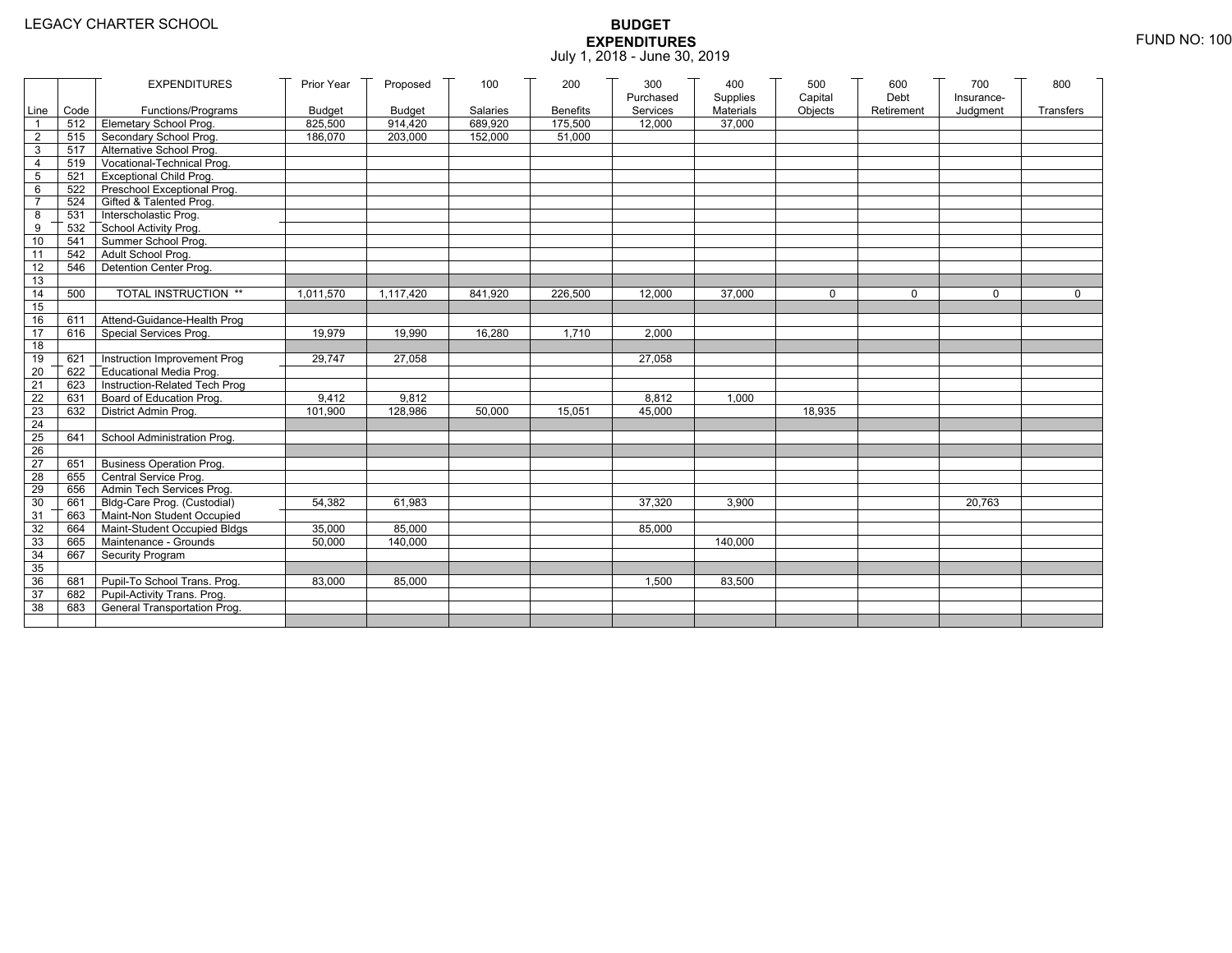|                 |      | <b>EXPENDITURES</b>             | Prior Year    | Proposed      | 100      | 200             | 300<br>Purchased | 400<br>Supplies | 500<br>Capital | 600<br>Debt | 700<br>Insurance- | 800       |
|-----------------|------|---------------------------------|---------------|---------------|----------|-----------------|------------------|-----------------|----------------|-------------|-------------------|-----------|
| Line            | Code | Functions/Programs              | <b>Budget</b> | <b>Budget</b> | Salaries | <b>Benefits</b> | Services         | Materials       | Objects        | Retirement  | Judgment          | Transfers |
| $\mathbf{1}$    | 512  | Elemetary School Prog.          | 825,500       | 914,420       | 689,920  | 175,500         | 12.000           | 37.000          |                |             |                   |           |
| $\overline{2}$  | 515  | Secondary School Prog.          | 186,070       | 203,000       | 152,000  | 51,000          |                  |                 |                |             |                   |           |
| $\mathsf 3$     | 517  | Alternative School Prog.        |               |               |          |                 |                  |                 |                |             |                   |           |
| $\overline{4}$  | 519  | Vocational-Technical Prog.      |               |               |          |                 |                  |                 |                |             |                   |           |
| 5               | 521  | <b>Exceptional Child Prog.</b>  |               |               |          |                 |                  |                 |                |             |                   |           |
| 6               | 522  | Preschool Exceptional Prog.     |               |               |          |                 |                  |                 |                |             |                   |           |
| $\overline{7}$  | 524  | Gifted & Talented Prog.         |               |               |          |                 |                  |                 |                |             |                   |           |
| 8               | 531  | Interscholastic Prog.           |               |               |          |                 |                  |                 |                |             |                   |           |
| 9               | 532  | School Activity Prog.           |               |               |          |                 |                  |                 |                |             |                   |           |
| 10              | 541  | Summer School Prog.             |               |               |          |                 |                  |                 |                |             |                   |           |
| 11              | 542  | Adult School Prog.              |               |               |          |                 |                  |                 |                |             |                   |           |
| 12              | 546  | Detention Center Prog.          |               |               |          |                 |                  |                 |                |             |                   |           |
| 13              |      |                                 |               |               |          |                 |                  |                 |                |             |                   |           |
| 14              | 500  | TOTAL INSTRUCTION **            | 1.011.570     | 1,117,420     | 841,920  | 226,500         | 12,000           | 37.000          | $\mathbf 0$    | $\Omega$    | $\Omega$          | $\Omega$  |
| 15              |      |                                 |               |               |          |                 |                  |                 |                |             |                   |           |
| 16              | 611  | Attend-Guidance-Health Prog     |               |               |          |                 |                  |                 |                |             |                   |           |
| 17              | 616  | Special Services Prog.          | 19.979        | 19.990        | 16.280   | 1.710           | 2.000            |                 |                |             |                   |           |
| 18              |      |                                 |               |               |          |                 |                  |                 |                |             |                   |           |
| 19              | 621  | Instruction Improvement Prog    | 29,747        | 27,058        |          |                 | 27,058           |                 |                |             |                   |           |
| 20              | 622  | <b>Educational Media Prog.</b>  |               |               |          |                 |                  |                 |                |             |                   |           |
| 21              | 623  | Instruction-Related Tech Prog   |               |               |          |                 |                  |                 |                |             |                   |           |
| 22              | 631  | Board of Education Prog.        | 9,412         | 9,812         |          |                 | 8,812            | 1,000           |                |             |                   |           |
| 23              | 632  | District Admin Prog.            | 101,900       | 128,986       | 50,000   | 15,051          | 45,000           |                 | 18,935         |             |                   |           |
| 24              |      |                                 |               |               |          |                 |                  |                 |                |             |                   |           |
| $\overline{25}$ | 641  | School Administration Prog.     |               |               |          |                 |                  |                 |                |             |                   |           |
| 26              |      |                                 |               |               |          |                 |                  |                 |                |             |                   |           |
| 27              | 651  | <b>Business Operation Prog.</b> |               |               |          |                 |                  |                 |                |             |                   |           |
| 28              | 655  | Central Service Prog.           |               |               |          |                 |                  |                 |                |             |                   |           |
| 29              | 656  | Admin Tech Services Prog.       |               |               |          |                 |                  |                 |                |             |                   |           |
| 30              | 661  | Bldg-Care Prog. (Custodial)     | 54.382        | 61.983        |          |                 | 37.320           | 3.900           |                |             | 20,763            |           |
| 31              | 663  | Maint-Non Student Occupied      |               |               |          |                 |                  |                 |                |             |                   |           |
| 32              | 664  | Maint-Student Occupied Bldgs    | 35,000        | 85,000        |          |                 | 85.000           |                 |                |             |                   |           |
| 33              | 665  | Maintenance - Grounds           | 50,000        | 140,000       |          |                 |                  | 140,000         |                |             |                   |           |
| 34              | 667  | Security Program                |               |               |          |                 |                  |                 |                |             |                   |           |
| 35              |      |                                 |               |               |          |                 |                  |                 |                |             |                   |           |
| 36              | 681  | Pupil-To School Trans. Prog.    | 83,000        | 85,000        |          |                 | 1,500            | 83,500          |                |             |                   |           |
| $\overline{37}$ | 682  | Pupil-Activity Trans. Prog.     |               |               |          |                 |                  |                 |                |             |                   |           |
| 38              | 683  | General Transportation Prog.    |               |               |          |                 |                  |                 |                |             |                   |           |
|                 |      |                                 |               |               |          |                 |                  |                 |                |             |                   |           |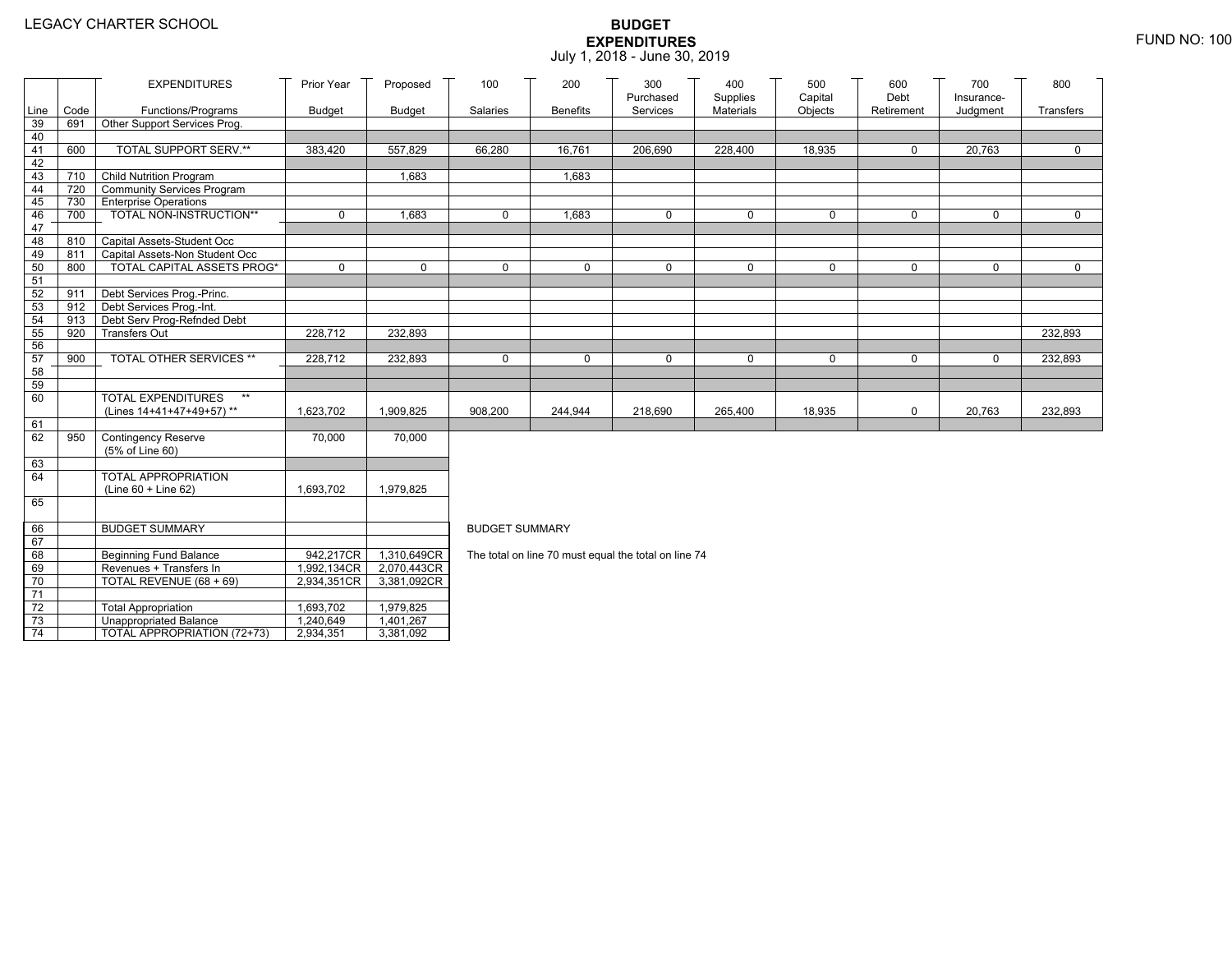|                 |      | <b>EXPENDITURES</b>               | Prior Year    | Proposed      | 100                   | 200             | 300<br>Purchased                                     | 400<br>Supplies | 500<br>Capital | 600<br>Debt | 700<br>Insurance- | 800         |  |  |
|-----------------|------|-----------------------------------|---------------|---------------|-----------------------|-----------------|------------------------------------------------------|-----------------|----------------|-------------|-------------------|-------------|--|--|
| Line            | Code | Functions/Programs                | <b>Budget</b> | <b>Budget</b> | Salaries              | <b>Benefits</b> | Services                                             | Materials       | Objects        | Retirement  | Judgment          | Transfers   |  |  |
| 39              | 691  | Other Support Services Prog.      |               |               |                       |                 |                                                      |                 |                |             |                   |             |  |  |
| 40              |      |                                   |               |               |                       |                 |                                                      |                 |                |             |                   |             |  |  |
| 41              | 600  | TOTAL SUPPORT SERV.**             | 383,420       | 557,829       | 66,280                | 16,761          | 206,690                                              | 228,400         | 18,935         | 0           | 20,763            | $\mathbf 0$ |  |  |
| 42              |      |                                   |               |               |                       |                 |                                                      |                 |                |             |                   |             |  |  |
| 43              |      | 710 Child Nutrition Program       |               | 1,683         |                       | 1,683           |                                                      |                 |                |             |                   |             |  |  |
| 44              |      | 720 Community Services Program    |               |               |                       |                 |                                                      |                 |                |             |                   |             |  |  |
| 45              |      | 730 Enterprise Operations         |               |               |                       |                 |                                                      |                 |                |             |                   |             |  |  |
| 46<br>47        | 700  | TOTAL NON-INSTRUCTION**           | 0             | 1,683         | $\mathbf 0$           | 1,683           | $\mathbf 0$                                          | 0               | $\mathbf 0$    | $\mathbf 0$ | 0                 | $\mathbf 0$ |  |  |
| 48              |      | 810 Capital Assets-Student Occ    |               |               |                       |                 |                                                      |                 |                |             |                   |             |  |  |
| 49              | 811  | Capital Assets-Non Student Occ    |               |               |                       |                 |                                                      |                 |                |             |                   |             |  |  |
| 50              | 800  | <b>TOTAL CAPITAL ASSETS PROG*</b> | 0             | $\mathbf 0$   | $\Omega$              | $\mathbf 0$     | $\mathbf 0$                                          | $\mathbf 0$     | $\Omega$       | $\Omega$    | 0                 | $\mathbf 0$ |  |  |
| 51              |      |                                   |               |               |                       |                 |                                                      |                 |                |             |                   |             |  |  |
| 52              | 911  | Debt Services Prog.-Princ.        |               |               |                       |                 |                                                      |                 |                |             |                   |             |  |  |
| 53              |      | 912 Debt Services Prog.-Int.      |               |               |                       |                 |                                                      |                 |                |             |                   |             |  |  |
| 54              | 913  | Debt Serv Prog-Refnded Debt       |               |               |                       |                 |                                                      |                 |                |             |                   |             |  |  |
| 55              | 920  | <b>Transfers Out</b>              | 228,712       | 232,893       |                       |                 |                                                      |                 |                |             |                   | 232,893     |  |  |
| 56              |      |                                   |               |               |                       |                 |                                                      |                 |                |             |                   |             |  |  |
| 57              | 900  | TOTAL OTHER SERVICES **           | 228,712       | 232,893       | 0                     | $\mathbf 0$     | $\mathbf 0$                                          | 0               | $\mathbf 0$    | $\mathbf 0$ | 0                 | 232,893     |  |  |
| 58              |      |                                   |               |               |                       |                 |                                                      |                 |                |             |                   |             |  |  |
| 59<br>60        |      | <b>TOTAL EXPENDITURES</b><br>$**$ |               |               |                       |                 |                                                      |                 |                |             |                   |             |  |  |
|                 |      | (Lines 14+41+47+49+57)**          | 1,623,702     | 1,909,825     | 908,200               | 244,944         | 218,690                                              | 265,400         | 18,935         | $\mathbf 0$ | 20,763            | 232,893     |  |  |
| 61              |      |                                   |               |               |                       |                 |                                                      |                 |                |             |                   |             |  |  |
| 62              | 950  | <b>Contingency Reserve</b>        | 70,000        | 70,000        |                       |                 |                                                      |                 |                |             |                   |             |  |  |
|                 |      | (5% of Line 60)                   |               |               |                       |                 |                                                      |                 |                |             |                   |             |  |  |
| 63              |      |                                   |               |               |                       |                 |                                                      |                 |                |             |                   |             |  |  |
| 64              |      | TOTAL APPROPRIATION               |               |               |                       |                 |                                                      |                 |                |             |                   |             |  |  |
|                 |      | (Line 60 + Line 62)               | 1,693,702     | 1,979,825     |                       |                 |                                                      |                 |                |             |                   |             |  |  |
| 65              |      |                                   |               |               |                       |                 |                                                      |                 |                |             |                   |             |  |  |
|                 |      |                                   |               |               |                       |                 |                                                      |                 |                |             |                   |             |  |  |
| 66              |      | <b>BUDGET SUMMARY</b>             |               |               | <b>BUDGET SUMMARY</b> |                 |                                                      |                 |                |             |                   |             |  |  |
| 67<br>68        |      | <b>Beginning Fund Balance</b>     | 942,217CR     | 1,310,649CR   |                       |                 | The total on line 70 must equal the total on line 74 |                 |                |             |                   |             |  |  |
| 69              |      | Revenues + Transfers In           | 1,992,134CR   | 2,070,443CR   |                       |                 |                                                      |                 |                |             |                   |             |  |  |
| 70              |      | TOTAL REVENUE (68 + 69)           | 2,934,351CR   | 3,381,092CR   |                       |                 |                                                      |                 |                |             |                   |             |  |  |
| $\overline{71}$ |      |                                   |               |               |                       |                 |                                                      |                 |                |             |                   |             |  |  |
| $72\,$          |      | <b>Total Appropriation</b>        | 1,693,702     | 1,979,825     |                       |                 |                                                      |                 |                |             |                   |             |  |  |
| 73              |      | <b>Unappropriated Balance</b>     | 1,240,649     | 1,401,267     |                       |                 |                                                      |                 |                |             |                   |             |  |  |
| 74              |      | TOTAL APPROPRIATION (72+73)       | 2,934,351     | 3,381,092     |                       |                 |                                                      |                 |                |             |                   |             |  |  |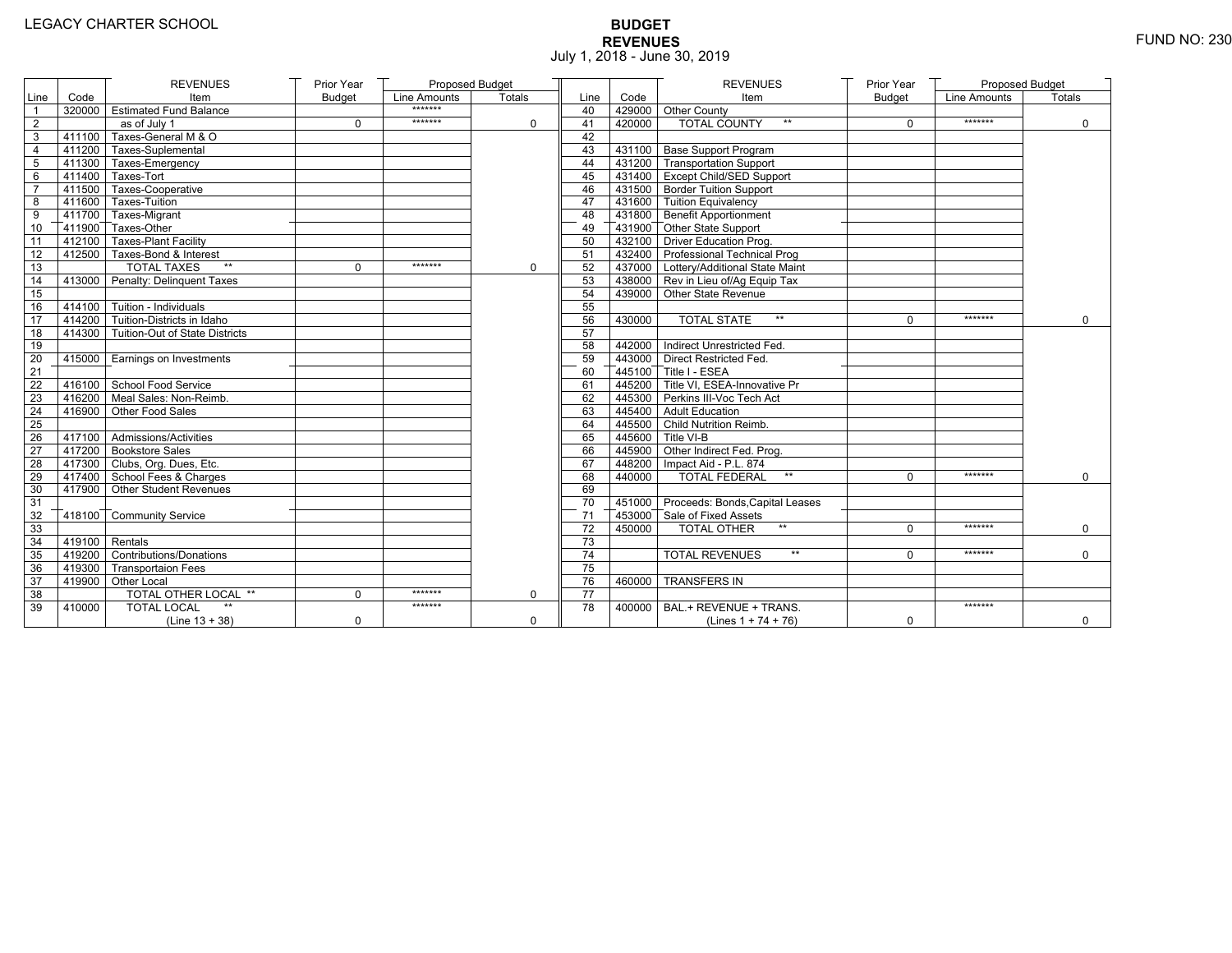# **BUDGET REVENUES** FUND NO: 230 July 1, 2018 - June 30, 2019

|                 |                   | <b>REVENUES</b>                       | Prior Year    | Proposed Budget |          |                 |        | <b>REVENUES</b>                        | Prior Year    | Proposed Budget |             |
|-----------------|-------------------|---------------------------------------|---------------|-----------------|----------|-----------------|--------|----------------------------------------|---------------|-----------------|-------------|
| Line            | Code              | Item                                  | <b>Budget</b> | Line Amounts    | Totals   | Line            | Code   | Item                                   | <b>Budget</b> | Line Amounts    | Totals      |
| $\mathbf{1}$    |                   | 320000 Estimated Fund Balance         |               | *******         |          | 40              |        | 429000 Other County                    |               |                 |             |
| $\overline{2}$  |                   | as of July 1                          | $\mathbf 0$   | *******         | 0        | 41              | 420000 | <b>TOTAL COUNTY</b>                    | $\Omega$      | *******         | $\Omega$    |
| 3               | 411100            | Taxes-General M & O                   |               |                 |          | 42              |        |                                        |               |                 |             |
| 4               |                   | 411200 Taxes-Suplemental              |               |                 |          | 43              |        | 431100 Base Support Program            |               |                 |             |
| 5               |                   | 411300 Taxes-Emergency                |               |                 |          | 44              |        | 431200 Transportation Support          |               |                 |             |
| 6               |                   | 411400 Taxes-Tort                     |               |                 |          | 45              |        | 431400 Except Child/SED Support        |               |                 |             |
| $\overline{7}$  |                   | 411500 Taxes-Cooperative              |               |                 |          | 46              |        | 431500 Border Tuition Support          |               |                 |             |
| 8               |                   | 411600 Taxes-Tuition                  |               |                 |          | 47              |        | 431600 Tuition Equivalency             |               |                 |             |
| 9               |                   | 411700 Taxes-Migrant                  |               |                 |          | 48              |        | 431800 Benefit Apportionment           |               |                 |             |
| 10              |                   | 411900 Taxes-Other                    |               |                 |          | 49              |        | 431900 Other State Support             |               |                 |             |
| $\overline{11}$ |                   | 412100 Taxes-Plant Facility           |               |                 |          | 50              |        | 432100 Driver Education Prog.          |               |                 |             |
| 12              |                   | 412500 Taxes-Bond & Interest          |               |                 |          | 51              |        | 432400 Professional Technical Prog     |               |                 |             |
| 13              |                   | <b>TOTAL TAXES</b><br>$\star\star$    | $\Omega$      | *******         | $\Omega$ | 52              |        | 437000 Lottery/Additional State Maint  |               |                 |             |
| 14              |                   | 413000 Penalty: Delinquent Taxes      |               |                 |          | 53              |        | 438000 Rev in Lieu of/Ag Equip Tax     |               |                 |             |
| 15              |                   |                                       |               |                 |          | 54              |        | 439000 Other State Revenue             |               |                 |             |
| 16              |                   | $-414100$ Tuition - Individuals       |               |                 |          | 55              |        |                                        |               |                 |             |
| 17              |                   | $7414200$ Tuition-Districts in Idaho  |               |                 |          | 56              | 430000 | <b>TOTAL STATE</b><br>$**$             | $\Omega$      | *******         | $\mathbf 0$ |
| 18              |                   | 414300 Tuition-Out of State Districts |               |                 |          | 57              |        |                                        |               |                 |             |
| 19              |                   |                                       |               |                 |          | 58              |        | 442000 Indirect Unrestricted Fed.      |               |                 |             |
| 20              |                   | 415000 Earnings on Investments        |               |                 |          | 59              |        | 443000 Direct Restricted Fed.          |               |                 |             |
| 21              |                   |                                       |               |                 |          | 60              |        | 445100 Title I - ESEA                  |               |                 |             |
| 22              |                   | 416100 School Food Service            |               |                 |          | 61              |        | 445200 Title VI. ESEA-Innovative Pr    |               |                 |             |
| 23              |                   | 416200 Meal Sales: Non-Reimb.         |               |                 |          | 62              |        | 445300 Perkins III-Voc Tech Act        |               |                 |             |
| 24              |                   | 416900 Other Food Sales               |               |                 |          | 63              |        | 445400 Adult Education                 |               |                 |             |
| 25              |                   |                                       |               |                 |          | 64              |        | 445500 Child Nutrition Reimb.          |               |                 |             |
| 26              |                   | 417100 Admissions/Activities          |               |                 |          | 65              |        | 445600 Title VI-B                      |               |                 |             |
| 27              |                   | 417200 Bookstore Sales                |               |                 |          | 66              |        | 445900 Other Indirect Fed. Prog.       |               |                 |             |
| 28              |                   | 417300 Clubs, Org. Dues, Etc.         |               |                 |          | 67              |        | 448200   Impact Aid - P.L. 874         |               |                 |             |
| 29              |                   | 417400 School Fees & Charges          |               |                 |          | 68              | 440000 | <b>TOTAL FEDERAL</b><br>$**$           | $\Omega$      | *******         | $\mathbf 0$ |
| 30              |                   | 417900 Other Student Revenues         |               |                 |          | 69              |        |                                        |               |                 |             |
| 31              |                   |                                       |               |                 |          | 70              |        | 451000 Proceeds: Bonds, Capital Leases |               |                 |             |
| 32              |                   | 418100 Community Service              |               |                 |          | 71              |        | 453000 Sale of Fixed Assets            |               |                 |             |
| 33              |                   |                                       |               |                 |          | 72              | 450000 | <b>TOTAL OTHER</b><br>$\star\star$     | $\Omega$      | *******         | $\mathbf 0$ |
| 34              | $-419100$ Rentals |                                       |               |                 |          | 73              |        |                                        |               |                 |             |
| 35              |                   | 419200 Contributions/Donations        |               |                 |          | 74              |        | <b>TOTAL REVENUES</b><br>$**$          | $\Omega$      | *******         | $\Omega$    |
| 36              |                   | 419300 Transportaion Fees             |               |                 |          | 75              |        |                                        |               |                 |             |
| 37              |                   | 419900 Other Local                    |               |                 |          | 76              | 460000 | <b>TRANSFERS IN</b>                    |               |                 |             |
| 38              |                   | TOTAL OTHER LOCAL **                  | $\mathbf 0$   | *******         | $\Omega$ | $\overline{77}$ |        |                                        |               |                 |             |
| 39              | 410000            | <b>TOTAL LOCAL</b>                    |               | *******         |          | 78              | 400000 | BAL.+ REVENUE + TRANS.                 |               | *******         |             |
|                 |                   | (Line $13 + 38$ )                     | $\mathbf 0$   |                 | 0        |                 |        | (Lines $1 + 74 + 76$ )                 | 0             |                 | $\mathbf 0$ |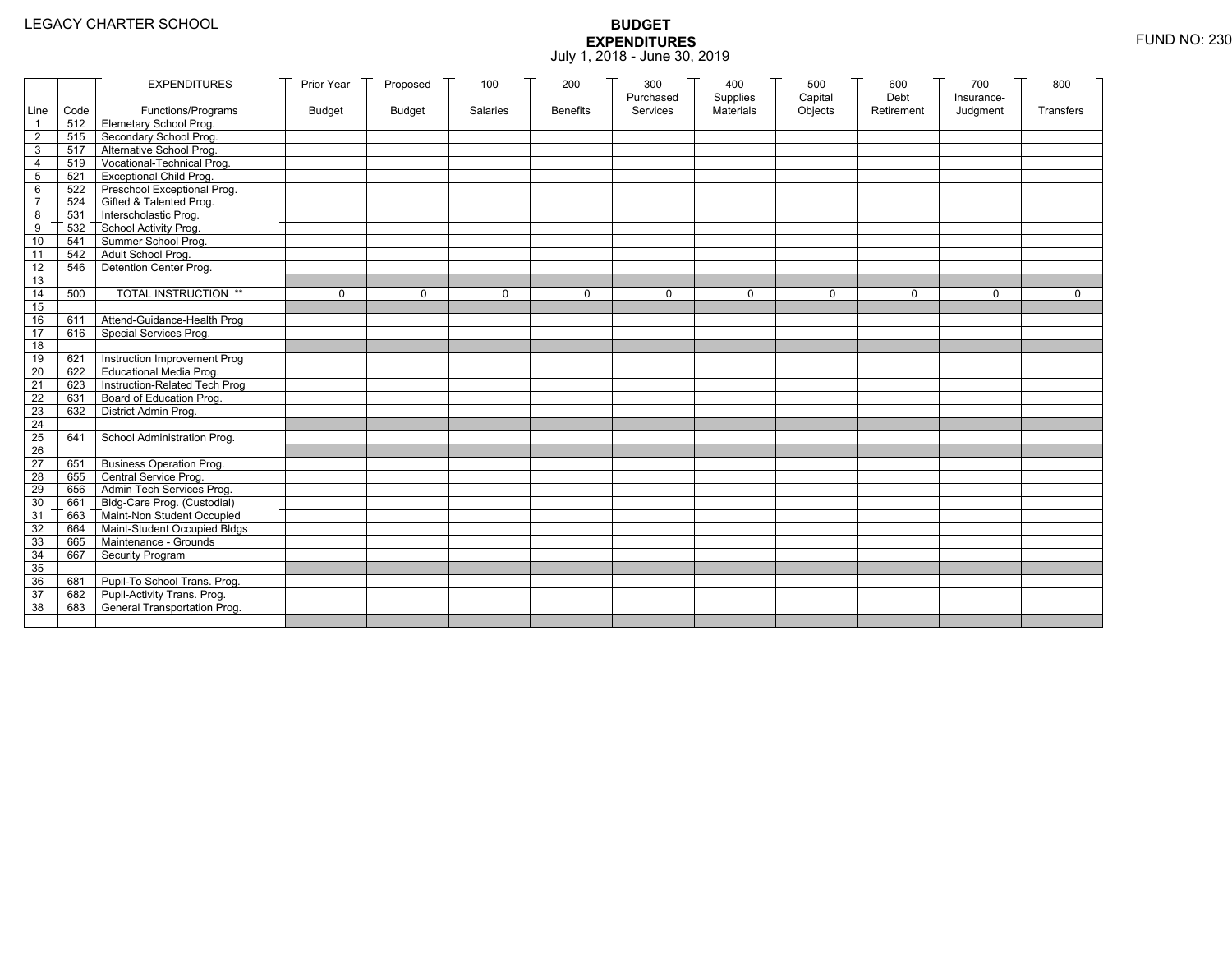|                 |           | <b>EXPENDITURES</b>                          | Prior Year    | Proposed      | 100          | 200             | 300          | 400              | 500         | 600        | 700          | 800          |
|-----------------|-----------|----------------------------------------------|---------------|---------------|--------------|-----------------|--------------|------------------|-------------|------------|--------------|--------------|
|                 |           |                                              |               |               |              |                 | Purchased    | Supplies         | Capital     | Debt       | Insurance-   |              |
|                 | Line Code | Functions/Programs                           | <b>Budget</b> | <b>Budget</b> | Salaries     | <b>Benefits</b> | Services     | <b>Materials</b> | Objects     | Retirement | Judgment     | Transfers    |
|                 |           | 512 Elemetary School Prog.                   |               |               |              |                 |              |                  |             |            |              |              |
| $\overline{2}$  | 515       | Secondary School Prog.                       |               |               |              |                 |              |                  |             |            |              |              |
| 3               |           | 517 Alternative School Prog.                 |               |               |              |                 |              |                  |             |            |              |              |
| 4               | 519       | Vocational-Technical Prog.                   |               |               |              |                 |              |                  |             |            |              |              |
| 5               | 521       | <b>Exceptional Child Prog.</b>               |               |               |              |                 |              |                  |             |            |              |              |
| 6               |           | 522 Preschool Exceptional Prog.              |               |               |              |                 |              |                  |             |            |              |              |
| $\overline{7}$  |           | 524 Gifted & Talented Prog.                  |               |               |              |                 |              |                  |             |            |              |              |
| 8               |           | 531 Interscholastic Prog.                    |               |               |              |                 |              |                  |             |            |              |              |
| 9               | 532       |                                              |               |               |              |                 |              |                  |             |            |              |              |
| 10              | 541       | School Activity Prog.<br>Summer School Prog. |               |               |              |                 |              |                  |             |            |              |              |
| 11              | 542       | Adult School Prog.                           |               |               |              |                 |              |                  |             |            |              |              |
| $\overline{12}$ | 546       | Detention Center Prog.                       |               |               |              |                 |              |                  |             |            |              |              |
| 13              |           |                                              |               |               |              |                 |              |                  |             |            |              |              |
| 14              | 500       | TOTAL INSTRUCTION **                         | $\mathbf 0$   | $\Omega$      | $\mathbf{0}$ | 0               | $\mathbf{0}$ | 0                | $\mathbf 0$ | $\Omega$   | $\mathbf{0}$ | $\mathbf{0}$ |
| 15              |           |                                              |               |               |              |                 |              |                  |             |            |              |              |
| 16              | 611       | Attend-Guidance-Health Prog                  |               |               |              |                 |              |                  |             |            |              |              |
| 17              | 616       | Special Services Prog.                       |               |               |              |                 |              |                  |             |            |              |              |
| 18              |           |                                              |               |               |              |                 |              |                  |             |            |              |              |
| 19              | 621       | Instruction Improvement Prog                 |               |               |              |                 |              |                  |             |            |              |              |
| $\overline{20}$ | 622       | Educational Media Prog.                      |               |               |              |                 |              |                  |             |            |              |              |
| 21              | 623       | Instruction-Related Tech Prog                |               |               |              |                 |              |                  |             |            |              |              |
| $\overline{22}$ | 631       | Board of Education Prog.                     |               |               |              |                 |              |                  |             |            |              |              |
| 23              | 632       | District Admin Prog.                         |               |               |              |                 |              |                  |             |            |              |              |
| 24              |           |                                              |               |               |              |                 |              |                  |             |            |              |              |
| 25              | 641       | School Administration Prog.                  |               |               |              |                 |              |                  |             |            |              |              |
| 26              |           |                                              |               |               |              |                 |              |                  |             |            |              |              |
| 27              | 651       | <b>Business Operation Prog.</b>              |               |               |              |                 |              |                  |             |            |              |              |
| 28              |           | 655 Central Service Prog.                    |               |               |              |                 |              |                  |             |            |              |              |
| 29              | 656       | Admin Tech Services Prog.                    |               |               |              |                 |              |                  |             |            |              |              |
| 30              |           | 661 Bldg-Care Prog. (Custodial)              |               |               |              |                 |              |                  |             |            |              |              |
| 31              |           | 663 Maint-Non Student Occupied               |               |               |              |                 |              |                  |             |            |              |              |
| 32              |           | 664 Maint-Student Occupied Bldgs             |               |               |              |                 |              |                  |             |            |              |              |
| 33              |           | 665 Maintenance - Grounds                    |               |               |              |                 |              |                  |             |            |              |              |
| 34              | 667       | Security Program                             |               |               |              |                 |              |                  |             |            |              |              |
| 35              |           |                                              |               |               |              |                 |              |                  |             |            |              |              |
| 36              | 681       | Pupil-To School Trans. Prog.                 |               |               |              |                 |              |                  |             |            |              |              |
| 37              | 682       | Pupil-Activity Trans. Prog.                  |               |               |              |                 |              |                  |             |            |              |              |
| 38              | 683       | General Transportation Prog.                 |               |               |              |                 |              |                  |             |            |              |              |
|                 |           |                                              |               |               |              |                 |              |                  |             |            |              |              |
|                 |           |                                              |               |               |              |                 |              |                  |             |            |              |              |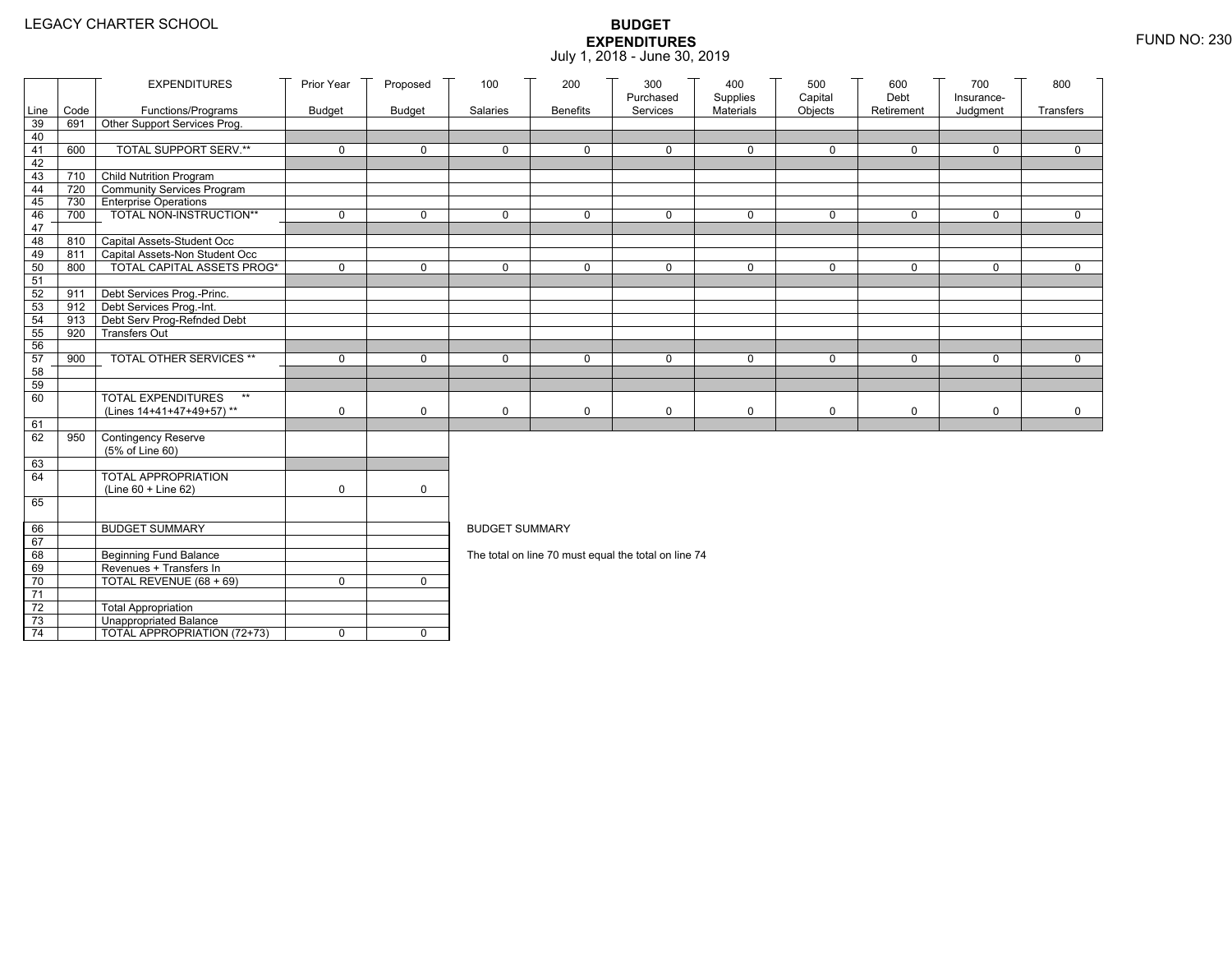|                 |      | <b>EXPENDITURES</b>                                        | Prior Year    | Proposed      | 100                   | 200             | 300                                                  | 400                   | 500                | 600<br>Debt  | 700                    | 800         |
|-----------------|------|------------------------------------------------------------|---------------|---------------|-----------------------|-----------------|------------------------------------------------------|-----------------------|--------------------|--------------|------------------------|-------------|
| Line            | Code | Functions/Programs                                         | <b>Budget</b> | <b>Budget</b> | Salaries              | <b>Benefits</b> | Purchased<br>Services                                | Supplies<br>Materials | Capital<br>Objects | Retirement   | Insurance-<br>Judgment | Transfers   |
| 39              | 691  | Other Support Services Prog.                               |               |               |                       |                 |                                                      |                       |                    |              |                        |             |
| 40              |      |                                                            |               |               |                       |                 |                                                      |                       |                    |              |                        |             |
| 41              | 600  | <b>TOTAL SUPPORT SERV.**</b>                               | $\mathbf 0$   | $\mathbf 0$   | $\mathbf 0$           | $\mathbf 0$     | $\mathbf 0$                                          | $\mathbf 0$           | $\mathbf 0$        | $\mathbf 0$  | $\mathbf 0$            | $\mathbf 0$ |
| 42              |      |                                                            |               |               |                       |                 |                                                      |                       |                    |              |                        |             |
| 43              |      | 710 Child Nutrition Program                                |               |               |                       |                 |                                                      |                       |                    |              |                        |             |
| 44              | 720  | Community Services Program                                 |               |               |                       |                 |                                                      |                       |                    |              |                        |             |
| 45              | 730  | <b>Enterprise Operations</b>                               |               |               |                       |                 |                                                      |                       |                    |              |                        |             |
| 46              | 700  | TOTAL NON-INSTRUCTION**                                    | $\mathbf 0$   | $\mathsf{O}$  | $\Omega$              | $\mathbf 0$     | $\mathbf 0$                                          | $\mathbf 0$           | $\mathsf{O}$       | $\mathsf{O}$ | $\mathbf 0$            | $\mathbf 0$ |
| 47              |      |                                                            |               |               |                       |                 |                                                      |                       |                    |              |                        |             |
| 48              | 810  | Capital Assets-Student Occ                                 |               |               |                       |                 |                                                      |                       |                    |              |                        |             |
| 49              | 811  | Capital Assets-Non Student Occ                             |               |               |                       |                 |                                                      |                       |                    |              |                        |             |
| 50              | 800  | <b>TOTAL CAPITAL ASSETS PROG*</b>                          | $\mathbf 0$   | $\mathbf 0$   | $\mathbf 0$           | $\mathbf 0$     | $\mathbf 0$                                          | $\mathbf 0$           | $\mathbf 0$        | $\mathbf 0$  | $\mathbf 0$            | $\mathbf 0$ |
| 51              |      |                                                            |               |               |                       |                 |                                                      |                       |                    |              |                        |             |
| 52<br>53        | 911  | Debt Services Prog.-Princ.<br>912 Debt Services Prog.-Int. |               |               |                       |                 |                                                      |                       |                    |              |                        |             |
| 54              | 913  |                                                            |               |               |                       |                 |                                                      |                       |                    |              |                        |             |
| 55              | 920  | Debt Serv Prog-Refnded Debt<br><b>Transfers Out</b>        |               |               |                       |                 |                                                      |                       |                    |              |                        |             |
| 56              |      |                                                            |               |               |                       |                 |                                                      |                       |                    |              |                        |             |
| 57              | 900  | TOTAL OTHER SERVICES **                                    | $\mathbf 0$   | 0             | $\mathbf 0$           | $\mathbf 0$     | $\mathbf 0$                                          | $\mathbf 0$           | $\mathsf{O}$       | 0            | $\mathbf 0$            | $\mathbf 0$ |
| 58              |      |                                                            |               |               |                       |                 |                                                      |                       |                    |              |                        |             |
| 59              |      |                                                            |               |               |                       |                 |                                                      |                       |                    |              |                        |             |
| 60              |      | <b>TOTAL EXPENDITURES</b><br>$\star\star$                  |               |               |                       |                 |                                                      |                       |                    |              |                        |             |
|                 |      | (Lines 14+41+47+49+57)**                                   | 0             | $\mathbf 0$   | $\mathbf 0$           | 0               | 0                                                    | 0                     | 0                  | 0            | 0                      | 0           |
| 61              |      |                                                            |               |               |                       |                 |                                                      |                       |                    |              |                        |             |
| 62              | 950  | Contingency Reserve                                        |               |               |                       |                 |                                                      |                       |                    |              |                        |             |
|                 |      | (5% of Line 60)                                            |               |               |                       |                 |                                                      |                       |                    |              |                        |             |
| 63              |      |                                                            |               |               |                       |                 |                                                      |                       |                    |              |                        |             |
| 64              |      | TOTAL APPROPRIATION                                        |               |               |                       |                 |                                                      |                       |                    |              |                        |             |
|                 |      | (Line 60 + Line 62)                                        | 0             | $\mathsf{O}$  |                       |                 |                                                      |                       |                    |              |                        |             |
| 65              |      |                                                            |               |               |                       |                 |                                                      |                       |                    |              |                        |             |
|                 |      |                                                            |               |               |                       |                 |                                                      |                       |                    |              |                        |             |
| 66              |      | <b>BUDGET SUMMARY</b>                                      |               |               | <b>BUDGET SUMMARY</b> |                 |                                                      |                       |                    |              |                        |             |
| 67              |      |                                                            |               |               |                       |                 |                                                      |                       |                    |              |                        |             |
| 68              |      | <b>Beginning Fund Balance</b>                              |               |               |                       |                 | The total on line 70 must equal the total on line 74 |                       |                    |              |                        |             |
| 69              |      | Revenues + Transfers In                                    |               |               |                       |                 |                                                      |                       |                    |              |                        |             |
| 70              |      | TOTAL REVENUE (68 + 69)                                    | 0             | $\mathbf 0$   |                       |                 |                                                      |                       |                    |              |                        |             |
| 71              |      |                                                            |               |               |                       |                 |                                                      |                       |                    |              |                        |             |
| 72              |      | <b>Total Appropriation</b>                                 |               |               |                       |                 |                                                      |                       |                    |              |                        |             |
| 73              |      | Unappropriated Balance                                     |               |               |                       |                 |                                                      |                       |                    |              |                        |             |
| $\overline{74}$ |      | TOTAL APPROPRIATION (72+73)                                | 0             | $\mathbf 0$   |                       |                 |                                                      |                       |                    |              |                        |             |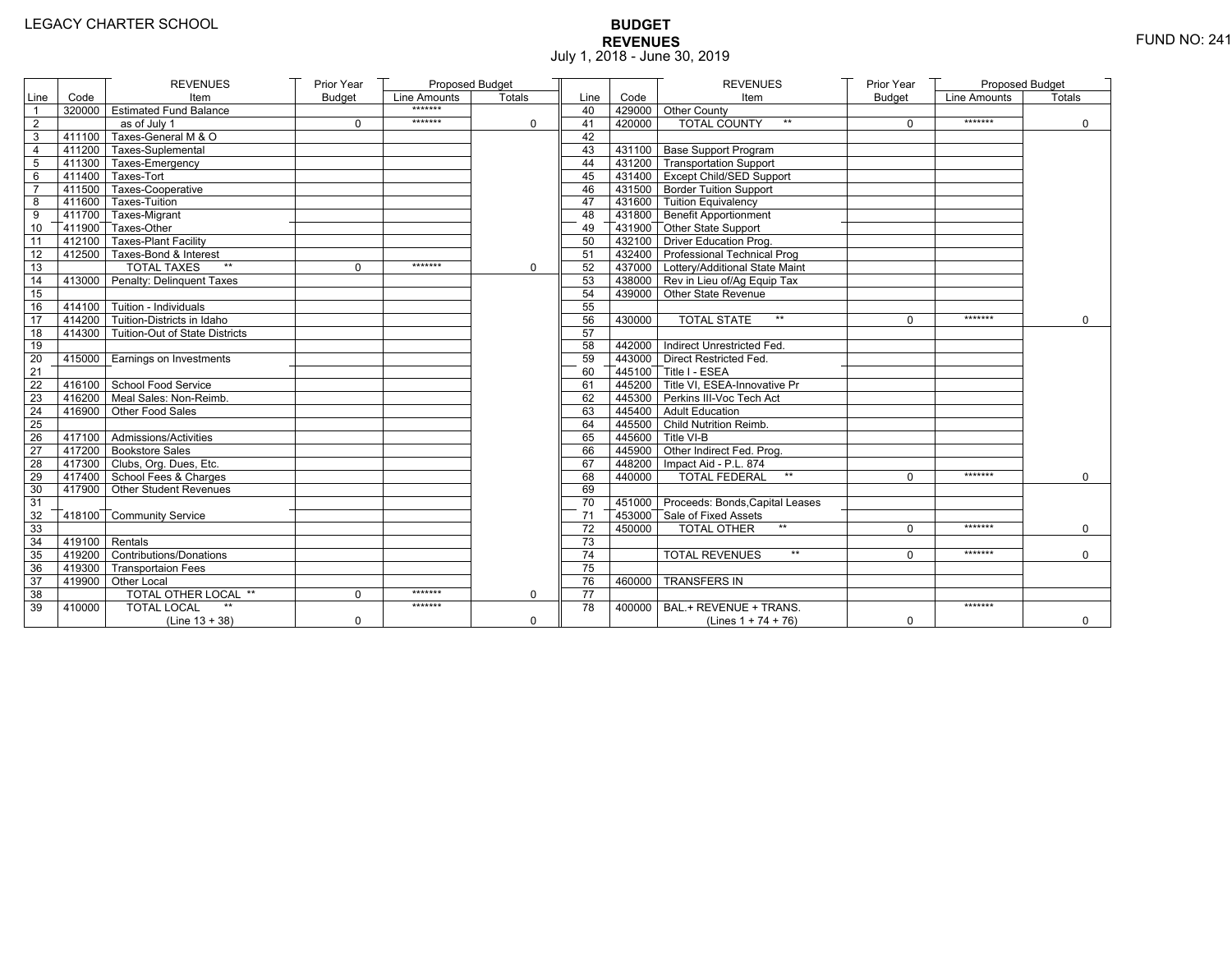# **BUDGET REVENUES** FUND NO: 241 July 1, 2018 - June 30, 2019

|                 |                   | <b>REVENUES</b>                       | Prior Year    | Proposed Budget |          |                 |        | <b>REVENUES</b>                         | Prior Year    | Proposed Budget |             |
|-----------------|-------------------|---------------------------------------|---------------|-----------------|----------|-----------------|--------|-----------------------------------------|---------------|-----------------|-------------|
| Line            | Code              | Item                                  | <b>Budget</b> | Line Amounts    | Totals   | Line            | Code   | Item                                    | <b>Budget</b> | Line Amounts    | Totals      |
|                 |                   | 320000 Estimated Fund Balance         |               | *******         |          | 40              |        | 429000 Other County                     |               |                 |             |
| $\sqrt{2}$      |                   | as of July 1                          | $\mathbf 0$   | *******         | 0        | 41              | 420000 | <b>TOTAL COUNTY</b><br>$\star\star$     | $\mathbf 0$   | *******         | $\mathbf 0$ |
| 3               |                   | 411100 Taxes-General M & O            |               |                 |          | 42              |        |                                         |               |                 |             |
| 4               |                   | 411200 Taxes-Suplemental              |               |                 |          | 43              |        | 431100 Base Support Program             |               |                 |             |
| 5               |                   | 411300 Taxes-Emergency                |               |                 |          | 44              |        | 431200 Transportation Support           |               |                 |             |
| 6               |                   | 411400 Taxes-Tort                     |               |                 |          | 45              |        | 431400 Except Child/SED Support         |               |                 |             |
| $\overline{7}$  |                   | 411500 Taxes-Cooperative              |               |                 |          | 46              |        | 431500 Border Tuition Support           |               |                 |             |
| 8               |                   | 411600 Taxes-Tuition                  |               |                 |          | 47              |        | 431600 Tuition Equivalency              |               |                 |             |
| 9               |                   | 411700 Taxes-Migrant                  |               |                 |          | 48              |        | 431800 Benefit Apportionment            |               |                 |             |
| 10              |                   | 411900 Taxes-Other                    |               |                 |          | 49              |        | 431900 Other State Support              |               |                 |             |
| 11              |                   | 412100 Taxes-Plant Facility           |               |                 |          | 50              |        | 432100 Driver Education Prog.           |               |                 |             |
| 12              |                   | 412500 Taxes-Bond & Interest          |               |                 |          | 51              |        | 432400 Professional Technical Prog      |               |                 |             |
| $\overline{13}$ |                   | <b>TOTAL TAXES</b><br>$\star\star$    | $\Omega$      | *******         | $\Omega$ | 52              |        | 437000 Lottery/Additional State Maint   |               |                 |             |
| 14              |                   | 413000 Penalty: Delinquent Taxes      |               |                 |          | 53              |        | 438000 Rev in Lieu of/Ag Equip Tax      |               |                 |             |
| 15              |                   |                                       |               |                 |          | 54              |        | 439000 Other State Revenue              |               |                 |             |
| 16              |                   | $-414100$ Tuition - Individuals       |               |                 |          | 55              |        |                                         |               |                 |             |
| 17              |                   | 414200 Tuition-Districts in Idaho     |               |                 |          | 56              | 430000 | $\star\star$<br><b>TOTAL STATE</b>      | $\Omega$      | *******         | $\Omega$    |
| 18              |                   | 414300 Tuition-Out of State Districts |               |                 |          | 57              |        |                                         |               |                 |             |
| 19              |                   |                                       |               |                 |          | 58              |        | 442000 Indirect Unrestricted Fed.       |               |                 |             |
| 20              |                   | 415000   Earnings on Investments      |               |                 |          | 59              |        | 443000 Direct Restricted Fed.           |               |                 |             |
| 21              |                   |                                       |               |                 |          | 60              |        | 445100 Title I - ESEA                   |               |                 |             |
| 22              |                   | 416100 School Food Service            |               |                 |          | 61              |        | 445200 Title VI. ESEA-Innovative Pr     |               |                 |             |
| 23              |                   | 416200 Meal Sales: Non-Reimb.         |               |                 |          | 62              |        | 445300 Perkins III-Voc Tech Act         |               |                 |             |
| 24              |                   | 416900 Other Food Sales               |               |                 |          | 63              |        | 445400 Adult Education                  |               |                 |             |
| 25              |                   |                                       |               |                 |          | 64              |        | 445500 Child Nutrition Reimb.           |               |                 |             |
| 26              |                   | $417100$ Admissions/Activities        |               |                 |          | 65              |        | 445600 Title VI-B                       |               |                 |             |
| 27              |                   | 417200 Bookstore Sales                |               |                 |          | 66              |        | 445900 Other Indirect Fed. Prog.        |               |                 |             |
| 28              |                   | 417300 Clubs, Org. Dues, Etc.         |               |                 |          | 67              |        | 448200   Impact Aid - P.L. 874          |               |                 |             |
| 29              |                   | 417400 School Fees & Charges          |               |                 |          | 68              | 440000 | <b>TOTAL FEDERAL</b><br>$^{\star\star}$ | $\Omega$      | *******         | $\Omega$    |
| 30              |                   | 417900 Other Student Revenues         |               |                 |          | 69              |        |                                         |               |                 |             |
| 31              |                   |                                       |               |                 |          | 70              |        | 451000 Proceeds: Bonds, Capital Leases  |               |                 |             |
| 32              |                   | 418100 Community Service              |               |                 |          | 71              |        | 453000 Sale of Fixed Assets             |               |                 |             |
| 33              |                   |                                       |               |                 |          | 72              | 450000 | <b>TOTAL OTHER</b><br>$\star\star$      | $\Omega$      | *******         | $\mathbf 0$ |
| 34              | $-419100$ Rentals |                                       |               |                 |          | 73              |        |                                         |               |                 |             |
| 35              |                   | 419200 Contributions/Donations        |               |                 |          | 74              |        | <b>TOTAL REVENUES</b><br>$**$           | $\Omega$      | *******         | $\Omega$    |
| 36              |                   | 419300 Transportaion Fees             |               |                 |          | 75              |        |                                         |               |                 |             |
| 37              |                   | 419900 Other Local                    |               |                 |          | 76              | 460000 | <b>TRANSFERS IN</b>                     |               |                 |             |
| 38              |                   | TOTAL OTHER LOCAL **                  | $\mathbf 0$   | *******         | $\Omega$ | $\overline{77}$ |        |                                         |               |                 |             |
| 39              | 410000            | <b>TOTAL LOCAL</b>                    |               | *******         |          | 78              | 400000 | BAL.+ REVENUE + TRANS.                  |               | *******         |             |
|                 |                   | (Line $13 + 38$ )                     | $\mathbf 0$   |                 | 0        |                 |        | (Lines $1 + 74 + 76$ )                  | 0             |                 | $\mathbf 0$ |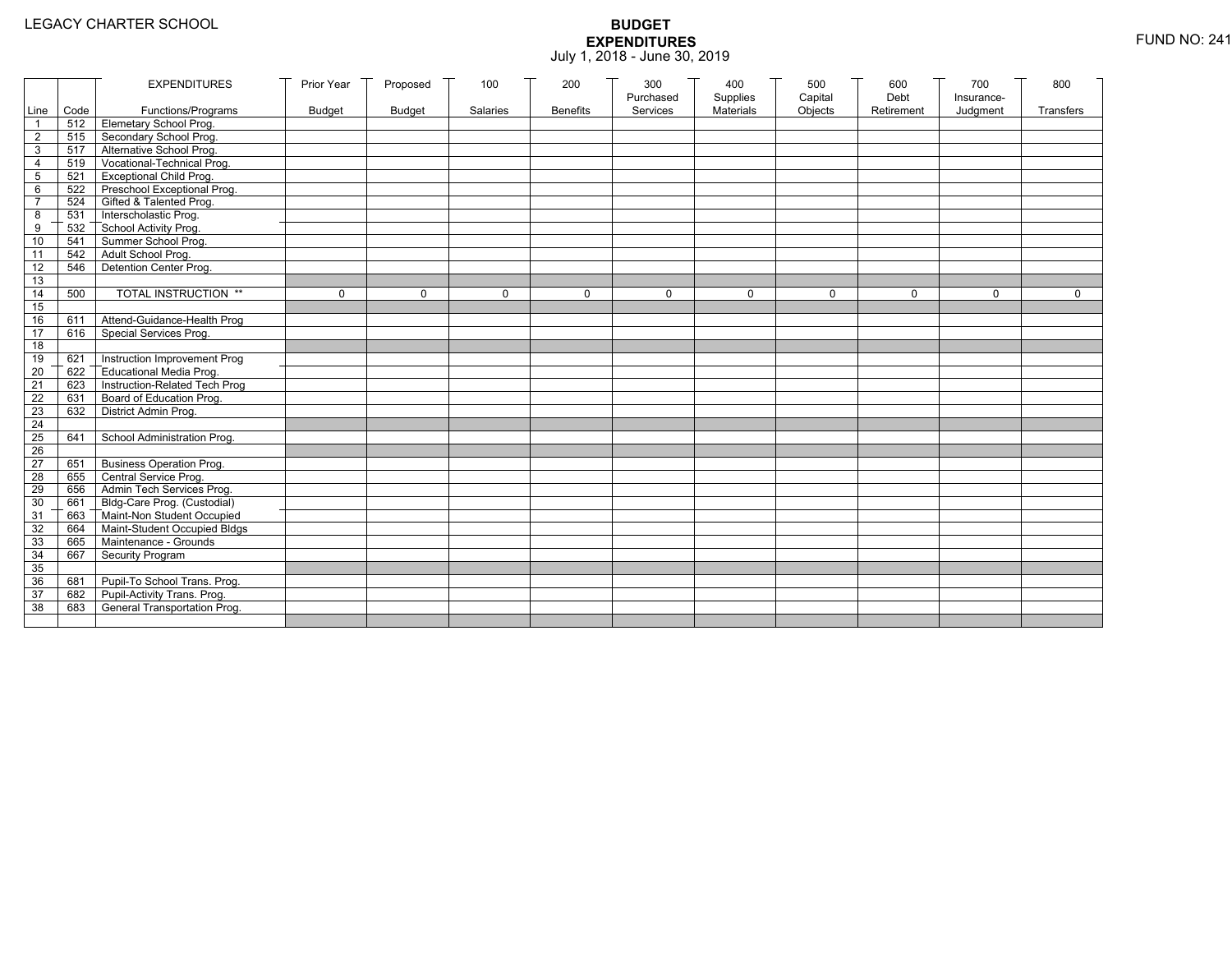|                 |           | <b>EXPENDITURES</b>                          | Prior Year    | Proposed      | 100          | 200             | 300          | 400              | 500         | 600        | 700          | 800          |
|-----------------|-----------|----------------------------------------------|---------------|---------------|--------------|-----------------|--------------|------------------|-------------|------------|--------------|--------------|
|                 |           |                                              |               |               |              |                 | Purchased    | Supplies         | Capital     | Debt       | Insurance-   |              |
|                 | Line Code | Functions/Programs                           | <b>Budget</b> | <b>Budget</b> | Salaries     | <b>Benefits</b> | Services     | <b>Materials</b> | Objects     | Retirement | Judgment     | Transfers    |
|                 |           | 512 Elemetary School Prog.                   |               |               |              |                 |              |                  |             |            |              |              |
| $\overline{2}$  | 515       | Secondary School Prog.                       |               |               |              |                 |              |                  |             |            |              |              |
| 3               |           | 517 Alternative School Prog.                 |               |               |              |                 |              |                  |             |            |              |              |
| 4               | 519       | Vocational-Technical Prog.                   |               |               |              |                 |              |                  |             |            |              |              |
| 5               | 521       | <b>Exceptional Child Prog.</b>               |               |               |              |                 |              |                  |             |            |              |              |
| 6               |           | 522 Preschool Exceptional Prog.              |               |               |              |                 |              |                  |             |            |              |              |
| $\overline{7}$  |           | 524 Gifted & Talented Prog.                  |               |               |              |                 |              |                  |             |            |              |              |
| 8               |           | 531 Interscholastic Prog.                    |               |               |              |                 |              |                  |             |            |              |              |
| 9               | 532       |                                              |               |               |              |                 |              |                  |             |            |              |              |
| 10              | 541       | School Activity Prog.<br>Summer School Prog. |               |               |              |                 |              |                  |             |            |              |              |
| 11              | 542       | Adult School Prog.                           |               |               |              |                 |              |                  |             |            |              |              |
| $\overline{12}$ | 546       | Detention Center Prog.                       |               |               |              |                 |              |                  |             |            |              |              |
| 13              |           |                                              |               |               |              |                 |              |                  |             |            |              |              |
| 14              | 500       | TOTAL INSTRUCTION **                         | $\mathbf 0$   | $\Omega$      | $\mathbf{0}$ | 0               | $\mathbf{0}$ | 0                | $\mathbf 0$ | $\Omega$   | $\mathbf{0}$ | $\mathbf{0}$ |
| 15              |           |                                              |               |               |              |                 |              |                  |             |            |              |              |
| 16              | 611       | Attend-Guidance-Health Prog                  |               |               |              |                 |              |                  |             |            |              |              |
| 17              | 616       | Special Services Prog.                       |               |               |              |                 |              |                  |             |            |              |              |
| 18              |           |                                              |               |               |              |                 |              |                  |             |            |              |              |
| 19              | 621       | Instruction Improvement Prog                 |               |               |              |                 |              |                  |             |            |              |              |
| $\overline{20}$ | 622       | Educational Media Prog.                      |               |               |              |                 |              |                  |             |            |              |              |
| 21              | 623       | Instruction-Related Tech Prog                |               |               |              |                 |              |                  |             |            |              |              |
| $\overline{22}$ | 631       | Board of Education Prog.                     |               |               |              |                 |              |                  |             |            |              |              |
| 23              | 632       | District Admin Prog.                         |               |               |              |                 |              |                  |             |            |              |              |
| 24              |           |                                              |               |               |              |                 |              |                  |             |            |              |              |
| 25              | 641       | School Administration Prog.                  |               |               |              |                 |              |                  |             |            |              |              |
| 26              |           |                                              |               |               |              |                 |              |                  |             |            |              |              |
| 27              | 651       | <b>Business Operation Prog.</b>              |               |               |              |                 |              |                  |             |            |              |              |
| 28              |           | 655 Central Service Prog.                    |               |               |              |                 |              |                  |             |            |              |              |
| 29              | 656       | Admin Tech Services Prog.                    |               |               |              |                 |              |                  |             |            |              |              |
| 30              |           | 661 Bldg-Care Prog. (Custodial)              |               |               |              |                 |              |                  |             |            |              |              |
| 31              |           | 663 Maint-Non Student Occupied               |               |               |              |                 |              |                  |             |            |              |              |
| 32              |           | 664 Maint-Student Occupied Bldgs             |               |               |              |                 |              |                  |             |            |              |              |
| 33              |           | 665 Maintenance - Grounds                    |               |               |              |                 |              |                  |             |            |              |              |
| 34              | 667       | Security Program                             |               |               |              |                 |              |                  |             |            |              |              |
| 35              |           |                                              |               |               |              |                 |              |                  |             |            |              |              |
| 36              | 681       | Pupil-To School Trans. Prog.                 |               |               |              |                 |              |                  |             |            |              |              |
| 37              | 682       | Pupil-Activity Trans. Prog.                  |               |               |              |                 |              |                  |             |            |              |              |
| 38              | 683       | General Transportation Prog.                 |               |               |              |                 |              |                  |             |            |              |              |
|                 |           |                                              |               |               |              |                 |              |                  |             |            |              |              |
|                 |           |                                              |               |               |              |                 |              |                  |             |            |              |              |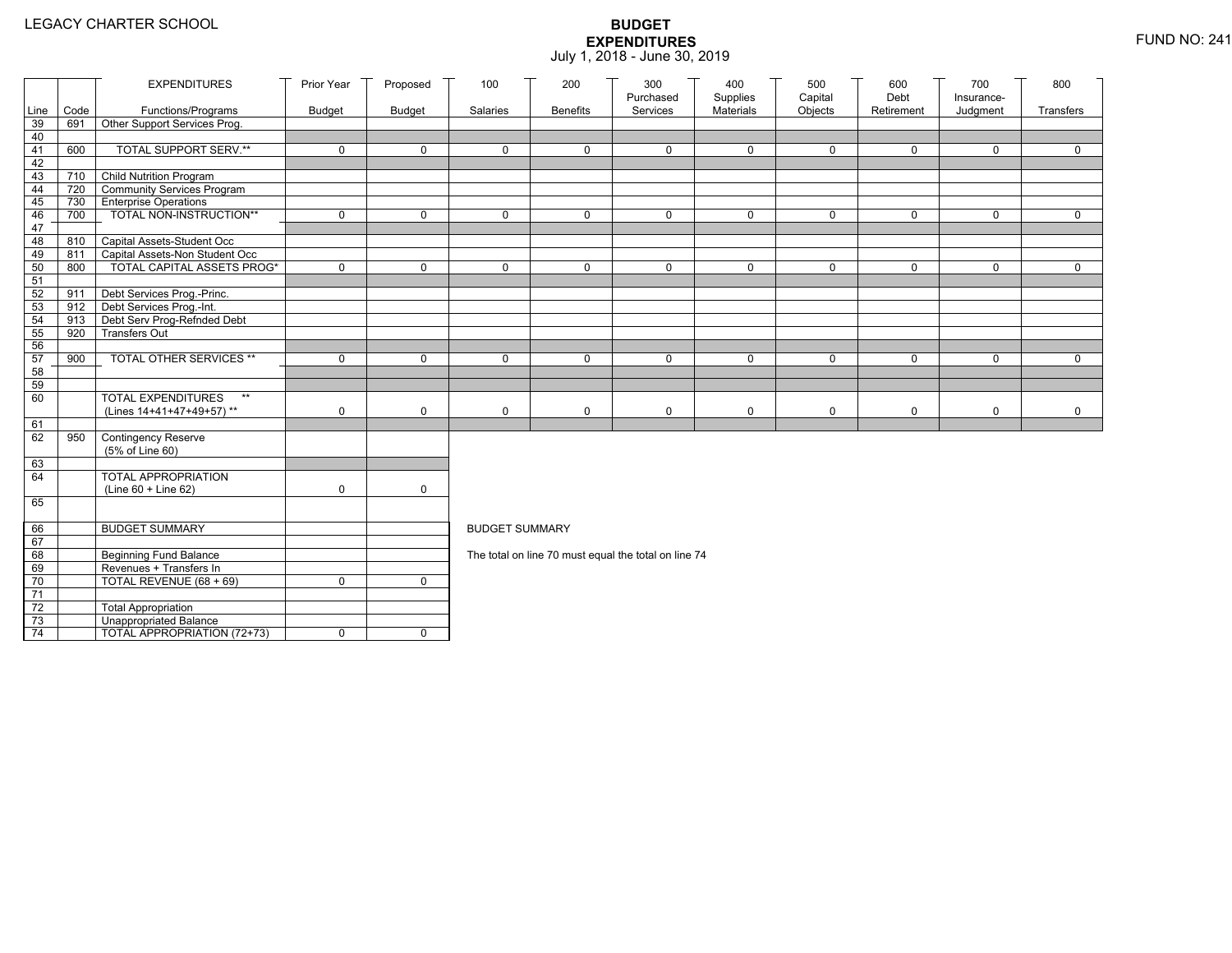|                 |      | <b>EXPENDITURES</b>                                        | Prior Year    | Proposed      | 100                   | 200             | 300                                                  | 400                   | 500                | 600<br>Debt  | 700                    | 800         |
|-----------------|------|------------------------------------------------------------|---------------|---------------|-----------------------|-----------------|------------------------------------------------------|-----------------------|--------------------|--------------|------------------------|-------------|
| Line            | Code | Functions/Programs                                         | <b>Budget</b> | <b>Budget</b> | Salaries              | <b>Benefits</b> | Purchased<br>Services                                | Supplies<br>Materials | Capital<br>Objects | Retirement   | Insurance-<br>Judgment | Transfers   |
| 39              | 691  | Other Support Services Prog.                               |               |               |                       |                 |                                                      |                       |                    |              |                        |             |
| 40              |      |                                                            |               |               |                       |                 |                                                      |                       |                    |              |                        |             |
| 41              | 600  | <b>TOTAL SUPPORT SERV.**</b>                               | $\mathbf 0$   | $\mathbf 0$   | $\mathbf 0$           | $\mathbf 0$     | $\mathbf 0$                                          | $\mathbf 0$           | $\mathbf 0$        | $\mathbf 0$  | $\mathbf 0$            | $\mathbf 0$ |
| 42              |      |                                                            |               |               |                       |                 |                                                      |                       |                    |              |                        |             |
| 43              |      | 710 Child Nutrition Program                                |               |               |                       |                 |                                                      |                       |                    |              |                        |             |
| 44              | 720  | Community Services Program                                 |               |               |                       |                 |                                                      |                       |                    |              |                        |             |
| 45              | 730  | <b>Enterprise Operations</b>                               |               |               |                       |                 |                                                      |                       |                    |              |                        |             |
| 46              | 700  | TOTAL NON-INSTRUCTION**                                    | $\mathbf 0$   | $\mathsf{O}$  | $\Omega$              | $\mathbf 0$     | $\mathbf 0$                                          | $\mathbf 0$           | $\mathsf{O}$       | $\mathsf{O}$ | $\mathbf 0$            | $\mathbf 0$ |
| 47              |      |                                                            |               |               |                       |                 |                                                      |                       |                    |              |                        |             |
| 48              | 810  | Capital Assets-Student Occ                                 |               |               |                       |                 |                                                      |                       |                    |              |                        |             |
| 49              | 811  | Capital Assets-Non Student Occ                             |               |               |                       |                 |                                                      |                       |                    |              |                        |             |
| 50              | 800  | <b>TOTAL CAPITAL ASSETS PROG*</b>                          | $\mathbf 0$   | $\mathbf 0$   | $\mathbf 0$           | $\mathbf 0$     | $\mathbf 0$                                          | $\mathbf 0$           | $\mathbf 0$        | $\mathbf 0$  | $\mathbf 0$            | $\mathbf 0$ |
| 51              |      |                                                            |               |               |                       |                 |                                                      |                       |                    |              |                        |             |
| 52<br>53        | 911  | Debt Services Prog.-Princ.<br>912 Debt Services Prog.-Int. |               |               |                       |                 |                                                      |                       |                    |              |                        |             |
| 54              | 913  |                                                            |               |               |                       |                 |                                                      |                       |                    |              |                        |             |
| 55              | 920  | Debt Serv Prog-Refnded Debt<br><b>Transfers Out</b>        |               |               |                       |                 |                                                      |                       |                    |              |                        |             |
| 56              |      |                                                            |               |               |                       |                 |                                                      |                       |                    |              |                        |             |
| 57              | 900  | TOTAL OTHER SERVICES **                                    | $\mathbf 0$   | 0             | $\mathbf 0$           | $\mathbf 0$     | $\mathbf 0$                                          | $\mathbf 0$           | $\mathsf{O}$       | 0            | $\mathbf 0$            | $\mathbf 0$ |
| 58              |      |                                                            |               |               |                       |                 |                                                      |                       |                    |              |                        |             |
| 59              |      |                                                            |               |               |                       |                 |                                                      |                       |                    |              |                        |             |
| 60              |      | <b>TOTAL EXPENDITURES</b><br>$\star\star$                  |               |               |                       |                 |                                                      |                       |                    |              |                        |             |
|                 |      | (Lines 14+41+47+49+57)**                                   | 0             | $\mathbf 0$   | $\mathbf 0$           | 0               | 0                                                    | 0                     | 0                  | 0            | 0                      | 0           |
| 61              |      |                                                            |               |               |                       |                 |                                                      |                       |                    |              |                        |             |
| 62              | 950  | Contingency Reserve                                        |               |               |                       |                 |                                                      |                       |                    |              |                        |             |
|                 |      | (5% of Line 60)                                            |               |               |                       |                 |                                                      |                       |                    |              |                        |             |
| 63              |      |                                                            |               |               |                       |                 |                                                      |                       |                    |              |                        |             |
| 64              |      | TOTAL APPROPRIATION                                        |               |               |                       |                 |                                                      |                       |                    |              |                        |             |
|                 |      | (Line 60 + Line 62)                                        | 0             | $\mathsf{O}$  |                       |                 |                                                      |                       |                    |              |                        |             |
| 65              |      |                                                            |               |               |                       |                 |                                                      |                       |                    |              |                        |             |
|                 |      |                                                            |               |               |                       |                 |                                                      |                       |                    |              |                        |             |
| 66              |      | <b>BUDGET SUMMARY</b>                                      |               |               | <b>BUDGET SUMMARY</b> |                 |                                                      |                       |                    |              |                        |             |
| 67              |      |                                                            |               |               |                       |                 |                                                      |                       |                    |              |                        |             |
| 68              |      | <b>Beginning Fund Balance</b>                              |               |               |                       |                 | The total on line 70 must equal the total on line 74 |                       |                    |              |                        |             |
| 69              |      | Revenues + Transfers In                                    |               |               |                       |                 |                                                      |                       |                    |              |                        |             |
| 70              |      | TOTAL REVENUE (68 + 69)                                    | 0             | $\mathbf 0$   |                       |                 |                                                      |                       |                    |              |                        |             |
| 71              |      |                                                            |               |               |                       |                 |                                                      |                       |                    |              |                        |             |
| 72              |      | <b>Total Appropriation</b>                                 |               |               |                       |                 |                                                      |                       |                    |              |                        |             |
| 73              |      | Unappropriated Balance                                     |               |               |                       |                 |                                                      |                       |                    |              |                        |             |
| $\overline{74}$ |      | TOTAL APPROPRIATION (72+73)                                | 0             | $\mathbf 0$   |                       |                 |                                                      |                       |                    |              |                        |             |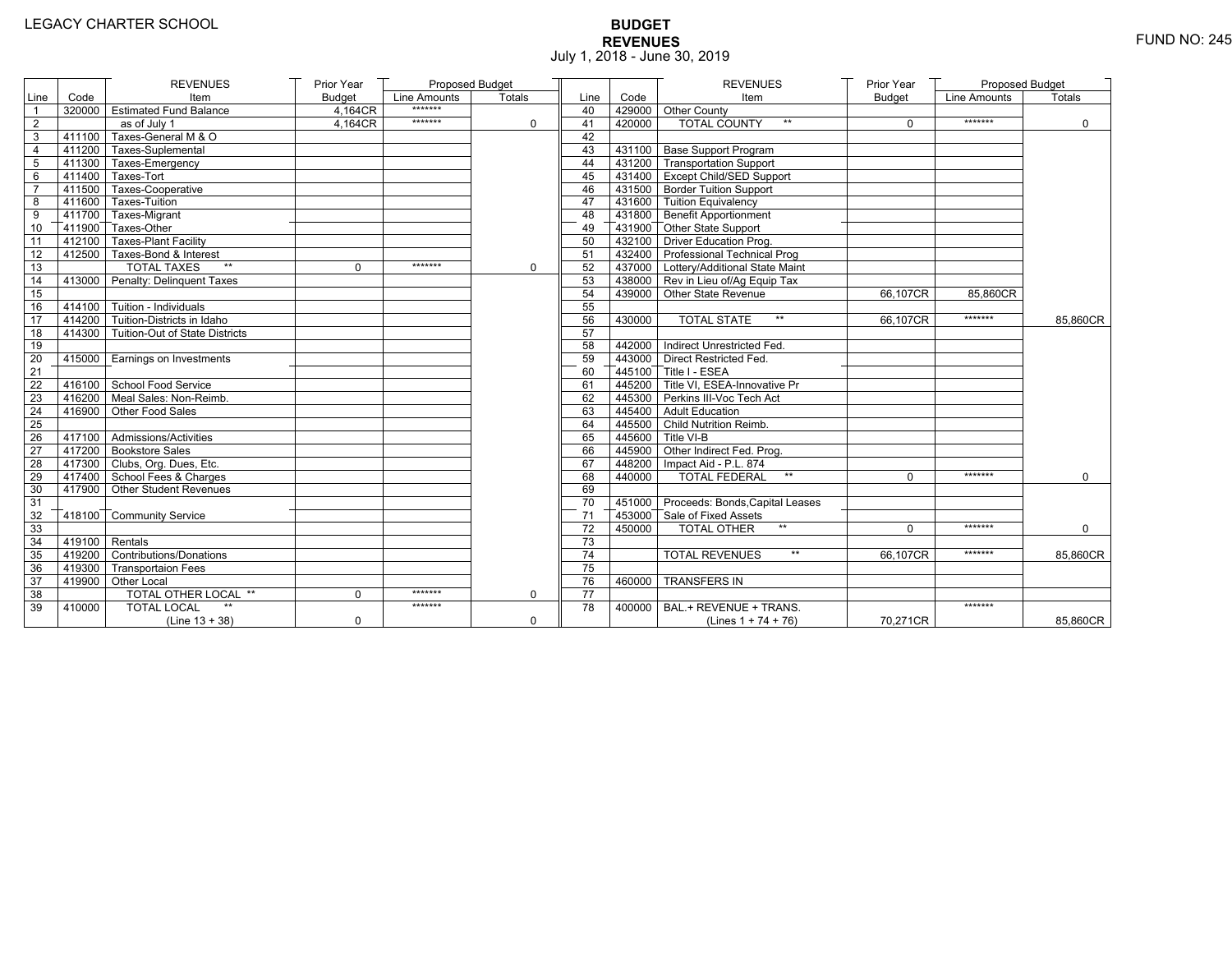# **BUDGET REVENUES** FUND NO: 245 July 1, 2018 - June 30, 2019

|                |                        | <b>REVENUES</b>                                   | Prior Year    | Proposed Budget |               |                 |        | <b>REVENUES</b>                        | Prior Year    | <b>Proposed Budget</b> |               |
|----------------|------------------------|---------------------------------------------------|---------------|-----------------|---------------|-----------------|--------|----------------------------------------|---------------|------------------------|---------------|
| Line           | Code                   | Item                                              | <b>Budget</b> | Line Amounts    | <b>Totals</b> | Line            | Code   | Item                                   | <b>Budget</b> | Line Amounts           | <b>Totals</b> |
| $\overline{1}$ | 320000                 | <b>Estimated Fund Balance</b>                     | 4,164CR       | *******         |               | 40              |        | 429000 Other County                    |               |                        |               |
| $\overline{2}$ |                        | as of July 1                                      | 4.164CR       | *******         | $\Omega$      | 41              | 420000 | <b>TOTAL COUNTY</b><br>$***$           | $\Omega$      | *******                | 0             |
| 3              | 411100                 | Taxes-General M & O                               |               |                 |               | 42              |        |                                        |               |                        |               |
| 4              |                        | 411200 Taxes-Suplemental                          |               |                 |               | 43              |        | 431100   Base Support Program          |               |                        |               |
| 5              |                        | 411300 Taxes-Emergency                            |               |                 |               | 44              |        | 431200 Transportation Support          |               |                        |               |
| 6              | 411400                 | Taxes-Tort                                        |               |                 |               | 45              |        | 431400 Except Child/SED Support        |               |                        |               |
| $\overline{7}$ |                        | 411500 Taxes-Cooperative                          |               |                 |               | 46              |        | 431500 Border Tuition Support          |               |                        |               |
| 8              | 411600                 | Taxes-Tuition                                     |               |                 |               | 47              |        | 431600 Tuition Equivalency             |               |                        |               |
| 9              |                        | 411700 Taxes-Migrant                              |               |                 |               | 48              |        | 431800 Benefit Apportionment           |               |                        |               |
| 10             |                        | 411900 Taxes-Other                                |               |                 |               | 49              |        | 431900 Other State Support             |               |                        |               |
| 11             |                        | 412100 Taxes-Plant Facility                       |               |                 |               | 50              |        | 432100 Driver Education Prog.          |               |                        |               |
| 12             |                        | 412500 Taxes-Bond & Interest                      |               |                 |               | 51              |        | 432400 Professional Technical Prog     |               |                        |               |
| 13             |                        | $\star\star$<br><b>TOTAL TAXES</b>                | 0             | *******         | $\Omega$      | 52              |        | 437000 Lottery/Additional State Maint  |               |                        |               |
| 14             | 413000                 | Penalty: Delinquent Taxes                         |               |                 |               | 53              |        | 438000 Rev in Lieu of/Ag Equip Tax     |               |                        |               |
| 15             |                        |                                                   |               |                 |               | 54              |        | 439000 Other State Revenue             | 66,107CR      | 85.860CR               |               |
| 16             |                        | $-414100$ Tuition - Individuals                   |               |                 |               | 55              |        |                                        |               |                        |               |
| 17             |                        | 414200 Tuition-Districts in Idaho                 |               |                 |               | 56              | 430000 | <b>TOTAL STATE</b><br>$\star\star$     | 66,107CR      | *******                | 85,860CR      |
| 18             |                        | 414300   Tuition-Out of State Districts           |               |                 |               | 57              |        |                                        |               |                        |               |
| 19             |                        |                                                   |               |                 |               | 58              |        | 442000   Indirect Unrestricted Fed.    |               |                        |               |
| 20             | 415000                 | Earnings on Investments                           |               |                 |               | 59              |        | 443000 Direct Restricted Fed.          |               |                        |               |
| 21             |                        |                                                   |               |                 |               | 60              |        | 445100 Title I - ESEA                  |               |                        |               |
| 22             |                        | 416100 School Food Service                        |               |                 |               | 61              |        | 445200 Title VI. ESEA-Innovative Pr    |               |                        |               |
| 23             |                        | 416200 Meal Sales: Non-Reimb.                     |               |                 |               | 62              |        | 445300 Perkins III-Voc Tech Act        |               |                        |               |
| 24             |                        | $\mathsf{T}$ 416900 $\mathsf{T}$ Other Food Sales |               |                 |               | 63              |        | 445400 Adult Education                 |               |                        |               |
| 25             |                        |                                                   |               |                 |               | 64              |        | 445500 Child Nutrition Reimb.          |               |                        |               |
| 26             |                        | 417100 Admissions/Activities                      |               |                 |               | 65              |        | 445600 Title VI-B                      |               |                        |               |
| 27             |                        | 417200 Bookstore Sales                            |               |                 |               | 66              |        | 445900 Other Indirect Fed. Prog.       |               |                        |               |
| 28             |                        | 417300 Clubs, Org. Dues, Etc.                     |               |                 |               | 67              |        | 448200   Impact Aid - P.L. 874         |               |                        |               |
| 29             |                        | 417400 School Fees & Charges                      |               |                 |               | 68              | 440000 | <b>TOTAL FEDERAL</b><br>$***$          | $\Omega$      | *******                | 0             |
| 30             | 417900                 | Other Student Revenues                            |               |                 |               | 69              |        |                                        |               |                        |               |
| 31             |                        |                                                   |               |                 |               | 70              |        | 451000 Proceeds: Bonds, Capital Leases |               |                        |               |
| 32             | 418100                 | Community Service                                 |               |                 |               | 71              |        | 453000 Sale of Fixed Assets            |               |                        |               |
| 33             |                        |                                                   |               |                 |               | $\overline{72}$ | 450000 | <b>TOTAL OTHER</b><br>$**$             | $\Omega$      | *******                | $\Omega$      |
| 34             | $T$ 419100 $T$ Rentals |                                                   |               |                 |               | 73              |        |                                        |               |                        |               |
| 35             |                        | 419200 Contributions/Donations                    |               |                 |               | 74              |        | $\star\star$<br><b>TOTAL REVENUES</b>  | 66.107CR      | *******                | 85,860CR      |
| 36             | 419300                 | <b>Transportaion Fees</b>                         |               |                 |               | 75              |        |                                        |               |                        |               |
| 37             |                        | 419900 Other Local                                |               |                 |               | 76              | 460000 | <b>TRANSFERS IN</b>                    |               |                        |               |
| 38             |                        | TOTAL OTHER LOCAL **                              | $\Omega$      | *******         | $\Omega$      | $\overline{77}$ |        |                                        |               |                        |               |
| 39             | 410000                 | <b>TOTAL LOCAL</b>                                |               | *******         |               | 78              | 400000 | BAL.+ REVENUE + TRANS.                 |               | *******                |               |
|                |                        | $(Line 13 + 38)$                                  | 0             |                 | $\Omega$      |                 |        | (Lines $1 + 74 + 76$ )                 | 70,271CR      |                        | 85,860CR      |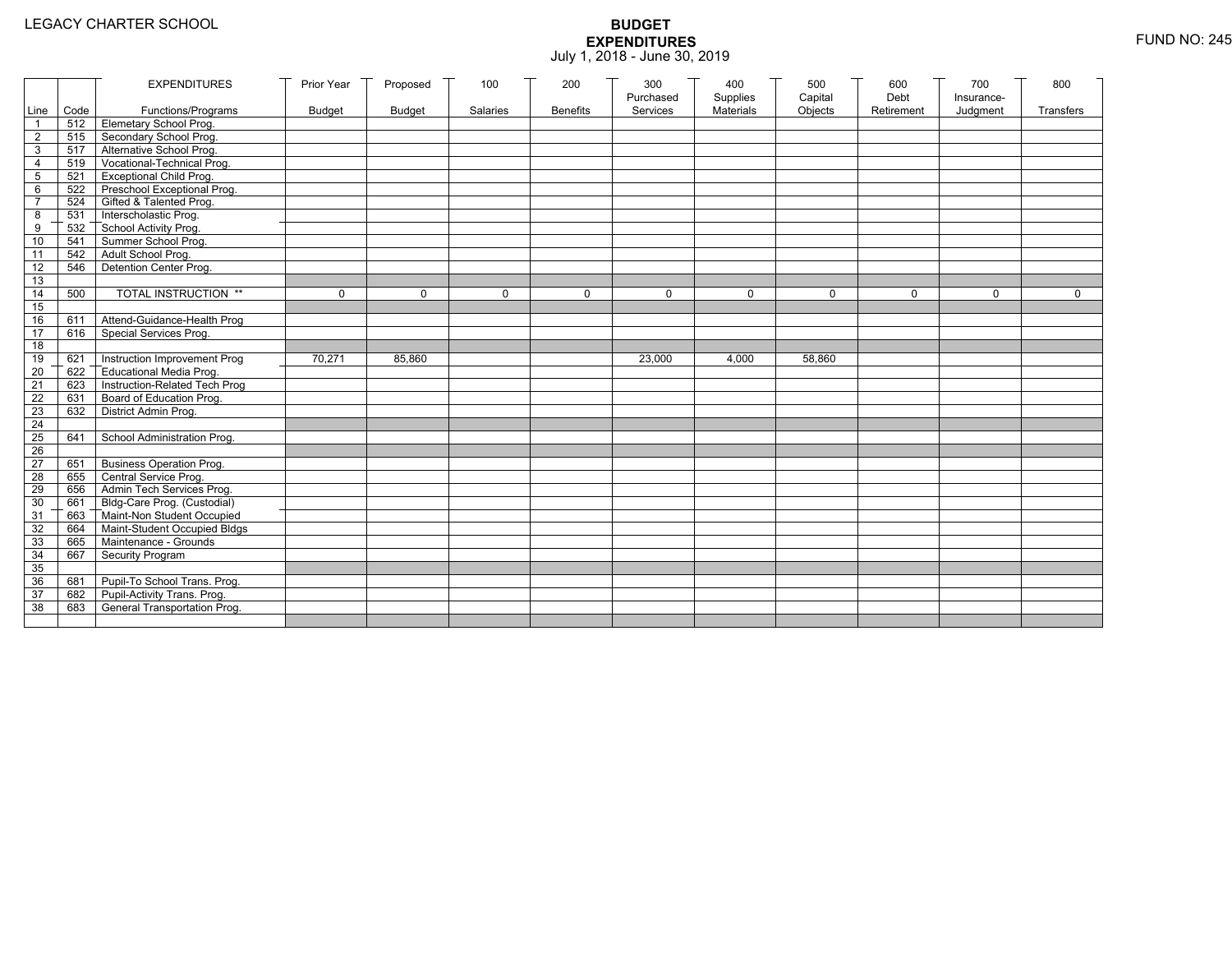|                 |           | <b>EXPENDITURES</b>             | Prior Year    | Proposed      | 100      | 200             | 300                   | 400                   | 500                | 600                | 700                    | 800         |
|-----------------|-----------|---------------------------------|---------------|---------------|----------|-----------------|-----------------------|-----------------------|--------------------|--------------------|------------------------|-------------|
|                 | Line Code | Functions/Programs              | <b>Budget</b> | <b>Budget</b> | Salaries | <b>Benefits</b> | Purchased<br>Services | Supplies<br>Materials | Capital<br>Objects | Debt<br>Retirement | Insurance-<br>Judgment | Transfers   |
| 1               |           | 512 Elemetary School Prog.      |               |               |          |                 |                       |                       |                    |                    |                        |             |
| $\mathbf{2}$    | 515       | Secondary School Prog.          |               |               |          |                 |                       |                       |                    |                    |                        |             |
| 3               |           | 517 Alternative School Prog.    |               |               |          |                 |                       |                       |                    |                    |                        |             |
| 4               | 519       | Vocational-Technical Prog.      |               |               |          |                 |                       |                       |                    |                    |                        |             |
| 5               | 521       | <b>Exceptional Child Prog.</b>  |               |               |          |                 |                       |                       |                    |                    |                        |             |
| 6               |           | 522 Preschool Exceptional Prog. |               |               |          |                 |                       |                       |                    |                    |                        |             |
| $\overline{7}$  |           | 524 Gifted & Talented Prog.     |               |               |          |                 |                       |                       |                    |                    |                        |             |
| 8               |           | 531 Interscholastic Prog.       |               |               |          |                 |                       |                       |                    |                    |                        |             |
| 9               | 532       | School Activity Prog.           |               |               |          |                 |                       |                       |                    |                    |                        |             |
| 10              | 541       | Summer School Prog.             |               |               |          |                 |                       |                       |                    |                    |                        |             |
| 11              | 542       | Adult School Prog.              |               |               |          |                 |                       |                       |                    |                    |                        |             |
| $\overline{12}$ | 546       | Detention Center Prog.          |               |               |          |                 |                       |                       |                    |                    |                        |             |
| 13              |           |                                 |               |               |          |                 |                       |                       |                    |                    |                        |             |
| 14              | 500       | TOTAL INSTRUCTION **            | $\mathbf 0$   | $\Omega$      | $\Omega$ | $\mathbf 0$     | $\Omega$              | 0                     | 0                  | $\Omega$           | $\Omega$               | $\mathbf 0$ |
| 15              |           |                                 |               |               |          |                 |                       |                       |                    |                    |                        |             |
| 16              | 611       | Attend-Guidance-Health Prog     |               |               |          |                 |                       |                       |                    |                    |                        |             |
| 17              | 616       | Special Services Prog.          |               |               |          |                 |                       |                       |                    |                    |                        |             |
| 18              |           |                                 |               |               |          |                 |                       |                       |                    |                    |                        |             |
| 19              | 621       | Instruction Improvement Prog    | 70,271        | 85.860        |          |                 | 23,000                | 4,000                 | 58,860             |                    |                        |             |
| $\overline{20}$ | 622       | Educational Media Prog.         |               |               |          |                 |                       |                       |                    |                    |                        |             |
| 21              | 623       | Instruction-Related Tech Prog   |               |               |          |                 |                       |                       |                    |                    |                        |             |
| $\overline{22}$ | 631       | Board of Education Prog.        |               |               |          |                 |                       |                       |                    |                    |                        |             |
| 23              | 632       | District Admin Prog.            |               |               |          |                 |                       |                       |                    |                    |                        |             |
| 24              |           |                                 |               |               |          |                 |                       |                       |                    |                    |                        |             |
| 25              | 641       | School Administration Prog.     |               |               |          |                 |                       |                       |                    |                    |                        |             |
| 26              |           |                                 |               |               |          |                 |                       |                       |                    |                    |                        |             |
| $\overline{27}$ | 651       | <b>Business Operation Prog.</b> |               |               |          |                 |                       |                       |                    |                    |                        |             |
| 28              |           | 655 Central Service Prog.       |               |               |          |                 |                       |                       |                    |                    |                        |             |
| 29              | 656       | Admin Tech Services Prog.       |               |               |          |                 |                       |                       |                    |                    |                        |             |
| 30              |           | 661 Bldg-Care Prog. (Custodial) |               |               |          |                 |                       |                       |                    |                    |                        |             |
| 31              |           | 663 Maint-Non Student Occupied  |               |               |          |                 |                       |                       |                    |                    |                        |             |
| 32              | 664       | Maint-Student Occupied Bldgs    |               |               |          |                 |                       |                       |                    |                    |                        |             |
| 33              |           | 665 Maintenance - Grounds       |               |               |          |                 |                       |                       |                    |                    |                        |             |
| 34              | 667       | Security Program                |               |               |          |                 |                       |                       |                    |                    |                        |             |
| 35              |           |                                 |               |               |          |                 |                       |                       |                    |                    |                        |             |
| 36              | 681       | Pupil-To School Trans. Prog.    |               |               |          |                 |                       |                       |                    |                    |                        |             |
| 37              | 682       | Pupil-Activity Trans. Prog.     |               |               |          |                 |                       |                       |                    |                    |                        |             |
| 38              | 683       | General Transportation Prog.    |               |               |          |                 |                       |                       |                    |                    |                        |             |
|                 |           |                                 |               |               |          |                 |                       |                       |                    |                    |                        |             |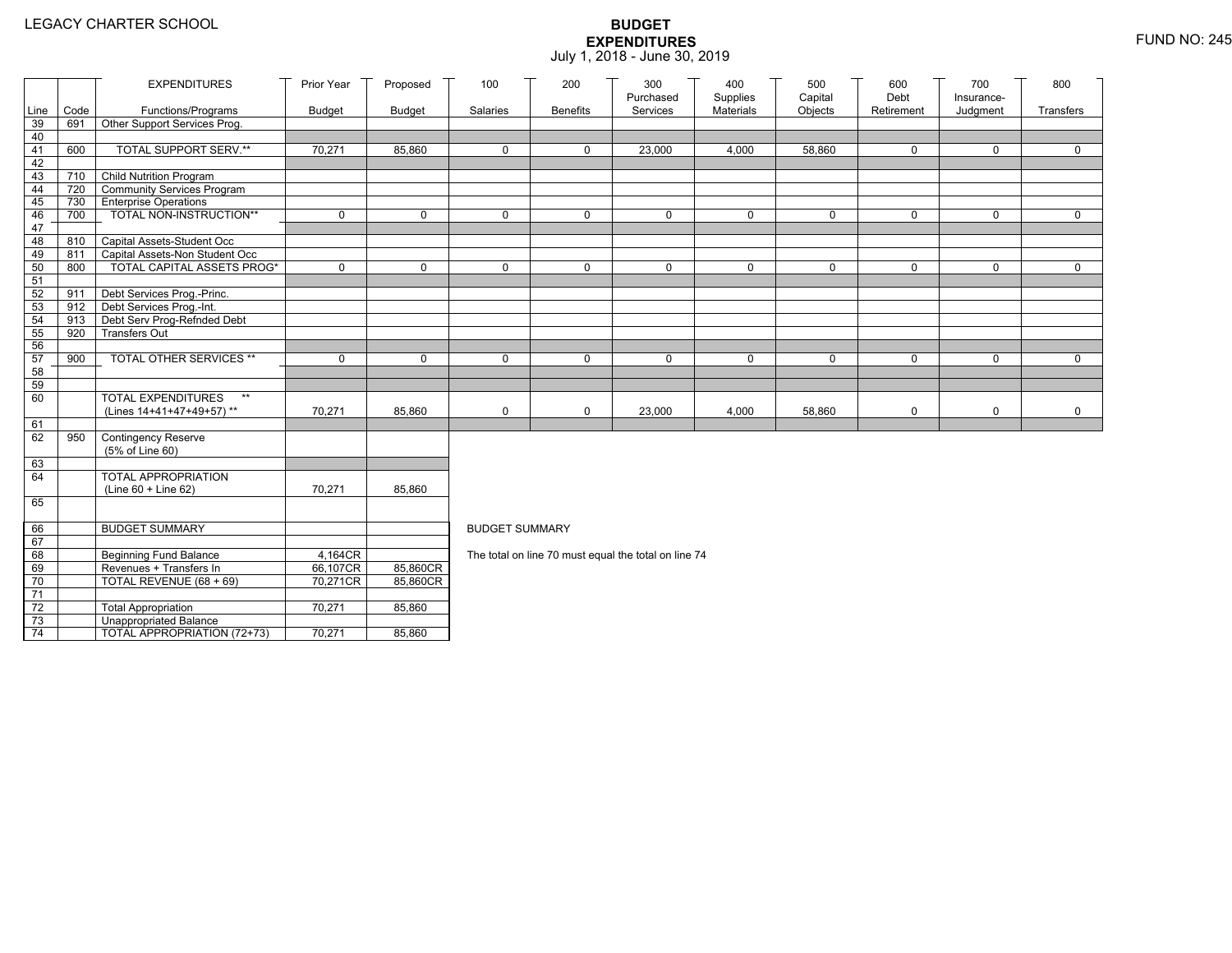|          |            | <b>EXPENDITURES</b>                                                 | Prior Year    | Proposed      | 100                                                  | 200             | 300<br>Purchased | 400<br>Supplies | 500<br>Capital | 600<br>Debt  | 700<br>Insurance- | 800          |  |
|----------|------------|---------------------------------------------------------------------|---------------|---------------|------------------------------------------------------|-----------------|------------------|-----------------|----------------|--------------|-------------------|--------------|--|
| Line     | Code       | Functions/Programs                                                  | <b>Budget</b> | <b>Budget</b> | Salaries                                             | <b>Benefits</b> | Services         | Materials       | Objects        | Retirement   | Judgment          | Transfers    |  |
| 39       | 691        | Other Support Services Prog.                                        |               |               |                                                      |                 |                  |                 |                |              |                   |              |  |
| 40       |            |                                                                     |               |               |                                                      |                 |                  |                 |                |              |                   |              |  |
| 41       | 600        | TOTAL SUPPORT SERV.**                                               | 70,271        | 85,860        | 0                                                    | 0               | 23,000           | 4,000           | 58,860         | 0            | $\mathbf 0$       | 0            |  |
| 42       |            |                                                                     |               |               |                                                      |                 |                  |                 |                |              |                   |              |  |
| 43       | 710        | Child Nutrition Program                                             |               |               |                                                      |                 |                  |                 |                |              |                   |              |  |
| 44       | 720        | Community Services Program                                          |               |               |                                                      |                 |                  |                 |                |              |                   |              |  |
| 45       | 730        | <b>Enterprise Operations</b>                                        |               |               |                                                      |                 |                  |                 |                |              |                   |              |  |
| 46       | 700        | TOTAL NON-INSTRUCTION**                                             | $\mathbf 0$   | $\mathbf 0$   | $\mathbf 0$                                          | 0               | $\mathbf 0$      | 0               | $\mathbf 0$    | 0            | $\mathbf 0$       | $\mathbf 0$  |  |
| 47       |            |                                                                     |               |               |                                                      |                 |                  |                 |                |              |                   |              |  |
| 48       | 810        | Capital Assets-Student Occ                                          |               |               |                                                      |                 |                  |                 |                |              |                   |              |  |
| 49<br>50 | 811<br>800 | Capital Assets-Non Student Occ<br><b>TOTAL CAPITAL ASSETS PROG*</b> | $\mathbf 0$   | $\mathbf{0}$  | $\Omega$                                             | 0               | $\mathbf 0$      | 0               | $\mathbf 0$    | $\mathbf{0}$ | $\mathbf 0$       | $\mathbf 0$  |  |
| 51       |            |                                                                     |               |               |                                                      |                 |                  |                 |                |              |                   |              |  |
| 52       | 911        | Debt Services Prog.-Princ.                                          |               |               |                                                      |                 |                  |                 |                |              |                   |              |  |
| 53       | 912        | Debt Services Prog.-Int.                                            |               |               |                                                      |                 |                  |                 |                |              |                   |              |  |
| 54       | 913        | Debt Serv Prog-Refnded Debt                                         |               |               |                                                      |                 |                  |                 |                |              |                   |              |  |
| 55       | 920        | <b>Transfers Out</b>                                                |               |               |                                                      |                 |                  |                 |                |              |                   |              |  |
| 56       |            |                                                                     |               |               |                                                      |                 |                  |                 |                |              |                   |              |  |
| 57       | 900        | TOTAL OTHER SERVICES **                                             | $\mathbf 0$   | $\mathbf 0$   | $\mathbf 0$                                          | 0               | $\mathbf 0$      | 0               | 0              | $\mathbf 0$  | $\mathbf 0$       | $\mathbf 0$  |  |
| 58       |            |                                                                     |               |               |                                                      |                 |                  |                 |                |              |                   |              |  |
| 59       |            |                                                                     |               |               |                                                      |                 |                  |                 |                |              |                   |              |  |
| 60       |            | <b>TOTAL EXPENDITURES</b><br>$**$                                   |               |               |                                                      |                 |                  |                 |                |              |                   |              |  |
|          |            | (Lines 14+41+47+49+57)**                                            | 70,271        | 85,860        | 0                                                    | 0               | 23,000           | 4,000           | 58,860         | 0            | 0                 | $\mathsf{O}$ |  |
| 61       |            |                                                                     |               |               |                                                      |                 |                  |                 |                |              |                   |              |  |
| 62       | 950        | Contingency Reserve                                                 |               |               |                                                      |                 |                  |                 |                |              |                   |              |  |
|          |            | (5% of Line 60)                                                     |               |               |                                                      |                 |                  |                 |                |              |                   |              |  |
| 63       |            |                                                                     |               |               |                                                      |                 |                  |                 |                |              |                   |              |  |
| 64       |            | TOTAL APPROPRIATION                                                 | 70,271        |               |                                                      |                 |                  |                 |                |              |                   |              |  |
| 65       |            | (Line 60 + Line 62)                                                 |               | 85,860        |                                                      |                 |                  |                 |                |              |                   |              |  |
|          |            |                                                                     |               |               |                                                      |                 |                  |                 |                |              |                   |              |  |
| 66       |            | <b>BUDGET SUMMARY</b>                                               |               |               | <b>BUDGET SUMMARY</b>                                |                 |                  |                 |                |              |                   |              |  |
| 67       |            |                                                                     |               |               |                                                      |                 |                  |                 |                |              |                   |              |  |
| 68       |            | <b>Beginning Fund Balance</b>                                       | 4,164CR       |               | The total on line 70 must equal the total on line 74 |                 |                  |                 |                |              |                   |              |  |
| 69       |            | Revenues + Transfers In                                             | 66,107CR      | 85,860CR      |                                                      |                 |                  |                 |                |              |                   |              |  |
| 70       |            | TOTAL REVENUE (68 + 69)                                             | 70,271CR      | 85,860CR      |                                                      |                 |                  |                 |                |              |                   |              |  |
| 71       |            |                                                                     |               |               |                                                      |                 |                  |                 |                |              |                   |              |  |
| 72       |            | <b>Total Appropriation</b>                                          | 70,271        | 85,860        |                                                      |                 |                  |                 |                |              |                   |              |  |
| 73       |            | Unappropriated Balance                                              |               |               |                                                      |                 |                  |                 |                |              |                   |              |  |
| 74       |            | TOTAL APPROPRIATION (72+73)                                         | 70,271        | 85,860        |                                                      |                 |                  |                 |                |              |                   |              |  |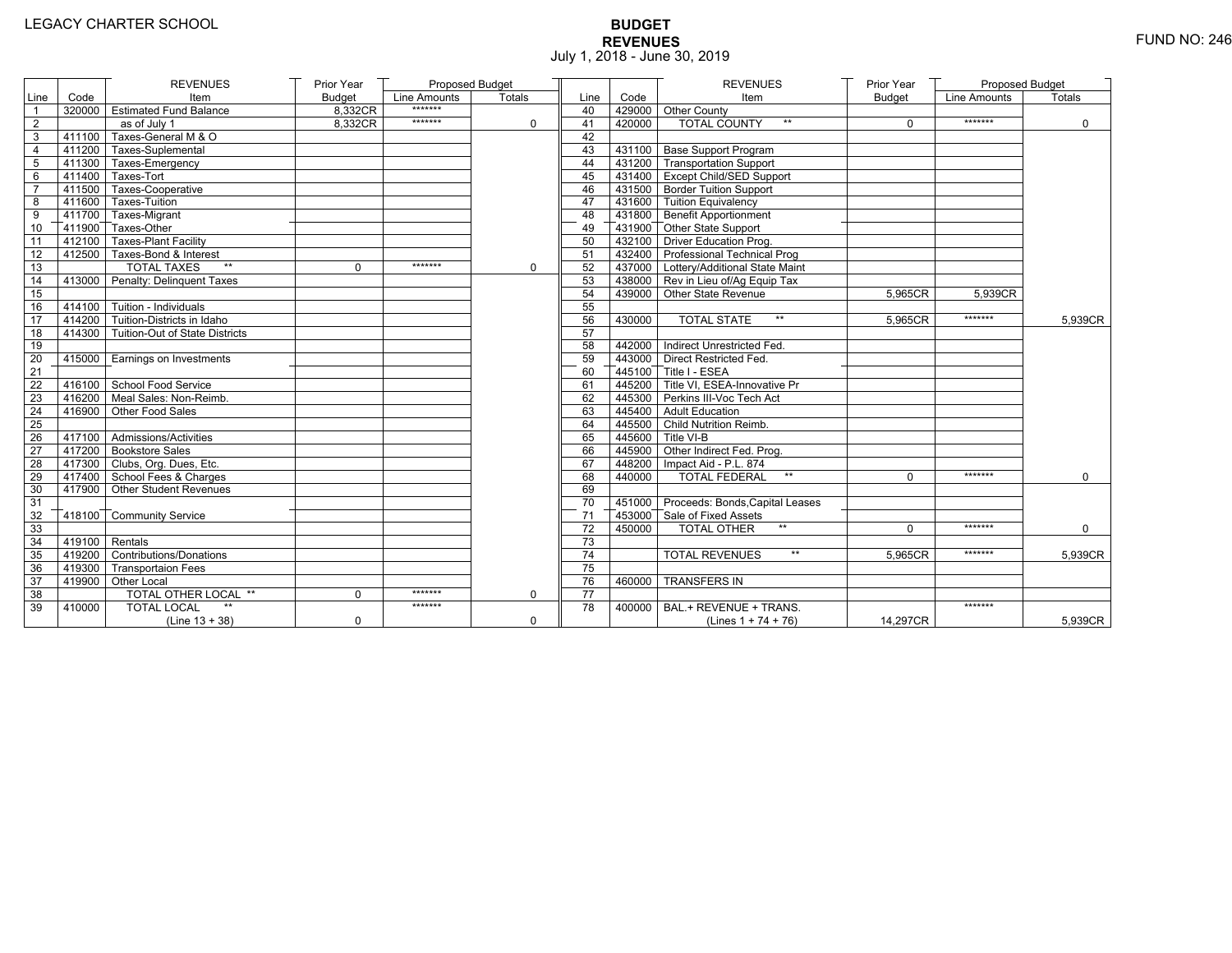# **BUDGET REVENUES** FUND NO: 246 July 1, 2018 - June 30, 2019

|                 |                   | <b>REVENUES</b>                       | Prior Year    | Proposed Budget |               |                 |        | <b>REVENUES</b>                                    | Prior Year    | <b>Proposed Budget</b> |               |
|-----------------|-------------------|---------------------------------------|---------------|-----------------|---------------|-----------------|--------|----------------------------------------------------|---------------|------------------------|---------------|
| Line            | Code              | Item                                  | <b>Budget</b> | Line Amounts    | <b>Totals</b> | Line            | Code   | Item                                               | <b>Budget</b> | Line Amounts           | <b>Totals</b> |
| $\overline{1}$  |                   | 320000 Estimated Fund Balance         | 8,332CR       | *******         |               | 40              |        | 429000 Other County                                |               |                        |               |
| 2               |                   | as of July 1                          | 8.332CR       | *******         | $\Omega$      | 41              | 420000 | <b>TOTAL COUNTY</b><br>$***$                       | $\Omega$      | *******                | $\mathbf 0$   |
| 3               |                   | 411100 Taxes-General M & O            |               |                 |               | 42              |        |                                                    |               |                        |               |
| 4               |                   | $7411200$ Taxes-Suplemental           |               |                 |               | 43              |        | 431100 Base Support Program                        |               |                        |               |
| $\overline{5}$  |                   | 411300 Taxes-Emergency                |               |                 |               | 44              |        | 431200 Transportation Support                      |               |                        |               |
| 6               |                   | 411400 Taxes-Tort                     |               |                 |               | 45              |        | 431400 Except Child/SED Support                    |               |                        |               |
| $\overline{7}$  |                   | 411500 Taxes-Cooperative              |               |                 |               | 46              |        | 431500 Border Tuition Support                      |               |                        |               |
| 8               |                   | 411600 Taxes-Tuition                  |               |                 |               | 47              |        | 431600 Tuition Equivalency                         |               |                        |               |
| 9               |                   | 411700 Taxes-Migrant                  |               |                 |               | 48              |        | $\sqrt{ }$ 431800 $\sqrt{ }$ Benefit Apportionment |               |                        |               |
| 10              |                   | 411900 Taxes-Other                    |               |                 |               | 49              |        | 431900 Other State Support                         |               |                        |               |
| 11              |                   | 412100 Taxes-Plant Facility           |               |                 |               | 50              |        | 432100 Driver Education Prog.                      |               |                        |               |
| 12              |                   | 412500 Taxes-Bond & Interest          |               |                 |               | 51              |        | 432400 Professional Technical Prog                 |               |                        |               |
| 13              |                   | $**$<br><b>TOTAL TAXES</b>            | 0             | *******         | 0             | 52              |        | 437000 Lottery/Additional State Maint              |               |                        |               |
| 14              |                   | 413000 Penalty: Delinquent Taxes      |               |                 |               | 53              |        | 438000 Rev in Lieu of/Ag Equip Tax                 |               |                        |               |
| 15              |                   |                                       |               |                 |               | 54              |        | 439000 Other State Revenue                         | 5,965CR       | 5.939CR                |               |
| 16              |                   | $414100$ Tuition - Individuals        |               |                 |               | 55              |        |                                                    |               |                        |               |
| 17              |                   | 414200 Tuition-Districts in Idaho     |               |                 |               | 56              | 430000 | <b>TOTAL STATE</b><br>$**$                         | 5,965CR       | *******                | 5,939CR       |
| 18              |                   | 414300 Tuition-Out of State Districts |               |                 |               | 57              |        |                                                    |               |                        |               |
| 19              |                   |                                       |               |                 |               | 58              |        | 442000   Indirect Unrestricted Fed.                |               |                        |               |
| 20              |                   | 415000 Earnings on Investments        |               |                 |               | 59              |        | 443000 Direct Restricted Fed.                      |               |                        |               |
| 21              |                   |                                       |               |                 |               | 60              |        | $445100$ Title I - ESEA                            |               |                        |               |
| 22              |                   | 416100 School Food Service            |               |                 |               | 61              |        | 445200 Title VI. ESEA-Innovative Pr                |               |                        |               |
| 23              |                   | 416200 Meal Sales: Non-Reimb.         |               |                 |               | 62              |        | 445300 Perkins III-Voc Tech Act                    |               |                        |               |
| 24              |                   | 416900 Other Food Sales               |               |                 |               | 63              |        | 445400 Adult Education                             |               |                        |               |
| 25              |                   |                                       |               |                 |               | 64              |        | 445500 Child Nutrition Reimb.                      |               |                        |               |
| $\overline{26}$ |                   | 417100 Admissions/Activities          |               |                 |               | 65              |        | 445600 Title VI-B                                  |               |                        |               |
| 27              |                   | 417200 Bookstore Sales                |               |                 |               | 66              |        | 445900 Other Indirect Fed. Prog.                   |               |                        |               |
| 28              |                   | 417300 Clubs, Org. Dues, Etc.         |               |                 |               | 67              |        | 448200   Impact Aid - P.L. 874                     |               |                        |               |
| 29              |                   | 417400 School Fees & Charges          |               |                 |               | 68              | 440000 | <b>TOTAL FEDERAL</b><br>$***$                      | $\Omega$      | *******                | $\mathbf 0$   |
| 30              |                   | 417900 Other Student Revenues         |               |                 |               | 69              |        |                                                    |               |                        |               |
| 31              |                   |                                       |               |                 |               | 70              |        | 451000 Proceeds: Bonds, Capital Leases             |               |                        |               |
| 32              |                   | 418100 Community Service              |               |                 |               | 71              |        | 453000 Sale of Fixed Assets                        |               |                        |               |
| 33              |                   |                                       |               |                 |               | 72              | 450000 | $**$<br><b>TOTAL OTHER</b>                         | $\Omega$      | *******                | $\Omega$      |
| 34              | $-419100$ Rentals |                                       |               |                 |               | 73              |        |                                                    |               |                        |               |
| 35              |                   | 419200 Contributions/Donations        |               |                 |               | 74              |        | $\star\star$<br><b>TOTAL REVENUES</b>              | 5,965CR       | *******                | 5,939CR       |
| 36              |                   | 419300 Transportaion Fees             |               |                 |               | 75              |        |                                                    |               |                        |               |
| 37              |                   | 419900 Other Local                    |               |                 |               | 76              | 460000 | <b>TRANSFERS IN</b>                                |               |                        |               |
| 38              |                   | <b>TOTAL OTHER LOCAL **</b>           | $\mathbf{0}$  | *******         | $\mathbf 0$   | $\overline{77}$ |        |                                                    |               |                        |               |
| 39              | 410000            | <b>TOTAL LOCAL</b>                    |               | *******         |               | 78              | 400000 | BAL.+ REVENUE + TRANS.                             |               | *******                |               |
|                 |                   | $(Line 13 + 38)$                      | $\mathbf 0$   |                 | $\mathbf 0$   |                 |        | (Lines $1 + 74 + 76$ )                             | 14,297CR      |                        | 5,939CR       |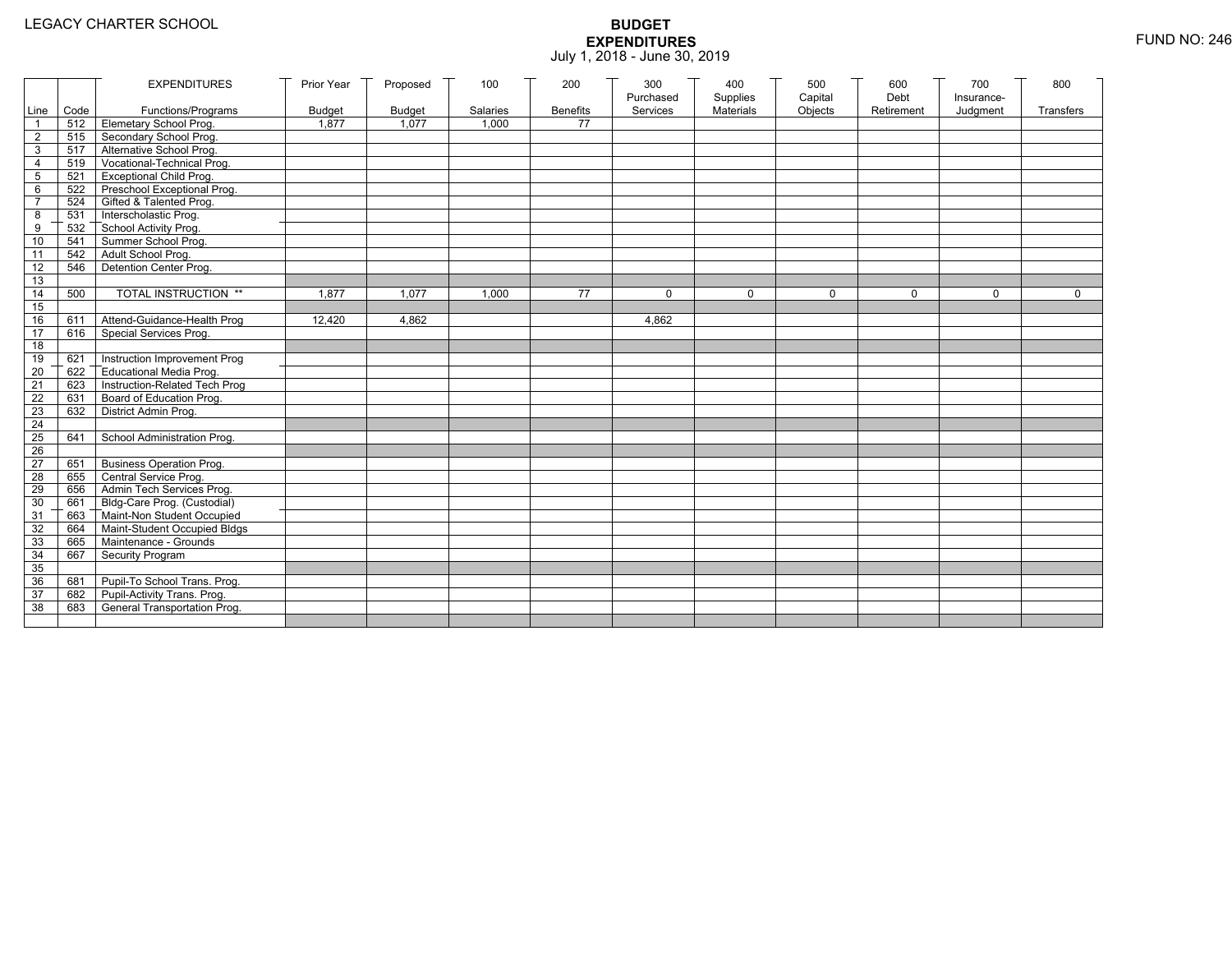|                       |                                | <b>EXPENDITURES</b>                                            | Prior Year    | Proposed      | 100      | 200             | 300       | 400       | 500         | 600        | 700        | 800         |
|-----------------------|--------------------------------|----------------------------------------------------------------|---------------|---------------|----------|-----------------|-----------|-----------|-------------|------------|------------|-------------|
|                       |                                |                                                                |               |               |          |                 | Purchased | Supplies  | Capital     | Debt       | Insurance- |             |
|                       | Line Code                      | Functions/Programs                                             | <b>Budget</b> | <b>Budget</b> | Salaries | <b>Benefits</b> | Services  | Materials | Objects     | Retirement | Judgment   | Transfers   |
|                       |                                | 512 Elemetary School Prog.                                     | 1,877         | 1,077         | 1,000    | 77              |           |           |             |            |            |             |
| $\overline{2}$        | 515                            | Secondary School Prog.                                         |               |               |          |                 |           |           |             |            |            |             |
| 3                     | 519                            | 517 Alternative School Prog.<br>Vocational-Technical Prog.     |               |               |          |                 |           |           |             |            |            |             |
| 4                     |                                |                                                                |               |               |          |                 |           |           |             |            |            |             |
| 5                     | $521$ $\overline{\phantom{1}}$ | <b>Exceptional Child Prog.</b>                                 |               |               |          |                 |           |           |             |            |            |             |
| 6<br>$\overline{7}$   |                                | 522 Preschool Exceptional Prog.<br>524 Gifted & Talented Prog. |               |               |          |                 |           |           |             |            |            |             |
|                       |                                |                                                                |               |               |          |                 |           |           |             |            |            |             |
| 8                     | 532                            | 531 Interscholastic Prog.<br>School Activity Prog.             |               |               |          |                 |           |           |             |            |            |             |
| 9<br>10               | 541                            | Summer School Prog.                                            |               |               |          |                 |           |           |             |            |            |             |
|                       | 542                            | Adult School Prog.                                             |               |               |          |                 |           |           |             |            |            |             |
| 11<br>$\overline{12}$ | 546                            | Detention Center Prog.                                         |               |               |          |                 |           |           |             |            |            |             |
|                       |                                |                                                                |               |               |          |                 |           |           |             |            |            |             |
| 13<br>14              | 500                            | TOTAL INSTRUCTION **                                           | 1,877         | 1.077         | 1,000    | 77              | $\Omega$  | 0         | $\mathbf 0$ | $\Omega$   | $\Omega$   | $\mathbf 0$ |
| 15                    |                                |                                                                |               |               |          |                 |           |           |             |            |            |             |
| 16                    | 611                            | Attend-Guidance-Health Prog                                    | 12,420        | 4.862         |          |                 | 4.862     |           |             |            |            |             |
| $\overline{17}$       | 616                            | Special Services Prog.                                         |               |               |          |                 |           |           |             |            |            |             |
| 18                    |                                |                                                                |               |               |          |                 |           |           |             |            |            |             |
| 19                    | 621                            | Instruction Improvement Prog                                   |               |               |          |                 |           |           |             |            |            |             |
| $\overline{20}$       | 622                            | Educational Media Prog.                                        |               |               |          |                 |           |           |             |            |            |             |
| 21                    | 623                            | Instruction-Related Tech Prog                                  |               |               |          |                 |           |           |             |            |            |             |
| $\overline{22}$       | 631                            | Board of Education Prog.                                       |               |               |          |                 |           |           |             |            |            |             |
| 23                    | 632                            | District Admin Prog.                                           |               |               |          |                 |           |           |             |            |            |             |
| 24                    |                                |                                                                |               |               |          |                 |           |           |             |            |            |             |
| 25                    | 641                            | School Administration Prog.                                    |               |               |          |                 |           |           |             |            |            |             |
| 26                    |                                |                                                                |               |               |          |                 |           |           |             |            |            |             |
| 27                    | 651                            | <b>Business Operation Prog.</b>                                |               |               |          |                 |           |           |             |            |            |             |
| 28                    | 655                            | Central Service Prog.                                          |               |               |          |                 |           |           |             |            |            |             |
| 29                    | 656                            | Admin Tech Services Prog.                                      |               |               |          |                 |           |           |             |            |            |             |
| 30                    |                                | 661 Bldg-Care Prog. (Custodial)                                |               |               |          |                 |           |           |             |            |            |             |
| 31                    |                                | 663 Maint-Non Student Occupied                                 |               |               |          |                 |           |           |             |            |            |             |
| 32                    | 664                            | Maint-Student Occupied Bldgs                                   |               |               |          |                 |           |           |             |            |            |             |
| 33                    |                                | 665 Maintenance - Grounds                                      |               |               |          |                 |           |           |             |            |            |             |
| 34                    | 667                            | Security Program                                               |               |               |          |                 |           |           |             |            |            |             |
| 35                    |                                |                                                                |               |               |          |                 |           |           |             |            |            |             |
| 36                    | 681                            | Pupil-To School Trans. Prog.                                   |               |               |          |                 |           |           |             |            |            |             |
| 37                    | 682                            | Pupil-Activity Trans. Prog.                                    |               |               |          |                 |           |           |             |            |            |             |
| 38                    | 683                            | General Transportation Prog.                                   |               |               |          |                 |           |           |             |            |            |             |
|                       |                                |                                                                |               |               |          |                 |           |           |             |            |            |             |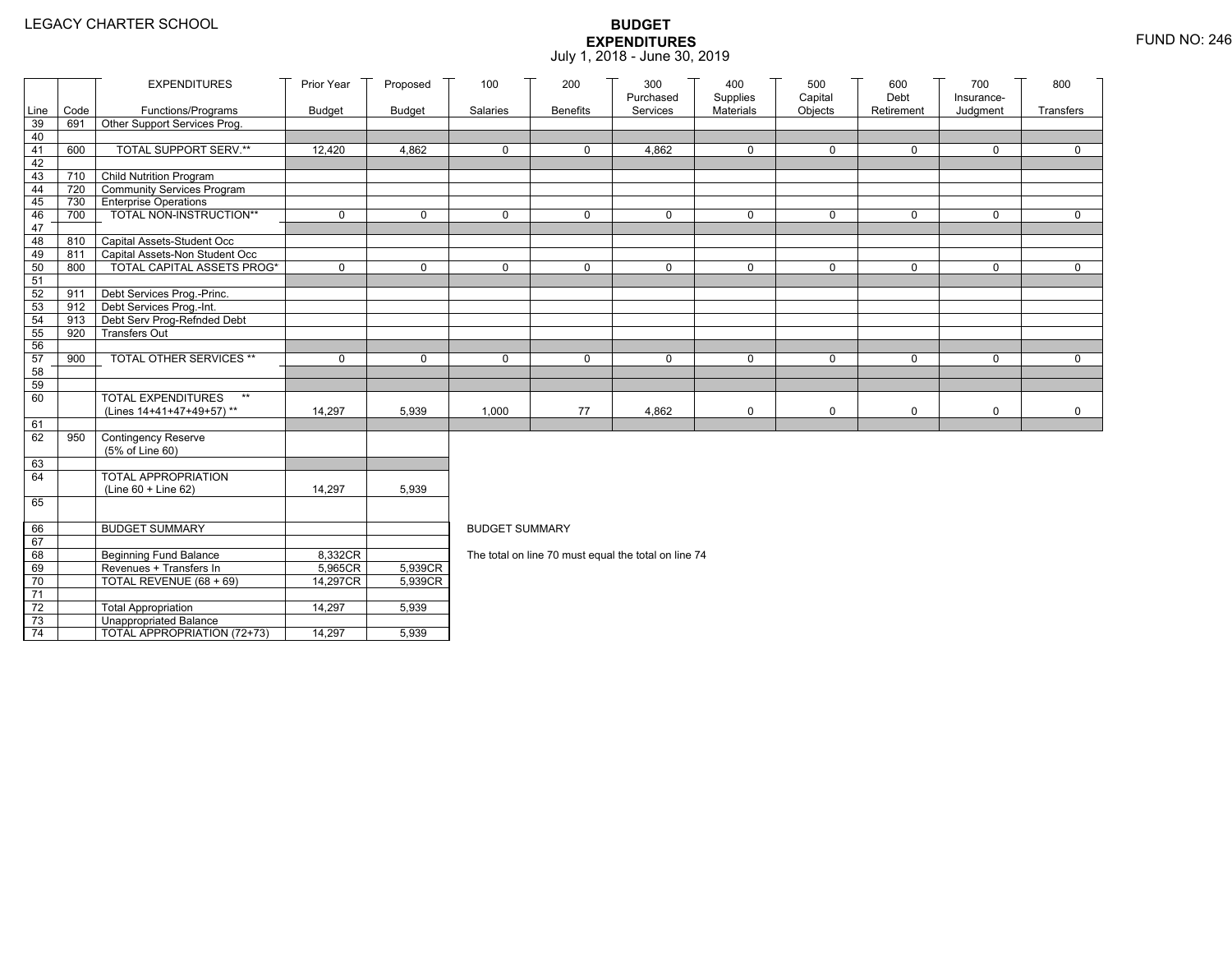|                       |                                | <b>EXPENDITURES</b>                                                 | Prior Year    | Proposed      | 100                   | 200             | 300<br>Purchased                                     | 400<br>Supplies | 500<br>Capital | 600<br>Debt | 700<br>Insurance- | 800         |
|-----------------------|--------------------------------|---------------------------------------------------------------------|---------------|---------------|-----------------------|-----------------|------------------------------------------------------|-----------------|----------------|-------------|-------------------|-------------|
| Line                  | Code                           | Functions/Programs                                                  | <b>Budget</b> | <b>Budget</b> | Salaries              | <b>Benefits</b> | Services                                             | Materials       | Objects        | Retirement  | Judgment          | Transfers   |
| 39                    | 691                            | Other Support Services Prog.                                        |               |               |                       |                 |                                                      |                 |                |             |                   |             |
| 40                    | 600                            | TOTAL SUPPORT SERV.**                                               |               |               |                       |                 |                                                      |                 |                |             |                   |             |
| 41<br>42              |                                |                                                                     | 12,420        | 4,862         | 0                     | 0               | 4,862                                                | $\mathbf 0$     | 0              | 0           | 0                 | 0           |
| 43                    | 710                            | <b>Child Nutrition Program</b>                                      |               |               |                       |                 |                                                      |                 |                |             |                   |             |
| 44                    | 720                            | Community Services Program                                          |               |               |                       |                 |                                                      |                 |                |             |                   |             |
| 45                    |                                | 730 Enterprise Operations                                           |               |               |                       |                 |                                                      |                 |                |             |                   |             |
| 46                    | 700                            | TOTAL NON-INSTRUCTION**                                             | $\mathbf 0$   | $\mathbf 0$   | $\mathbf{0}$          | 0               | $\mathbf 0$                                          | 0               | 0              | $\mathbf 0$ | 0                 | $\Omega$    |
| 47                    |                                |                                                                     |               |               |                       |                 |                                                      |                 |                |             |                   |             |
| 48                    | 810                            | Capital Assets-Student Occ                                          |               |               |                       |                 |                                                      |                 |                |             |                   |             |
| 49<br>50              | 811<br>800                     | Capital Assets-Non Student Occ<br><b>TOTAL CAPITAL ASSETS PROG*</b> | $\mathbf 0$   | $\mathbf 0$   | $\Omega$              | 0               | $\mathbf 0$                                          | $\mathbf 0$     | 0              | $\mathbf 0$ | 0                 | $\Omega$    |
| 51                    |                                |                                                                     |               |               |                       |                 |                                                      |                 |                |             |                   |             |
| 52                    | 911                            | Debt Services Prog.-Princ.                                          |               |               |                       |                 |                                                      |                 |                |             |                   |             |
| 53                    | $912$ $\overline{\phantom{1}}$ | Debt Services Prog.-Int.                                            |               |               |                       |                 |                                                      |                 |                |             |                   |             |
| 54                    | 913                            | Debt Serv Prog-Refnded Debt                                         |               |               |                       |                 |                                                      |                 |                |             |                   |             |
| 55                    | 920                            | <b>Transfers Out</b>                                                |               |               |                       |                 |                                                      |                 |                |             |                   |             |
| 56                    |                                |                                                                     |               |               |                       |                 |                                                      |                 |                |             |                   |             |
| 57                    | 900                            | TOTAL OTHER SERVICES **                                             | $\mathbf 0$   | $\mathbf 0$   | $\mathbf 0$           | 0               | $\mathbf 0$                                          | 0               | 0              | $\mathbf 0$ | 0                 | $\mathbf 0$ |
| 58<br>59              |                                |                                                                     |               |               |                       |                 |                                                      |                 |                |             |                   |             |
| 60                    |                                | <b>TOTAL EXPENDITURES</b><br>$\star\star$                           |               |               |                       |                 |                                                      |                 |                |             |                   |             |
|                       |                                | (Lines 14+41+47+49+57)**                                            | 14,297        | 5,939         | 1,000                 | 77              | 4,862                                                | 0               | 0              | $\mathbf 0$ | 0                 | 0           |
| 61                    |                                |                                                                     |               |               |                       |                 |                                                      |                 |                |             |                   |             |
| 62                    | 950                            | <b>Contingency Reserve</b>                                          |               |               |                       |                 |                                                      |                 |                |             |                   |             |
|                       |                                | (5% of Line 60)                                                     |               |               |                       |                 |                                                      |                 |                |             |                   |             |
| 63                    |                                |                                                                     |               |               |                       |                 |                                                      |                 |                |             |                   |             |
| 64                    |                                | <b>TOTAL APPROPRIATION</b><br>$(Line 60 + Line 62)$                 | 14,297        | 5,939         |                       |                 |                                                      |                 |                |             |                   |             |
| 65                    |                                |                                                                     |               |               |                       |                 |                                                      |                 |                |             |                   |             |
|                       |                                |                                                                     |               |               |                       |                 |                                                      |                 |                |             |                   |             |
| 66                    |                                | <b>BUDGET SUMMARY</b>                                               |               |               | <b>BUDGET SUMMARY</b> |                 |                                                      |                 |                |             |                   |             |
| 67                    |                                |                                                                     |               |               |                       |                 |                                                      |                 |                |             |                   |             |
| 68                    |                                | Beginning Fund Balance                                              | 8,332CR       |               |                       |                 | The total on line 70 must equal the total on line 74 |                 |                |             |                   |             |
| 69                    |                                | Revenues + Transfers In                                             | 5,965CR       | 5,939CR       |                       |                 |                                                      |                 |                |             |                   |             |
| 70<br>$\overline{71}$ |                                | TOTAL REVENUE (68 + 69)                                             | 14,297CR      | 5,939CR       |                       |                 |                                                      |                 |                |             |                   |             |
| $72\,$                |                                | <b>Total Appropriation</b>                                          | 14,297        | 5,939         |                       |                 |                                                      |                 |                |             |                   |             |
| 73                    |                                | <b>Unappropriated Balance</b>                                       |               |               |                       |                 |                                                      |                 |                |             |                   |             |
| 74                    |                                | TOTAL APPROPRIATION (72+73)                                         | 14,297        | 5,939         |                       |                 |                                                      |                 |                |             |                   |             |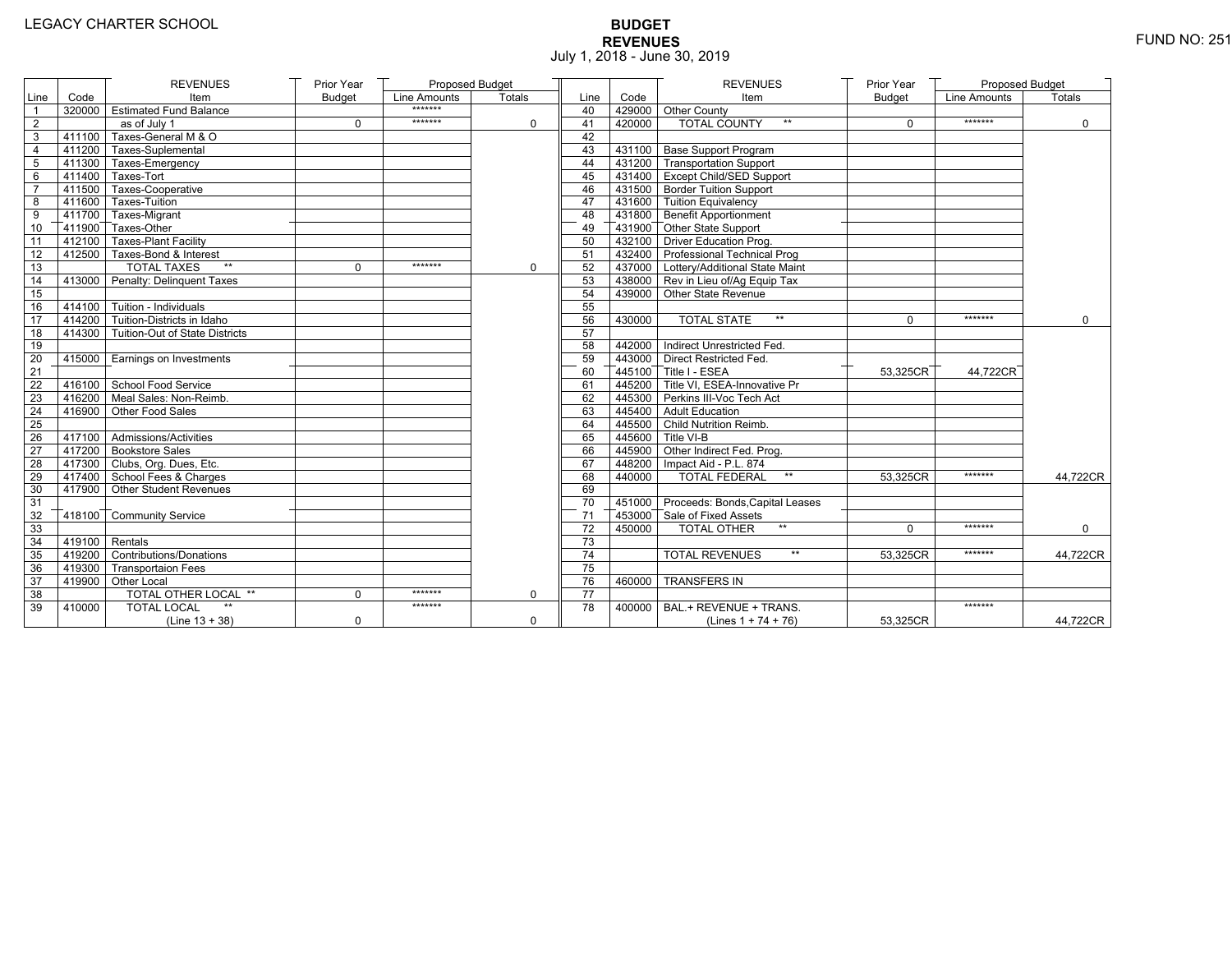# **BUDGET REVENUES** FUND NO: 251 July 1, 2018 - June 30, 2019

|                |                  | <b>REVENUES</b>                       | Prior Year    | Proposed Budget |             |      |        | <b>REVENUES</b>                        | Prior Year    | <b>Proposed Budget</b> |             |
|----------------|------------------|---------------------------------------|---------------|-----------------|-------------|------|--------|----------------------------------------|---------------|------------------------|-------------|
| Line           | Code             | Item                                  | <b>Budget</b> | Line Amounts    | Totals      | Line | Code   | Item                                   | <b>Budget</b> | Line Amounts           | Totals      |
| $\mathbf{1}$   |                  | 320000 Estimated Fund Balance         |               | *******         |             | 40   |        | 429000 Other County                    |               |                        |             |
| $\overline{2}$ |                  | as of July 1                          | $\Omega$      | *******         | $\Omega$    | 41   | 420000 | <b>TOTAL COUNTY</b>                    | $\Omega$      | *******                | $\Omega$    |
| 3              |                  | 411100 Taxes-General M & O            |               |                 |             | 42   |        |                                        |               |                        |             |
| $\overline{4}$ |                  | 411200 Taxes-Suplemental              |               |                 |             | 43   |        | 431100 Base Support Program            |               |                        |             |
| 5              |                  | 411300 Taxes-Emergency                |               |                 |             | 44   |        | 431200 Transportation Support          |               |                        |             |
| 6              |                  | $-411400$ Taxes-Tort                  |               |                 |             | 45   |        | 431400 Except Child/SED Support        |               |                        |             |
| $\overline{7}$ |                  | 411500 Taxes-Cooperative              |               |                 |             | 46   |        | 431500 Border Tuition Support          |               |                        |             |
| 8              |                  | 411600 Taxes-Tuition                  |               |                 |             | 47   |        | 431600 Tuition Equivalency             |               |                        |             |
| 9              |                  | 411700 Taxes-Migrant                  |               |                 |             | 48   |        | 431800 Benefit Apportionment           |               |                        |             |
| 10             |                  | 411900 Taxes-Other                    |               |                 |             | 49   |        | 431900 Other State Support             |               |                        |             |
| 11             |                  | 412100 Taxes-Plant Facility           |               |                 |             | 50   |        | 432100 Driver Education Prog.          |               |                        |             |
| 12             |                  | 412500 Taxes-Bond & Interest          |               |                 |             | 51   |        | 432400 Professional Technical Prog     |               |                        |             |
| 13             |                  | <b>TOTAL TAXES</b><br>$***$           | $\mathbf 0$   | *******         | $\mathbf 0$ | 52   |        | 437000 Lottery/Additional State Maint  |               |                        |             |
| 14             |                  | 413000 Penalty: Delinguent Taxes      |               |                 |             | 53   |        | 438000 Rev in Lieu of/Aq Equip Tax     |               |                        |             |
| 15             |                  |                                       |               |                 |             | 54   |        | 439000 Other State Revenue             |               |                        |             |
| 16             |                  | 414100 Tuition - Individuals          |               |                 |             | 55   |        |                                        |               |                        |             |
| 17             |                  | 414200 Tuition-Districts in Idaho     |               |                 |             | 56   | 430000 | <b>TOTAL STATE</b><br>$\star\star$     | $\Omega$      | *******                | $\Omega$    |
| 18             |                  | 414300 Tuition-Out of State Districts |               |                 |             | 57   |        |                                        |               |                        |             |
| 19             |                  |                                       |               |                 |             | 58   |        | 442000 Indirect Unrestricted Fed.      |               |                        |             |
| 20             |                  | 415000 Earnings on Investments        |               |                 |             | 59   |        | 443000 Direct Restricted Fed.          |               |                        |             |
| 21             |                  |                                       |               |                 |             | 60   |        | 445100 Title I - ESEA                  | 53,325CR      | 44.722CR               |             |
| 22             |                  | 416100 School Food Service            |               |                 |             | 61   |        | 445200 Title VI. ESEA-Innovative Pr    |               |                        |             |
| 23             |                  | 416200 Meal Sales: Non-Reimb.         |               |                 |             | 62   |        | 445300 Perkins III-Voc Tech Act        |               |                        |             |
| 24             |                  | 416900 Other Food Sales               |               |                 |             | 63   |        | 445400 Adult Education                 |               |                        |             |
| 25             |                  |                                       |               |                 |             | 64   |        | 445500 Child Nutrition Reimb.          |               |                        |             |
| 26             |                  | 417100 Admissions/Activities          |               |                 |             | 65   |        | 445600 Title VI-B                      |               |                        |             |
| 27             |                  | 417200 Bookstore Sales                |               |                 |             | 66   |        | 445900 Other Indirect Fed. Prog.       |               |                        |             |
| 28             |                  | 417300 Clubs, Org. Dues, Etc.         |               |                 |             | 67   |        | 448200   Impact Aid - P.L. 874         |               |                        |             |
| 29             |                  | 417400 School Fees & Charges          |               |                 |             | 68   | 440000 | <b>TOTAL FEDERAL</b><br>$***$          | 53.325CR      | *******                | 44.722CR    |
| 30             |                  | 417900 Other Student Revenues         |               |                 |             | 69   |        |                                        |               |                        |             |
| 31             |                  |                                       |               |                 |             | 70   |        | 451000 Proceeds: Bonds, Capital Leases |               |                        |             |
| 32             |                  | 418100 Community Service              |               |                 |             | 71   |        | 453000 Sale of Fixed Assets            |               |                        |             |
| 33             |                  |                                       |               |                 |             | 72   | 450000 | $**$<br><b>TOTAL OTHER</b>             | $\Omega$      | *******                | $\mathbf 0$ |
| 34             | $419100$ Rentals |                                       |               |                 |             | 73   |        |                                        |               |                        |             |
| 35             |                  | 419200 Contributions/Donations        |               |                 |             | 74   |        | $\star\star$<br><b>TOTAL REVENUES</b>  | 53,325CR      | *******                | 44,722CR    |
| 36             |                  | 419300 Transportaion Fees             |               |                 |             | 75   |        |                                        |               |                        |             |
| 37             |                  | 419900 Other Local                    |               |                 |             | 76   | 460000 | <b>TRANSFERS IN</b>                    |               |                        |             |
| 38             |                  | <b>TOTAL OTHER LOCAL **</b>           | 0             | *******         | $\mathbf 0$ | 77   |        |                                        |               |                        |             |
| 39             | 410000           | <b>TOTAL LOCAL</b>                    |               | *******         |             | 78   | 400000 | BAL.+ REVENUE + TRANS.                 |               | *******                |             |
|                |                  | $(Line 13 + 38)$                      | $\mathbf 0$   |                 | $\mathbf 0$ |      |        | (Lines $1 + 74 + 76$ )                 | 53,325CR      |                        | 44,722CR    |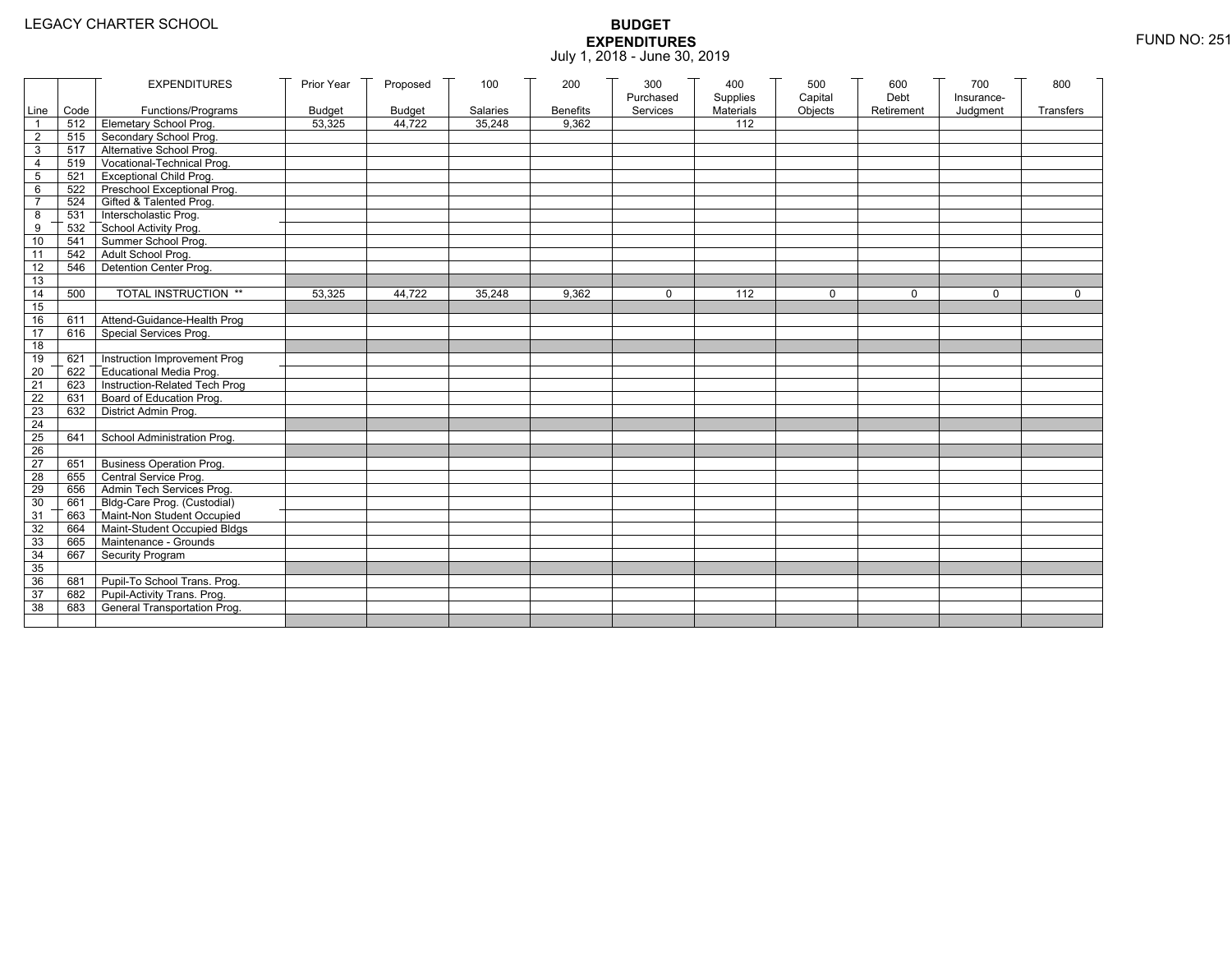|                 |           | <b>EXPENDITURES</b>                          | Prior Year    | Proposed      | 100      | 200             | 300<br>Purchased | 400<br>Supplies  | 500<br>Capital | 600<br>Debt | 700<br>Insurance- | 800         |
|-----------------|-----------|----------------------------------------------|---------------|---------------|----------|-----------------|------------------|------------------|----------------|-------------|-------------------|-------------|
|                 | Line Code | Functions/Programs                           | <b>Budget</b> | <b>Budget</b> | Salaries | <b>Benefits</b> | Services         | <b>Materials</b> | Objects        | Retirement  | Judgment          | Transfers   |
|                 |           | 512 Elemetary School Prog.                   | 53,325        | 44,722        | 35,248   | 9,362           |                  | 112              |                |             |                   |             |
| $\overline{2}$  | 515       | Secondary School Prog.                       |               |               |          |                 |                  |                  |                |             |                   |             |
| 3               |           | 517 Alternative School Prog.                 |               |               |          |                 |                  |                  |                |             |                   |             |
| $\overline{4}$  | 519       | Vocational-Technical Prog.                   |               |               |          |                 |                  |                  |                |             |                   |             |
| 5               | 521       | <b>Exceptional Child Prog.</b>               |               |               |          |                 |                  |                  |                |             |                   |             |
| 6               |           | 522 Preschool Exceptional Prog.              |               |               |          |                 |                  |                  |                |             |                   |             |
| $\overline{7}$  |           | 524 Gifted & Talented Prog.                  |               |               |          |                 |                  |                  |                |             |                   |             |
| 8               |           | 531 Interscholastic Prog.                    |               |               |          |                 |                  |                  |                |             |                   |             |
| 9               | 532       | School Activity Prog.<br>Summer School Prog. |               |               |          |                 |                  |                  |                |             |                   |             |
| 10              | 541       |                                              |               |               |          |                 |                  |                  |                |             |                   |             |
| 11              | 542       | Adult School Prog.                           |               |               |          |                 |                  |                  |                |             |                   |             |
| 12              | 546       | Detention Center Prog.                       |               |               |          |                 |                  |                  |                |             |                   |             |
| 13              |           |                                              |               |               |          |                 |                  |                  |                |             |                   |             |
| 14              | 500       | TOTAL INSTRUCTION **                         | 53,325        | 44,722        | 35,248   | 9,362           | $\Omega$         | 112              | $\mathbf 0$    | $\Omega$    | $\mathbf{0}$      | $\mathbf 0$ |
| 15              |           |                                              |               |               |          |                 |                  |                  |                |             |                   |             |
| 16              | 611       | Attend-Guidance-Health Prog                  |               |               |          |                 |                  |                  |                |             |                   |             |
| 17              | 616       | Special Services Prog.                       |               |               |          |                 |                  |                  |                |             |                   |             |
| 18              |           |                                              |               |               |          |                 |                  |                  |                |             |                   |             |
| 19              | 621       | Instruction Improvement Prog                 |               |               |          |                 |                  |                  |                |             |                   |             |
| 20              | 622       | Educational Media Prog.                      |               |               |          |                 |                  |                  |                |             |                   |             |
| 21              | 623       | Instruction-Related Tech Prog                |               |               |          |                 |                  |                  |                |             |                   |             |
| 22              | 631       | Board of Education Prog.                     |               |               |          |                 |                  |                  |                |             |                   |             |
| 23              |           | 632 District Admin Prog.                     |               |               |          |                 |                  |                  |                |             |                   |             |
| 24              |           |                                              |               |               |          |                 |                  |                  |                |             |                   |             |
| 25              | 641       | School Administration Prog.                  |               |               |          |                 |                  |                  |                |             |                   |             |
| 26              |           |                                              |               |               |          |                 |                  |                  |                |             |                   |             |
| $\overline{27}$ | 651       | Business Operation Prog.                     |               |               |          |                 |                  |                  |                |             |                   |             |
| 28              | 655       | Central Service Prog.                        |               |               |          |                 |                  |                  |                |             |                   |             |
| 29              | 656       | Admin Tech Services Prog.                    |               |               |          |                 |                  |                  |                |             |                   |             |
| 30              |           | 661 Bldg-Care Prog. (Custodial)              |               |               |          |                 |                  |                  |                |             |                   |             |
| 31              |           | 663 Maint-Non Student Occupied               |               |               |          |                 |                  |                  |                |             |                   |             |
| 32              |           | 664 Maint-Student Occupied Bldgs             |               |               |          |                 |                  |                  |                |             |                   |             |
| 33              |           | 665 Maintenance - Grounds                    |               |               |          |                 |                  |                  |                |             |                   |             |
| 34              | 667       | Security Program                             |               |               |          |                 |                  |                  |                |             |                   |             |
| 35              |           |                                              |               |               |          |                 |                  |                  |                |             |                   |             |
| 36              | 681       | Pupil-To School Trans. Prog.                 |               |               |          |                 |                  |                  |                |             |                   |             |
| 37              |           | 682 Pupil-Activity Trans. Prog.              |               |               |          |                 |                  |                  |                |             |                   |             |
| 38              | 683       | General Transportation Prog.                 |               |               |          |                 |                  |                  |                |             |                   |             |
|                 |           |                                              |               |               |          |                 |                  |                  |                |             |                   |             |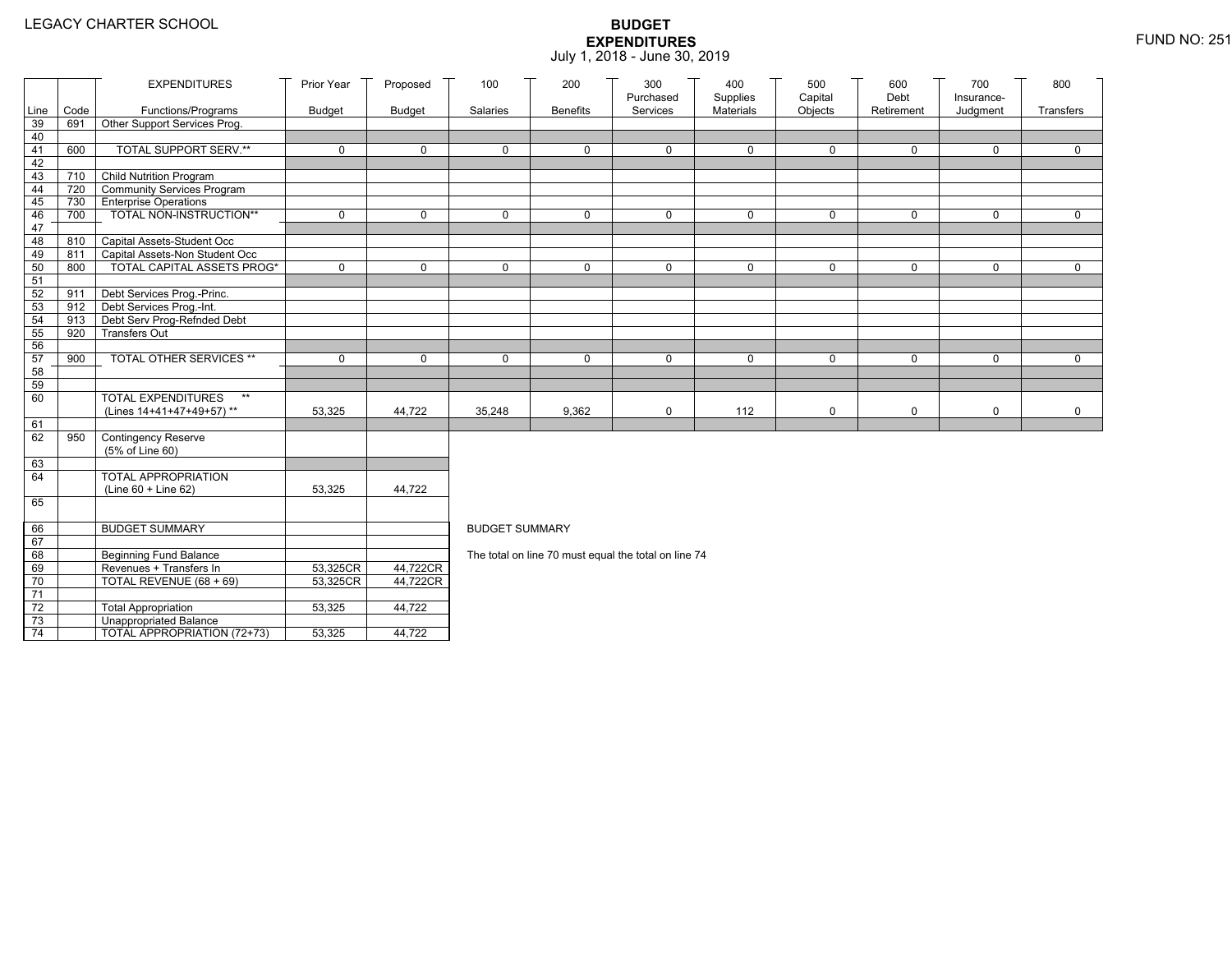|                 |                                | <b>EXPENDITURES</b>                    | Prior Year    | Proposed      | 100                   | 200             | 300<br>Purchased                                     | 400<br>Supplies | 500<br>Capital | 600<br>Debt | 700                    | 800         |
|-----------------|--------------------------------|----------------------------------------|---------------|---------------|-----------------------|-----------------|------------------------------------------------------|-----------------|----------------|-------------|------------------------|-------------|
| Line            | Code                           | Functions/Programs                     | <b>Budget</b> | <b>Budget</b> | Salaries              | <b>Benefits</b> | Services                                             | Materials       | Objects        | Retirement  | Insurance-<br>Judgment | Transfers   |
| 39              | 691                            | Other Support Services Prog.           |               |               |                       |                 |                                                      |                 |                |             |                        |             |
| 40              |                                |                                        |               |               |                       |                 |                                                      |                 |                |             |                        |             |
| 41              | 600                            | <b>TOTAL SUPPORT SERV.**</b>           | $\mathbf 0$   | $\mathbf 0$   | $\mathbf 0$           | 0               | $\mathbf 0$                                          | $\mathbf 0$     | $\mathbf 0$    | 0           | 0                      | $\mathbf 0$ |
| 42              |                                |                                        |               |               |                       |                 |                                                      |                 |                |             |                        |             |
| 43              |                                | 710 Child Nutrition Program            |               |               |                       |                 |                                                      |                 |                |             |                        |             |
| 44              | 720 T                          | Community Services Program             |               |               |                       |                 |                                                      |                 |                |             |                        |             |
| 45              |                                | 730 Enterprise Operations              |               |               |                       |                 |                                                      |                 |                |             |                        |             |
| 46              | 700                            | TOTAL NON-INSTRUCTION**                | $\mathbf 0$   | $\mathbf 0$   | $\mathbf{0}$          | 0               | $\mathbf 0$                                          | 0               | 0              | $\mathbf 0$ | 0                      | $\mathbf 0$ |
| 47<br>48        |                                | 810 Capital Assets-Student Occ         |               |               |                       |                 |                                                      |                 |                |             |                        |             |
| 49              | 811                            | Capital Assets-Non Student Occ         |               |               |                       |                 |                                                      |                 |                |             |                        |             |
| 50              | 800                            | <b>TOTAL CAPITAL ASSETS PROG*</b>      | $\mathbf 0$   | $\mathbf 0$   | $\Omega$              | 0               | $\mathbf 0$                                          | 0               | 0              | $\mathbf 0$ | 0                      | $\mathbf 0$ |
| 51              |                                |                                        |               |               |                       |                 |                                                      |                 |                |             |                        |             |
| 52              | 911                            | Debt Services Prog.-Princ.             |               |               |                       |                 |                                                      |                 |                |             |                        |             |
| 53              | $912$ $\overline{\phantom{1}}$ | Debt Services Prog.-Int.               |               |               |                       |                 |                                                      |                 |                |             |                        |             |
| 54              | 913                            | Debt Serv Prog-Refnded Debt            |               |               |                       |                 |                                                      |                 |                |             |                        |             |
| 55              | 920                            | <b>Transfers Out</b>                   |               |               |                       |                 |                                                      |                 |                |             |                        |             |
| 56              |                                |                                        |               |               |                       |                 |                                                      |                 |                |             |                        |             |
| 57              | 900                            | TOTAL OTHER SERVICES **                | $\mathbf 0$   | 0             | $\mathbf 0$           | 0               | 0                                                    | 0               | 0              | $\mathbf 0$ | 0                      | $\mathbf 0$ |
| 58              |                                |                                        |               |               |                       |                 |                                                      |                 |                |             |                        |             |
| 59              |                                |                                        |               |               |                       |                 |                                                      |                 |                |             |                        |             |
| 60              |                                | <b>TOTAL EXPENDITURES</b><br>$**$      |               |               |                       |                 |                                                      |                 |                |             |                        |             |
|                 |                                | (Lines 14+41+47+49+57)**               | 53,325        | 44,722        | 35,248                | 9,362           | 0                                                    | 112             | 0              | $\mathbf 0$ | 0                      | $\mathbf 0$ |
| 61<br>62        |                                |                                        |               |               |                       |                 |                                                      |                 |                |             |                        |             |
|                 | 950                            | Contingency Reserve<br>(5% of Line 60) |               |               |                       |                 |                                                      |                 |                |             |                        |             |
| 63              |                                |                                        |               |               |                       |                 |                                                      |                 |                |             |                        |             |
| 64              |                                | TOTAL APPROPRIATION                    |               |               |                       |                 |                                                      |                 |                |             |                        |             |
|                 |                                | (Line 60 + Line 62)                    | 53,325        | 44,722        |                       |                 |                                                      |                 |                |             |                        |             |
| 65              |                                |                                        |               |               |                       |                 |                                                      |                 |                |             |                        |             |
|                 |                                |                                        |               |               |                       |                 |                                                      |                 |                |             |                        |             |
| 66              |                                | <b>BUDGET SUMMARY</b>                  |               |               | <b>BUDGET SUMMARY</b> |                 |                                                      |                 |                |             |                        |             |
| 67              |                                |                                        |               |               |                       |                 |                                                      |                 |                |             |                        |             |
| 68              |                                | <b>Beginning Fund Balance</b>          |               |               |                       |                 | The total on line 70 must equal the total on line 74 |                 |                |             |                        |             |
| 69              |                                | Revenues + Transfers In                | 53,325CR      | 44,722CR      |                       |                 |                                                      |                 |                |             |                        |             |
| 70              |                                | TOTAL REVENUE (68 + 69)                | 53,325CR      | 44,722CR      |                       |                 |                                                      |                 |                |             |                        |             |
| $\overline{71}$ |                                |                                        |               |               |                       |                 |                                                      |                 |                |             |                        |             |
| $72\,$          |                                | <b>Total Appropriation</b>             | 53,325        | 44,722        |                       |                 |                                                      |                 |                |             |                        |             |
| 73              |                                | <b>Unappropriated Balance</b>          |               |               |                       |                 |                                                      |                 |                |             |                        |             |
| $\overline{74}$ |                                | TOTAL APPROPRIATION (72+73)            | 53,325        | 44,722        |                       |                 |                                                      |                 |                |             |                        |             |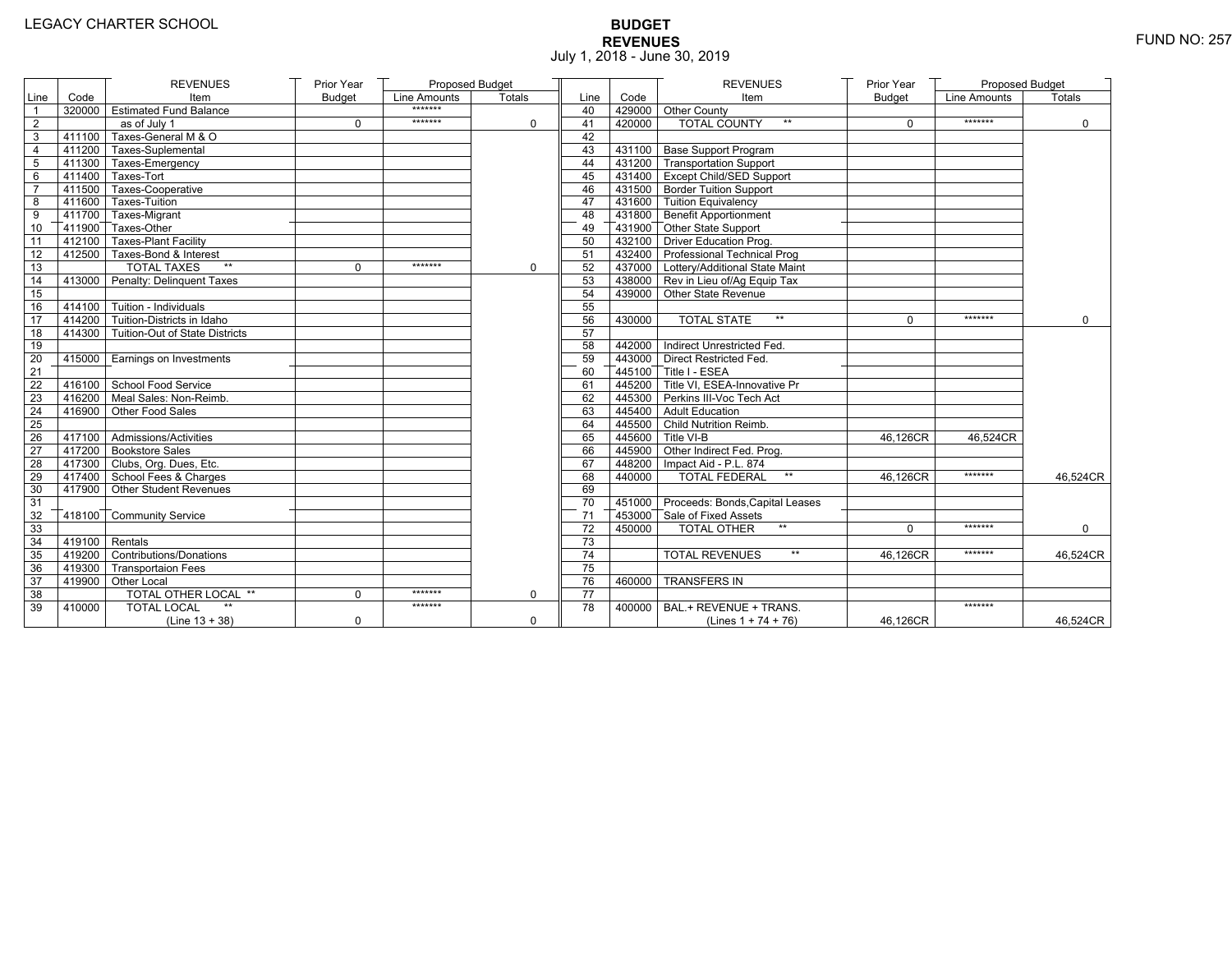# **BUDGET REVENUES** FUND NO: 257 July 1, 2018 - June 30, 2019

|                |                  | <b>REVENUES</b>                       | Prior Year    | Proposed Budget |             |      |        | <b>REVENUES</b>                        | Prior Year    | <b>Proposed Budget</b> |             |
|----------------|------------------|---------------------------------------|---------------|-----------------|-------------|------|--------|----------------------------------------|---------------|------------------------|-------------|
| Line           | Code             | Item                                  | <b>Budget</b> | Line Amounts    | Totals      | Line | Code   | Item                                   | <b>Budget</b> | Line Amounts           | Totals      |
| $\mathbf{1}$   |                  | 320000 Estimated Fund Balance         |               | *******         |             | 40   |        | 429000 Other County                    |               |                        |             |
| $\overline{2}$ |                  | as of July 1                          | $\Omega$      | *******         | $\Omega$    | 41   | 420000 | <b>TOTAL COUNTY</b>                    | $\Omega$      | *******                | $\Omega$    |
| 3              |                  | 411100 Taxes-General M & O            |               |                 |             | 42   |        |                                        |               |                        |             |
| $\overline{4}$ |                  | 411200 Taxes-Suplemental              |               |                 |             | 43   |        | 431100 Base Support Program            |               |                        |             |
| 5              |                  | 411300 Taxes-Emergency                |               |                 |             | 44   |        | 431200 Transportation Support          |               |                        |             |
| 6              |                  | $-411400$ Taxes-Tort                  |               |                 |             | 45   |        | 431400 Except Child/SED Support        |               |                        |             |
| $\overline{7}$ |                  | 411500 Taxes-Cooperative              |               |                 |             | 46   |        | 431500 Border Tuition Support          |               |                        |             |
| 8              |                  | 411600 Taxes-Tuition                  |               |                 |             | 47   |        | 431600 Tuition Equivalency             |               |                        |             |
| 9              |                  | 411700 Taxes-Migrant                  |               |                 |             | 48   |        | 431800 Benefit Apportionment           |               |                        |             |
| 10             |                  | 411900 Taxes-Other                    |               |                 |             | 49   |        | 431900 Other State Support             |               |                        |             |
| 11             |                  | 412100 Taxes-Plant Facility           |               |                 |             | 50   |        | 432100 Driver Education Prog.          |               |                        |             |
| 12             |                  | 412500 Taxes-Bond & Interest          |               |                 |             | 51   |        | 432400 Professional Technical Prog     |               |                        |             |
| 13             |                  | <b>TOTAL TAXES</b><br>$***$           | $\mathbf 0$   | *******         | $\mathbf 0$ | 52   |        | 437000 Lottery/Additional State Maint  |               |                        |             |
| 14             |                  | 413000 Penalty: Delinguent Taxes      |               |                 |             | 53   |        | 438000 Rev in Lieu of/Aq Equip Tax     |               |                        |             |
| 15             |                  |                                       |               |                 |             | 54   |        | 439000 Other State Revenue             |               |                        |             |
| 16             |                  | 414100 Tuition - Individuals          |               |                 |             | 55   |        |                                        |               |                        |             |
| 17             |                  | $414200$ Tuition-Districts in Idaho   |               |                 |             | 56   | 430000 | <b>TOTAL STATE</b><br>$\star\star$     | $\Omega$      | *******                | $\Omega$    |
| 18             |                  | 414300 Tuition-Out of State Districts |               |                 |             | 57   |        |                                        |               |                        |             |
| 19             |                  |                                       |               |                 |             | 58   |        | 442000 Indirect Unrestricted Fed.      |               |                        |             |
| 20             |                  | 415000 Earnings on Investments        |               |                 |             | 59   |        | 443000 Direct Restricted Fed.          |               |                        |             |
| 21             |                  |                                       |               |                 |             | 60   |        | 445100 Title I - ESEA                  |               |                        |             |
| 22             |                  | 416100 School Food Service            |               |                 |             | 61   |        | 445200 Title VI. ESEA-Innovative Pr    |               |                        |             |
| 23             |                  | 416200 Meal Sales: Non-Reimb.         |               |                 |             | 62   |        | 445300 Perkins III-Voc Tech Act        |               |                        |             |
| 24             |                  | 416900 Other Food Sales               |               |                 |             | 63   |        | 445400 Adult Education                 |               |                        |             |
| 25             |                  |                                       |               |                 |             | 64   |        | 445500 Child Nutrition Reimb.          |               |                        |             |
| 26             |                  | 417100 Admissions/Activities          |               |                 |             | 65   |        | 445600 Title VI-B                      | 46,126CR      | 46,524CR               |             |
| 27             |                  | 417200 Bookstore Sales                |               |                 |             | 66   |        | 445900 Other Indirect Fed. Prog.       |               |                        |             |
| 28             |                  | 417300 Clubs, Org. Dues, Etc.         |               |                 |             | 67   |        | 448200   Impact Aid - P.L. 874         |               |                        |             |
| 29             |                  | 417400 School Fees & Charges          |               |                 |             | 68   | 440000 | <b>TOTAL FEDERAL</b><br>$***$          | 46.126CR      | *******                | 46.524CR    |
| 30             |                  | 417900 Other Student Revenues         |               |                 |             | 69   |        |                                        |               |                        |             |
| 31             |                  |                                       |               |                 |             | 70   |        | 451000 Proceeds: Bonds, Capital Leases |               |                        |             |
| 32             |                  | 418100 Community Service              |               |                 |             | 71   |        | 453000 Sale of Fixed Assets            |               |                        |             |
| 33             |                  |                                       |               |                 |             | 72   | 450000 | $**$<br><b>TOTAL OTHER</b>             | $\Omega$      | *******                | $\mathbf 0$ |
| 34             | $419100$ Rentals |                                       |               |                 |             | 73   |        |                                        |               |                        |             |
| 35             |                  | 419200 Contributions/Donations        |               |                 |             | 74   |        | $\star\star$<br><b>TOTAL REVENUES</b>  | 46,126CR      | *******                | 46,524CR    |
| 36             |                  | 419300 Transportaion Fees             |               |                 |             | 75   |        |                                        |               |                        |             |
| 37             |                  | 419900 Other Local                    |               |                 |             | 76   | 460000 | <b>TRANSFERS IN</b>                    |               |                        |             |
| 38             |                  | <b>TOTAL OTHER LOCAL **</b>           | 0             | *******         | $\mathbf 0$ | 77   |        |                                        |               |                        |             |
| 39             | 410000           | <b>TOTAL LOCAL</b>                    |               | *******         |             | 78   | 400000 | BAL.+ REVENUE + TRANS.                 |               | *******                |             |
|                |                  | $(Line 13 + 38)$                      | $\mathbf 0$   |                 | $\mathbf 0$ |      |        | (Lines $1 + 74 + 76$ )                 | 46,126CR      |                        | 46,524CR    |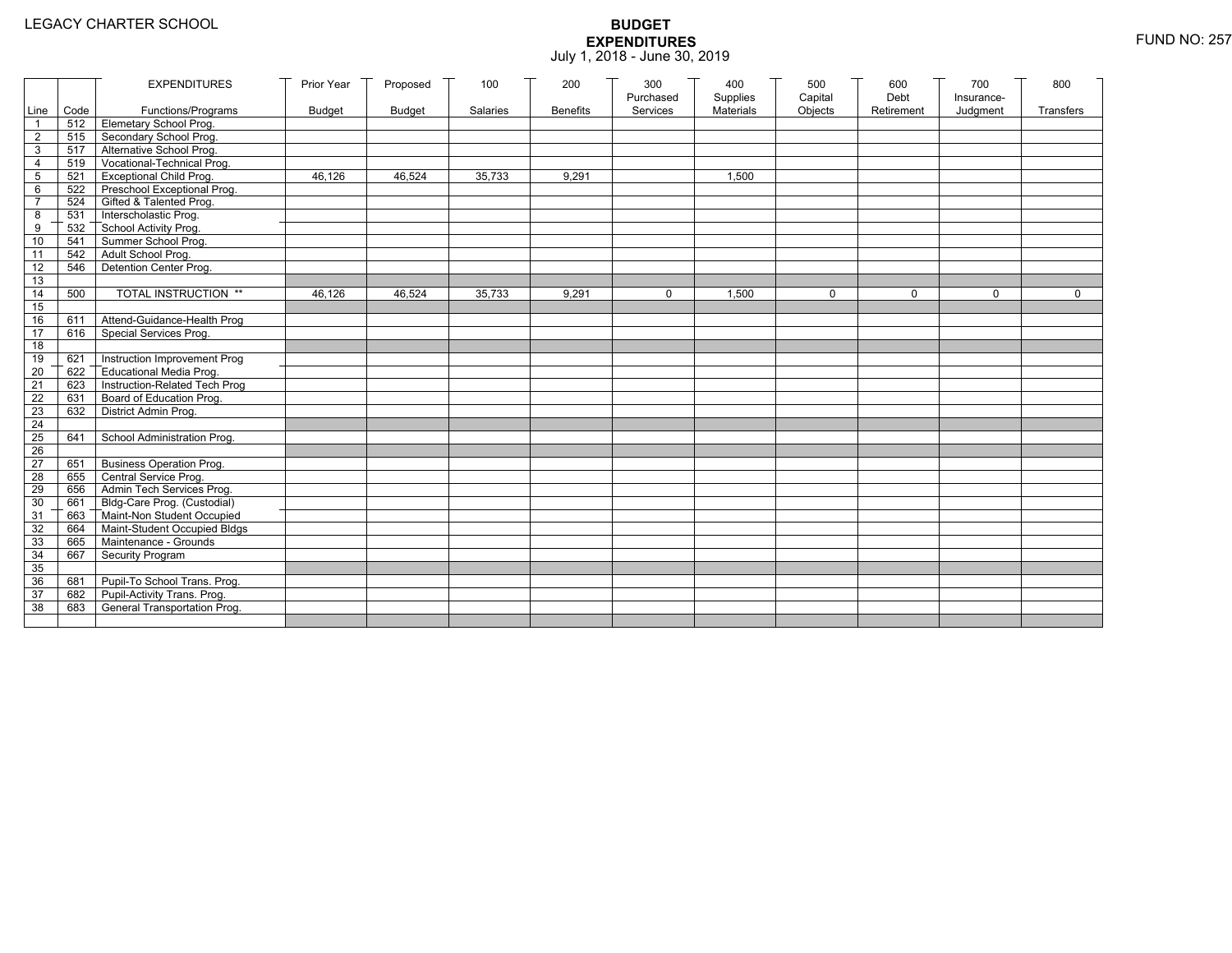|                 |      | <b>EXPENDITURES</b>                          | Prior Year    | Proposed      | 100      | 200             | 300<br>Purchased | 400<br>Supplies | 500<br>Capital | 600<br>Debt | 700<br>Insurance- | 800         |
|-----------------|------|----------------------------------------------|---------------|---------------|----------|-----------------|------------------|-----------------|----------------|-------------|-------------------|-------------|
| Line            | Code | Functions/Programs                           | <b>Budget</b> | <b>Budget</b> | Salaries | <b>Benefits</b> | Services         | Materials       | Objects        | Retirement  | Judgment          | Transfers   |
| $\overline{1}$  |      | 512 Elemetary School Prog.                   |               |               |          |                 |                  |                 |                |             |                   |             |
| $\overline{2}$  | 515  | Secondary School Prog.                       |               |               |          |                 |                  |                 |                |             |                   |             |
| 3               |      | 517 Alternative School Prog.                 |               |               |          |                 |                  |                 |                |             |                   |             |
| 4               | 519  | Vocational-Technical Prog.                   |               |               |          |                 |                  |                 |                |             |                   |             |
| 5               | 521  | <b>Exceptional Child Prog.</b>               | 46,126        | 46,524        | 35,733   | 9,291           |                  | 1,500           |                |             |                   |             |
| 6               | 522  | Preschool Exceptional Prog.                  |               |               |          |                 |                  |                 |                |             |                   |             |
| $\overline{7}$  | 524  | Gifted & Talented Prog.                      |               |               |          |                 |                  |                 |                |             |                   |             |
| 8               | 531  | Interscholastic Prog.                        |               |               |          |                 |                  |                 |                |             |                   |             |
| 9               | 532  | School Activity Prog.<br>Summer School Prog. |               |               |          |                 |                  |                 |                |             |                   |             |
| 10              | 541  |                                              |               |               |          |                 |                  |                 |                |             |                   |             |
| 11              | 542  | Adult School Prog.                           |               |               |          |                 |                  |                 |                |             |                   |             |
| 12              | 546  | Detention Center Prog.                       |               |               |          |                 |                  |                 |                |             |                   |             |
| 13              |      |                                              |               |               |          |                 |                  |                 |                |             |                   |             |
| 14              | 500  | TOTAL INSTRUCTION **                         | 46,126        | 46,524        | 35,733   | 9,291           | $\Omega$         | 1,500           | $\mathbf 0$    | $\Omega$    | $\mathbf{0}$      | $\mathbf 0$ |
| 15              |      |                                              |               |               |          |                 |                  |                 |                |             |                   |             |
| 16              | 611  | Attend-Guidance-Health Prog                  |               |               |          |                 |                  |                 |                |             |                   |             |
| $\overline{17}$ | 616  | Special Services Prog.                       |               |               |          |                 |                  |                 |                |             |                   |             |
| 18              |      |                                              |               |               |          |                 |                  |                 |                |             |                   |             |
| 19              | 621  | Instruction Improvement Prog                 |               |               |          |                 |                  |                 |                |             |                   |             |
| 20              | 622  | Educational Media Prog.                      |               |               |          |                 |                  |                 |                |             |                   |             |
| 21              | 623  | Instruction-Related Tech Prog                |               |               |          |                 |                  |                 |                |             |                   |             |
| 22              | 631  | Board of Education Prog.                     |               |               |          |                 |                  |                 |                |             |                   |             |
| 23              | 632  | District Admin Prog.                         |               |               |          |                 |                  |                 |                |             |                   |             |
| 24              |      |                                              |               |               |          |                 |                  |                 |                |             |                   |             |
| $\overline{25}$ | 641  | School Administration Prog.                  |               |               |          |                 |                  |                 |                |             |                   |             |
| 26              |      |                                              |               |               |          |                 |                  |                 |                |             |                   |             |
| $\overline{27}$ | 651  | <b>Business Operation Prog.</b>              |               |               |          |                 |                  |                 |                |             |                   |             |
| 28              | 655  | Central Service Prog.                        |               |               |          |                 |                  |                 |                |             |                   |             |
| 29              | 656  | Admin Tech Services Prog.                    |               |               |          |                 |                  |                 |                |             |                   |             |
| 30              |      | 661 Bldg-Care Prog. (Custodial)              |               |               |          |                 |                  |                 |                |             |                   |             |
| 31              |      | 663 Maint-Non Student Occupied               |               |               |          |                 |                  |                 |                |             |                   |             |
| 32              |      | 664 Maint-Student Occupied Bldgs             |               |               |          |                 |                  |                 |                |             |                   |             |
| 33              |      | 665 Maintenance - Grounds                    |               |               |          |                 |                  |                 |                |             |                   |             |
| 34              | 667  | Security Program                             |               |               |          |                 |                  |                 |                |             |                   |             |
| 35              |      |                                              |               |               |          |                 |                  |                 |                |             |                   |             |
| 36              | 681  | Pupil-To School Trans. Prog.                 |               |               |          |                 |                  |                 |                |             |                   |             |
| 37              |      | 682 Pupil-Activity Trans. Prog.              |               |               |          |                 |                  |                 |                |             |                   |             |
| 38              | 683  | General Transportation Prog.                 |               |               |          |                 |                  |                 |                |             |                   |             |
|                 |      |                                              |               |               |          |                 |                  |                 |                |             |                   |             |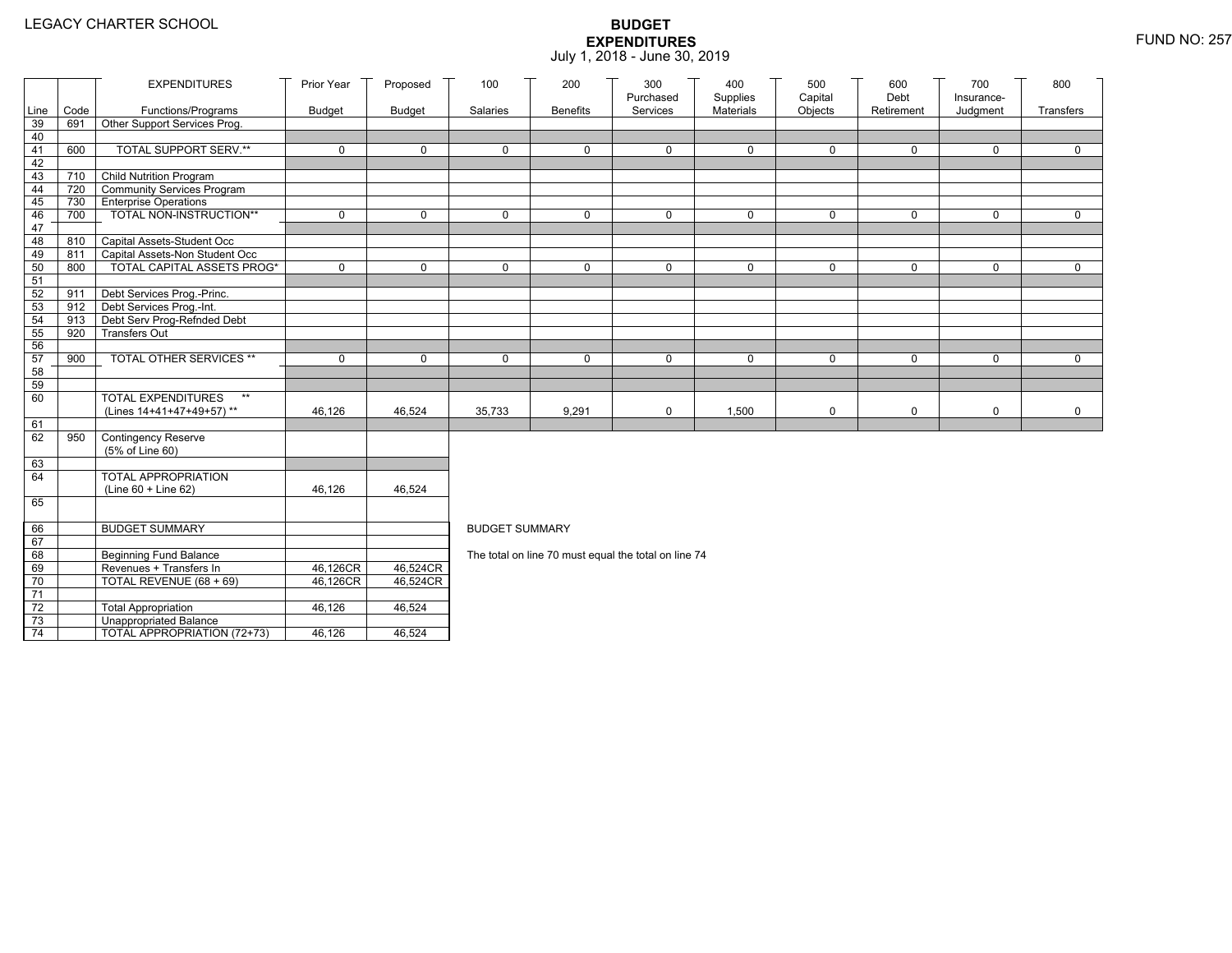|                 |                                | <b>EXPENDITURES</b>               | Prior Year    | Proposed      | 100                   | 200             | 300<br>Purchased                                     | 400<br>Supplies | 500<br>Capital | 600<br>Debt | 700<br>Insurance- | 800         |
|-----------------|--------------------------------|-----------------------------------|---------------|---------------|-----------------------|-----------------|------------------------------------------------------|-----------------|----------------|-------------|-------------------|-------------|
| Line            | Code                           | Functions/Programs                | <b>Budget</b> | <b>Budget</b> | Salaries              | <b>Benefits</b> | Services                                             | Materials       | Objects        | Retirement  | Judgment          | Transfers   |
| 39              | 691                            | Other Support Services Prog.      |               |               |                       |                 |                                                      |                 |                |             |                   |             |
| 40              |                                |                                   |               |               |                       |                 |                                                      |                 |                |             |                   |             |
| 41              | 600                            | <b>TOTAL SUPPORT SERV.**</b>      | $\mathbf 0$   | $\mathbf 0$   | $\mathbf 0$           | 0               | $\mathbf 0$                                          | $\mathbf 0$     | $\mathbf 0$    | 0           | 0                 | $\mathbf 0$ |
| 42              |                                |                                   |               |               |                       |                 |                                                      |                 |                |             |                   |             |
| 43              |                                | 710 Child Nutrition Program       |               |               |                       |                 |                                                      |                 |                |             |                   |             |
| 44              | 720 T                          | Community Services Program        |               |               |                       |                 |                                                      |                 |                |             |                   |             |
| 45              |                                | 730 Enterprise Operations         |               |               |                       |                 |                                                      |                 |                |             |                   |             |
| 46              | 700                            | TOTAL NON-INSTRUCTION**           | $\mathbf 0$   | $\mathbf 0$   | $\mathbf{0}$          | 0               | $\mathbf 0$                                          | 0               | 0              | $\mathbf 0$ | 0                 | $\mathbf 0$ |
| 47<br>48        |                                | 810 Capital Assets-Student Occ    |               |               |                       |                 |                                                      |                 |                |             |                   |             |
| 49              | 811                            | Capital Assets-Non Student Occ    |               |               |                       |                 |                                                      |                 |                |             |                   |             |
| 50              | 800                            | <b>TOTAL CAPITAL ASSETS PROG*</b> | $\mathbf 0$   | $\mathbf 0$   | $\Omega$              | 0               | $\mathbf 0$                                          | 0               | 0              | $\mathbf 0$ | 0                 | $\mathbf 0$ |
| 51              |                                |                                   |               |               |                       |                 |                                                      |                 |                |             |                   |             |
| 52              | 911                            | Debt Services Prog.-Princ.        |               |               |                       |                 |                                                      |                 |                |             |                   |             |
| 53              | $912$ $\overline{\phantom{1}}$ | Debt Services Prog.-Int.          |               |               |                       |                 |                                                      |                 |                |             |                   |             |
| 54              | 913                            | Debt Serv Prog-Refnded Debt       |               |               |                       |                 |                                                      |                 |                |             |                   |             |
| 55              | 920                            | <b>Transfers Out</b>              |               |               |                       |                 |                                                      |                 |                |             |                   |             |
| 56              |                                |                                   |               |               |                       |                 |                                                      |                 |                |             |                   |             |
| 57              | 900                            | TOTAL OTHER SERVICES **           | $\mathbf 0$   | $\mathbf 0$   | $\mathbf 0$           | 0               | 0                                                    | 0               | 0              | $\mathbf 0$ | 0                 | $\mathbf 0$ |
| 58              |                                |                                   |               |               |                       |                 |                                                      |                 |                |             |                   |             |
| 59              |                                |                                   |               |               |                       |                 |                                                      |                 |                |             |                   |             |
| 60              |                                | <b>TOTAL EXPENDITURES</b><br>$**$ |               |               |                       |                 |                                                      |                 |                |             |                   |             |
|                 |                                | (Lines 14+41+47+49+57)**          | 46,126        | 46,524        | 35,733                | 9,291           | 0                                                    | 1,500           | 0              | $\mathbf 0$ | 0                 | $\mathbf 0$ |
| 61              |                                |                                   |               |               |                       |                 |                                                      |                 |                |             |                   |             |
| 62              | 950                            | Contingency Reserve               |               |               |                       |                 |                                                      |                 |                |             |                   |             |
| 63              |                                | (5% of Line 60)                   |               |               |                       |                 |                                                      |                 |                |             |                   |             |
| 64              |                                | TOTAL APPROPRIATION               |               |               |                       |                 |                                                      |                 |                |             |                   |             |
|                 |                                | (Line 60 + Line 62)               | 46,126        | 46,524        |                       |                 |                                                      |                 |                |             |                   |             |
| 65              |                                |                                   |               |               |                       |                 |                                                      |                 |                |             |                   |             |
|                 |                                |                                   |               |               |                       |                 |                                                      |                 |                |             |                   |             |
| 66              |                                | <b>BUDGET SUMMARY</b>             |               |               | <b>BUDGET SUMMARY</b> |                 |                                                      |                 |                |             |                   |             |
| 67              |                                |                                   |               |               |                       |                 |                                                      |                 |                |             |                   |             |
| 68              |                                | <b>Beginning Fund Balance</b>     |               |               |                       |                 | The total on line 70 must equal the total on line 74 |                 |                |             |                   |             |
| 69              |                                | Revenues + Transfers In           | 46,126CR      | 46,524CR      |                       |                 |                                                      |                 |                |             |                   |             |
| 70              |                                | TOTAL REVENUE (68 + 69)           | 46,126CR      | 46,524CR      |                       |                 |                                                      |                 |                |             |                   |             |
| $\overline{71}$ |                                |                                   |               |               |                       |                 |                                                      |                 |                |             |                   |             |
| $72\,$          |                                | <b>Total Appropriation</b>        | 46,126        | 46,524        |                       |                 |                                                      |                 |                |             |                   |             |
| 73              |                                | <b>Unappropriated Balance</b>     |               |               |                       |                 |                                                      |                 |                |             |                   |             |
| $\overline{74}$ |                                | TOTAL APPROPRIATION (72+73)       | 46,126        | 46,524        |                       |                 |                                                      |                 |                |             |                   |             |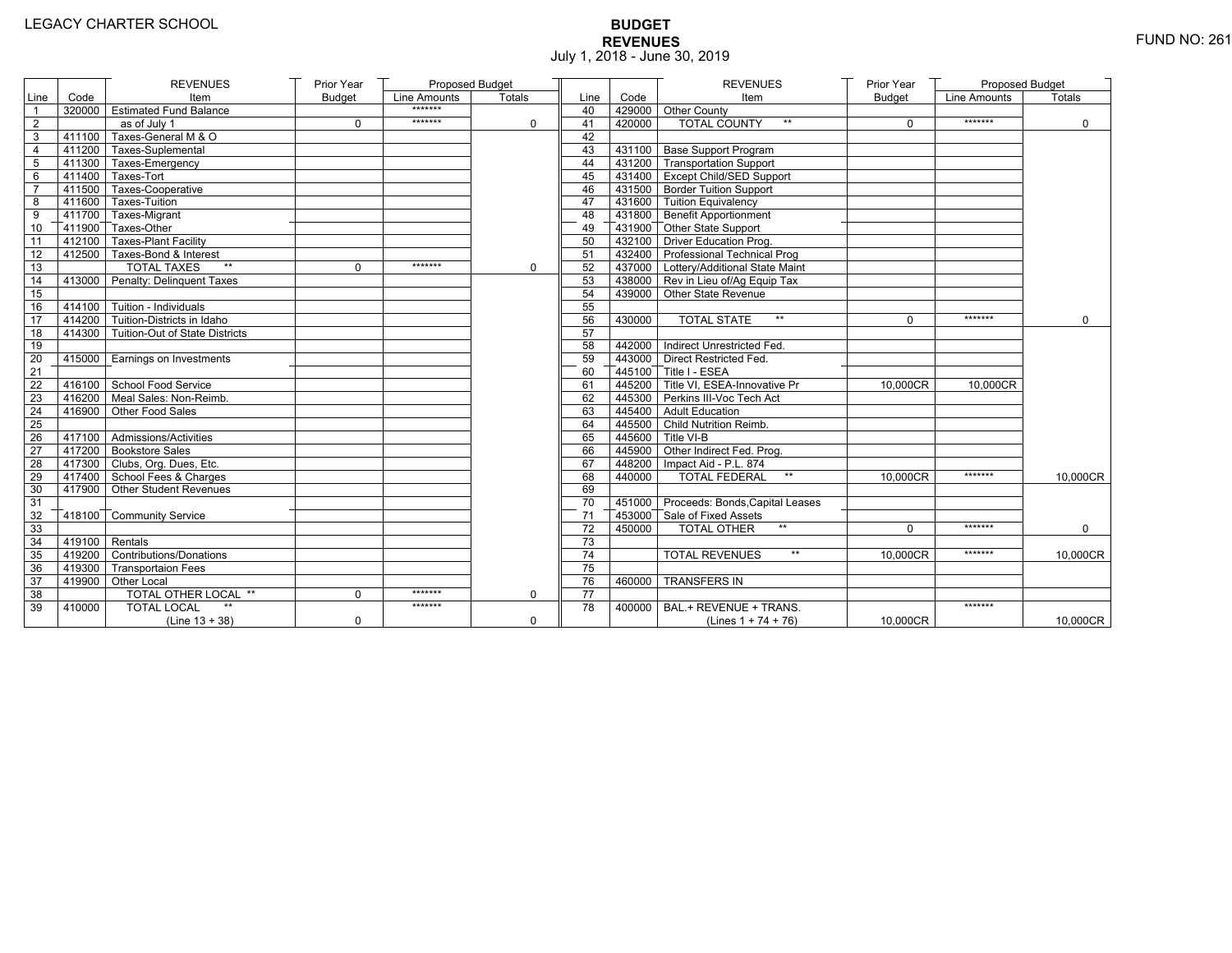# **BUDGET REVENUES** FUND NO: 261 July 1, 2018 - June 30, 2019

|                |                  | <b>REVENUES</b>                       | Prior Year    | Proposed Budget |               |      |        | <b>REVENUES</b>                        | Prior Year    | <b>Proposed Budget</b> |             |
|----------------|------------------|---------------------------------------|---------------|-----------------|---------------|------|--------|----------------------------------------|---------------|------------------------|-------------|
| Line           | Code             | Item                                  | <b>Budget</b> | Line Amounts    | <b>Totals</b> | Line | Code   | Item                                   | <b>Budget</b> | Line Amounts           | Totals      |
|                |                  | 320000 Estimated Fund Balance         |               | *******         |               | 40   |        | 429000 Other County                    |               |                        |             |
| $\overline{2}$ |                  | as of July 1                          | $\mathbf 0$   | *******         | $\mathbf 0$   | 41   | 420000 | <b>TOTAL COUNTY</b><br>$\star\star$    | $\mathbf 0$   | *******                | $\mathbf 0$ |
| 3              |                  | 411100 Taxes-General M & O            |               |                 |               | 42   |        |                                        |               |                        |             |
| $\overline{4}$ |                  | 411200 Taxes-Suplemental              |               |                 |               | 43   |        | 431100 Base Support Program            |               |                        |             |
| 5              |                  | 411300 Taxes-Emergency                |               |                 |               | 44   |        | 431200 Transportation Support          |               |                        |             |
| 6              |                  | $7411400$ Taxes-Tort                  |               |                 |               | 45   |        | 431400 Except Child/SED Support        |               |                        |             |
| $\overline{7}$ |                  | 411500 Taxes-Cooperative              |               |                 |               | 46   |        | 431500 Border Tuition Support          |               |                        |             |
| 8              |                  | 411600 Taxes-Tuition                  |               |                 |               | 47   |        | 431600 Tuition Equivalency             |               |                        |             |
| 9              |                  | 411700 Taxes-Migrant                  |               |                 |               | 48   |        | 431800 Benefit Apportionment           |               |                        |             |
| 10             |                  | 411900 Taxes-Other                    |               |                 |               | 49   |        | 431900 Other State Support             |               |                        |             |
| 11             |                  | 412100 Taxes-Plant Facility           |               |                 |               | 50   |        | 432100 Driver Education Prog.          |               |                        |             |
| 12             |                  | 412500 Taxes-Bond & Interest          |               |                 |               | 51   |        | 432400 Professional Technical Prog     |               |                        |             |
| 13             |                  | <b>TOTAL TAXES</b>                    | $\Omega$      | *******         | $\mathbf 0$   | 52   |        | 437000 Lottery/Additional State Maint  |               |                        |             |
| 14             |                  | 413000 Penalty: Delinguent Taxes      |               |                 |               | 53   |        | 438000 Rev in Lieu of/Ag Equip Tax     |               |                        |             |
| 15             |                  |                                       |               |                 |               | 54   |        | 439000 Other State Revenue             |               |                        |             |
| 16             |                  | 414100 Tuition - Individuals          |               |                 |               | 55   |        |                                        |               |                        |             |
| 17             |                  | 414200 Tuition-Districts in Idaho     |               |                 |               | 56   | 430000 | <b>TOTAL STATE</b><br>$**$             | $\Omega$      | *******                | $\Omega$    |
| 18             |                  | 414300 Tuition-Out of State Districts |               |                 |               | 57   |        |                                        |               |                        |             |
| 19             |                  |                                       |               |                 |               | 58   |        | 442000 Indirect Unrestricted Fed.      |               |                        |             |
| 20             |                  | 415000 Earnings on Investments        |               |                 |               | 59   |        | 443000 Direct Restricted Fed.          |               |                        |             |
| 21             |                  |                                       |               |                 |               | 60   |        | 445100 Title I - ESEA                  |               |                        |             |
| 22             |                  | 416100 School Food Service            |               |                 |               | 61   |        | 445200 Title VI, ESEA-Innovative Pr    | 10,000CR      | 10,000CR               |             |
| 23             |                  | 416200 Meal Sales: Non-Reimb.         |               |                 |               | 62   |        | 445300 Perkins III-Voc Tech Act        |               |                        |             |
| 24             |                  | 416900 Other Food Sales               |               |                 |               | 63   |        | 445400 Adult Education                 |               |                        |             |
| 25             |                  |                                       |               |                 |               | 64   |        | 445500 Child Nutrition Reimb.          |               |                        |             |
| 26             |                  | 417100 Admissions/Activities          |               |                 |               | 65   |        | 445600 Title VI-B                      |               |                        |             |
| 27             |                  | 417200 Bookstore Sales                |               |                 |               | 66   |        | 445900 Other Indirect Fed. Prog.       |               |                        |             |
| 28             |                  | 417300 Clubs, Org. Dues, Etc.         |               |                 |               | 67   |        | 448200 Impact Aid - P.L. 874           |               |                        |             |
| 29             |                  | 417400 School Fees & Charges          |               |                 |               | 68   | 440000 | <b>TOTAL FEDERAL</b><br>$\star\star$   | 10,000CR      | *******                | 10,000CR    |
| 30             |                  | 417900 Other Student Revenues         |               |                 |               | 69   |        |                                        |               |                        |             |
| 31             |                  |                                       |               |                 |               | 70   |        | 451000 Proceeds: Bonds, Capital Leases |               |                        |             |
| 32             |                  | 418100 Community Service              |               |                 |               | 71   |        | 453000 Sale of Fixed Assets            |               |                        |             |
| 33             |                  |                                       |               |                 |               | 72   | 450000 | $**$<br><b>TOTAL OTHER</b>             | $\Omega$      | *******                | $\mathbf 0$ |
| 34             | $419100$ Rentals |                                       |               |                 |               | 73   |        |                                        |               |                        |             |
| 35             |                  | 419200 Contributions/Donations        |               |                 |               | 74   |        | $\star\star$<br><b>TOTAL REVENUES</b>  | 10.000CR      | *******                | 10,000CR    |
| 36             |                  | 419300 Transportaion Fees             |               |                 |               | 75   |        |                                        |               |                        |             |
| 37             |                  | 419900 Other Local                    |               |                 |               | 76   | 460000 | <b>TRANSFERS IN</b>                    |               |                        |             |
| 38             |                  | <b>TOTAL OTHER LOCAL **</b>           | $\mathbf 0$   | *******         | $\mathbf 0$   | 77   |        |                                        |               |                        |             |
| 39             | 410000           | <b>TOTAL LOCAL</b>                    |               | *******         |               | 78   |        | 400000   BAL.+ REVENUE + TRANS.        |               | *******                |             |
|                |                  | $(Line 13 + 38)$                      | $\mathbf 0$   |                 | 0             |      |        | (Lines $1 + 74 + 76$ )                 | 10,000CR      |                        | 10,000CR    |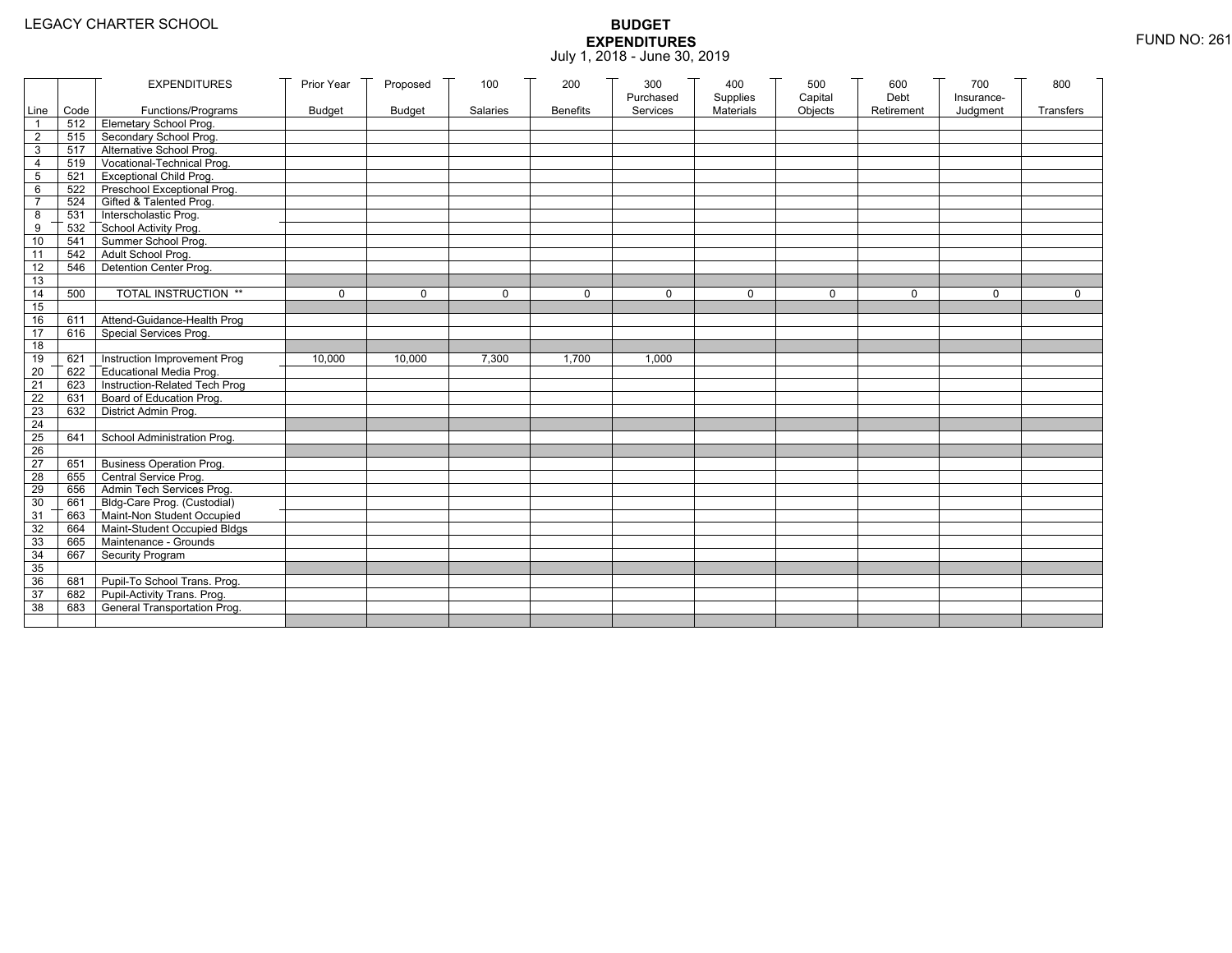|                 |           | <b>EXPENDITURES</b>             | Prior Year    | Proposed      | 100      | 200             | 300<br>Purchased | 400                   | 500<br>Capital | 600<br>Debt | 700                    | 800         |
|-----------------|-----------|---------------------------------|---------------|---------------|----------|-----------------|------------------|-----------------------|----------------|-------------|------------------------|-------------|
|                 | Line Code | Functions/Programs              | <b>Budget</b> | <b>Budget</b> | Salaries | <b>Benefits</b> | Services         | Supplies<br>Materials | Objects        | Retirement  | Insurance-<br>Judgment | Transfers   |
| 1               |           | 512 Elemetary School Prog.      |               |               |          |                 |                  |                       |                |             |                        |             |
| $\overline{2}$  | 515       | Secondary School Prog.          |               |               |          |                 |                  |                       |                |             |                        |             |
| 3               |           | 517 Alternative School Prog.    |               |               |          |                 |                  |                       |                |             |                        |             |
| 4               | 519       | Vocational-Technical Prog.      |               |               |          |                 |                  |                       |                |             |                        |             |
| 5               | 521       | <b>Exceptional Child Prog.</b>  |               |               |          |                 |                  |                       |                |             |                        |             |
| 6               |           | 522 Preschool Exceptional Prog. |               |               |          |                 |                  |                       |                |             |                        |             |
| $\overline{7}$  | 524       | Gifted & Talented Prog.         |               |               |          |                 |                  |                       |                |             |                        |             |
| 8               |           | 531 Interscholastic Prog.       |               |               |          |                 |                  |                       |                |             |                        |             |
| 9               | 532       | School Activity Prog.           |               |               |          |                 |                  |                       |                |             |                        |             |
| 10              | 541       | Summer School Prog.             |               |               |          |                 |                  |                       |                |             |                        |             |
| 11              | 542       | Adult School Prog.              |               |               |          |                 |                  |                       |                |             |                        |             |
| 12              | 546       | Detention Center Prog.          |               |               |          |                 |                  |                       |                |             |                        |             |
| 13              |           |                                 |               |               |          |                 |                  |                       |                |             |                        |             |
| 14              | 500       | TOTAL INSTRUCTION **            | $\mathbf 0$   | $\Omega$      | $\Omega$ | $\mathbf 0$     | $\Omega$         | $\Omega$              | $\mathbf 0$    | $\Omega$    | $\Omega$               | $\mathbf 0$ |
| 15              |           |                                 |               |               |          |                 |                  |                       |                |             |                        |             |
| 16              | 611       | Attend-Guidance-Health Prog     |               |               |          |                 |                  |                       |                |             |                        |             |
| 17              | 616       | Special Services Prog.          |               |               |          |                 |                  |                       |                |             |                        |             |
| 18              |           |                                 |               |               |          |                 |                  |                       |                |             |                        |             |
| 19              | 621       | Instruction Improvement Prog    | 10,000        | 10,000        | 7,300    | 1,700           | 1,000            |                       |                |             |                        |             |
| $\overline{20}$ | 622       | Educational Media Prog.         |               |               |          |                 |                  |                       |                |             |                        |             |
| 21              | 623       | Instruction-Related Tech Prog   |               |               |          |                 |                  |                       |                |             |                        |             |
| 22              | 631       | Board of Education Prog.        |               |               |          |                 |                  |                       |                |             |                        |             |
| 23              | 632       | District Admin Prog.            |               |               |          |                 |                  |                       |                |             |                        |             |
| 24              |           |                                 |               |               |          |                 |                  |                       |                |             |                        |             |
| 25              | 641       | School Administration Prog.     |               |               |          |                 |                  |                       |                |             |                        |             |
| 26              |           |                                 |               |               |          |                 |                  |                       |                |             |                        |             |
| $\overline{27}$ | 651       | <b>Business Operation Prog.</b> |               |               |          |                 |                  |                       |                |             |                        |             |
| 28              | 655       | Central Service Prog.           |               |               |          |                 |                  |                       |                |             |                        |             |
| 29              | 656       | Admin Tech Services Prog.       |               |               |          |                 |                  |                       |                |             |                        |             |
| 30              | 661       | Bldg-Care Prog. (Custodial)     |               |               |          |                 |                  |                       |                |             |                        |             |
| 31              | 663       | Maint-Non Student Occupied      |               |               |          |                 |                  |                       |                |             |                        |             |
| 32              | 664       | Maint-Student Occupied Bldgs    |               |               |          |                 |                  |                       |                |             |                        |             |
| 33              |           | 665 Maintenance - Grounds       |               |               |          |                 |                  |                       |                |             |                        |             |
| 34              | 667       | Security Program                |               |               |          |                 |                  |                       |                |             |                        |             |
| 35              |           |                                 |               |               |          |                 |                  |                       |                |             |                        |             |
| 36              | 681       | Pupil-To School Trans. Prog.    |               |               |          |                 |                  |                       |                |             |                        |             |
| 37              | 682       | Pupil-Activity Trans. Prog.     |               |               |          |                 |                  |                       |                |             |                        |             |
| 38              | 683       | General Transportation Prog.    |               |               |          |                 |                  |                       |                |             |                        |             |
|                 |           |                                 |               |               |          |                 |                  |                       |                |             |                        |             |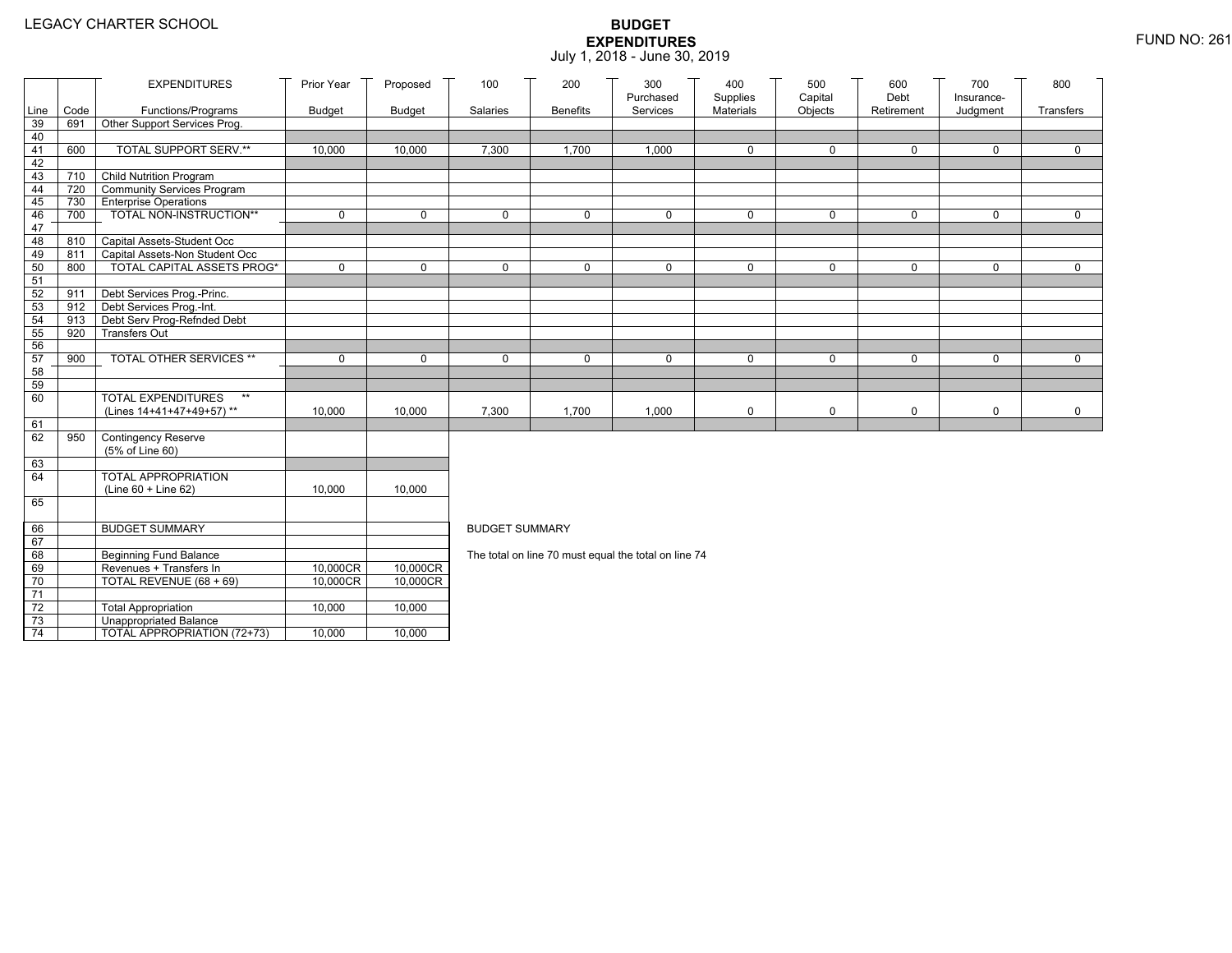|                 |      | <b>EXPENDITURES</b>                                                 | Prior Year    | Proposed      | 100                   | 200             | 300<br>Purchased                                     | 400<br>Supplies | 500<br>Capital | 600<br>Debt | 700<br>Insurance- | 800         |
|-----------------|------|---------------------------------------------------------------------|---------------|---------------|-----------------------|-----------------|------------------------------------------------------|-----------------|----------------|-------------|-------------------|-------------|
| Line            | Code | Functions/Programs                                                  | <b>Budget</b> | <b>Budget</b> | Salaries              | <b>Benefits</b> | Services                                             | Materials       | Objects        | Retirement  | Judgment          | Transfers   |
| 39              | 691  | Other Support Services Prog.                                        |               |               |                       |                 |                                                      |                 |                |             |                   |             |
| 40              |      |                                                                     |               |               |                       |                 |                                                      |                 |                |             |                   |             |
| 41<br>42        | 600  | TOTAL SUPPORT SERV.**                                               | 10,000        | 10,000        | 7,300                 | 1,700           | 1,000                                                | $\mathbf 0$     | 0              | 0           | 0                 | 0           |
| 43              | 710  | <b>Child Nutrition Program</b>                                      |               |               |                       |                 |                                                      |                 |                |             |                   |             |
| 44              | 720  | Community Services Program                                          |               |               |                       |                 |                                                      |                 |                |             |                   |             |
| 45              | 730  | <b>Enterprise Operations</b>                                        |               |               |                       |                 |                                                      |                 |                |             |                   |             |
| 46              | 700  | TOTAL NON-INSTRUCTION**                                             | $\mathbf 0$   | $\mathbf 0$   | $\mathbf{0}$          | 0               | $\mathbf 0$                                          | 0               | 0              | $\mathbf 0$ | 0                 | $\Omega$    |
| 47              |      |                                                                     |               |               |                       |                 |                                                      |                 |                |             |                   |             |
| 48              | 810  | Capital Assets-Student Occ                                          |               |               |                       |                 |                                                      |                 |                |             |                   |             |
| 49              | 811  | Capital Assets-Non Student Occ<br><b>TOTAL CAPITAL ASSETS PROG*</b> | $\mathbf 0$   | $\mathbf 0$   | $\Omega$              |                 | $\mathbf 0$                                          | $\mathbf 0$     | 0              | $\mathbf 0$ | 0                 | $\mathbf 0$ |
| 50<br>51        | 800  |                                                                     |               |               |                       | 0               |                                                      |                 |                |             |                   |             |
| 52              | 911  | Debt Services Prog.-Princ.                                          |               |               |                       |                 |                                                      |                 |                |             |                   |             |
| 53              | 912  | Debt Services Prog.-Int.                                            |               |               |                       |                 |                                                      |                 |                |             |                   |             |
| 54              | 913  | Debt Serv Prog-Refnded Debt                                         |               |               |                       |                 |                                                      |                 |                |             |                   |             |
| 55              | 920  | <b>Transfers Out</b>                                                |               |               |                       |                 |                                                      |                 |                |             |                   |             |
| 56              |      |                                                                     |               |               |                       |                 |                                                      |                 |                |             |                   |             |
| 57              | 900  | TOTAL OTHER SERVICES **                                             | $\mathbf 0$   | $\mathbf 0$   | $\mathbf 0$           | 0               | $\mathbf 0$                                          | 0               | 0              | $\mathbf 0$ | 0                 | $\mathbf 0$ |
| 58              |      |                                                                     |               |               |                       |                 |                                                      |                 |                |             |                   |             |
| 59<br>60        |      | <b>TOTAL EXPENDITURES</b><br>$\star\star$                           |               |               |                       |                 |                                                      |                 |                |             |                   |             |
|                 |      | (Lines 14+41+47+49+57)**                                            | 10,000        | 10,000        | 7,300                 | 1,700           | 1,000                                                | $\pmb{0}$       | 0              | $\mathbf 0$ | 0                 | $\mathbf 0$ |
| 61              |      |                                                                     |               |               |                       |                 |                                                      |                 |                |             |                   |             |
| 62              | 950  | <b>Contingency Reserve</b>                                          |               |               |                       |                 |                                                      |                 |                |             |                   |             |
|                 |      | (5% of Line 60)                                                     |               |               |                       |                 |                                                      |                 |                |             |                   |             |
| 63              |      |                                                                     |               |               |                       |                 |                                                      |                 |                |             |                   |             |
| 64              |      | <b>TOTAL APPROPRIATION</b>                                          |               |               |                       |                 |                                                      |                 |                |             |                   |             |
| 65              |      | $(Line 60 + Line 62)$                                               | 10,000        | 10,000        |                       |                 |                                                      |                 |                |             |                   |             |
|                 |      |                                                                     |               |               |                       |                 |                                                      |                 |                |             |                   |             |
| 66              |      | <b>BUDGET SUMMARY</b>                                               |               |               | <b>BUDGET SUMMARY</b> |                 |                                                      |                 |                |             |                   |             |
| 67              |      |                                                                     |               |               |                       |                 |                                                      |                 |                |             |                   |             |
| 68              |      | Beginning Fund Balance                                              |               |               |                       |                 | The total on line 70 must equal the total on line 74 |                 |                |             |                   |             |
| 69              |      | Revenues + Transfers In                                             | 10,000CR      | 10,000CR      |                       |                 |                                                      |                 |                |             |                   |             |
| 70              |      | TOTAL REVENUE (68 + 69)                                             | 10,000CR      | 10,000CR      |                       |                 |                                                      |                 |                |             |                   |             |
| $\overline{71}$ |      |                                                                     |               |               |                       |                 |                                                      |                 |                |             |                   |             |
| $72\,$<br>73    |      | <b>Total Appropriation</b><br><b>Unappropriated Balance</b>         | 10,000        | 10,000        |                       |                 |                                                      |                 |                |             |                   |             |
| $\overline{74}$ |      | TOTAL APPROPRIATION (72+73)                                         | 10,000        | 10,000        |                       |                 |                                                      |                 |                |             |                   |             |
|                 |      |                                                                     |               |               |                       |                 |                                                      |                 |                |             |                   |             |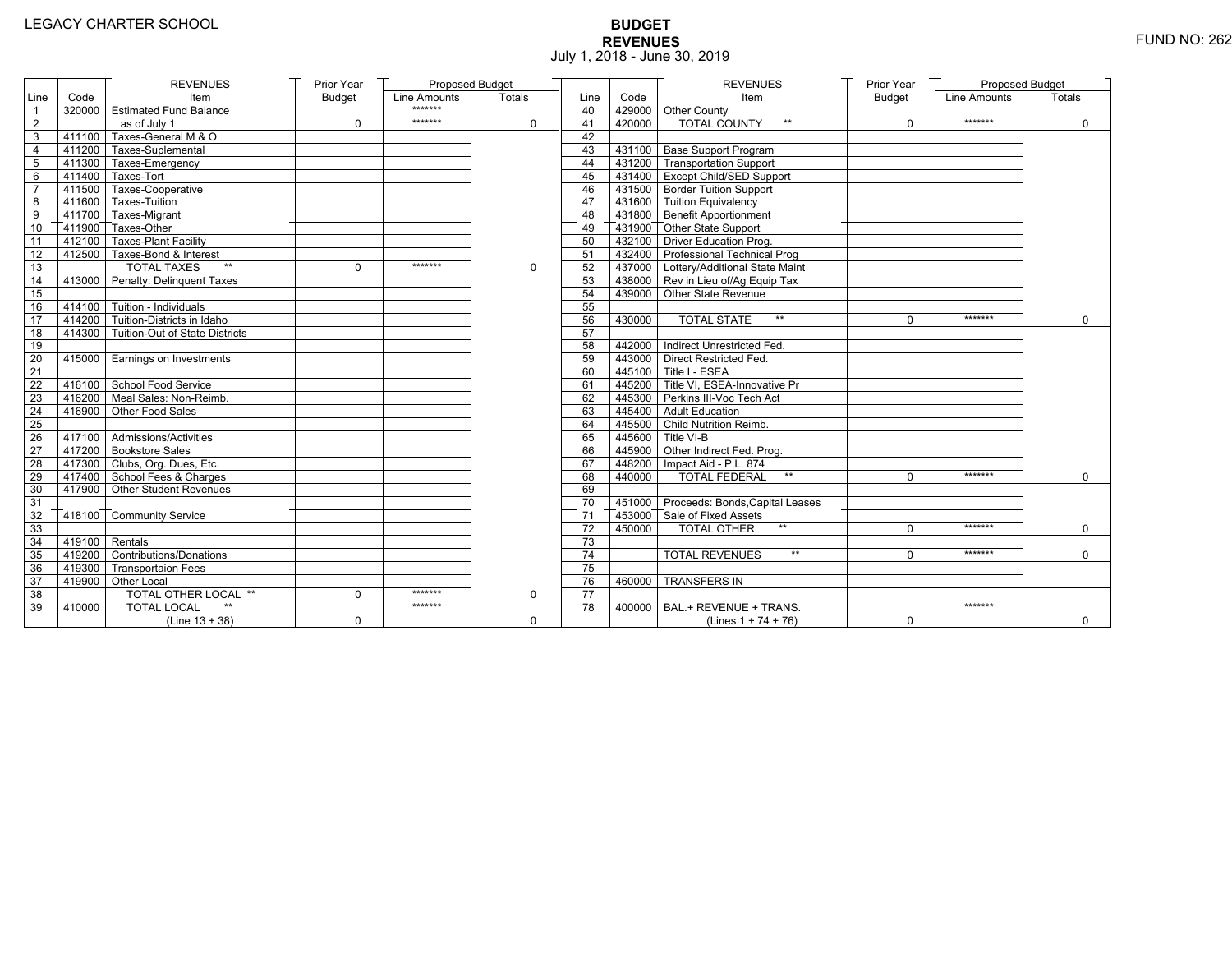# **BUDGET REVENUES** FUND NO: 262 July 1, 2018 - June 30, 2019

|                 |                   | <b>REVENUES</b>                       | Prior Year    | Proposed Budget |          |                 |        | <b>REVENUES</b>                         | Prior Year    | Proposed Budget |             |
|-----------------|-------------------|---------------------------------------|---------------|-----------------|----------|-----------------|--------|-----------------------------------------|---------------|-----------------|-------------|
| Line            | Code              | Item                                  | <b>Budget</b> | Line Amounts    | Totals   | Line            | Code   | Item                                    | <b>Budget</b> | Line Amounts    | Totals      |
|                 |                   | 320000 Estimated Fund Balance         |               | *******         |          | 40              |        | 429000 Other County                     |               |                 |             |
| $\sqrt{2}$      |                   | as of July 1                          | $\mathbf 0$   | *******         | 0        | 41              | 420000 | <b>TOTAL COUNTY</b><br>$\star\star$     | $\mathbf 0$   | *******         | $\mathbf 0$ |
| 3               |                   | 411100 Taxes-General M & O            |               |                 |          | 42              |        |                                         |               |                 |             |
| 4               |                   | 411200 Taxes-Suplemental              |               |                 |          | 43              |        | 431100 Base Support Program             |               |                 |             |
| 5               |                   | 411300 Taxes-Emergency                |               |                 |          | 44              |        | 431200 Transportation Support           |               |                 |             |
| 6               |                   | 411400 Taxes-Tort                     |               |                 |          | 45              |        | 431400 Except Child/SED Support         |               |                 |             |
| $\overline{7}$  |                   | 411500 Taxes-Cooperative              |               |                 |          | 46              |        | 431500 Border Tuition Support           |               |                 |             |
| 8               |                   | 411600 Taxes-Tuition                  |               |                 |          | 47              |        | 431600 Tuition Equivalency              |               |                 |             |
| 9               |                   | 411700 Taxes-Migrant                  |               |                 |          | 48              |        | 431800 Benefit Apportionment            |               |                 |             |
| 10              |                   | 411900 Taxes-Other                    |               |                 |          | 49              |        | 431900 Other State Support              |               |                 |             |
| 11              |                   | 412100 Taxes-Plant Facility           |               |                 |          | 50              |        | 432100 Driver Education Prog.           |               |                 |             |
| 12              |                   | 412500 Taxes-Bond & Interest          |               |                 |          | 51              |        | 432400 Professional Technical Prog      |               |                 |             |
| $\overline{13}$ |                   | <b>TOTAL TAXES</b><br>$\star\star$    | $\Omega$      | *******         | $\Omega$ | 52              |        | 437000 Lottery/Additional State Maint   |               |                 |             |
| 14              |                   | 413000 Penalty: Delinquent Taxes      |               |                 |          | 53              |        | 438000 Rev in Lieu of/Ag Equip Tax      |               |                 |             |
| 15              |                   |                                       |               |                 |          | 54              |        | 439000 Other State Revenue              |               |                 |             |
| 16              |                   | $-414100$ Tuition - Individuals       |               |                 |          | 55              |        |                                         |               |                 |             |
| 17              |                   | 414200 Tuition-Districts in Idaho     |               |                 |          | 56              | 430000 | $\star\star$<br><b>TOTAL STATE</b>      | $\Omega$      | *******         | $\Omega$    |
| 18              |                   | 414300 Tuition-Out of State Districts |               |                 |          | 57              |        |                                         |               |                 |             |
| 19              |                   |                                       |               |                 |          | 58              |        | 442000 Indirect Unrestricted Fed.       |               |                 |             |
| 20              |                   | 415000   Earnings on Investments      |               |                 |          | 59              |        | 443000 Direct Restricted Fed.           |               |                 |             |
| 21              |                   |                                       |               |                 |          | 60              |        | 445100 Title I - ESEA                   |               |                 |             |
| 22              |                   | 416100 School Food Service            |               |                 |          | 61              |        | 445200 Title VI. ESEA-Innovative Pr     |               |                 |             |
| 23              |                   | 416200 Meal Sales: Non-Reimb.         |               |                 |          | 62              |        | 445300 Perkins III-Voc Tech Act         |               |                 |             |
| 24              |                   | 416900 Other Food Sales               |               |                 |          | 63              |        | 445400 Adult Education                  |               |                 |             |
| 25              |                   |                                       |               |                 |          | 64              |        | 445500 Child Nutrition Reimb.           |               |                 |             |
| 26              |                   | $417100$ Admissions/Activities        |               |                 |          | 65              |        | 445600 Title VI-B                       |               |                 |             |
| 27              |                   | 417200 Bookstore Sales                |               |                 |          | 66              |        | 445900 Other Indirect Fed. Prog.        |               |                 |             |
| 28              |                   | 417300 Clubs, Org. Dues, Etc.         |               |                 |          | 67              |        | 448200   Impact Aid - P.L. 874          |               |                 |             |
| 29              |                   | 417400 School Fees & Charges          |               |                 |          | 68              | 440000 | <b>TOTAL FEDERAL</b><br>$^{\star\star}$ | $\Omega$      | *******         | $\Omega$    |
| 30              |                   | 417900 Other Student Revenues         |               |                 |          | 69              |        |                                         |               |                 |             |
| 31              |                   |                                       |               |                 |          | 70              |        | 451000 Proceeds: Bonds, Capital Leases  |               |                 |             |
| 32              |                   | 418100 Community Service              |               |                 |          | 71              |        | 453000 Sale of Fixed Assets             |               |                 |             |
| 33              |                   |                                       |               |                 |          | 72              | 450000 | <b>TOTAL OTHER</b><br>$\star\star$      | $\Omega$      | *******         | $\mathbf 0$ |
| 34              | $-419100$ Rentals |                                       |               |                 |          | 73              |        |                                         |               |                 |             |
| 35              |                   | 419200 Contributions/Donations        |               |                 |          | 74              |        | <b>TOTAL REVENUES</b><br>$**$           | $\Omega$      | *******         | $\Omega$    |
| 36              |                   | 419300 Transportaion Fees             |               |                 |          | 75              |        |                                         |               |                 |             |
| 37              |                   | 419900 Other Local                    |               |                 |          | 76              | 460000 | <b>TRANSFERS IN</b>                     |               |                 |             |
| 38              |                   | TOTAL OTHER LOCAL **                  | $\mathbf 0$   | *******         | $\Omega$ | $\overline{77}$ |        |                                         |               |                 |             |
| 39              | 410000            | <b>TOTAL LOCAL</b>                    |               | *******         |          | 78              | 400000 | BAL.+ REVENUE + TRANS.                  |               | *******         |             |
|                 |                   | (Line $13 + 38$ )                     | $\mathbf 0$   |                 | 0        |                 |        | (Lines $1 + 74 + 76$ )                  | 0             |                 | $\mathbf 0$ |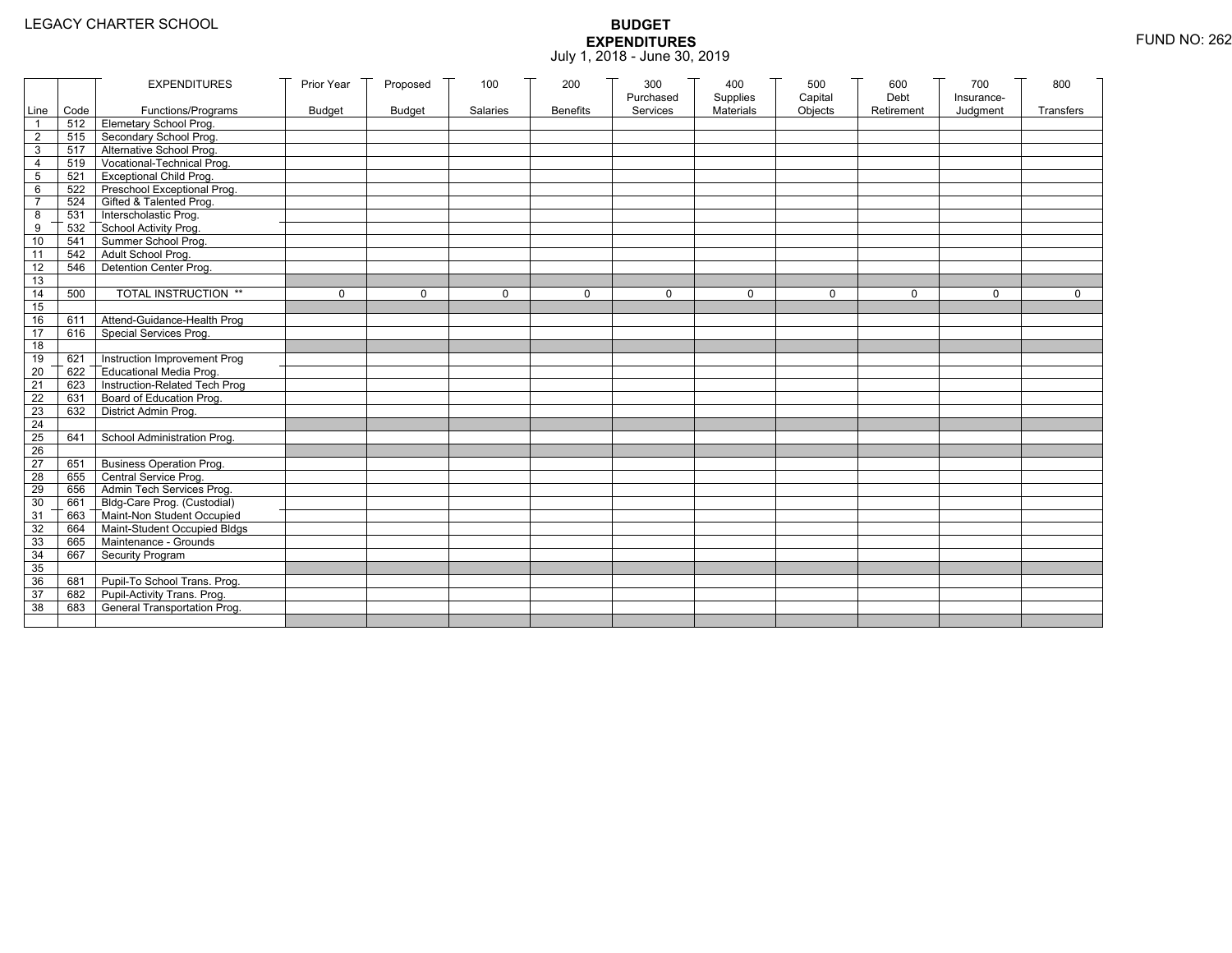|                       |            | <b>EXPENDITURES</b>                                                | Prior Year    | Proposed      | 100          | 200             | 300                   | 400                          | 500                | 600                | 700          | 800              |
|-----------------------|------------|--------------------------------------------------------------------|---------------|---------------|--------------|-----------------|-----------------------|------------------------------|--------------------|--------------------|--------------|------------------|
|                       |            |                                                                    |               |               | Salaries     | <b>Benefits</b> | Purchased<br>Services | Supplies<br><b>Materials</b> | Capital<br>Objects | Debt<br>Retirement | Insurance-   | <b>Transfers</b> |
| $\mathbf{1}$          | Line Code  | Functions/Programs<br>512 Elemetary School Prog.                   | <b>Budget</b> | <b>Budget</b> |              |                 |                       |                              |                    |                    | Judgment     |                  |
| $\overline{2}$        | 515        | Secondary School Prog.                                             |               |               |              |                 |                       |                              |                    |                    |              |                  |
| 3                     |            | 517 Alternative School Prog.                                       |               |               |              |                 |                       |                              |                    |                    |              |                  |
| $\overline{4}$        | 519        | Vocational-Technical Prog.                                         |               |               |              |                 |                       |                              |                    |                    |              |                  |
| 5                     | 521        | <b>Exceptional Child Prog.</b>                                     |               |               |              |                 |                       |                              |                    |                    |              |                  |
| 6                     |            | 522 Preschool Exceptional Prog.                                    |               |               |              |                 |                       |                              |                    |                    |              |                  |
| $\overline{7}$        |            | 524 Gifted & Talented Prog.                                        |               |               |              |                 |                       |                              |                    |                    |              |                  |
| 8                     |            | 531 Interscholastic Prog.                                          |               |               |              |                 |                       |                              |                    |                    |              |                  |
|                       | 532        |                                                                    |               |               |              |                 |                       |                              |                    |                    |              |                  |
| 9<br>10               | 541        | School Activity Prog.<br>Summer School Prog.                       |               |               |              |                 |                       |                              |                    |                    |              |                  |
|                       |            |                                                                    |               |               |              |                 |                       |                              |                    |                    |              |                  |
| 11<br>$\overline{12}$ | 546        | 542 Adult School Prog.<br>Detention Center Prog.                   |               |               |              |                 |                       |                              |                    |                    |              |                  |
|                       |            |                                                                    |               |               |              |                 |                       |                              |                    |                    |              |                  |
| 13<br>14              | 500        | TOTAL INSTRUCTION **                                               | $\mathbf{0}$  | $\Omega$      | $\mathbf{0}$ | $\Omega$        | $\mathbf{0}$          | $\Omega$                     | $\mathbf 0$        | $\Omega$           | $\mathbf{0}$ | $\mathbf{0}$     |
| 15                    |            |                                                                    |               |               |              |                 |                       |                              |                    |                    |              |                  |
| 16                    |            |                                                                    |               |               |              |                 |                       |                              |                    |                    |              |                  |
| 17                    | 611<br>616 | Attend-Guidance-Health Prog                                        |               |               |              |                 |                       |                              |                    |                    |              |                  |
|                       |            | Special Services Prog.                                             |               |               |              |                 |                       |                              |                    |                    |              |                  |
| 18<br>19              | 621        | Instruction Improvement Prog                                       |               |               |              |                 |                       |                              |                    |                    |              |                  |
|                       | 622        | Educational Media Prog.                                            |               |               |              |                 |                       |                              |                    |                    |              |                  |
| $\overline{20}$<br>21 | 623        | Instruction-Related Tech Prog                                      |               |               |              |                 |                       |                              |                    |                    |              |                  |
| 22                    | 631        | Board of Education Prog.                                           |               |               |              |                 |                       |                              |                    |                    |              |                  |
|                       | 632        |                                                                    |               |               |              |                 |                       |                              |                    |                    |              |                  |
| 23<br>24              |            | District Admin Prog.                                               |               |               |              |                 |                       |                              |                    |                    |              |                  |
| 25                    | 641        | School Administration Prog.                                        |               |               |              |                 |                       |                              |                    |                    |              |                  |
| 26                    |            |                                                                    |               |               |              |                 |                       |                              |                    |                    |              |                  |
| 27                    | 651        | <b>Business Operation Prog.</b>                                    |               |               |              |                 |                       |                              |                    |                    |              |                  |
|                       | 655        | Central Service Prog.                                              |               |               |              |                 |                       |                              |                    |                    |              |                  |
| 28<br>29              | 656        | Admin Tech Services Prog.                                          |               |               |              |                 |                       |                              |                    |                    |              |                  |
| 30                    |            | 661 Bldg-Care Prog. (Custodial)                                    |               |               |              |                 |                       |                              |                    |                    |              |                  |
| 31                    |            |                                                                    |               |               |              |                 |                       |                              |                    |                    |              |                  |
|                       |            | 663 Maint-Non Student Occupied<br>664 Maint-Student Occupied Bldgs |               |               |              |                 |                       |                              |                    |                    |              |                  |
| 32                    |            |                                                                    |               |               |              |                 |                       |                              |                    |                    |              |                  |
| 33                    |            | 665 Maintenance - Grounds                                          |               |               |              |                 |                       |                              |                    |                    |              |                  |
| 34                    | 667        | Security Program                                                   |               |               |              |                 |                       |                              |                    |                    |              |                  |
| 35                    |            |                                                                    |               |               |              |                 |                       |                              |                    |                    |              |                  |
| 36                    | 681        | Pupil-To School Trans. Prog.                                       |               |               |              |                 |                       |                              |                    |                    |              |                  |
| 37                    | 682        | Pupil-Activity Trans. Prog.                                        |               |               |              |                 |                       |                              |                    |                    |              |                  |
| 38                    | 683        | General Transportation Prog.                                       |               |               |              |                 |                       |                              |                    |                    |              |                  |
|                       |            |                                                                    |               |               |              |                 |                       |                              |                    |                    |              |                  |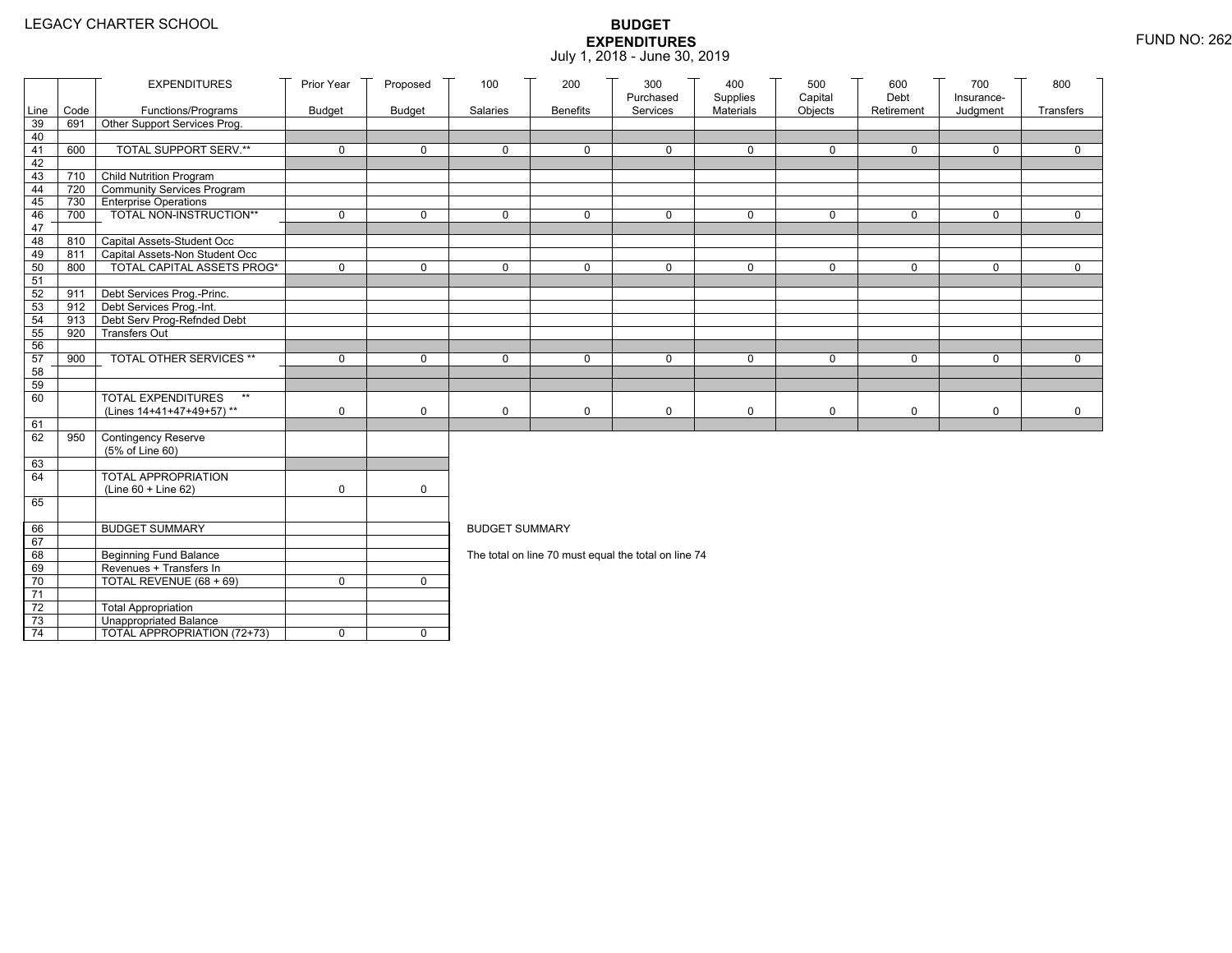|                 |      | <b>EXPENDITURES</b>                                      | Prior Year    | Proposed      | 100                   | 200             | 300<br>Purchased                                     | 400                   | 500<br>Capital | 600<br>Debt | 700                    | 800          |
|-----------------|------|----------------------------------------------------------|---------------|---------------|-----------------------|-----------------|------------------------------------------------------|-----------------------|----------------|-------------|------------------------|--------------|
| Line            | Code | Functions/Programs                                       | <b>Budget</b> | <b>Budget</b> | Salaries              | <b>Benefits</b> | Services                                             | Supplies<br>Materials | Objects        | Retirement  | Insurance-<br>Judgment | Transfers    |
| 39              | 691  | Other Support Services Prog.                             |               |               |                       |                 |                                                      |                       |                |             |                        |              |
| 40              |      |                                                          |               |               |                       |                 |                                                      |                       |                |             |                        |              |
| 41              | 600  | <b>TOTAL SUPPORT SERV.**</b>                             | $\mathbf 0$   | $\mathbf 0$   | $\mathbf 0$           | $\mathbf 0$     | $\mathbf 0$                                          | $\mathbf 0$           | $\mathbf 0$    | $\mathbf 0$ | $\mathbf 0$            | $\mathbf 0$  |
| 42              |      |                                                          |               |               |                       |                 |                                                      |                       |                |             |                        |              |
| 43              |      | 710 Child Nutrition Program                              |               |               |                       |                 |                                                      |                       |                |             |                        |              |
| 44              | 720  | Community Services Program                               |               |               |                       |                 |                                                      |                       |                |             |                        |              |
| 45              | 730  | <b>Enterprise Operations</b>                             | $\mathbf 0$   | $\mathsf{O}$  | $\Omega$              | $\mathbf 0$     | $\Omega$                                             | $\mathbf 0$           | $\mathbf 0$    | $\mathbf 0$ | $\mathbf 0$            | $\mathbf 0$  |
| 46<br>47        | 700  | TOTAL NON-INSTRUCTION**                                  |               |               |                       |                 |                                                      |                       |                |             |                        |              |
| 48              | 810  | Capital Assets-Student Occ                               |               |               |                       |                 |                                                      |                       |                |             |                        |              |
| 49              | 811  | Capital Assets-Non Student Occ                           |               |               |                       |                 |                                                      |                       |                |             |                        |              |
| 50              | 800  | <b>TOTAL CAPITAL ASSETS PROG*</b>                        | $\mathbf 0$   | $\mathbf 0$   | 0                     | $\mathbf 0$     | 0                                                    | $\mathbf 0$           | $\mathbf 0$    | $\mathbf 0$ | $\mathbf 0$            | $\mathbf 0$  |
| 51              |      |                                                          |               |               |                       |                 |                                                      |                       |                |             |                        |              |
| 52              | 911  | Debt Services Prog.-Princ.                               |               |               |                       |                 |                                                      |                       |                |             |                        |              |
| 53              |      | 912 Debt Services Prog.-Int.                             |               |               |                       |                 |                                                      |                       |                |             |                        |              |
| 54              | 913  | Debt Serv Prog-Refnded Debt                              |               |               |                       |                 |                                                      |                       |                |             |                        |              |
| 55              | 920  | <b>Transfers Out</b>                                     |               |               |                       |                 |                                                      |                       |                |             |                        |              |
| 56              |      |                                                          |               |               |                       |                 |                                                      |                       |                |             |                        |              |
| 57              | 900  | TOTAL OTHER SERVICES **                                  | $\mathbf 0$   | $\mathbf 0$   | 0                     | $\mathbf 0$     | $\mathbf 0$                                          | $\mathbf 0$           | 0              | $\mathbf 0$ | $\mathbf 0$            | $\mathsf{O}$ |
| 58              |      |                                                          |               |               |                       |                 |                                                      |                       |                |             |                        |              |
| 59<br>60        |      | <b>TOTAL EXPENDITURES</b><br>$\star\star$                |               |               |                       |                 |                                                      |                       |                |             |                        |              |
|                 |      | (Lines 14+41+47+49+57)**                                 | 0             | $\mathbf 0$   | 0                     | 0               | $\mathbf 0$                                          | $\mathbf 0$           | 0              | $\mathbf 0$ | 0                      | $\mathbf 0$  |
| 61              |      |                                                          |               |               |                       |                 |                                                      |                       |                |             |                        |              |
| 62              | 950  | Contingency Reserve                                      |               |               |                       |                 |                                                      |                       |                |             |                        |              |
|                 |      | (5% of Line 60)                                          |               |               |                       |                 |                                                      |                       |                |             |                        |              |
| 63              |      |                                                          |               |               |                       |                 |                                                      |                       |                |             |                        |              |
| 64              |      | TOTAL APPROPRIATION                                      |               |               |                       |                 |                                                      |                       |                |             |                        |              |
|                 |      | (Line 60 + Line 62)                                      | 0             | $\mathsf{O}$  |                       |                 |                                                      |                       |                |             |                        |              |
| 65              |      |                                                          |               |               |                       |                 |                                                      |                       |                |             |                        |              |
|                 |      |                                                          |               |               |                       |                 |                                                      |                       |                |             |                        |              |
| 66              |      | <b>BUDGET SUMMARY</b>                                    |               |               | <b>BUDGET SUMMARY</b> |                 |                                                      |                       |                |             |                        |              |
| 67              |      |                                                          |               |               |                       |                 |                                                      |                       |                |             |                        |              |
| 68<br>69        |      | <b>Beginning Fund Balance</b><br>Revenues + Transfers In |               |               |                       |                 | The total on line 70 must equal the total on line 74 |                       |                |             |                        |              |
| 70              |      | TOTAL REVENUE (68 + 69)                                  | 0             | $\mathbf{0}$  |                       |                 |                                                      |                       |                |             |                        |              |
| 71              |      |                                                          |               |               |                       |                 |                                                      |                       |                |             |                        |              |
| 72              |      | <b>Total Appropriation</b>                               |               |               |                       |                 |                                                      |                       |                |             |                        |              |
| 73              |      | Unappropriated Balance                                   |               |               |                       |                 |                                                      |                       |                |             |                        |              |
| $\overline{74}$ |      | TOTAL APPROPRIATION (72+73)                              | 0             | $\mathbf 0$   |                       |                 |                                                      |                       |                |             |                        |              |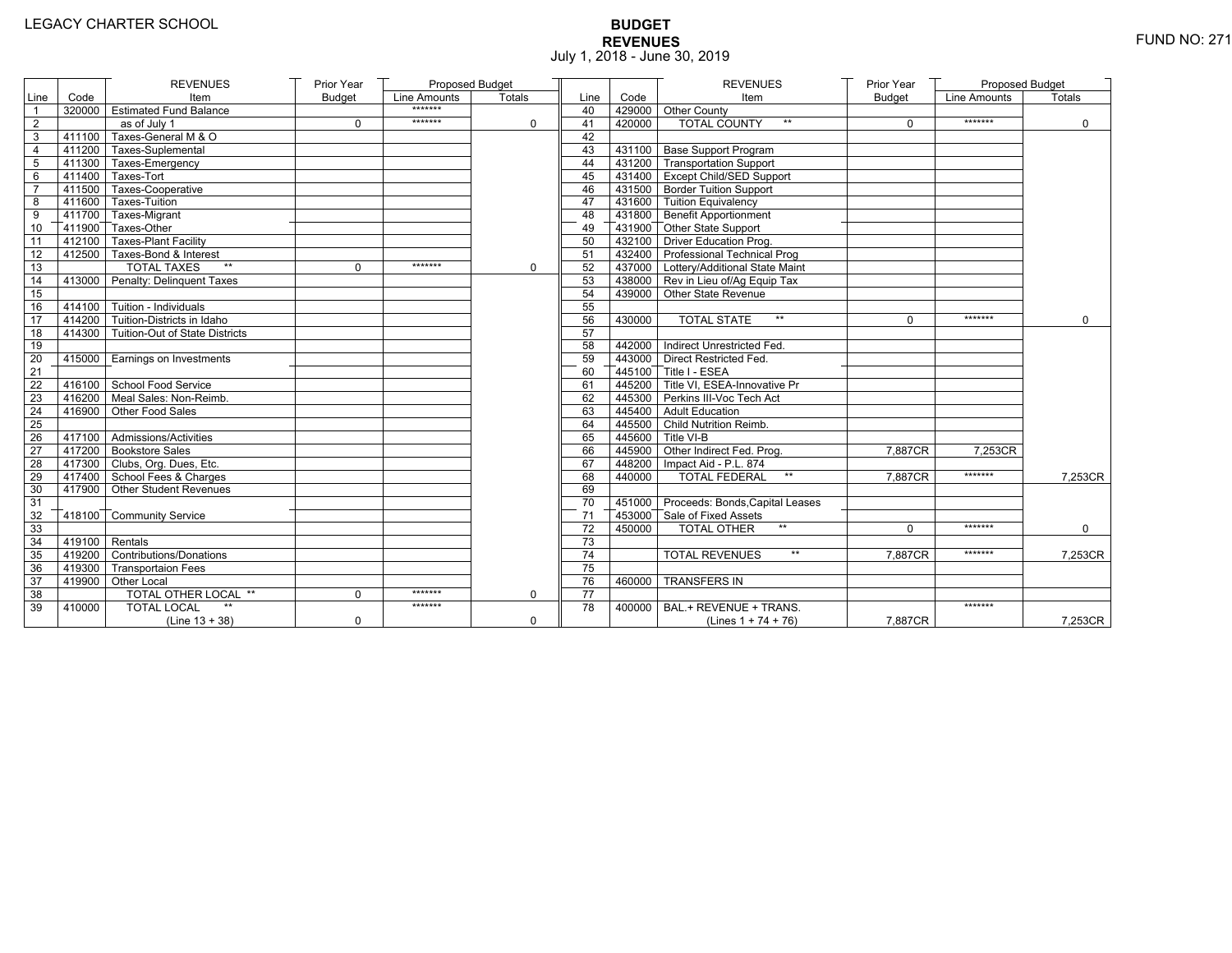# **BUDGET REVENUES** FUND NO: 271 July 1, 2018 - June 30, 2019

|                 |                  | <b>REVENUES</b>                       | Prior Year    | Proposed Budget |             |                 |        | <b>REVENUES</b>                         | Prior Year    | <b>Proposed Budget</b> |               |
|-----------------|------------------|---------------------------------------|---------------|-----------------|-------------|-----------------|--------|-----------------------------------------|---------------|------------------------|---------------|
| Line            | Code             | Item                                  | <b>Budget</b> | Line Amounts    | Totals      | Line            | Code   | Item                                    | <b>Budget</b> | Line Amounts           | <b>Totals</b> |
|                 |                  | 320000 Estimated Fund Balance         |               | *******         |             | 40              |        | 429000 Other County                     |               |                        |               |
| $\overline{2}$  |                  | as of July 1                          | $\mathbf 0$   | *******         | 0           | 41              | 420000 | <b>TOTAL COUNTY</b><br>$\star\star$     | $\mathbf 0$   | *******                | $\mathbf 0$   |
| 3               |                  | 411100 Taxes-General M & O            |               |                 |             | 42              |        |                                         |               |                        |               |
| $\overline{4}$  |                  | 411200 Taxes-Suplemental              |               |                 |             | 43              |        | 431100 Base Support Program             |               |                        |               |
| 5               |                  | 411300 Taxes-Emergency                |               |                 |             | 44              |        | 431200 Transportation Support           |               |                        |               |
| 6               |                  | $-411400$ Taxes-Tort                  |               |                 |             | 45              |        | 431400 Except Child/SED Support         |               |                        |               |
| $\overline{7}$  |                  | 411500 Taxes-Cooperative              |               |                 |             | 46              |        | 431500 Border Tuition Support           |               |                        |               |
| 8               |                  | 411600 Taxes-Tuition                  |               |                 |             | 47              |        | 431600 Tuition Equivalency              |               |                        |               |
| 9               |                  | 411700 Taxes-Migrant                  |               |                 |             | 48              |        | 431800 Benefit Apportionment            |               |                        |               |
| 10              |                  | 411900 Taxes-Other                    |               |                 |             | 49              |        | 431900 Other State Support              |               |                        |               |
| 11              |                  | 412100 Taxes-Plant Facility           |               |                 |             | 50              |        | 432100 Driver Education Prog.           |               |                        |               |
| 12              |                  | 412500 Taxes-Bond & Interest          |               |                 |             | 51              |        | 432400 Professional Technical Prog      |               |                        |               |
| 13              |                  | <b>TOTAL TAXES</b>                    | $\Omega$      | *******         | $\mathbf 0$ | 52              |        | 437000 Lottery/Additional State Maint   |               |                        |               |
| 14              |                  | 413000 Penalty: Delinguent Taxes      |               |                 |             | 53              |        | 438000 Rev in Lieu of/Ag Equip Tax      |               |                        |               |
| 15              |                  |                                       |               |                 |             | 54              |        | 439000 Other State Revenue              |               |                        |               |
| 16              |                  | $-414100$ Tuition - Individuals       |               |                 |             | 55              |        |                                         |               |                        |               |
| 17              |                  | $414200$ Tuition-Districts in Idaho   |               |                 |             | 56              | 430000 | <b>TOTAL STATE</b><br>$**$              | $\Omega$      | *******                | $\Omega$      |
| $\overline{18}$ |                  | 414300 Tuition-Out of State Districts |               |                 |             | 57              |        |                                         |               |                        |               |
| 19              |                  |                                       |               |                 |             | 58              |        | 442000 Indirect Unrestricted Fed.       |               |                        |               |
| 20              |                  | 415000   Earnings on Investments      |               |                 |             | 59              |        | 443000 Direct Restricted Fed.           |               |                        |               |
| 21              |                  |                                       |               |                 |             | 60              |        | 445100 Title I - ESEA                   |               |                        |               |
| 22              |                  | 416100 School Food Service            |               |                 |             | 61              |        | 445200 Title VI, ESEA-Innovative Pr     |               |                        |               |
| 23              |                  | 416200 Meal Sales: Non-Reimb.         |               |                 |             | 62              |        | 445300 Perkins III-Voc Tech Act         |               |                        |               |
| 24              |                  | 416900 Other Food Sales               |               |                 |             | 63              |        | 445400 Adult Education                  |               |                        |               |
| 25              |                  |                                       |               |                 |             | 64              |        | 445500 Child Nutrition Reimb.           |               |                        |               |
| 26              |                  | 417100 Admissions/Activities          |               |                 |             | 65              |        | 445600 Title VI-B                       |               |                        |               |
| 27              |                  | 417200 Bookstore Sales                |               |                 |             | 66              |        | 445900 Other Indirect Fed. Prog.        | 7.887CR       | 7.253CR                |               |
| 28              |                  | 417300 Clubs, Org. Dues, Etc.         |               |                 |             | 67              |        | 448200 Impact Aid - P.L. 874            |               |                        |               |
| 29              |                  | 417400 School Fees & Charges          |               |                 |             | 68              | 440000 | <b>TOTAL FEDERAL</b><br>$^{\star\star}$ | 7,887CR       | *******                | 7,253CR       |
| 30              |                  | 417900 Other Student Revenues         |               |                 |             | 69              |        |                                         |               |                        |               |
| 31              |                  |                                       |               |                 |             | 70              |        | 451000 Proceeds: Bonds, Capital Leases  |               |                        |               |
| 32              |                  | 418100 Community Service              |               |                 |             | 71              |        | 453000 Sale of Fixed Assets             |               |                        |               |
| 33              |                  |                                       |               |                 |             | $\overline{72}$ | 450000 | $**$<br>TOTAL OTHER                     | $\Omega$      | *******                | $\Omega$      |
| 34              | $419100$ Rentals |                                       |               |                 |             | 73              |        |                                         |               |                        |               |
| 35              |                  | 419200 Contributions/Donations        |               |                 |             | 74              |        | $\star\star$<br><b>TOTAL REVENUES</b>   | 7.887CR       | *******                | 7,253CR       |
| 36              |                  | 419300 Transportaion Fees             |               |                 |             | 75              |        |                                         |               |                        |               |
| 37              |                  | 419900 Other Local                    |               |                 |             | 76              | 460000 | <b>TRANSFERS IN</b>                     |               |                        |               |
| 38              |                  | <b>TOTAL OTHER LOCAL **</b>           | $\mathbf 0$   | *******         | $\mathbf 0$ | 77              |        |                                         |               |                        |               |
| 39              | 410000           | <b>TOTAL LOCAL</b>                    |               | *******         |             | 78              | 400000 | BAL.+ REVENUE + TRANS.                  |               | *******                |               |
|                 |                  | $(Line 13 + 38)$                      | $\mathbf 0$   |                 | 0           |                 |        | (Lines $1 + 74 + 76$ )                  | 7,887CR       |                        | 7,253CR       |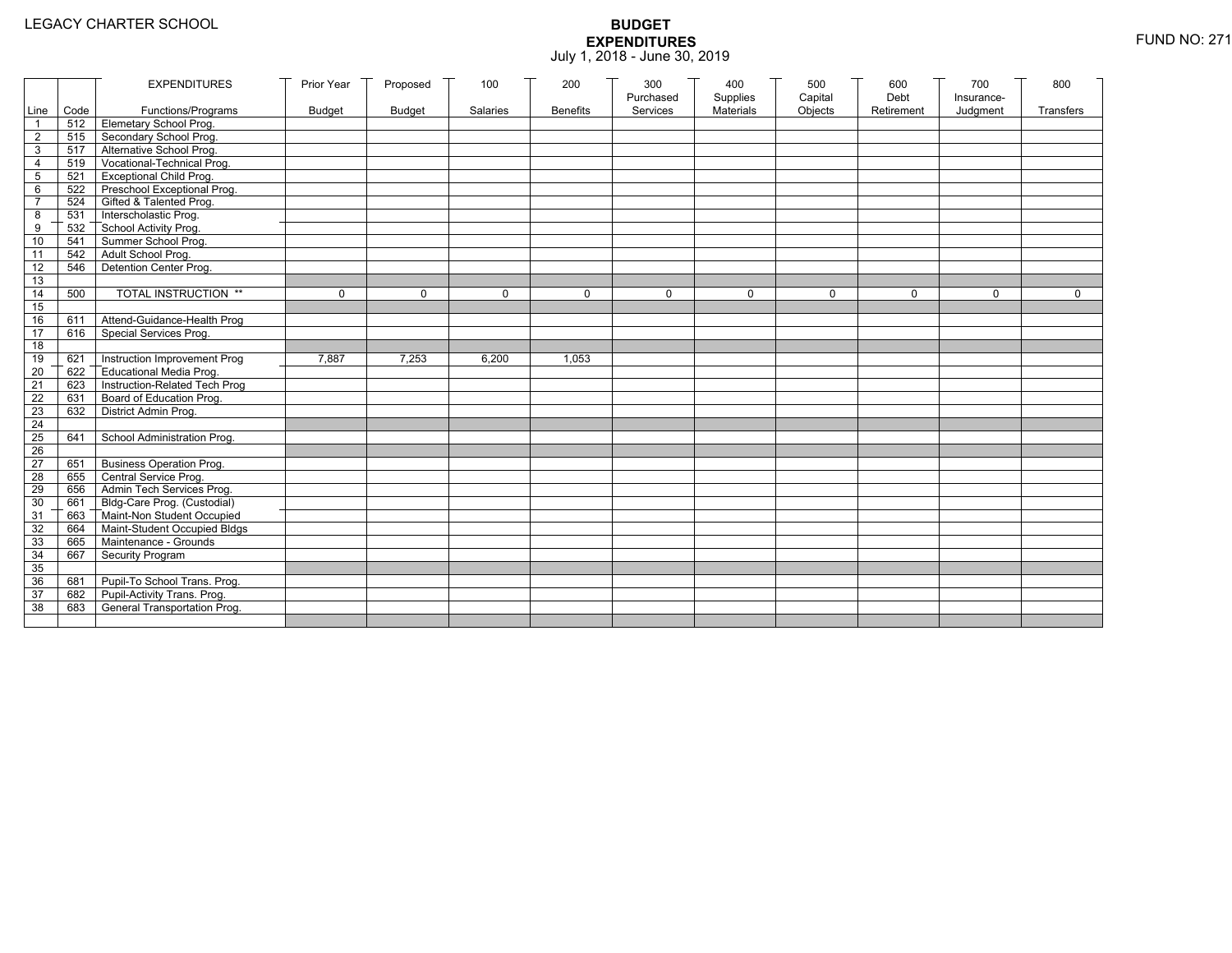|                 |           | <b>EXPENDITURES</b>             | Prior Year    | Proposed      | 100      | 200             | 300                   | 400                   | 500                | 600                | 700                    | 800         |
|-----------------|-----------|---------------------------------|---------------|---------------|----------|-----------------|-----------------------|-----------------------|--------------------|--------------------|------------------------|-------------|
|                 | Line Code | Functions/Programs              | <b>Budget</b> | <b>Budget</b> | Salaries | <b>Benefits</b> | Purchased<br>Services | Supplies<br>Materials | Capital<br>Objects | Debt<br>Retirement | Insurance-<br>Judgment | Transfers   |
| 1               |           | 512 Elemetary School Prog.      |               |               |          |                 |                       |                       |                    |                    |                        |             |
| $\overline{2}$  | 515       | Secondary School Prog.          |               |               |          |                 |                       |                       |                    |                    |                        |             |
| 3               |           | 517 Alternative School Prog.    |               |               |          |                 |                       |                       |                    |                    |                        |             |
| 4               | 519       | Vocational-Technical Prog.      |               |               |          |                 |                       |                       |                    |                    |                        |             |
| 5               | 521       | <b>Exceptional Child Prog.</b>  |               |               |          |                 |                       |                       |                    |                    |                        |             |
| 6               |           | 522 Preschool Exceptional Prog. |               |               |          |                 |                       |                       |                    |                    |                        |             |
| $\overline{7}$  |           | 524 Gifted & Talented Prog.     |               |               |          |                 |                       |                       |                    |                    |                        |             |
| 8               |           | 531 Interscholastic Prog.       |               |               |          |                 |                       |                       |                    |                    |                        |             |
| 9               | 532       | School Activity Prog.           |               |               |          |                 |                       |                       |                    |                    |                        |             |
| 10              | 541       | Summer School Prog.             |               |               |          |                 |                       |                       |                    |                    |                        |             |
| 11              | 542       | Adult School Prog.              |               |               |          |                 |                       |                       |                    |                    |                        |             |
| $\overline{12}$ | 546       | Detention Center Prog.          |               |               |          |                 |                       |                       |                    |                    |                        |             |
| 13              |           |                                 |               |               |          |                 |                       |                       |                    |                    |                        |             |
| 14              | 500       | TOTAL INSTRUCTION **            | $\mathbf 0$   | $\Omega$      | $\Omega$ | $\mathbf 0$     | $\Omega$              | 0                     | $\mathbf 0$        | $\Omega$           | $\Omega$               | $\mathbf 0$ |
| 15              |           |                                 |               |               |          |                 |                       |                       |                    |                    |                        |             |
| 16              | 611       | Attend-Guidance-Health Prog     |               |               |          |                 |                       |                       |                    |                    |                        |             |
| 17              | 616       | Special Services Prog.          |               |               |          |                 |                       |                       |                    |                    |                        |             |
| 18              |           |                                 |               |               |          |                 |                       |                       |                    |                    |                        |             |
| 19              | 621       | Instruction Improvement Prog    | 7.887         | 7,253         | 6,200    | 1,053           |                       |                       |                    |                    |                        |             |
| $\overline{20}$ | 622       | Educational Media Prog.         |               |               |          |                 |                       |                       |                    |                    |                        |             |
| 21              | 623       | Instruction-Related Tech Prog   |               |               |          |                 |                       |                       |                    |                    |                        |             |
| $\overline{22}$ | 631       | Board of Education Prog.        |               |               |          |                 |                       |                       |                    |                    |                        |             |
| 23              | 632       | District Admin Prog.            |               |               |          |                 |                       |                       |                    |                    |                        |             |
| 24              |           |                                 |               |               |          |                 |                       |                       |                    |                    |                        |             |
| 25              | 641       | School Administration Prog.     |               |               |          |                 |                       |                       |                    |                    |                        |             |
| 26              |           |                                 |               |               |          |                 |                       |                       |                    |                    |                        |             |
| $\overline{27}$ | 651       | <b>Business Operation Prog.</b> |               |               |          |                 |                       |                       |                    |                    |                        |             |
| 28              |           | 655 Central Service Prog.       |               |               |          |                 |                       |                       |                    |                    |                        |             |
| 29              | 656       | Admin Tech Services Prog.       |               |               |          |                 |                       |                       |                    |                    |                        |             |
| 30              |           | 661 Bldg-Care Prog. (Custodial) |               |               |          |                 |                       |                       |                    |                    |                        |             |
| 31              |           | 663 Maint-Non Student Occupied  |               |               |          |                 |                       |                       |                    |                    |                        |             |
| 32              | 664       | Maint-Student Occupied Bldgs    |               |               |          |                 |                       |                       |                    |                    |                        |             |
| 33              |           | 665 Maintenance - Grounds       |               |               |          |                 |                       |                       |                    |                    |                        |             |
| 34              | 667       | Security Program                |               |               |          |                 |                       |                       |                    |                    |                        |             |
| 35              |           |                                 |               |               |          |                 |                       |                       |                    |                    |                        |             |
| 36              | 681       | Pupil-To School Trans. Prog.    |               |               |          |                 |                       |                       |                    |                    |                        |             |
| 37              | 682       | Pupil-Activity Trans. Prog.     |               |               |          |                 |                       |                       |                    |                    |                        |             |
| 38              | 683       | General Transportation Prog.    |               |               |          |                 |                       |                       |                    |                    |                        |             |
|                 |           |                                 |               |               |          |                 |                       |                       |                    |                    |                        |             |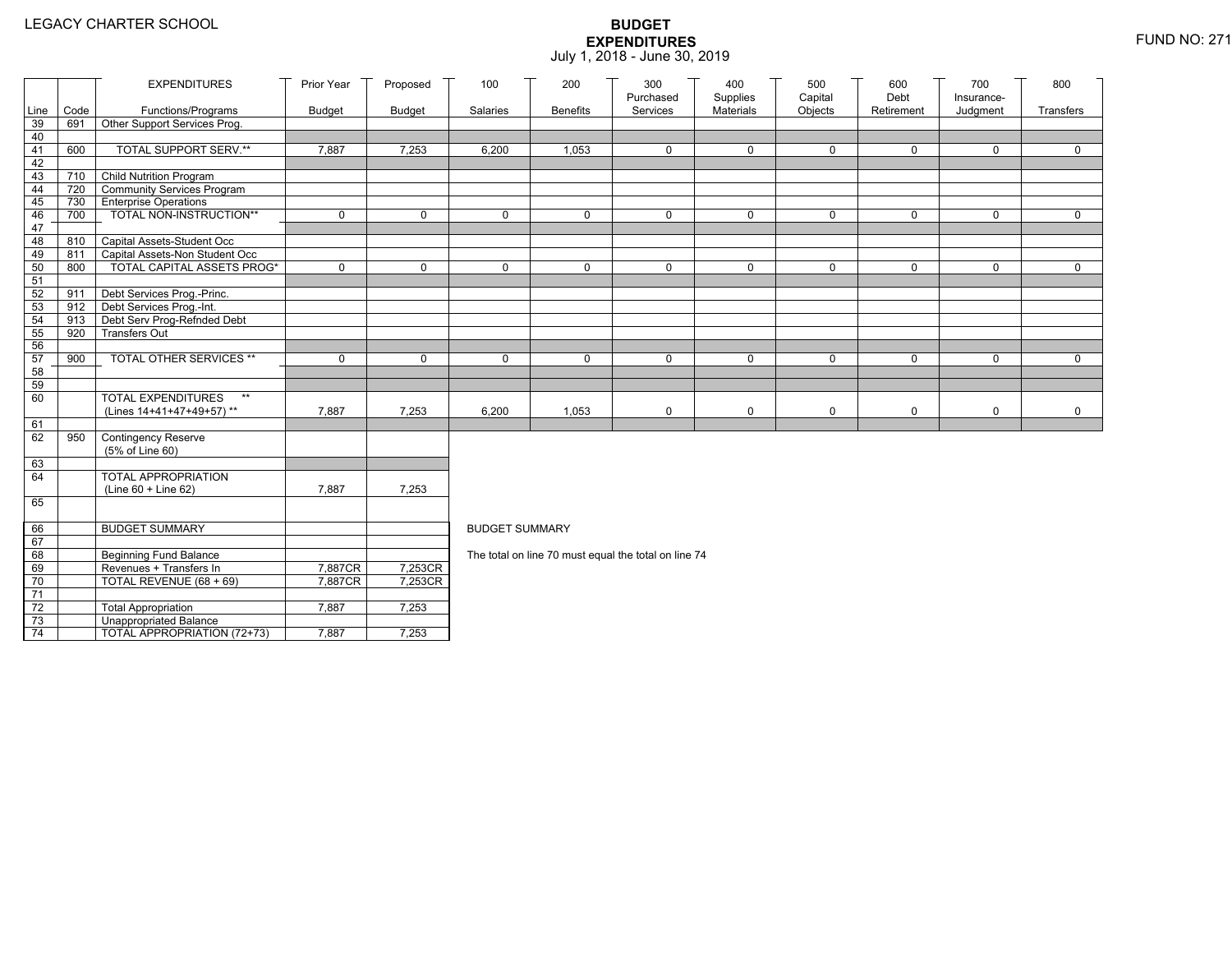|                 |            | <b>EXPENDITURES</b>                                                 | Prior Year    | Proposed      | 100                   | 200             | 300<br>Purchased                                     | 400<br>Supplies | 500<br>Capital | 600<br>Debt | 700<br>Insurance- | 800         |
|-----------------|------------|---------------------------------------------------------------------|---------------|---------------|-----------------------|-----------------|------------------------------------------------------|-----------------|----------------|-------------|-------------------|-------------|
| Line            | Code       | Functions/Programs                                                  | <b>Budget</b> | <b>Budget</b> | Salaries              | <b>Benefits</b> | Services                                             | Materials       | Objects        | Retirement  | Judgment          | Transfers   |
| 39              | 691        | Other Support Services Prog.                                        |               |               |                       |                 |                                                      |                 |                |             |                   |             |
| 40<br>41        | 600        | TOTAL SUPPORT SERV.**                                               | 7,887         | 7,253         | 6,200                 | 1,053           | 0                                                    | $\mathbf 0$     | 0              | 0           | 0                 | 0           |
| 42              |            |                                                                     |               |               |                       |                 |                                                      |                 |                |             |                   |             |
| 43              | 710        | <b>Child Nutrition Program</b>                                      |               |               |                       |                 |                                                      |                 |                |             |                   |             |
| 44              | 720        | Community Services Program                                          |               |               |                       |                 |                                                      |                 |                |             |                   |             |
| 45              |            | 730 Enterprise Operations                                           |               |               |                       |                 |                                                      |                 |                |             |                   |             |
| 46              | 700        | TOTAL NON-INSTRUCTION**                                             | $\mathbf 0$   | $\mathbf 0$   | $\mathbf{0}$          | 0               | $\mathbf 0$                                          | 0               | 0              | $\mathbf 0$ | 0                 | $\Omega$    |
| 47              |            |                                                                     |               |               |                       |                 |                                                      |                 |                |             |                   |             |
| 48              | 810        | Capital Assets-Student Occ                                          |               |               |                       |                 |                                                      |                 |                |             |                   |             |
| 49<br>50        | 811<br>800 | Capital Assets-Non Student Occ<br><b>TOTAL CAPITAL ASSETS PROG*</b> | $\mathbf 0$   | $\mathbf 0$   | $\Omega$              | 0               | $\mathbf 0$                                          | $\mathbf 0$     | 0              | $\mathbf 0$ | 0                 | $\mathbf 0$ |
| 51              |            |                                                                     |               |               |                       |                 |                                                      |                 |                |             |                   |             |
| 52              | 911        | Debt Services Prog.-Princ.                                          |               |               |                       |                 |                                                      |                 |                |             |                   |             |
| 53              | 912        | Debt Services Prog.-Int.                                            |               |               |                       |                 |                                                      |                 |                |             |                   |             |
| 54              | 913        | Debt Serv Prog-Refnded Debt                                         |               |               |                       |                 |                                                      |                 |                |             |                   |             |
| 55              | 920        | <b>Transfers Out</b>                                                |               |               |                       |                 |                                                      |                 |                |             |                   |             |
| 56              |            |                                                                     |               |               |                       |                 |                                                      |                 |                |             |                   |             |
| 57              | 900        | TOTAL OTHER SERVICES **                                             | $\mathbf 0$   | $\mathbf 0$   | $\mathbf 0$           | 0               | $\mathbf 0$                                          | 0               | 0              | $\mathbf 0$ | 0                 | $\mathbf 0$ |
| 58<br>59        |            |                                                                     |               |               |                       |                 |                                                      |                 |                |             |                   |             |
| 60              |            | <b>TOTAL EXPENDITURES</b><br>$\star\star$                           |               |               |                       |                 |                                                      |                 |                |             |                   |             |
|                 |            | (Lines 14+41+47+49+57)**                                            | 7,887         | 7,253         | 6,200                 | 1,053           | $\mathbf 0$                                          | 0               | 0              | $\mathbf 0$ | 0                 | $\mathbf 0$ |
| 61              |            |                                                                     |               |               |                       |                 |                                                      |                 |                |             |                   |             |
| 62              | 950        | <b>Contingency Reserve</b>                                          |               |               |                       |                 |                                                      |                 |                |             |                   |             |
|                 |            | (5% of Line 60)                                                     |               |               |                       |                 |                                                      |                 |                |             |                   |             |
| 63              |            |                                                                     |               |               |                       |                 |                                                      |                 |                |             |                   |             |
| 64              |            | <b>TOTAL APPROPRIATION</b>                                          |               |               |                       |                 |                                                      |                 |                |             |                   |             |
| 65              |            | $(Line 60 + Line 62)$                                               | 7,887         | 7,253         |                       |                 |                                                      |                 |                |             |                   |             |
|                 |            |                                                                     |               |               |                       |                 |                                                      |                 |                |             |                   |             |
| 66              |            | <b>BUDGET SUMMARY</b>                                               |               |               | <b>BUDGET SUMMARY</b> |                 |                                                      |                 |                |             |                   |             |
| 67              |            |                                                                     |               |               |                       |                 |                                                      |                 |                |             |                   |             |
| 68              |            | Beginning Fund Balance                                              |               |               |                       |                 | The total on line 70 must equal the total on line 74 |                 |                |             |                   |             |
| 69              |            | Revenues + Transfers In                                             | 7,887CR       | 7,253CR       |                       |                 |                                                      |                 |                |             |                   |             |
| 70              |            | TOTAL REVENUE (68 + 69)                                             | 7,887CR       | 7,253CR       |                       |                 |                                                      |                 |                |             |                   |             |
| $\overline{71}$ |            |                                                                     |               |               |                       |                 |                                                      |                 |                |             |                   |             |
| $72\,$<br>73    |            | <b>Total Appropriation</b><br><b>Unappropriated Balance</b>         | 7,887         | 7,253         |                       |                 |                                                      |                 |                |             |                   |             |
|                 |            |                                                                     |               |               |                       |                 |                                                      |                 |                |             |                   |             |
| 74              |            | TOTAL APPROPRIATION (72+73)                                         | 7,887         | 7,253         |                       |                 |                                                      |                 |                |             |                   |             |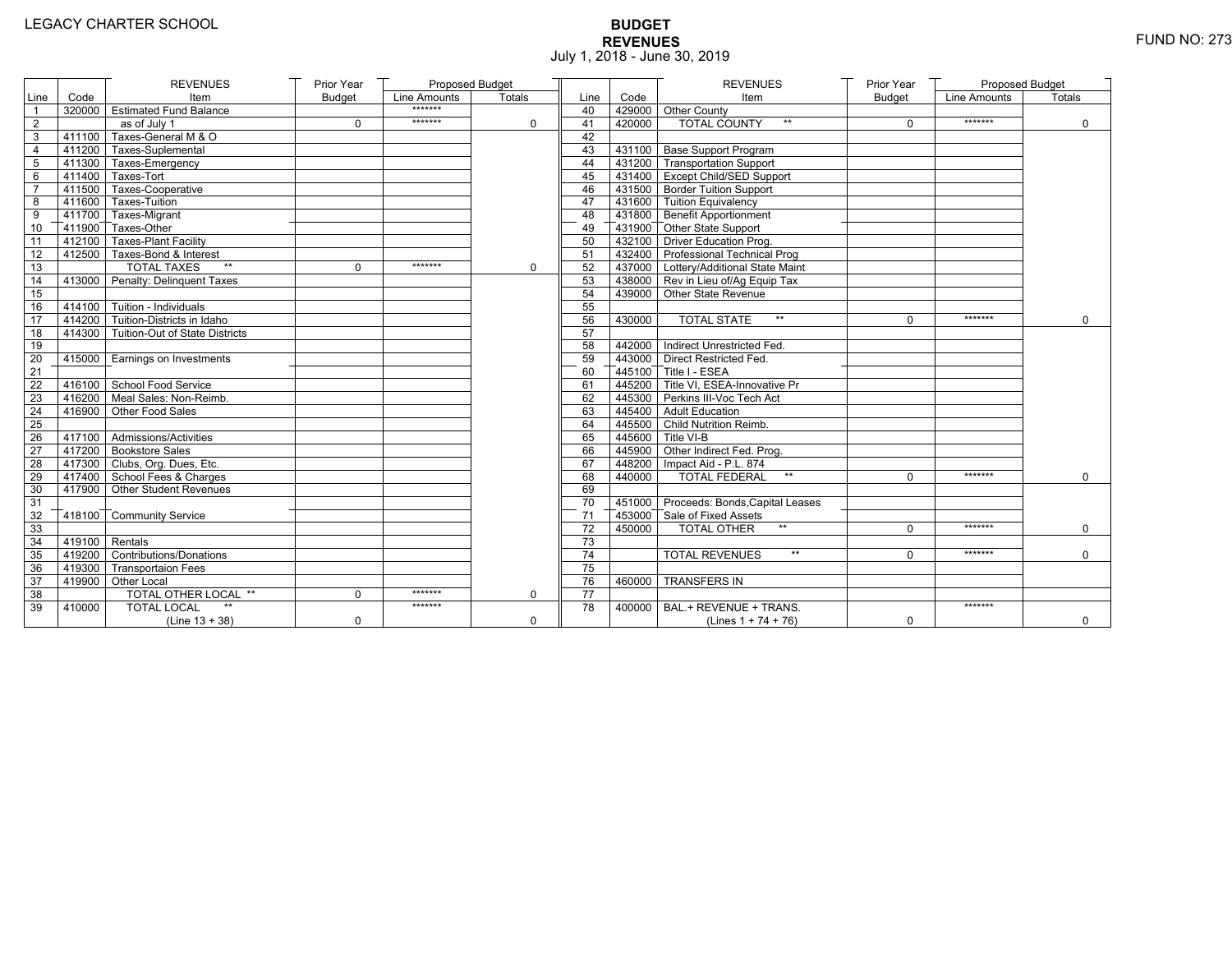# **BUDGET REVENUES** FUND NO: 273 July 1, 2018 - June 30, 2019

|                 |                   | <b>REVENUES</b>                       | Prior Year    | Proposed Budget |          |                 |        | <b>REVENUES</b>                        | Prior Year    | Proposed Budget |             |
|-----------------|-------------------|---------------------------------------|---------------|-----------------|----------|-----------------|--------|----------------------------------------|---------------|-----------------|-------------|
| Line            | Code              | Item                                  | <b>Budget</b> | Line Amounts    | Totals   | Line            | Code   | Item                                   | <b>Budget</b> | Line Amounts    | Totals      |
| $\mathbf{1}$    |                   | 320000 Estimated Fund Balance         |               | *******         |          | 40              |        | 429000 Other County                    |               |                 |             |
| $\overline{2}$  |                   | as of July 1                          | $\mathbf 0$   | *******         | 0        | 41              | 420000 | <b>TOTAL COUNTY</b>                    | $\Omega$      | *******         | $\Omega$    |
| 3               | 411100            | Taxes-General M & O                   |               |                 |          | 42              |        |                                        |               |                 |             |
| 4               |                   | 411200 Taxes-Suplemental              |               |                 |          | 43              |        | 431100 Base Support Program            |               |                 |             |
| 5               |                   | 411300 Taxes-Emergency                |               |                 |          | 44              |        | 431200 Transportation Support          |               |                 |             |
| 6               |                   | 411400 Taxes-Tort                     |               |                 |          | 45              |        | 431400 Except Child/SED Support        |               |                 |             |
| $\overline{7}$  |                   | 411500 Taxes-Cooperative              |               |                 |          | 46              |        | 431500 Border Tuition Support          |               |                 |             |
| 8               |                   | 411600 Taxes-Tuition                  |               |                 |          | 47              |        | 431600 Tuition Equivalency             |               |                 |             |
| 9               |                   | 411700 Taxes-Migrant                  |               |                 |          | 48              |        | 431800 Benefit Apportionment           |               |                 |             |
| 10              |                   | 411900 Taxes-Other                    |               |                 |          | 49              |        | 431900 Other State Support             |               |                 |             |
| $\overline{11}$ |                   | 412100 Taxes-Plant Facility           |               |                 |          | 50              |        | 432100 Driver Education Prog.          |               |                 |             |
| 12              |                   | 412500 Taxes-Bond & Interest          |               |                 |          | 51              |        | 432400 Professional Technical Prog     |               |                 |             |
| 13              |                   | <b>TOTAL TAXES</b><br>$\star\star$    | $\Omega$      | *******         | $\Omega$ | 52              |        | 437000 Lottery/Additional State Maint  |               |                 |             |
| 14              |                   | 413000 Penalty: Delinquent Taxes      |               |                 |          | 53              |        | 438000 Rev in Lieu of/Ag Equip Tax     |               |                 |             |
| 15              |                   |                                       |               |                 |          | 54              |        | 439000 Other State Revenue             |               |                 |             |
| 16              |                   | $-414100$ Tuition - Individuals       |               |                 |          | 55              |        |                                        |               |                 |             |
| 17              |                   | $7414200$ Tuition-Districts in Idaho  |               |                 |          | 56              | 430000 | <b>TOTAL STATE</b><br>$**$             | $\Omega$      | *******         | $\mathbf 0$ |
| 18              |                   | 414300 Tuition-Out of State Districts |               |                 |          | 57              |        |                                        |               |                 |             |
| 19              |                   |                                       |               |                 |          | 58              |        | 442000 Indirect Unrestricted Fed.      |               |                 |             |
| 20              |                   | 415000 Earnings on Investments        |               |                 |          | 59              |        | 443000 Direct Restricted Fed.          |               |                 |             |
| 21              |                   |                                       |               |                 |          | 60              |        | 445100 Title I - ESEA                  |               |                 |             |
| 22              |                   | 416100 School Food Service            |               |                 |          | 61              |        | 445200 Title VI. ESEA-Innovative Pr    |               |                 |             |
| 23              |                   | 416200 Meal Sales: Non-Reimb.         |               |                 |          | 62              |        | 445300 Perkins III-Voc Tech Act        |               |                 |             |
| 24              |                   | 416900 Other Food Sales               |               |                 |          | 63              |        | 445400 Adult Education                 |               |                 |             |
| 25              |                   |                                       |               |                 |          | 64              |        | 445500 Child Nutrition Reimb.          |               |                 |             |
| 26              |                   | 417100 Admissions/Activities          |               |                 |          | 65              |        | 445600 Title VI-B                      |               |                 |             |
| 27              |                   | 417200 Bookstore Sales                |               |                 |          | 66              |        | 445900 Other Indirect Fed. Prog.       |               |                 |             |
| 28              |                   | 417300 Clubs, Org. Dues, Etc.         |               |                 |          | 67              |        | 448200   Impact Aid - P.L. 874         |               |                 |             |
| 29              |                   | 417400 School Fees & Charges          |               |                 |          | 68              | 440000 | <b>TOTAL FEDERAL</b><br>$**$           | $\Omega$      | *******         | $\mathbf 0$ |
| 30              |                   | 417900 Other Student Revenues         |               |                 |          | 69              |        |                                        |               |                 |             |
| 31              |                   |                                       |               |                 |          | 70              |        | 451000 Proceeds: Bonds, Capital Leases |               |                 |             |
| 32              |                   | 418100 Community Service              |               |                 |          | 71              |        | 453000 Sale of Fixed Assets            |               |                 |             |
| 33              |                   |                                       |               |                 |          | 72              | 450000 | <b>TOTAL OTHER</b><br>$\star\star$     | $\Omega$      | *******         | $\mathbf 0$ |
| 34              | $-419100$ Rentals |                                       |               |                 |          | 73              |        |                                        |               |                 |             |
| 35              |                   | 419200 Contributions/Donations        |               |                 |          | 74              |        | <b>TOTAL REVENUES</b><br>$**$          | $\Omega$      | *******         | $\Omega$    |
| 36              |                   | 419300 Transportaion Fees             |               |                 |          | 75              |        |                                        |               |                 |             |
| 37              |                   | 419900 Other Local                    |               |                 |          | 76              | 460000 | <b>TRANSFERS IN</b>                    |               |                 |             |
| 38              |                   | TOTAL OTHER LOCAL **                  | $\mathbf 0$   | *******         | $\Omega$ | $\overline{77}$ |        |                                        |               |                 |             |
| 39              | 410000            | <b>TOTAL LOCAL</b>                    |               | *******         |          | 78              | 400000 | BAL.+ REVENUE + TRANS.                 |               | *******         |             |
|                 |                   | (Line $13 + 38$ )                     | $\mathbf 0$   |                 | 0        |                 |        | (Lines $1 + 74 + 76$ )                 | 0             |                 | $\mathbf 0$ |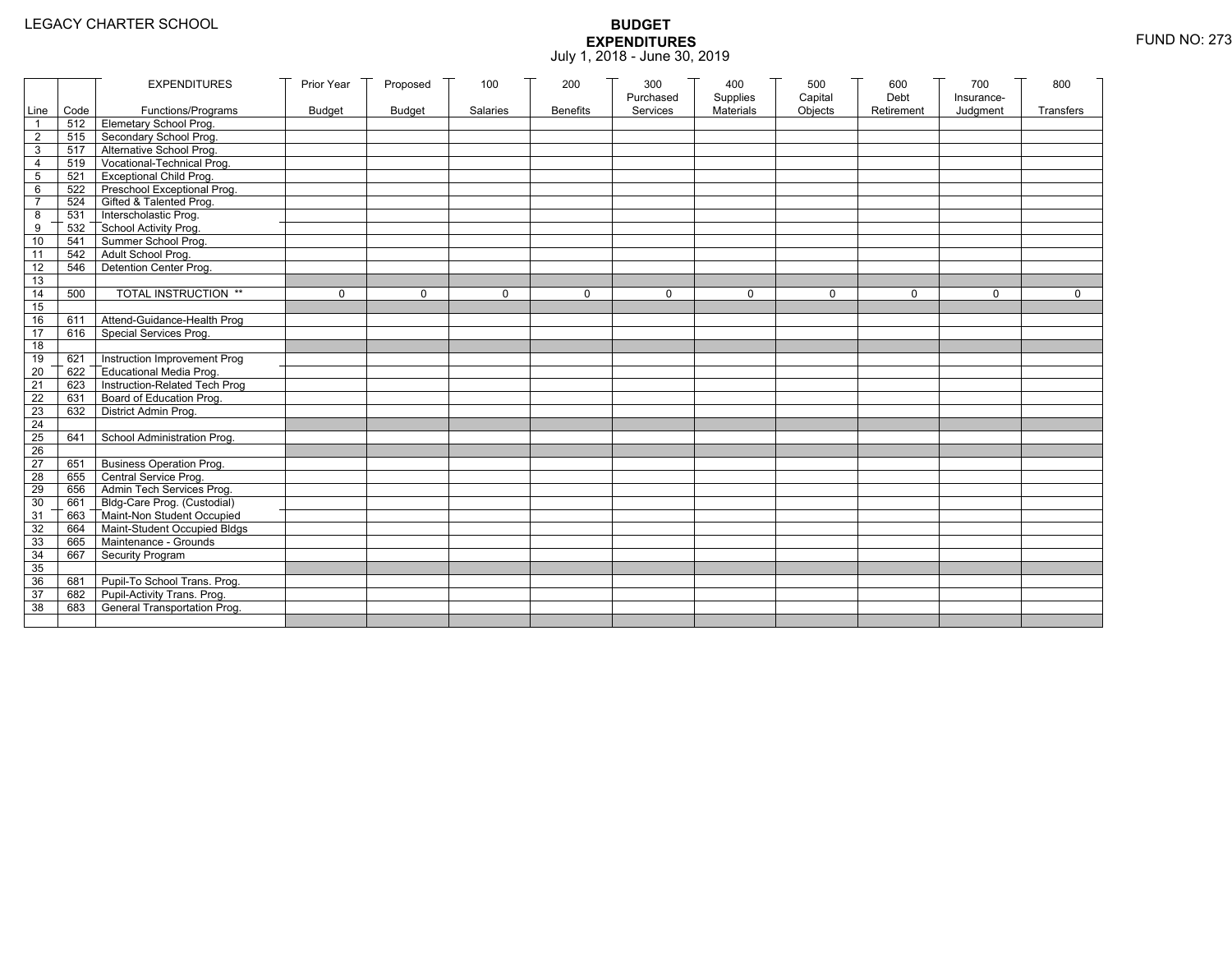|                 |           | <b>EXPENDITURES</b>              | Prior Year    | Proposed      | 100      | 200             | 300       | 400       | 500         | 600        | 700        | 800         |
|-----------------|-----------|----------------------------------|---------------|---------------|----------|-----------------|-----------|-----------|-------------|------------|------------|-------------|
|                 |           |                                  |               |               |          |                 | Purchased | Supplies  | Capital     | Debt       | Insurance- |             |
|                 | Line Code | Functions/Programs               | <b>Budget</b> | <b>Budget</b> | Salaries | <b>Benefits</b> | Services  | Materials | Objects     | Retirement | Judgment   | Transfers   |
|                 |           | 512 Elemetary School Prog.       |               |               |          |                 |           |           |             |            |            |             |
| $\overline{2}$  | 515       | Secondary School Prog.           |               |               |          |                 |           |           |             |            |            |             |
| 3               |           | 517 Alternative School Prog.     |               |               |          |                 |           |           |             |            |            |             |
| 4               | 519       | Vocational-Technical Prog.       |               |               |          |                 |           |           |             |            |            |             |
| 5               | 521       | <b>Exceptional Child Prog.</b>   |               |               |          |                 |           |           |             |            |            |             |
| 6               | 522       | Preschool Exceptional Prog.      |               |               |          |                 |           |           |             |            |            |             |
| $\overline{7}$  |           | 524 Gifted & Talented Prog.      |               |               |          |                 |           |           |             |            |            |             |
| 8               |           | 531 Interscholastic Prog.        |               |               |          |                 |           |           |             |            |            |             |
| 9               | 532       | School Activity Prog.            |               |               |          |                 |           |           |             |            |            |             |
| 10              | 541       | Summer School Prog.              |               |               |          |                 |           |           |             |            |            |             |
| 11              | 542       | Adult School Prog.               |               |               |          |                 |           |           |             |            |            |             |
| $\overline{12}$ | 546       | Detention Center Prog.           |               |               |          |                 |           |           |             |            |            |             |
| 13              |           |                                  |               |               |          |                 |           |           |             |            |            |             |
| 14              | 500       | TOTAL INSTRUCTION **             | $\mathbf 0$   | $\Omega$      | $\Omega$ | $\mathbf 0$     | $\Omega$  | $\Omega$  | $\mathbf 0$ | $\Omega$   | $\Omega$   | $\mathbf 0$ |
| 15              |           |                                  |               |               |          |                 |           |           |             |            |            |             |
| 16              | 611       | Attend-Guidance-Health Prog      |               |               |          |                 |           |           |             |            |            |             |
| 17              | 616       | Special Services Prog.           |               |               |          |                 |           |           |             |            |            |             |
| 18              |           |                                  |               |               |          |                 |           |           |             |            |            |             |
| 19              | 621       | Instruction Improvement Prog     |               |               |          |                 |           |           |             |            |            |             |
| $\overline{20}$ | 622       | Educational Media Prog.          |               |               |          |                 |           |           |             |            |            |             |
| 21              | 623       | Instruction-Related Tech Prog    |               |               |          |                 |           |           |             |            |            |             |
| $\overline{22}$ | 631       | Board of Education Prog.         |               |               |          |                 |           |           |             |            |            |             |
| 23              | 632       | District Admin Prog.             |               |               |          |                 |           |           |             |            |            |             |
| 24              |           |                                  |               |               |          |                 |           |           |             |            |            |             |
| 25              | 641       | School Administration Prog.      |               |               |          |                 |           |           |             |            |            |             |
| 26              |           |                                  |               |               |          |                 |           |           |             |            |            |             |
| 27              | 651       | <b>Business Operation Prog.</b>  |               |               |          |                 |           |           |             |            |            |             |
| 28              |           | 655 Central Service Prog.        |               |               |          |                 |           |           |             |            |            |             |
| 29              | 656       | Admin Tech Services Prog.        |               |               |          |                 |           |           |             |            |            |             |
| 30              |           | 661 Bldg-Care Prog. (Custodial)  |               |               |          |                 |           |           |             |            |            |             |
| 31              |           | 663 Maint-Non Student Occupied   |               |               |          |                 |           |           |             |            |            |             |
| 32              |           | 664 Maint-Student Occupied Bldgs |               |               |          |                 |           |           |             |            |            |             |
| 33              |           | 665 Maintenance - Grounds        |               |               |          |                 |           |           |             |            |            |             |
| 34              | 667       | Security Program                 |               |               |          |                 |           |           |             |            |            |             |
| 35              |           |                                  |               |               |          |                 |           |           |             |            |            |             |
| 36              | 681       | Pupil-To School Trans. Prog.     |               |               |          |                 |           |           |             |            |            |             |
| 37              | 682       | Pupil-Activity Trans. Prog.      |               |               |          |                 |           |           |             |            |            |             |
| 38              | 683       | General Transportation Prog.     |               |               |          |                 |           |           |             |            |            |             |
|                 |           |                                  |               |               |          |                 |           |           |             |            |            |             |
|                 |           |                                  |               |               |          |                 |           |           |             |            |            |             |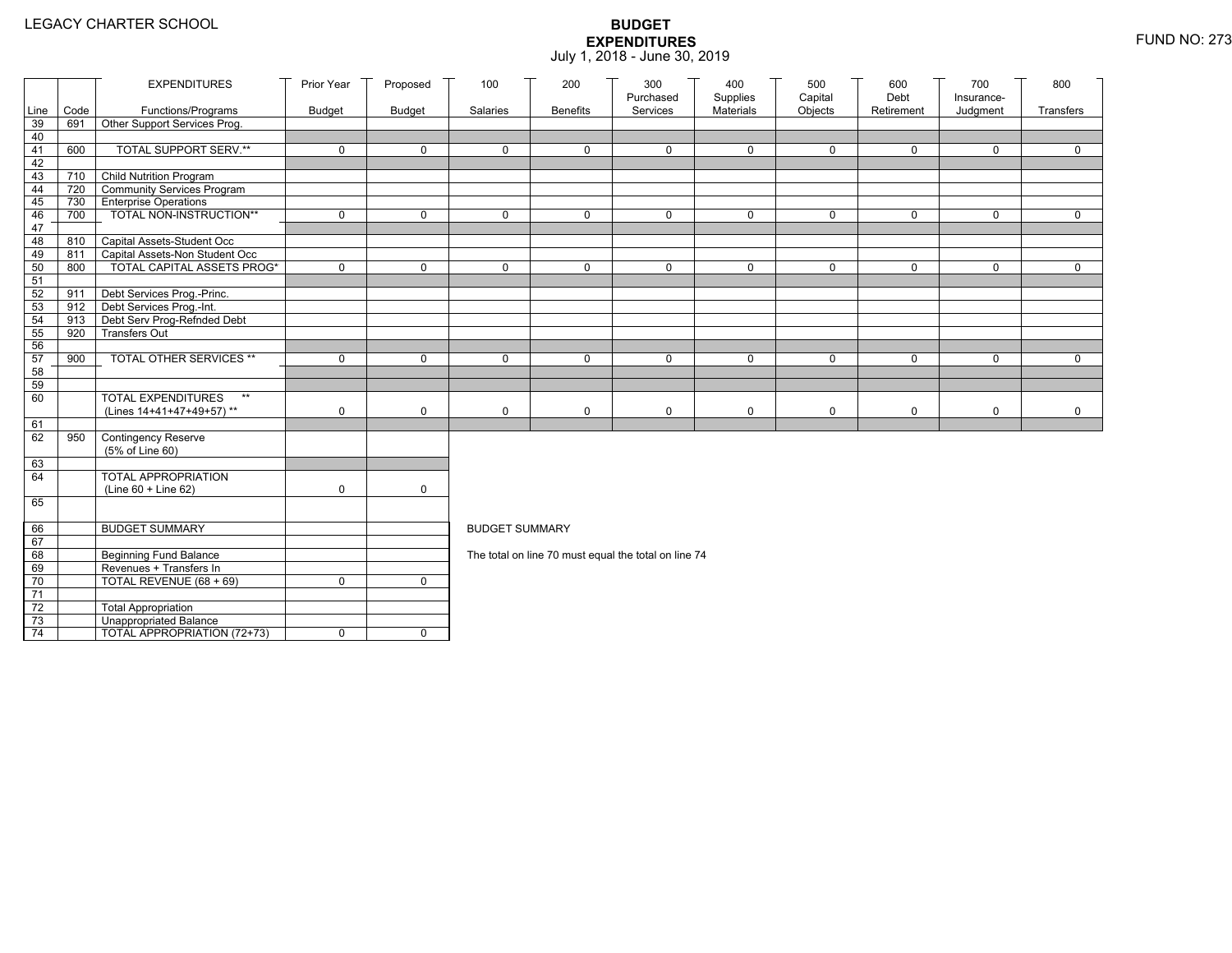|                 |      | <b>EXPENDITURES</b>                                      | Prior Year  | Proposed      | 100                   | 200             | 300<br>Purchased                                     | 400<br>Supplies  | 500<br>Capital | 600<br>Debt | 700<br>Insurance- | 800         |
|-----------------|------|----------------------------------------------------------|-------------|---------------|-----------------------|-----------------|------------------------------------------------------|------------------|----------------|-------------|-------------------|-------------|
| Line            | Code | Functions/Programs                                       | Budget      | <b>Budget</b> | Salaries              | <b>Benefits</b> | Services                                             | <b>Materials</b> | Objects        | Retirement  | Judgment          | Transfers   |
| 39              | 691  | Other Support Services Prog.                             |             |               |                       |                 |                                                      |                  |                |             |                   |             |
| 40              |      |                                                          |             |               |                       |                 |                                                      |                  |                |             |                   |             |
| 41              | 600  | <b>TOTAL SUPPORT SERV.**</b>                             | $\mathbf 0$ | $\mathbf 0$   | 0                     | $\mathbf 0$     | $\mathbf 0$                                          | $\mathbf 0$      | $\mathbf 0$    | $\mathbf 0$ | $\mathbf 0$       | $\mathbf 0$ |
| 42              |      |                                                          |             |               |                       |                 |                                                      |                  |                |             |                   |             |
| 43              | 710  | <b>Child Nutrition Program</b>                           |             |               |                       |                 |                                                      |                  |                |             |                   |             |
| 44              | 720  | Community Services Program                               |             |               |                       |                 |                                                      |                  |                |             |                   |             |
| 45              | 730  | <b>Enterprise Operations</b><br>TOTAL NON-INSTRUCTION**  | $\mathbf 0$ | $\Omega$      | $\Omega$              | $\mathbf 0$     | $\Omega$                                             | $\mathbf 0$      | $\mathbf 0$    | $\mathbf 0$ | $\Omega$          | $\mathbf 0$ |
| 46<br>47        | 700  |                                                          |             |               |                       |                 |                                                      |                  |                |             |                   |             |
| 48              | 810  | Capital Assets-Student Occ                               |             |               |                       |                 |                                                      |                  |                |             |                   |             |
| 49              | 811  | Capital Assets-Non Student Occ                           |             |               |                       |                 |                                                      |                  |                |             |                   |             |
| 50              | 800  | <b>TOTAL CAPITAL ASSETS PROG*</b>                        | $\mathbf 0$ | $\Omega$      | $\Omega$              | $\mathbf 0$     | $\mathbf 0$                                          | $\mathbf 0$      | $\mathbf 0$    | $\mathbf 0$ | $\mathbf 0$       | $\mathbf 0$ |
| 51              |      |                                                          |             |               |                       |                 |                                                      |                  |                |             |                   |             |
| 52              | 911  | Debt Services Prog.-Princ.                               |             |               |                       |                 |                                                      |                  |                |             |                   |             |
| 53              |      | 912 Debt Services Prog.-Int.                             |             |               |                       |                 |                                                      |                  |                |             |                   |             |
| 54              | 913  | Debt Serv Prog-Refnded Debt                              |             |               |                       |                 |                                                      |                  |                |             |                   |             |
| 55              | 920  | <b>Transfers Out</b>                                     |             |               |                       |                 |                                                      |                  |                |             |                   |             |
| 56              |      |                                                          |             |               |                       |                 |                                                      |                  |                |             |                   |             |
| 57              | 900  | TOTAL OTHER SERVICES **                                  | 0           | $\mathbf 0$   | 0                     | $\mathbf 0$     | $\mathbf 0$                                          | 0                | 0              | $\mathbf 0$ | $\mathbf 0$       | $\mathbf 0$ |
| 58              |      |                                                          |             |               |                       |                 |                                                      |                  |                |             |                   |             |
| 59<br>60        |      | <b>TOTAL EXPENDITURES</b><br>$**$                        |             |               |                       |                 |                                                      |                  |                |             |                   |             |
|                 |      | (Lines 14+41+47+49+57)**                                 | 0           | $\mathbf 0$   | 0                     | 0               | 0                                                    | $\mathbf 0$      | 0              | $\mathbf 0$ | $\mathbf 0$       | $\mathbf 0$ |
| 61              |      |                                                          |             |               |                       |                 |                                                      |                  |                |             |                   |             |
| 62              | 950  | Contingency Reserve                                      |             |               |                       |                 |                                                      |                  |                |             |                   |             |
|                 |      | (5% of Line 60)                                          |             |               |                       |                 |                                                      |                  |                |             |                   |             |
| 63              |      |                                                          |             |               |                       |                 |                                                      |                  |                |             |                   |             |
| 64              |      | <b>TOTAL APPROPRIATION</b>                               |             |               |                       |                 |                                                      |                  |                |             |                   |             |
|                 |      | $(Line 60 + Line 62)$                                    | 0           | $\Omega$      |                       |                 |                                                      |                  |                |             |                   |             |
| 65              |      |                                                          |             |               |                       |                 |                                                      |                  |                |             |                   |             |
|                 |      |                                                          |             |               |                       |                 |                                                      |                  |                |             |                   |             |
| 66              |      | <b>BUDGET SUMMARY</b>                                    |             |               | <b>BUDGET SUMMARY</b> |                 |                                                      |                  |                |             |                   |             |
| 67<br>68        |      |                                                          |             |               |                       |                 |                                                      |                  |                |             |                   |             |
| 69              |      | <b>Beginning Fund Balance</b><br>Revenues + Transfers In |             |               |                       |                 | The total on line 70 must equal the total on line 74 |                  |                |             |                   |             |
| 70              |      | TOTAL REVENUE (68 + 69)                                  | $\mathbf 0$ | $\Omega$      |                       |                 |                                                      |                  |                |             |                   |             |
| 71              |      |                                                          |             |               |                       |                 |                                                      |                  |                |             |                   |             |
| 72              |      | <b>Total Appropriation</b>                               |             |               |                       |                 |                                                      |                  |                |             |                   |             |
| 73              |      | <b>Unappropriated Balance</b>                            |             |               |                       |                 |                                                      |                  |                |             |                   |             |
| $\overline{74}$ |      | TOTAL APPROPRIATION (72+73)                              | 0           | $\mathbf 0$   |                       |                 |                                                      |                  |                |             |                   |             |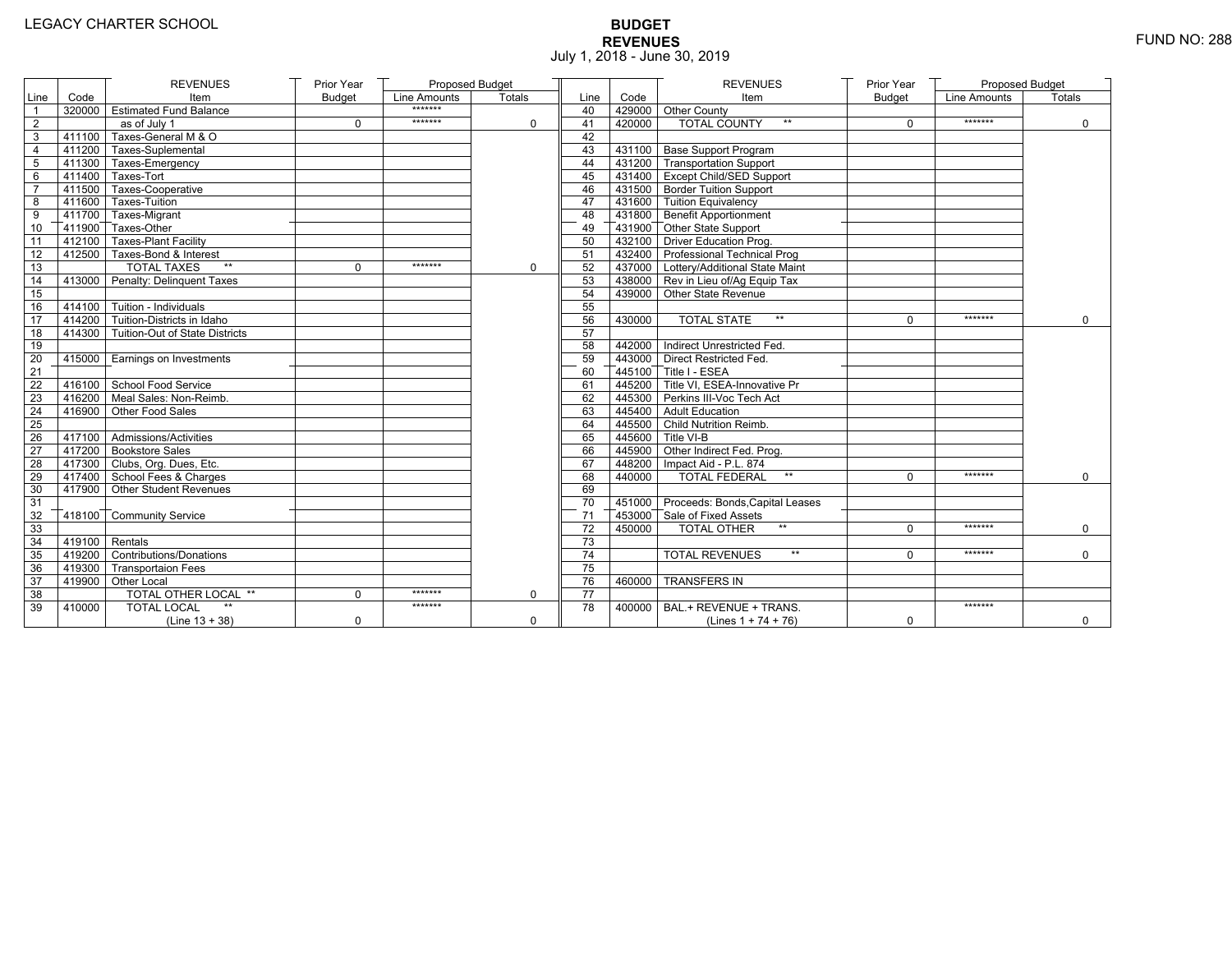# **BUDGET REVENUES** FUND NO: 288 July 1, 2018 - June 30, 2019

|                 |                   | <b>REVENUES</b>                       | Prior Year    | Proposed Budget |          |                 |        | <b>REVENUES</b>                        | Prior Year    | Proposed Budget |             |
|-----------------|-------------------|---------------------------------------|---------------|-----------------|----------|-----------------|--------|----------------------------------------|---------------|-----------------|-------------|
| Line            | Code              | Item                                  | <b>Budget</b> | Line Amounts    | Totals   | Line            | Code   | Item                                   | <b>Budget</b> | Line Amounts    | Totals      |
| $\mathbf{1}$    |                   | 320000 Estimated Fund Balance         |               | *******         |          | 40              |        | 429000 Other County                    |               |                 |             |
| $\overline{2}$  |                   | as of July 1                          | $\mathbf 0$   | *******         | 0        | 41              | 420000 | <b>TOTAL COUNTY</b>                    | $\Omega$      | *******         | $\Omega$    |
| 3               | 411100            | Taxes-General M & O                   |               |                 |          | 42              |        |                                        |               |                 |             |
| 4               |                   | 411200 Taxes-Suplemental              |               |                 |          | 43              |        | 431100 Base Support Program            |               |                 |             |
| 5               |                   | 411300 Taxes-Emergency                |               |                 |          | 44              |        | 431200 Transportation Support          |               |                 |             |
| 6               |                   | 411400 Taxes-Tort                     |               |                 |          | 45              |        | 431400 Except Child/SED Support        |               |                 |             |
| $\overline{7}$  |                   | 411500 Taxes-Cooperative              |               |                 |          | 46              |        | 431500 Border Tuition Support          |               |                 |             |
| 8               |                   | 411600 Taxes-Tuition                  |               |                 |          | 47              |        | 431600 Tuition Equivalency             |               |                 |             |
| 9               |                   | 411700 Taxes-Migrant                  |               |                 |          | 48              |        | 431800 Benefit Apportionment           |               |                 |             |
| 10              |                   | 411900 Taxes-Other                    |               |                 |          | 49              |        | 431900 Other State Support             |               |                 |             |
| $\overline{11}$ |                   | 412100 Taxes-Plant Facility           |               |                 |          | 50              |        | 432100 Driver Education Prog.          |               |                 |             |
| 12              |                   | 412500 Taxes-Bond & Interest          |               |                 |          | 51              |        | 432400 Professional Technical Prog     |               |                 |             |
| 13              |                   | <b>TOTAL TAXES</b><br>$\star\star$    | $\Omega$      | *******         | $\Omega$ | 52              |        | 437000 Lottery/Additional State Maint  |               |                 |             |
| 14              |                   | 413000 Penalty: Delinquent Taxes      |               |                 |          | 53              |        | 438000 Rev in Lieu of/Ag Equip Tax     |               |                 |             |
| 15              |                   |                                       |               |                 |          | 54              |        | 439000 Other State Revenue             |               |                 |             |
| 16              |                   | $-414100$ Tuition - Individuals       |               |                 |          | 55              |        |                                        |               |                 |             |
| 17              |                   | $7414200$ Tuition-Districts in Idaho  |               |                 |          | 56              | 430000 | <b>TOTAL STATE</b><br>$**$             | $\Omega$      | *******         | $\mathbf 0$ |
| 18              |                   | 414300 Tuition-Out of State Districts |               |                 |          | 57              |        |                                        |               |                 |             |
| 19              |                   |                                       |               |                 |          | 58              |        | 442000 Indirect Unrestricted Fed.      |               |                 |             |
| 20              |                   | 415000 Earnings on Investments        |               |                 |          | 59              |        | 443000 Direct Restricted Fed.          |               |                 |             |
| 21              |                   |                                       |               |                 |          | 60              |        | 445100 Title I - ESEA                  |               |                 |             |
| 22              |                   | 416100 School Food Service            |               |                 |          | 61              |        | 445200 Title VI. ESEA-Innovative Pr    |               |                 |             |
| 23              |                   | 416200 Meal Sales: Non-Reimb.         |               |                 |          | 62              |        | 445300 Perkins III-Voc Tech Act        |               |                 |             |
| 24              |                   | 416900 Other Food Sales               |               |                 |          | 63              |        | 445400 Adult Education                 |               |                 |             |
| 25              |                   |                                       |               |                 |          | 64              |        | 445500 Child Nutrition Reimb.          |               |                 |             |
| 26              |                   | 417100 Admissions/Activities          |               |                 |          | 65              |        | 445600 Title VI-B                      |               |                 |             |
| 27              |                   | 417200 Bookstore Sales                |               |                 |          | 66              |        | 445900 Other Indirect Fed. Prog.       |               |                 |             |
| 28              |                   | 417300 Clubs, Org. Dues, Etc.         |               |                 |          | 67              |        | 448200   Impact Aid - P.L. 874         |               |                 |             |
| 29              |                   | 417400 School Fees & Charges          |               |                 |          | 68              | 440000 | <b>TOTAL FEDERAL</b><br>$**$           | $\Omega$      | *******         | $\mathbf 0$ |
| 30              |                   | 417900 Other Student Revenues         |               |                 |          | 69              |        |                                        |               |                 |             |
| 31              |                   |                                       |               |                 |          | 70              |        | 451000 Proceeds: Bonds, Capital Leases |               |                 |             |
| 32              |                   | 418100 Community Service              |               |                 |          | 71              |        | 453000 Sale of Fixed Assets            |               |                 |             |
| 33              |                   |                                       |               |                 |          | 72              | 450000 | <b>TOTAL OTHER</b><br>$\star\star$     | $\Omega$      | *******         | $\mathbf 0$ |
| 34              | $-419100$ Rentals |                                       |               |                 |          | 73              |        |                                        |               |                 |             |
| 35              |                   | 419200 Contributions/Donations        |               |                 |          | 74              |        | <b>TOTAL REVENUES</b><br>$**$          | $\Omega$      | *******         | $\Omega$    |
| 36              |                   | 419300 Transportaion Fees             |               |                 |          | 75              |        |                                        |               |                 |             |
| 37              |                   | 419900 Other Local                    |               |                 |          | 76              | 460000 | <b>TRANSFERS IN</b>                    |               |                 |             |
| 38              |                   | TOTAL OTHER LOCAL **                  | $\mathbf 0$   | *******         | $\Omega$ | $\overline{77}$ |        |                                        |               |                 |             |
| 39              | 410000            | <b>TOTAL LOCAL</b>                    |               | *******         |          | 78              | 400000 | BAL.+ REVENUE + TRANS.                 |               | *******         |             |
|                 |                   | (Line $13 + 38$ )                     | $\mathbf 0$   |                 | 0        |                 |        | (Lines $1 + 74 + 76$ )                 | 0             |                 | $\mathbf 0$ |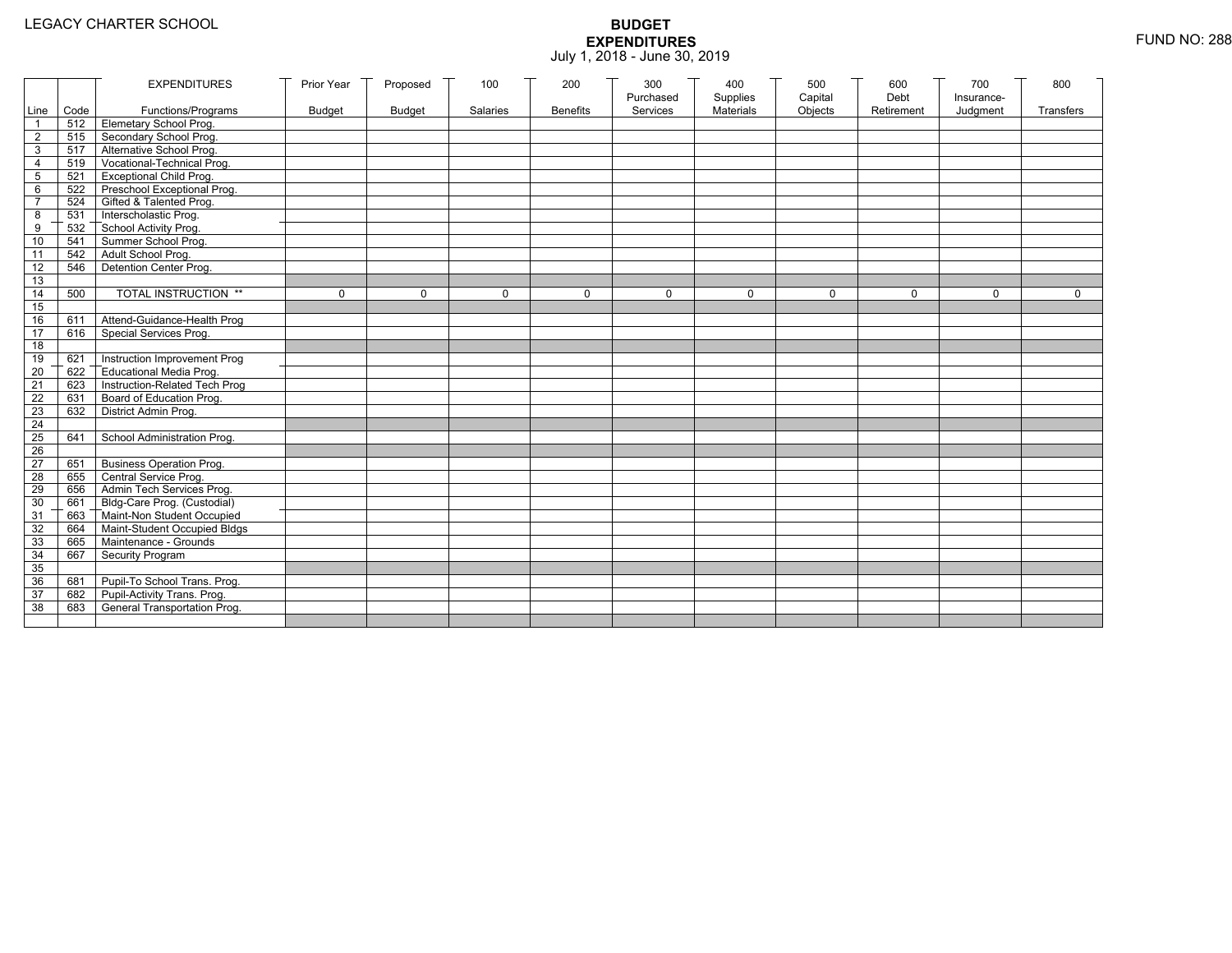|                 |           | <b>EXPENDITURES</b>                          | Prior Year    | Proposed      | 100          | 200             | 300          | 400              | 500         | 600        | 700          | 800          |
|-----------------|-----------|----------------------------------------------|---------------|---------------|--------------|-----------------|--------------|------------------|-------------|------------|--------------|--------------|
|                 |           |                                              |               |               |              |                 | Purchased    | Supplies         | Capital     | Debt       | Insurance-   |              |
|                 | Line Code | Functions/Programs                           | <b>Budget</b> | <b>Budget</b> | Salaries     | <b>Benefits</b> | Services     | <b>Materials</b> | Objects     | Retirement | Judgment     | Transfers    |
|                 |           | 512 Elemetary School Prog.                   |               |               |              |                 |              |                  |             |            |              |              |
| $\overline{2}$  | 515       | Secondary School Prog.                       |               |               |              |                 |              |                  |             |            |              |              |
| 3               |           | 517 Alternative School Prog.                 |               |               |              |                 |              |                  |             |            |              |              |
| 4               | 519       | Vocational-Technical Prog.                   |               |               |              |                 |              |                  |             |            |              |              |
| 5               | 521       | <b>Exceptional Child Prog.</b>               |               |               |              |                 |              |                  |             |            |              |              |
| 6               |           | 522 Preschool Exceptional Prog.              |               |               |              |                 |              |                  |             |            |              |              |
| $\overline{7}$  |           | 524 Gifted & Talented Prog.                  |               |               |              |                 |              |                  |             |            |              |              |
| 8               |           | 531 Interscholastic Prog.                    |               |               |              |                 |              |                  |             |            |              |              |
| 9               | 532       |                                              |               |               |              |                 |              |                  |             |            |              |              |
| 10              | 541       | School Activity Prog.<br>Summer School Prog. |               |               |              |                 |              |                  |             |            |              |              |
| 11              | 542       | Adult School Prog.                           |               |               |              |                 |              |                  |             |            |              |              |
| $\overline{12}$ | 546       | Detention Center Prog.                       |               |               |              |                 |              |                  |             |            |              |              |
| 13              |           |                                              |               |               |              |                 |              |                  |             |            |              |              |
| 14              | 500       | TOTAL INSTRUCTION **                         | $\mathbf 0$   | $\Omega$      | $\mathbf{0}$ | 0               | $\mathbf{0}$ | 0                | $\mathbf 0$ | $\Omega$   | $\mathbf{0}$ | $\mathbf{0}$ |
| 15              |           |                                              |               |               |              |                 |              |                  |             |            |              |              |
| 16              | 611       | Attend-Guidance-Health Prog                  |               |               |              |                 |              |                  |             |            |              |              |
| 17              | 616       | Special Services Prog.                       |               |               |              |                 |              |                  |             |            |              |              |
| 18              |           |                                              |               |               |              |                 |              |                  |             |            |              |              |
| 19              | 621       | Instruction Improvement Prog                 |               |               |              |                 |              |                  |             |            |              |              |
| $\overline{20}$ | 622       | Educational Media Prog.                      |               |               |              |                 |              |                  |             |            |              |              |
| 21              | 623       | Instruction-Related Tech Prog                |               |               |              |                 |              |                  |             |            |              |              |
| $\overline{22}$ | 631       | Board of Education Prog.                     |               |               |              |                 |              |                  |             |            |              |              |
| 23              | 632       | District Admin Prog.                         |               |               |              |                 |              |                  |             |            |              |              |
| 24              |           |                                              |               |               |              |                 |              |                  |             |            |              |              |
| 25              | 641       | School Administration Prog.                  |               |               |              |                 |              |                  |             |            |              |              |
| 26              |           |                                              |               |               |              |                 |              |                  |             |            |              |              |
| 27              | 651       | <b>Business Operation Prog.</b>              |               |               |              |                 |              |                  |             |            |              |              |
| 28              |           | 655 Central Service Prog.                    |               |               |              |                 |              |                  |             |            |              |              |
| 29              | 656       | Admin Tech Services Prog.                    |               |               |              |                 |              |                  |             |            |              |              |
| 30              |           | 661 Bldg-Care Prog. (Custodial)              |               |               |              |                 |              |                  |             |            |              |              |
| 31              |           | 663 Maint-Non Student Occupied               |               |               |              |                 |              |                  |             |            |              |              |
| 32              |           | 664 Maint-Student Occupied Bldgs             |               |               |              |                 |              |                  |             |            |              |              |
| 33              |           | 665 Maintenance - Grounds                    |               |               |              |                 |              |                  |             |            |              |              |
| 34              | 667       | Security Program                             |               |               |              |                 |              |                  |             |            |              |              |
| 35              |           |                                              |               |               |              |                 |              |                  |             |            |              |              |
| 36              | 681       | Pupil-To School Trans. Prog.                 |               |               |              |                 |              |                  |             |            |              |              |
| 37              | 682       | Pupil-Activity Trans. Prog.                  |               |               |              |                 |              |                  |             |            |              |              |
| 38              | 683       | General Transportation Prog.                 |               |               |              |                 |              |                  |             |            |              |              |
|                 |           |                                              |               |               |              |                 |              |                  |             |            |              |              |
|                 |           |                                              |               |               |              |                 |              |                  |             |            |              |              |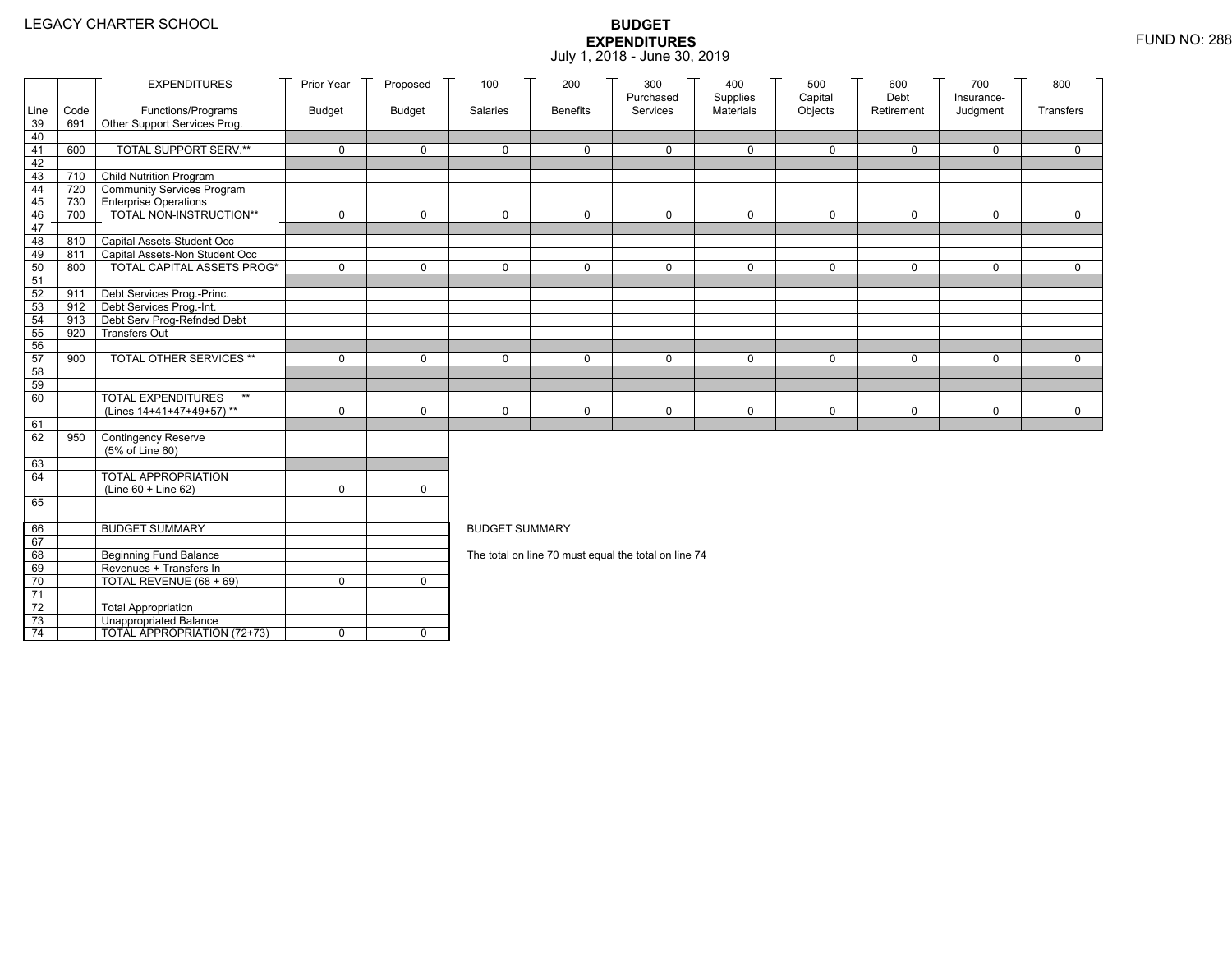|                 |            | <b>EXPENDITURES</b>                                        | Prior Year    | Proposed      | 100                   | 200             | 300<br>Purchased                                     | 400<br>Supplies | 500<br>Capital | 600<br>Debt | 700<br>Insurance- | 800         |
|-----------------|------------|------------------------------------------------------------|---------------|---------------|-----------------------|-----------------|------------------------------------------------------|-----------------|----------------|-------------|-------------------|-------------|
| Line            | Code       | Functions/Programs                                         | <b>Budget</b> | <b>Budget</b> | Salaries              | <b>Benefits</b> | Services                                             | Materials       | Objects        | Retirement  | Judgment          | Transfers   |
| 39              | 691        | Other Support Services Prog.                               |               |               |                       |                 |                                                      |                 |                |             |                   |             |
| 40              |            |                                                            |               |               |                       |                 |                                                      |                 |                |             |                   |             |
| 41              | 600        | TOTAL SUPPORT SERV.**                                      | 0             | $\mathbf 0$   | 0                     | $\mathbf 0$     | 0                                                    | $\mathbf 0$     | $\mathbf 0$    | $\mathbf 0$ | $\mathbf 0$       | $\mathbf 0$ |
| 42              |            |                                                            |               |               |                       |                 |                                                      |                 |                |             |                   |             |
| 43              | 710 T      | Child Nutrition Program                                    |               |               |                       |                 |                                                      |                 |                |             |                   |             |
| 44<br>45        | 720<br>730 | Community Services Program<br><b>Enterprise Operations</b> |               |               |                       |                 |                                                      |                 |                |             |                   |             |
| 46              | 700        | TOTAL NON-INSTRUCTION**                                    | 0             | $\mathsf{O}$  | 0                     | $\mathbf 0$     | $\Omega$                                             | $\mathbf 0$     | $\mathbf 0$    | $\mathbf 0$ | $\Omega$          | $\mathbf 0$ |
| 47              |            |                                                            |               |               |                       |                 |                                                      |                 |                |             |                   |             |
| 48              | 810        | Capital Assets-Student Occ                                 |               |               |                       |                 |                                                      |                 |                |             |                   |             |
| 49              | 811        | Capital Assets-Non Student Occ                             |               |               |                       |                 |                                                      |                 |                |             |                   |             |
| 50              | 800        | <b>TOTAL CAPITAL ASSETS PROG*</b>                          | 0             | $\mathbf 0$   | 0                     | $\mathbf 0$     | $\Omega$                                             | $\mathbf 0$     | 0              | $\mathbf 0$ | $\mathbf 0$       | 0           |
| 51              |            |                                                            |               |               |                       |                 |                                                      |                 |                |             |                   |             |
| 52              | 911        | Debt Services Prog.-Princ.                                 |               |               |                       |                 |                                                      |                 |                |             |                   |             |
| 53              |            | 912 Debt Services Prog.-Int.                               |               |               |                       |                 |                                                      |                 |                |             |                   |             |
| 54              | 913        | Debt Serv Prog-Refnded Debt                                |               |               |                       |                 |                                                      |                 |                |             |                   |             |
| 55              | 920        | <b>Transfers Out</b>                                       |               |               |                       |                 |                                                      |                 |                |             |                   |             |
| 56              |            | TOTAL OTHER SERVICES **                                    |               |               |                       |                 |                                                      |                 |                |             | $\Omega$          |             |
| 57<br>58        | 900        |                                                            | 0             | $\mathbf 0$   | 0                     | $\mathbf 0$     | $\Omega$                                             | $\mathbf 0$     | $\mathbf 0$    | $\mathbf 0$ |                   | $\mathbf 0$ |
| 59              |            |                                                            |               |               |                       |                 |                                                      |                 |                |             |                   |             |
| 60              |            | <b>TOTAL EXPENDITURES</b><br>$**$                          |               |               |                       |                 |                                                      |                 |                |             |                   |             |
|                 |            | (Lines 14+41+47+49+57)**                                   | 0             | 0             | 0                     | $\mathsf{O}$    | 0                                                    | $\mathbf 0$     | 0              | $\mathbf 0$ | 0                 | $\mathbf 0$ |
| 61              |            |                                                            |               |               |                       |                 |                                                      |                 |                |             |                   |             |
| 62              | 950        | Contingency Reserve                                        |               |               |                       |                 |                                                      |                 |                |             |                   |             |
|                 |            | (5% of Line 60)                                            |               |               |                       |                 |                                                      |                 |                |             |                   |             |
| 63              |            |                                                            |               |               |                       |                 |                                                      |                 |                |             |                   |             |
| 64              |            | TOTAL APPROPRIATION                                        |               |               |                       |                 |                                                      |                 |                |             |                   |             |
|                 |            | (Line 60 + Line 62)                                        | 0             | $\mathsf{O}$  |                       |                 |                                                      |                 |                |             |                   |             |
| 65              |            |                                                            |               |               |                       |                 |                                                      |                 |                |             |                   |             |
| 66              |            | <b>BUDGET SUMMARY</b>                                      |               |               | <b>BUDGET SUMMARY</b> |                 |                                                      |                 |                |             |                   |             |
| 67              |            |                                                            |               |               |                       |                 |                                                      |                 |                |             |                   |             |
| 68              |            | <b>Beginning Fund Balance</b>                              |               |               |                       |                 | The total on line 70 must equal the total on line 74 |                 |                |             |                   |             |
| 69              |            | Revenues + Transfers In                                    |               |               |                       |                 |                                                      |                 |                |             |                   |             |
| 70              |            | TOTAL REVENUE $(68 + 69)$                                  | 0             | $\mathbf{0}$  |                       |                 |                                                      |                 |                |             |                   |             |
| 71              |            |                                                            |               |               |                       |                 |                                                      |                 |                |             |                   |             |
| 72              |            | <b>Total Appropriation</b>                                 |               |               |                       |                 |                                                      |                 |                |             |                   |             |
| 73              |            | Unappropriated Balance                                     |               |               |                       |                 |                                                      |                 |                |             |                   |             |
| $\overline{74}$ |            | TOTAL APPROPRIATION (72+73)                                | 0             | $\mathbf 0$   |                       |                 |                                                      |                 |                |             |                   |             |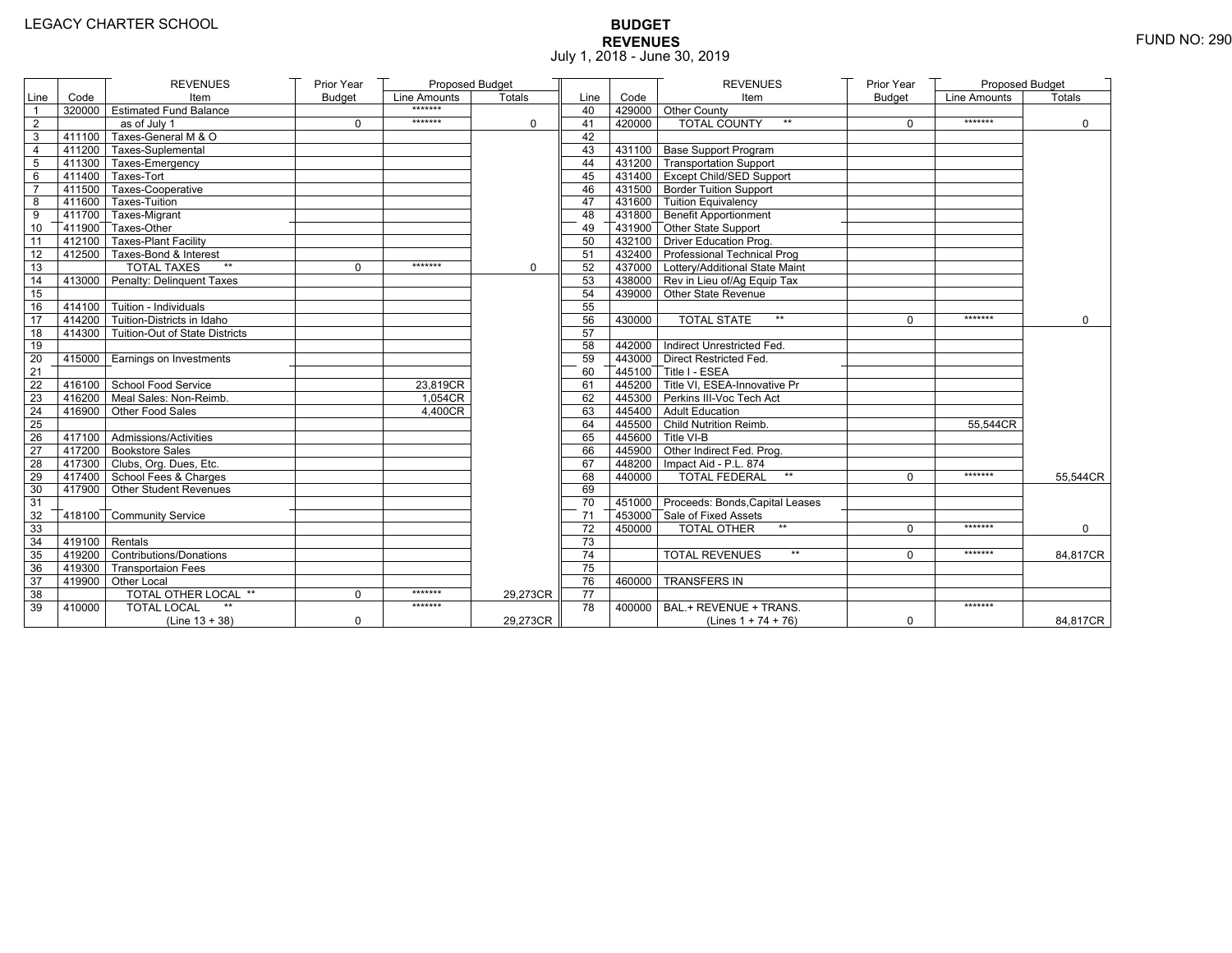# **BUDGET REVENUES** FUND NO: 290 July 1, 2018 - June 30, 2019

|                 |                | <b>REVENUES</b>                       | Prior Year    | Proposed Budget |               |                 |        | <b>REVENUES</b>                        | Prior Year    | Proposed Budget |             |
|-----------------|----------------|---------------------------------------|---------------|-----------------|---------------|-----------------|--------|----------------------------------------|---------------|-----------------|-------------|
| Line            | Code           | Item                                  | <b>Budget</b> | Line Amounts    | <b>Totals</b> | Line            | Code   | Item                                   | <b>Budget</b> | Line Amounts    | Totals      |
|                 |                | 320000 Estimated Fund Balance         |               | *******         |               | 40              |        | 429000 Other County                    |               |                 |             |
| $\overline{2}$  |                | as of July 1                          | $\Omega$      | *******         | $\Omega$      | 41              | 420000 | <b>TOTAL COUNTY</b>                    | $\mathbf 0$   | *******         | $\mathbf 0$ |
| 3               |                | 411100 Taxes-General M & O            |               |                 |               | 42              |        |                                        |               |                 |             |
| $\overline{4}$  |                | 411200 Taxes-Suplemental              |               |                 |               | 43              |        | 431100 Base Support Program            |               |                 |             |
| 5               |                | 411300 Taxes-Emergency                |               |                 |               | 44              |        | 431200 Transportation Support          |               |                 |             |
| 6               |                | $-411400$ Taxes-Tort                  |               |                 |               | 45              |        | 431400 Except Child/SED Support        |               |                 |             |
| $\overline{7}$  |                | 411500 Taxes-Cooperative              |               |                 |               | 46              |        | 431500 Border Tuition Support          |               |                 |             |
| 8               |                | 411600 Taxes-Tuition                  |               |                 |               | 47              |        | 431600 Tuition Equivalency             |               |                 |             |
| 9               |                | 411700 Taxes-Migrant                  |               |                 |               | 48              |        | 431800 Benefit Apportionment           |               |                 |             |
| 10              |                | 411900 Taxes-Other                    |               |                 |               | 49              |        | 431900 Other State Support             |               |                 |             |
| 11              |                | 412100 Taxes-Plant Facility           |               |                 |               | 50              |        | 432100 Driver Education Prog.          |               |                 |             |
| 12              |                | 412500 Taxes-Bond & Interest          |               |                 |               | 51              |        | 432400 Professional Technical Prog     |               |                 |             |
| $\overline{13}$ |                | <b>TOTAL TAXES</b><br>$\star\star$    | $\Omega$      | *******         | $\mathbf 0$   | 52              |        | 437000 Lottery/Additional State Maint  |               |                 |             |
| 14              |                | 413000 Penalty: Delinquent Taxes      |               |                 |               | 53              |        | 438000 Rev in Lieu of/Ag Equip Tax     |               |                 |             |
| 15              |                |                                       |               |                 |               | 54              |        | 439000 Other State Revenue             |               |                 |             |
| 16              |                | $-414100$ Tuition - Individuals       |               |                 |               | 55              |        |                                        |               |                 |             |
| 17              |                | 414200 Tuition-Districts in Idaho     |               |                 |               | 56              | 430000 | $\star\star$<br><b>TOTAL STATE</b>     | $\Omega$      | *******         | $\Omega$    |
| 18              |                | 414300 Tuition-Out of State Districts |               |                 |               | 57              |        |                                        |               |                 |             |
| 19              |                |                                       |               |                 |               | 58              |        | 442000 Indirect Unrestricted Fed.      |               |                 |             |
| 20              |                | 415000   Earnings on Investments      |               |                 |               | 59              |        | 443000 Direct Restricted Fed.          |               |                 |             |
| 21              |                |                                       |               |                 |               | 60              |        | 445100 Title I - ESEA                  |               |                 |             |
| 22              |                | 416100 School Food Service            |               | 23.819CR        |               | 61              |        | 445200 Title VI. ESEA-Innovative Pr    |               |                 |             |
| 23              |                | 416200 Meal Sales: Non-Reimb.         |               | 1,054CR         |               | 62              |        | 445300 Perkins III-Voc Tech Act        |               |                 |             |
| 24              |                | 416900 Other Food Sales               |               | 4,400CR         |               | 63              |        | 445400 Adult Education                 |               |                 |             |
| 25              |                |                                       |               |                 |               | 64              |        | 445500 Child Nutrition Reimb.          |               | 55.544CR        |             |
| 26              |                | 417100 Admissions/Activities          |               |                 |               | 65              |        | 445600 Title VI-B                      |               |                 |             |
| 27              |                | 417200 Bookstore Sales                |               |                 |               | 66              |        | 445900 Other Indirect Fed. Prog.       |               |                 |             |
| 28              |                | 417300 Clubs, Org. Dues, Etc.         |               |                 |               | 67              |        | 448200   Impact Aid - P.L. 874         |               |                 |             |
| 29              |                | 417400 School Fees & Charges          |               |                 |               | 68              | 440000 | <b>TOTAL FEDERAL</b><br>$\star\star$   | $\Omega$      | *******         | 55,544CR    |
| 30              |                | 417900 Other Student Revenues         |               |                 |               | 69              |        |                                        |               |                 |             |
| 31              |                |                                       |               |                 |               | 70              |        | 451000 Proceeds: Bonds, Capital Leases |               |                 |             |
| 32              |                | 418100 Community Service              |               |                 |               | 71              |        | 453000 Sale of Fixed Assets            |               |                 |             |
| 33              |                |                                       |               |                 |               | 72              | 450000 | $**$<br><b>TOTAL OTHER</b>             | $\mathbf 0$   | *******         | $\mathbf 0$ |
| 34              | 419100 Rentals |                                       |               |                 |               | 73              |        |                                        |               |                 |             |
| 35              |                | 419200 Contributions/Donations        |               |                 |               | 74              |        | <b>TOTAL REVENUES</b><br>$\star\star$  | $\Omega$      | *******         | 84,817CR    |
| 36              |                | 419300 Transportaion Fees             |               |                 |               | 75              |        |                                        |               |                 |             |
| 37              |                | 419900 Other Local                    |               |                 |               | 76              | 460000 | <b>TRANSFERS IN</b>                    |               |                 |             |
| 38              |                | TOTAL OTHER LOCAL **                  | $\Omega$      | *******         | 29,273CR      | $\overline{77}$ |        |                                        |               |                 |             |
| 39              | 410000         | <b>TOTAL LOCAL</b>                    |               | *******         |               | 78              | 400000 | BAL.+ REVENUE + TRANS.                 |               | *******         |             |
|                 |                | $(Line 13 + 38)$                      | $\mathbf 0$   |                 | 29,273CR      |                 |        | (Lines $1 + 74 + 76$ )                 | 0             |                 | 84,817CR    |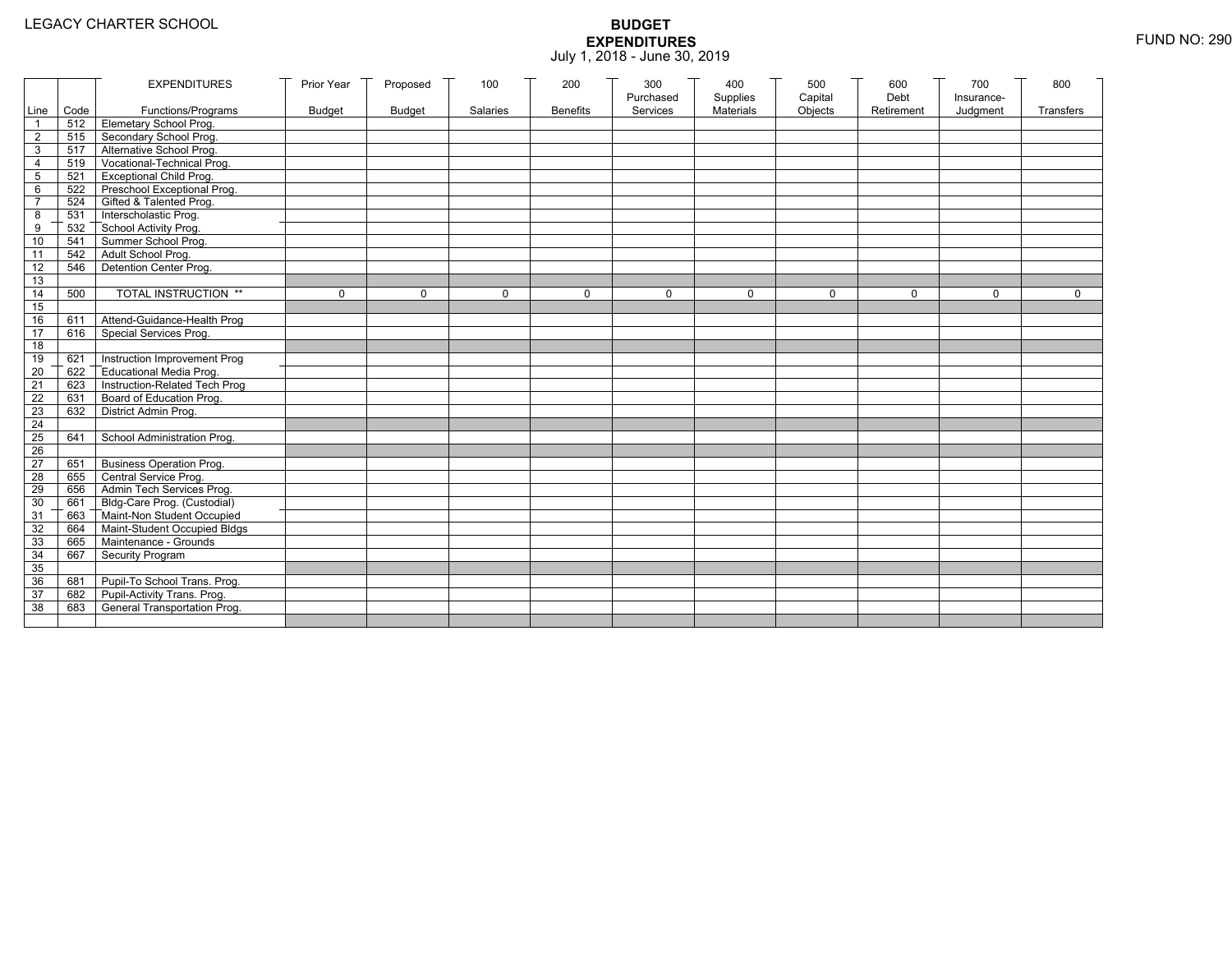|                 |           | <b>EXPENDITURES</b>                          | Prior Year    | Proposed      | 100          | 200             | 300          | 400              | 500         | 600        | 700          | 800          |
|-----------------|-----------|----------------------------------------------|---------------|---------------|--------------|-----------------|--------------|------------------|-------------|------------|--------------|--------------|
|                 |           |                                              |               |               |              |                 | Purchased    | Supplies         | Capital     | Debt       | Insurance-   |              |
|                 | Line Code | Functions/Programs                           | <b>Budget</b> | <b>Budget</b> | Salaries     | <b>Benefits</b> | Services     | <b>Materials</b> | Objects     | Retirement | Judgment     | Transfers    |
|                 |           | 512 Elemetary School Prog.                   |               |               |              |                 |              |                  |             |            |              |              |
| $\overline{2}$  | 515       | Secondary School Prog.                       |               |               |              |                 |              |                  |             |            |              |              |
| 3               |           | 517 Alternative School Prog.                 |               |               |              |                 |              |                  |             |            |              |              |
| 4               | 519       | Vocational-Technical Prog.                   |               |               |              |                 |              |                  |             |            |              |              |
| 5               | 521       | <b>Exceptional Child Prog.</b>               |               |               |              |                 |              |                  |             |            |              |              |
| 6               |           | 522 Preschool Exceptional Prog.              |               |               |              |                 |              |                  |             |            |              |              |
| $\overline{7}$  |           | 524 Gifted & Talented Prog.                  |               |               |              |                 |              |                  |             |            |              |              |
| 8               |           | 531 Interscholastic Prog.                    |               |               |              |                 |              |                  |             |            |              |              |
| 9               | 532       |                                              |               |               |              |                 |              |                  |             |            |              |              |
| 10              | 541       | School Activity Prog.<br>Summer School Prog. |               |               |              |                 |              |                  |             |            |              |              |
| 11              | 542       | Adult School Prog.                           |               |               |              |                 |              |                  |             |            |              |              |
| $\overline{12}$ | 546       | Detention Center Prog.                       |               |               |              |                 |              |                  |             |            |              |              |
| 13              |           |                                              |               |               |              |                 |              |                  |             |            |              |              |
| 14              | 500       | TOTAL INSTRUCTION **                         | $\mathbf 0$   | $\Omega$      | $\mathbf{0}$ | 0               | $\mathbf{0}$ | 0                | $\mathbf 0$ | $\Omega$   | $\mathbf{0}$ | $\mathbf{0}$ |
| 15              |           |                                              |               |               |              |                 |              |                  |             |            |              |              |
| 16              | 611       | Attend-Guidance-Health Prog                  |               |               |              |                 |              |                  |             |            |              |              |
| 17              | 616       | Special Services Prog.                       |               |               |              |                 |              |                  |             |            |              |              |
| 18              |           |                                              |               |               |              |                 |              |                  |             |            |              |              |
| 19              | 621       | Instruction Improvement Prog                 |               |               |              |                 |              |                  |             |            |              |              |
| $\overline{20}$ | 622       | Educational Media Prog.                      |               |               |              |                 |              |                  |             |            |              |              |
| 21              | 623       | Instruction-Related Tech Prog                |               |               |              |                 |              |                  |             |            |              |              |
| $\overline{22}$ | 631       | Board of Education Prog.                     |               |               |              |                 |              |                  |             |            |              |              |
| 23              | 632       | District Admin Prog.                         |               |               |              |                 |              |                  |             |            |              |              |
| 24              |           |                                              |               |               |              |                 |              |                  |             |            |              |              |
| 25              | 641       | School Administration Prog.                  |               |               |              |                 |              |                  |             |            |              |              |
| 26              |           |                                              |               |               |              |                 |              |                  |             |            |              |              |
| 27              | 651       | <b>Business Operation Prog.</b>              |               |               |              |                 |              |                  |             |            |              |              |
| 28              |           | 655 Central Service Prog.                    |               |               |              |                 |              |                  |             |            |              |              |
| 29              | 656       | Admin Tech Services Prog.                    |               |               |              |                 |              |                  |             |            |              |              |
| 30              |           | 661 Bldg-Care Prog. (Custodial)              |               |               |              |                 |              |                  |             |            |              |              |
| 31              |           | 663 Maint-Non Student Occupied               |               |               |              |                 |              |                  |             |            |              |              |
| 32              |           | 664 Maint-Student Occupied Bldgs             |               |               |              |                 |              |                  |             |            |              |              |
| 33              |           | 665 Maintenance - Grounds                    |               |               |              |                 |              |                  |             |            |              |              |
| 34              | 667       | Security Program                             |               |               |              |                 |              |                  |             |            |              |              |
| 35              |           |                                              |               |               |              |                 |              |                  |             |            |              |              |
| 36              | 681       | Pupil-To School Trans. Prog.                 |               |               |              |                 |              |                  |             |            |              |              |
| 37              | 682       | Pupil-Activity Trans. Prog.                  |               |               |              |                 |              |                  |             |            |              |              |
| 38              | 683       | General Transportation Prog.                 |               |               |              |                 |              |                  |             |            |              |              |
|                 |           |                                              |               |               |              |                 |              |                  |             |            |              |              |
|                 |           |                                              |               |               |              |                 |              |                  |             |            |              |              |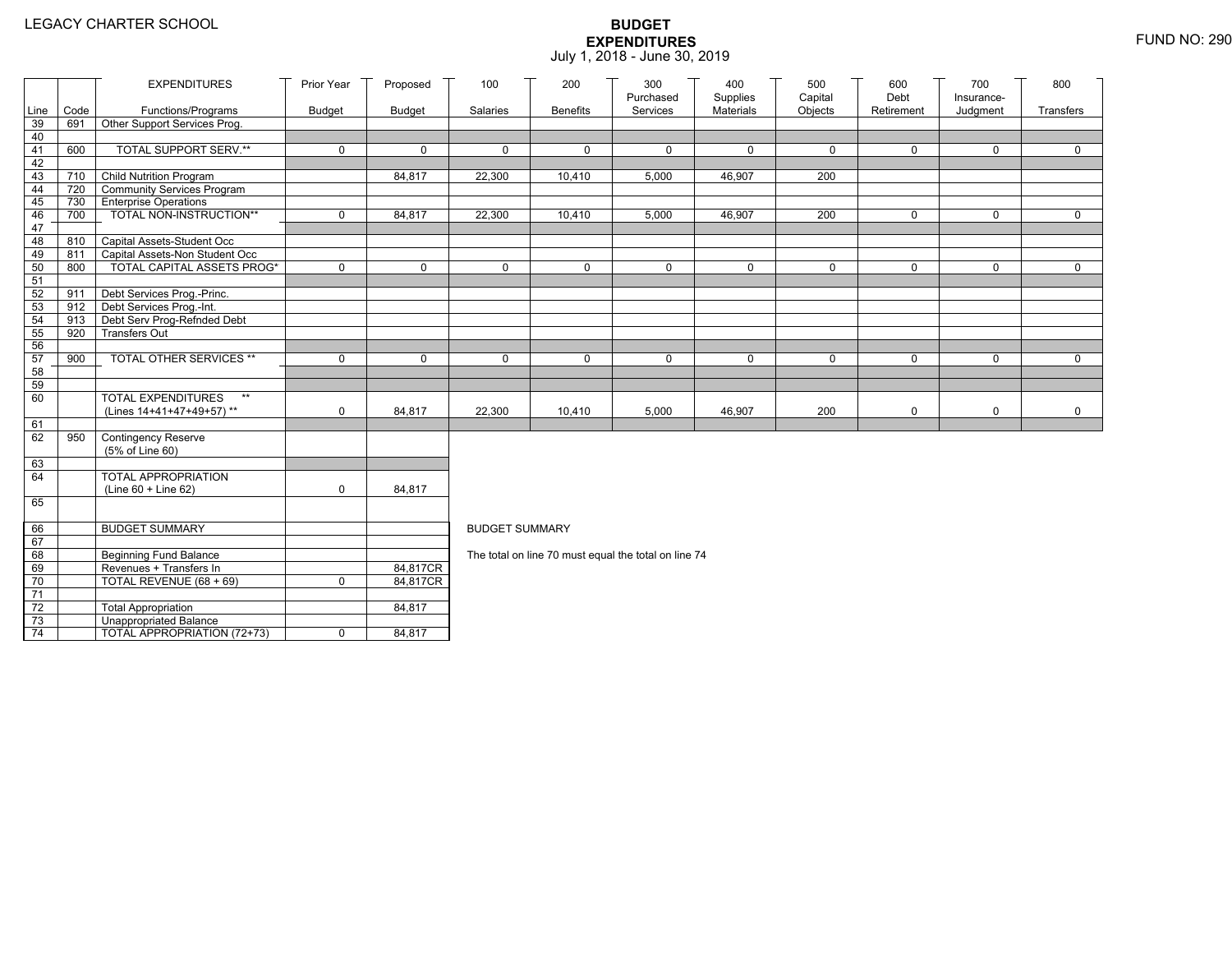|          |            | <b>EXPENDITURES</b>                                          | Prior Year    | Proposed    | 100                   | 200             | 300<br>Purchased                                     | 400<br>Supplies | 500<br>Capital | 600<br>Debt | 700                    | 800         |  |  |
|----------|------------|--------------------------------------------------------------|---------------|-------------|-----------------------|-----------------|------------------------------------------------------|-----------------|----------------|-------------|------------------------|-------------|--|--|
| Line     | Code       | Functions/Programs                                           | <b>Budget</b> | Budget      | Salaries              | <b>Benefits</b> | Services                                             | Materials       | Objects        | Retirement  | Insurance-<br>Judgment | Transfers   |  |  |
| 39       | 691        | Other Support Services Prog.                                 |               |             |                       |                 |                                                      |                 |                |             |                        |             |  |  |
| 40       |            |                                                              |               |             |                       |                 |                                                      |                 |                |             |                        |             |  |  |
| 41       | 600        | TOTAL SUPPORT SERV.**                                        | 0             | $\mathbf 0$ | $\mathbf 0$           | 0               | $\mathbf 0$                                          | $\mathbf 0$     | 0              | 0           | 0                      | $\mathbf 0$ |  |  |
| 42       |            |                                                              |               |             |                       |                 |                                                      |                 |                |             |                        |             |  |  |
| 43       | 710        | <b>Child Nutrition Program</b>                               |               | 84,817      | 22,300                | 10,410          | 5,000                                                | 46,907          | 200            |             |                        |             |  |  |
| 44       | 720        | Community Services Program                                   |               |             |                       |                 |                                                      |                 |                |             |                        |             |  |  |
| 45       | 730        | <b>Enterprise Operations</b>                                 |               |             |                       |                 |                                                      |                 |                |             |                        |             |  |  |
| 46       | 700        | TOTAL NON-INSTRUCTION**                                      | $\mathbf 0$   | 84,817      | 22,300                | 10,410          | 5,000                                                | 46,907          | 200            | 0           | $\mathbf 0$            | $\mathbf 0$ |  |  |
| 47       |            |                                                              |               |             |                       |                 |                                                      |                 |                |             |                        |             |  |  |
| 48<br>49 | 810<br>811 | Capital Assets-Student Occ<br>Capital Assets-Non Student Occ |               |             |                       |                 |                                                      |                 |                |             |                        |             |  |  |
| 50       | 800        | <b>TOTAL CAPITAL ASSETS PROG*</b>                            | $\mathbf 0$   | $\mathbf 0$ | $\Omega$              | 0               | $\mathbf 0$                                          | 0               | $\mathbf 0$    | $\Omega$    | $\mathbf 0$            | $\Omega$    |  |  |
| 51       |            |                                                              |               |             |                       |                 |                                                      |                 |                |             |                        |             |  |  |
| 52       | 911        | Debt Services Prog.-Princ.                                   |               |             |                       |                 |                                                      |                 |                |             |                        |             |  |  |
| 53       |            | 912 Debt Services Prog.-Int.                                 |               |             |                       |                 |                                                      |                 |                |             |                        |             |  |  |
| 54       | 913        | Debt Serv Prog-Refnded Debt                                  |               |             |                       |                 |                                                      |                 |                |             |                        |             |  |  |
| 55       | 920        | <b>Transfers Out</b>                                         |               |             |                       |                 |                                                      |                 |                |             |                        |             |  |  |
| 56       |            |                                                              |               |             |                       |                 |                                                      |                 |                |             |                        |             |  |  |
| 57       | 900        | TOTAL OTHER SERVICES **                                      | $\mathbf 0$   | $\mathbf 0$ | $\mathbf 0$           | 0               | $\mathbf 0$                                          | 0               | 0              | 0           | $\mathbf 0$            | $\mathbf 0$ |  |  |
| 58       |            |                                                              |               |             |                       |                 |                                                      |                 |                |             |                        |             |  |  |
| 59       |            |                                                              |               |             |                       |                 |                                                      |                 |                |             |                        |             |  |  |
| 60       |            | <b>TOTAL EXPENDITURES</b><br>$**$                            |               |             |                       |                 |                                                      |                 |                |             |                        |             |  |  |
|          |            | (Lines 14+41+47+49+57)**                                     | 0             | 84,817      | 22,300                | 10,410          | 5,000                                                | 46,907          | 200            | 0           | $\mathsf{O}$           | $\mathbf 0$ |  |  |
| 61<br>62 | 950        | <b>Contingency Reserve</b>                                   |               |             |                       |                 |                                                      |                 |                |             |                        |             |  |  |
|          |            | (5% of Line 60)                                              |               |             |                       |                 |                                                      |                 |                |             |                        |             |  |  |
| 63       |            |                                                              |               |             |                       |                 |                                                      |                 |                |             |                        |             |  |  |
| 64       |            | <b>TOTAL APPROPRIATION</b>                                   |               |             |                       |                 |                                                      |                 |                |             |                        |             |  |  |
|          |            | $(Line 60 + Line 62)$                                        | $\mathbf 0$   | 84,817      |                       |                 |                                                      |                 |                |             |                        |             |  |  |
| 65       |            |                                                              |               |             |                       |                 |                                                      |                 |                |             |                        |             |  |  |
|          |            |                                                              |               |             |                       |                 |                                                      |                 |                |             |                        |             |  |  |
| 66       |            | <b>BUDGET SUMMARY</b>                                        |               |             | <b>BUDGET SUMMARY</b> |                 |                                                      |                 |                |             |                        |             |  |  |
| 67       |            |                                                              |               |             |                       |                 |                                                      |                 |                |             |                        |             |  |  |
| 68       |            | Beginning Fund Balance                                       |               |             |                       |                 | The total on line 70 must equal the total on line 74 |                 |                |             |                        |             |  |  |
| 69       |            | Revenues + Transfers In                                      |               | 84,817CR    |                       |                 |                                                      |                 |                |             |                        |             |  |  |
| 70       |            | TOTAL REVENUE (68 + 69)                                      | 0             | 84,817CR    |                       |                 |                                                      |                 |                |             |                        |             |  |  |
| 71       |            |                                                              |               |             |                       |                 |                                                      |                 |                |             |                        |             |  |  |
| 72<br>73 |            | <b>Total Appropriation</b><br>Unappropriated Balance         |               | 84,817      |                       |                 |                                                      |                 |                |             |                        |             |  |  |
| 74       |            | TOTAL APPROPRIATION (72+73)                                  | $\mathbf 0$   | 84,817      |                       |                 |                                                      |                 |                |             |                        |             |  |  |
|          |            |                                                              |               |             |                       |                 |                                                      |                 |                |             |                        |             |  |  |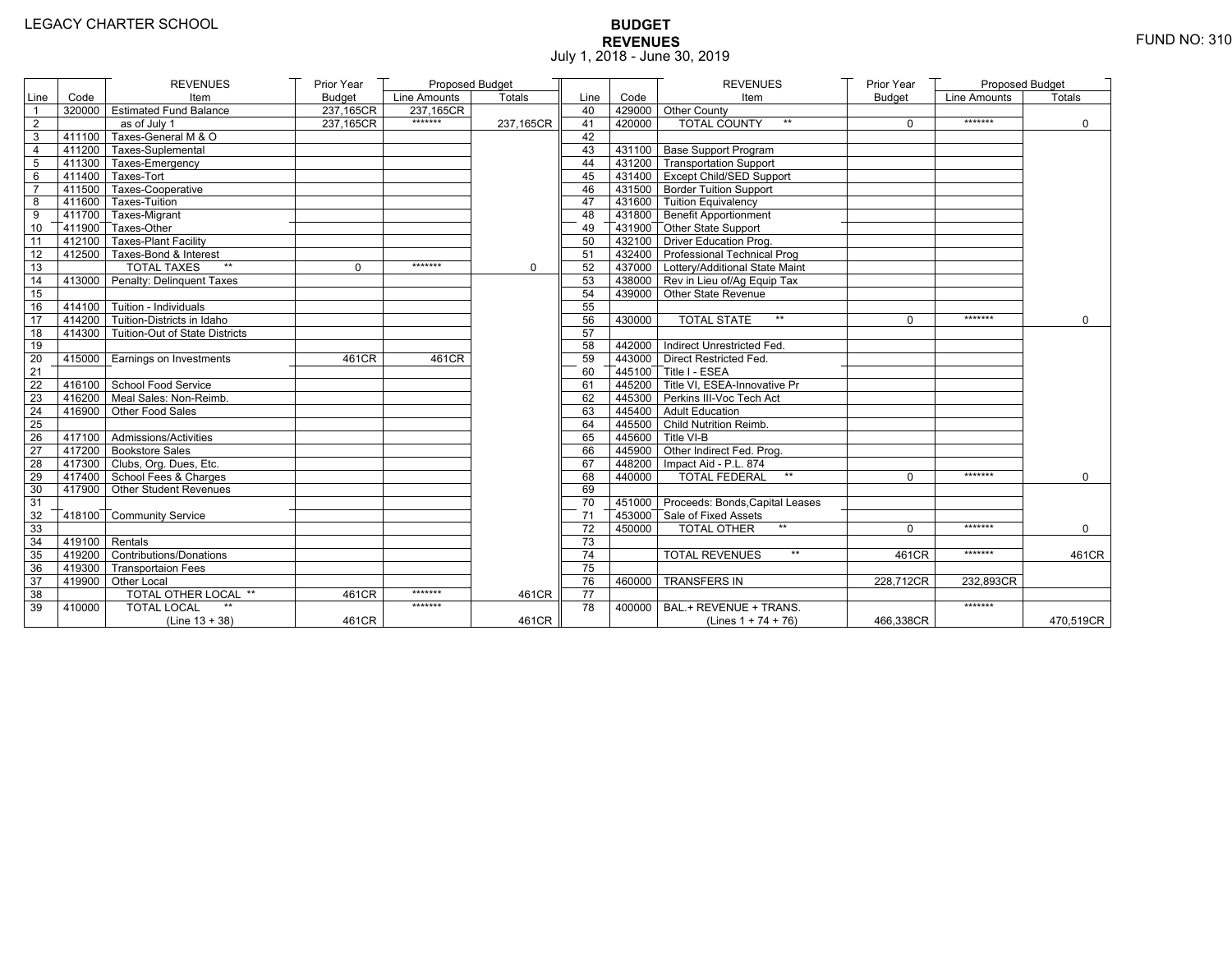# **BUDGET REVENUES** FUND NO: 310 July 1, 2018 - June 30, 2019

|                |        | <b>REVENUES</b>                       | Prior Year    | Proposed Budget |           |                 |        | <b>REVENUES</b>                        | Prior Year    | <b>Proposed Budget</b> |               |
|----------------|--------|---------------------------------------|---------------|-----------------|-----------|-----------------|--------|----------------------------------------|---------------|------------------------|---------------|
| Line           | Code   | Item                                  | <b>Budget</b> | Line Amounts    | Totals    | Line            | Code   | Item                                   | <b>Budget</b> | Line Amounts           | <b>Totals</b> |
| $\overline{1}$ |        | 320000 Estimated Fund Balance         | 237,165CR     | 237,165CR       |           | 40              |        | 429000 Other County                    |               |                        |               |
| $\sqrt{2}$     |        | as of July 1                          | 237.165CR     | *******         | 237.165CR | 41              | 420000 | TOTAL COUNTY<br>$**$                   | $\Omega$      | *******                | $\mathbf 0$   |
| 3              |        | 411100 Taxes-General M & O            |               |                 |           | 42              |        |                                        |               |                        |               |
| $\overline{4}$ |        | 411200 Taxes-Suplemental              |               |                 |           | 43              |        | 431100 Base Support Program            |               |                        |               |
| 5              |        | 411300 Taxes-Emergency                |               |                 |           | 44              |        | 431200 Transportation Support          |               |                        |               |
| 6              |        | 411400 Taxes-Tort                     |               |                 |           | 45              |        | 431400 Except Child/SED Support        |               |                        |               |
| $\overline{7}$ |        | 411500 Taxes-Cooperative              |               |                 |           | 46              |        | 431500 Border Tuition Support          |               |                        |               |
| 8              |        | 411600 Taxes-Tuition                  |               |                 |           | 47              |        | 431600 Tuition Equivalency             |               |                        |               |
| 9              |        | 411700 Taxes-Migrant                  |               |                 |           | 48              |        | 431800 Benefit Apportionment           |               |                        |               |
| 10             |        | 411900 Taxes-Other                    |               |                 |           | 49              |        | 431900 Other State Support             |               |                        |               |
| 11             |        | 412100 Taxes-Plant Facility           |               |                 |           | 50              |        | 432100 Driver Education Prog.          |               |                        |               |
| 12             |        | 412500 Taxes-Bond & Interest          |               |                 |           | 51              |        | 432400 Professional Technical Prog     |               |                        |               |
| 13             |        | <b>TOTAL TAXES</b><br>$**$            | 0             | *******         | 0         | 52              |        | 437000 Lottery/Additional State Maint  |               |                        |               |
| 14             |        | 413000 Penalty: Delinquent Taxes      |               |                 |           | 53              |        | 438000 Rev in Lieu of/Ag Equip Tax     |               |                        |               |
| 15             |        |                                       |               |                 |           | 54              |        | 439000 Other State Revenue             |               |                        |               |
| 16             |        | 414100 Tuition - Individuals          |               |                 |           | 55              |        |                                        |               |                        |               |
| 17             |        | $414200$ Tuition-Districts in Idaho   |               |                 |           | 56              | 430000 | <b>TOTAL STATE</b><br>$\star\star$     | $\Omega$      | *******                | $\Omega$      |
| 18             |        | 414300 Tuition-Out of State Districts |               |                 |           | 57              |        |                                        |               |                        |               |
| 19             |        |                                       |               |                 |           | 58              |        | 442000 Indirect Unrestricted Fed.      |               |                        |               |
| 20             |        | 415000 Earnings on Investments        | 461CR         | 461CR           |           | 59              |        | 443000 Direct Restricted Fed.          |               |                        |               |
| 21             |        |                                       |               |                 |           | 60              |        | 445100 Title I - ESEA                  |               |                        |               |
| 22             |        | 416100 School Food Service            |               |                 |           | 61              |        | $7445200$ Title VI. ESEA-Innovative Pr |               |                        |               |
| 23             |        | 416200 Meal Sales: Non-Reimb.         |               |                 |           | 62              |        | 445300 Perkins III-Voc Tech Act        |               |                        |               |
| 24             |        | 416900 Other Food Sales               |               |                 |           | 63              |        | 445400 Adult Education                 |               |                        |               |
| 25             |        |                                       |               |                 |           | 64              |        | 445500 Child Nutrition Reimb.          |               |                        |               |
| 26             |        | 417100 Admissions/Activities          |               |                 |           | 65              |        | 445600 Title VI-B                      |               |                        |               |
| 27             |        | 417200 Bookstore Sales                |               |                 |           | 66              |        | 445900 Other Indirect Fed. Prog.       |               |                        |               |
| 28             |        | 417300 Clubs, Org. Dues, Etc.         |               |                 |           | 67              |        | 448200   Impact Aid - P.L. 874         |               |                        |               |
| 29             |        | 417400 School Fees & Charges          |               |                 |           | 68              | 440000 | <b>TOTAL FEDERAL</b><br>$\star\star$   | $\Omega$      | *******                | $\mathbf 0$   |
| 30             |        | 417900 Other Student Revenues         |               |                 |           | 69              |        |                                        |               |                        |               |
| 31             |        |                                       |               |                 |           | 70              |        | 451000 Proceeds: Bonds, Capital Leases |               |                        |               |
| 32             |        | 418100 Community Service              |               |                 |           | 71              |        | 453000 Sale of Fixed Assets            |               |                        |               |
| 33             |        |                                       |               |                 |           | 72              | 450000 | <b>TOTAL OTHER</b><br>$**$             | $\Omega$      | *******                | $\Omega$      |
| 34             |        | $419100$ Rentals                      |               |                 |           | 73              |        |                                        |               |                        |               |
| 35             |        | 419200 Contributions/Donations        |               |                 |           | 74              |        | $\star\star$<br><b>TOTAL REVENUES</b>  | 461CR         | *******                | 461CR         |
| 36             |        | 419300 Transportaion Fees             |               |                 |           | 75              |        |                                        |               |                        |               |
| 37             |        | 419900 Other Local                    |               |                 |           | 76              | 460000 | <b>TRANSFERS IN</b>                    | 228,712CR     | 232,893CR              |               |
| 38             |        | TOTAL OTHER LOCAL **                  | 461CR         | *******         | 461CR     | $\overline{77}$ |        |                                        |               |                        |               |
| 39             | 410000 | <b>TOTAL LOCAL</b>                    |               | *******         |           | 78              |        | 400000   BAL.+ REVENUE + TRANS.        |               | *******                |               |
|                |        | $(Line 13 + 38)$                      | 461CR         |                 | 461CR     |                 |        | (Lines $1 + 74 + 76$ )                 | 466,338CR     |                        | 470,519CR     |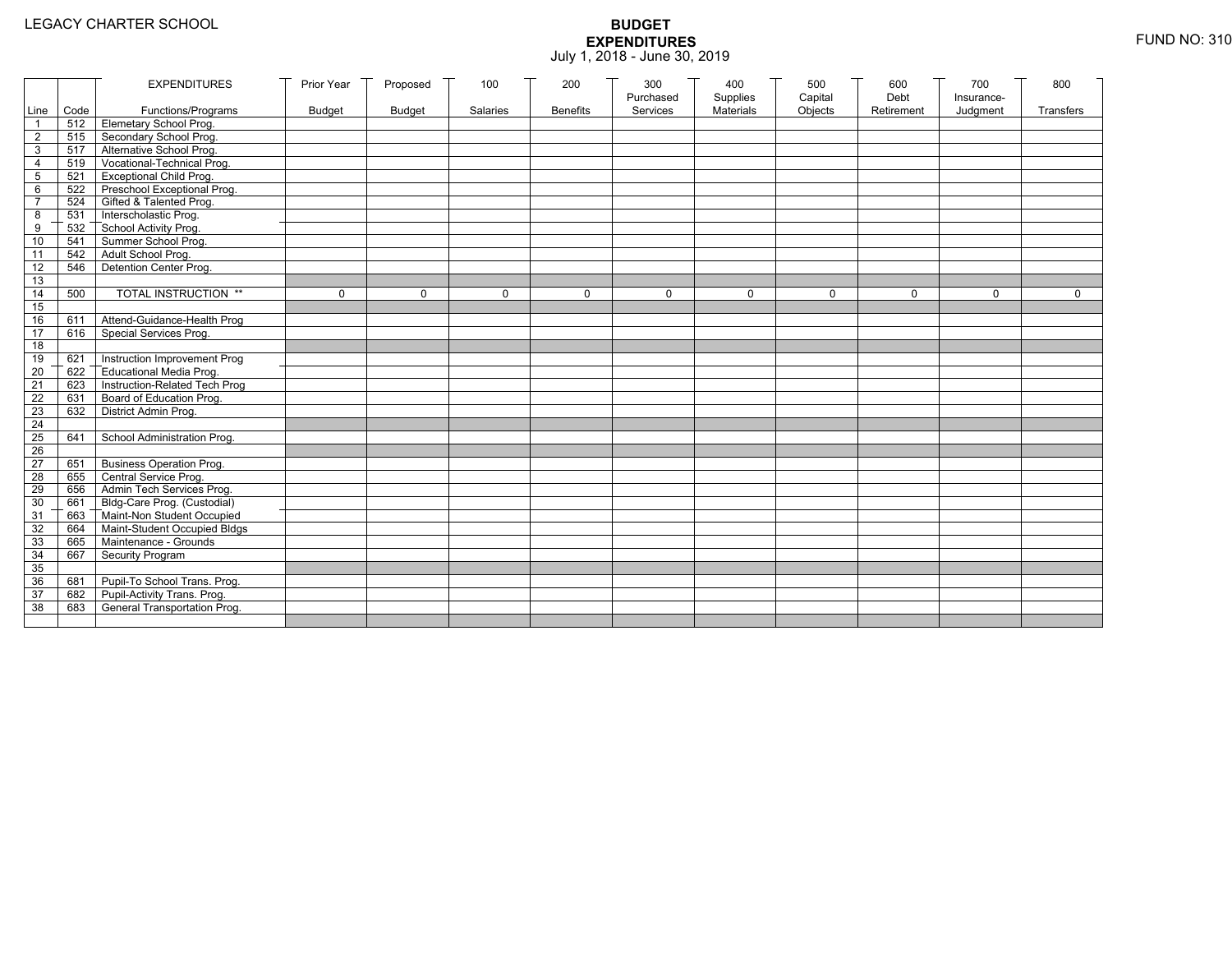|                 |           | <b>EXPENDITURES</b>                          | Prior Year    | Proposed      | 100      | 200             | 300                   | 400                   | 500                | 600                | 700                    | 800         |
|-----------------|-----------|----------------------------------------------|---------------|---------------|----------|-----------------|-----------------------|-----------------------|--------------------|--------------------|------------------------|-------------|
|                 | Line Code | Functions/Programs                           | <b>Budget</b> | <b>Budget</b> | Salaries | <b>Benefits</b> | Purchased<br>Services | Supplies<br>Materials | Capital<br>Objects | Debt<br>Retirement | Insurance-<br>Judgment | Transfers   |
| 1               |           | 512 Elemetary School Prog.                   |               |               |          |                 |                       |                       |                    |                    |                        |             |
| $\overline{2}$  |           | 515 Secondary School Prog.                   |               |               |          |                 |                       |                       |                    |                    |                        |             |
| 3               |           | 517 Alternative School Prog.                 |               |               |          |                 |                       |                       |                    |                    |                        |             |
| 4               | 519       | Vocational-Technical Prog.                   |               |               |          |                 |                       |                       |                    |                    |                        |             |
| 5               | 521       | <b>Exceptional Child Prog.</b>               |               |               |          |                 |                       |                       |                    |                    |                        |             |
| 6               |           | 522 Preschool Exceptional Prog.              |               |               |          |                 |                       |                       |                    |                    |                        |             |
| $\overline{7}$  |           | 524 Gifted & Talented Prog.                  |               |               |          |                 |                       |                       |                    |                    |                        |             |
| 8               |           | 531 Interscholastic Prog.                    |               |               |          |                 |                       |                       |                    |                    |                        |             |
| 9               | 532       | School Activity Prog.<br>Summer School Prog. |               |               |          |                 |                       |                       |                    |                    |                        |             |
| 10              | 541       |                                              |               |               |          |                 |                       |                       |                    |                    |                        |             |
| 11              | 542       | Adult School Prog.                           |               |               |          |                 |                       |                       |                    |                    |                        |             |
| $\overline{12}$ | 546       | Detention Center Prog.                       |               |               |          |                 |                       |                       |                    |                    |                        |             |
| 13              |           |                                              |               |               |          |                 |                       |                       |                    |                    |                        |             |
| 14              | 500       | TOTAL INSTRUCTION **                         | $\mathbf 0$   | $\Omega$      | $\Omega$ | $\mathbf 0$     | $\Omega$              | 0                     | $\mathbf 0$        | $\Omega$           | $\Omega$               | $\mathbf 0$ |
| 15              |           |                                              |               |               |          |                 |                       |                       |                    |                    |                        |             |
| 16              | 611       | Attend-Guidance-Health Prog                  |               |               |          |                 |                       |                       |                    |                    |                        |             |
| 17              | 616       | Special Services Prog.                       |               |               |          |                 |                       |                       |                    |                    |                        |             |
| 18              |           |                                              |               |               |          |                 |                       |                       |                    |                    |                        |             |
| 19              | 621       | Instruction Improvement Prog                 |               |               |          |                 |                       |                       |                    |                    |                        |             |
| $\overline{20}$ | 622       | Educational Media Prog.                      |               |               |          |                 |                       |                       |                    |                    |                        |             |
| 21              | 623       | Instruction-Related Tech Prog                |               |               |          |                 |                       |                       |                    |                    |                        |             |
| $\overline{22}$ | 631       | Board of Education Prog.                     |               |               |          |                 |                       |                       |                    |                    |                        |             |
| 23              | 632       | District Admin Prog.                         |               |               |          |                 |                       |                       |                    |                    |                        |             |
| 24              |           |                                              |               |               |          |                 |                       |                       |                    |                    |                        |             |
| 25              | 641       | School Administration Prog.                  |               |               |          |                 |                       |                       |                    |                    |                        |             |
| 26              |           |                                              |               |               |          |                 |                       |                       |                    |                    |                        |             |
| $\overline{27}$ | 651       | <b>Business Operation Prog.</b>              |               |               |          |                 |                       |                       |                    |                    |                        |             |
| 28              |           | 655 Central Service Prog.                    |               |               |          |                 |                       |                       |                    |                    |                        |             |
| 29              | 656       | Admin Tech Services Prog.                    |               |               |          |                 |                       |                       |                    |                    |                        |             |
| 30              |           | 661 Bldg-Care Prog. (Custodial)              |               |               |          |                 |                       |                       |                    |                    |                        |             |
| 31              |           | 663 Maint-Non Student Occupied               |               |               |          |                 |                       |                       |                    |                    |                        |             |
| 32              | 664       | Maint-Student Occupied Bldgs                 |               |               |          |                 |                       |                       |                    |                    |                        |             |
| 33              |           | 665 Maintenance - Grounds                    |               |               |          |                 |                       |                       |                    |                    |                        |             |
| 34              | 667       | Security Program                             |               |               |          |                 |                       |                       |                    |                    |                        |             |
| 35              |           |                                              |               |               |          |                 |                       |                       |                    |                    |                        |             |
| 36              | 681       | Pupil-To School Trans. Prog.                 |               |               |          |                 |                       |                       |                    |                    |                        |             |
| 37              | 682       | Pupil-Activity Trans. Prog.                  |               |               |          |                 |                       |                       |                    |                    |                        |             |
| 38              | 683       | General Transportation Prog.                 |               |               |          |                 |                       |                       |                    |                    |                        |             |
|                 |           |                                              |               |               |          |                 |                       |                       |                    |                    |                        |             |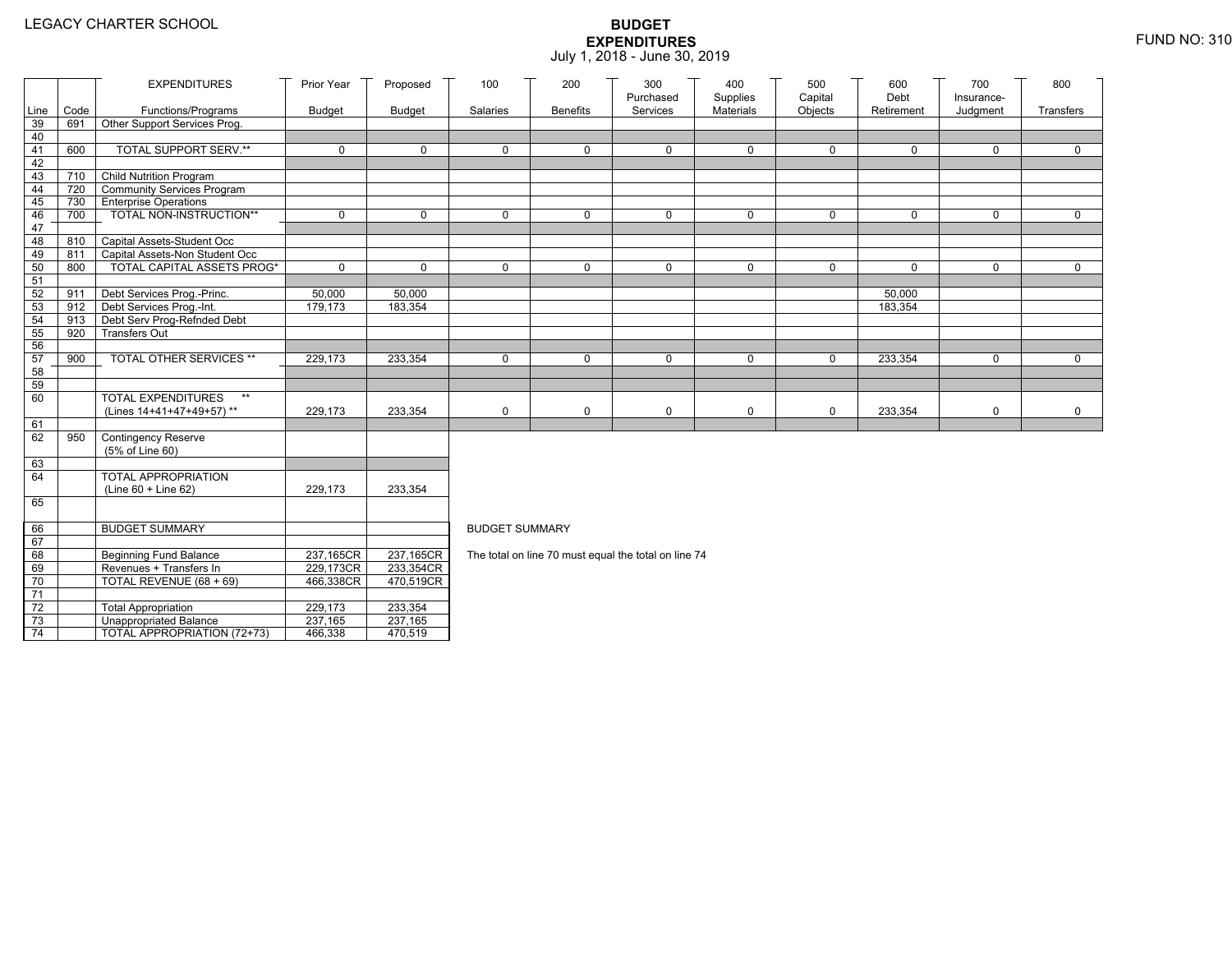|                 |      | <b>EXPENDITURES</b>                                        | Prior Year        | Proposed          | 100                   | 200             | 300                                                  | 400                   | 500                | 600                | 700                    | 800          |
|-----------------|------|------------------------------------------------------------|-------------------|-------------------|-----------------------|-----------------|------------------------------------------------------|-----------------------|--------------------|--------------------|------------------------|--------------|
| Line            | Code | Functions/Programs                                         | <b>Budget</b>     | <b>Budget</b>     | Salaries              | <b>Benefits</b> | Purchased<br>Services                                | Supplies<br>Materials | Capital<br>Objects | Debt<br>Retirement | Insurance-<br>Judgment | Transfers    |
| 39              | 691  | Other Support Services Prog.                               |                   |                   |                       |                 |                                                      |                       |                    |                    |                        |              |
| 40              |      |                                                            |                   |                   |                       |                 |                                                      |                       |                    |                    |                        |              |
| 41              | 600  | <b>TOTAL SUPPORT SERV.**</b>                               | 0                 | $\mathbf 0$       | $\mathbf 0$           | 0               | $\mathbf 0$                                          | 0                     | $\mathbf 0$        | $\mathbf 0$        | $\mathbf 0$            | $\mathbf 0$  |
| 42              |      |                                                            |                   |                   |                       |                 |                                                      |                       |                    |                    |                        |              |
| 43              |      | 710 Child Nutrition Program                                |                   |                   |                       |                 |                                                      |                       |                    |                    |                        |              |
| 44              | 720  | Community Services Program                                 |                   |                   |                       |                 |                                                      |                       |                    |                    |                        |              |
| 45              | 730  | <b>Enterprise Operations</b>                               |                   |                   |                       |                 |                                                      |                       |                    |                    |                        |              |
| 46              | 700  | TOTAL NON-INSTRUCTION**                                    | $\mathsf{O}$      | $\Omega$          | $\Omega$              | 0               | $\mathbf 0$                                          | 0                     | $\mathbf 0$        | $\Omega$           | $\mathbf 0$            | $\mathbf 0$  |
| 47              |      |                                                            |                   |                   |                       |                 |                                                      |                       |                    |                    |                        |              |
| 48              | 810  | Capital Assets-Student Occ                                 |                   |                   |                       |                 |                                                      |                       |                    |                    |                        |              |
| 49              | 811  | Capital Assets-Non Student Occ                             |                   |                   |                       |                 |                                                      |                       |                    |                    |                        |              |
| 50              | 800  | <b>TOTAL CAPITAL ASSETS PROG*</b>                          | $\mathbf 0$       | $\Omega$          | $\mathbf{0}$          | $\Omega$        | $\mathbf 0$                                          | $\mathbf 0$           | $\mathbf 0$        | $\Omega$           | $\mathbf 0$            | $\Omega$     |
| 51              |      |                                                            |                   |                   |                       |                 |                                                      |                       |                    |                    |                        |              |
| 52<br>53        | 911  | Debt Services Prog.-Princ.<br>912 Debt Services Prog.-Int. | 50,000<br>179,173 | 50,000<br>183,354 |                       |                 |                                                      |                       |                    | 50,000<br>183,354  |                        |              |
| 54              | 913  | Debt Serv Prog-Refnded Debt                                |                   |                   |                       |                 |                                                      |                       |                    |                    |                        |              |
| 55              | 920  | <b>Transfers Out</b>                                       |                   |                   |                       |                 |                                                      |                       |                    |                    |                        |              |
| 56              |      |                                                            |                   |                   |                       |                 |                                                      |                       |                    |                    |                        |              |
| 57              | 900  | TOTAL OTHER SERVICES **                                    | 229,173           | 233,354           | $\mathbf 0$           | 0               | $\mathbf 0$                                          | 0                     | $\mathbf 0$        | 233,354            | $\mathbf 0$            | $\mathbf{0}$ |
| 58              |      |                                                            |                   |                   |                       |                 |                                                      |                       |                    |                    |                        |              |
| 59              |      |                                                            |                   |                   |                       |                 |                                                      |                       |                    |                    |                        |              |
| 60              |      | <b>TOTAL EXPENDITURES</b><br>$\star\star$                  |                   |                   |                       |                 |                                                      |                       |                    |                    |                        |              |
|                 |      | (Lines 14+41+47+49+57)**                                   | 229,173           | 233,354           | $\mathbf 0$           | 0               | $\mathsf 0$                                          | 0                     | $\mathbf 0$        | 233,354            | $\mathsf 0$            | $\mathsf{O}$ |
| 61              |      |                                                            |                   |                   |                       |                 |                                                      |                       |                    |                    |                        |              |
| 62              | 950  | Contingency Reserve                                        |                   |                   |                       |                 |                                                      |                       |                    |                    |                        |              |
|                 |      | (5% of Line 60)                                            |                   |                   |                       |                 |                                                      |                       |                    |                    |                        |              |
| 63              |      |                                                            |                   |                   |                       |                 |                                                      |                       |                    |                    |                        |              |
| 64              |      | TOTAL APPROPRIATION                                        |                   |                   |                       |                 |                                                      |                       |                    |                    |                        |              |
|                 |      | (Line 60 + Line 62)                                        | 229,173           | 233,354           |                       |                 |                                                      |                       |                    |                    |                        |              |
| 65              |      |                                                            |                   |                   |                       |                 |                                                      |                       |                    |                    |                        |              |
| 66              |      | <b>BUDGET SUMMARY</b>                                      |                   |                   | <b>BUDGET SUMMARY</b> |                 |                                                      |                       |                    |                    |                        |              |
| 67              |      |                                                            |                   |                   |                       |                 |                                                      |                       |                    |                    |                        |              |
| 68              |      | <b>Beginning Fund Balance</b>                              | 237,165CR         | 237,165CR         |                       |                 | The total on line 70 must equal the total on line 74 |                       |                    |                    |                        |              |
| 69              |      | Revenues + Transfers In                                    | 229,173CR         | 233,354CR         |                       |                 |                                                      |                       |                    |                    |                        |              |
| 70              |      | TOTAL REVENUE (68 + 69)                                    | 466,338CR         | 470,519CR         |                       |                 |                                                      |                       |                    |                    |                        |              |
| 71              |      |                                                            |                   |                   |                       |                 |                                                      |                       |                    |                    |                        |              |
| 72              |      | <b>Total Appropriation</b>                                 | 229,173           | 233,354           |                       |                 |                                                      |                       |                    |                    |                        |              |
| 73              |      | <b>Unappropriated Balance</b>                              | 237,165           | 237,165           |                       |                 |                                                      |                       |                    |                    |                        |              |
| $\overline{74}$ |      | TOTAL APPROPRIATION (72+73)                                | 466,338           | 470,519           |                       |                 |                                                      |                       |                    |                    |                        |              |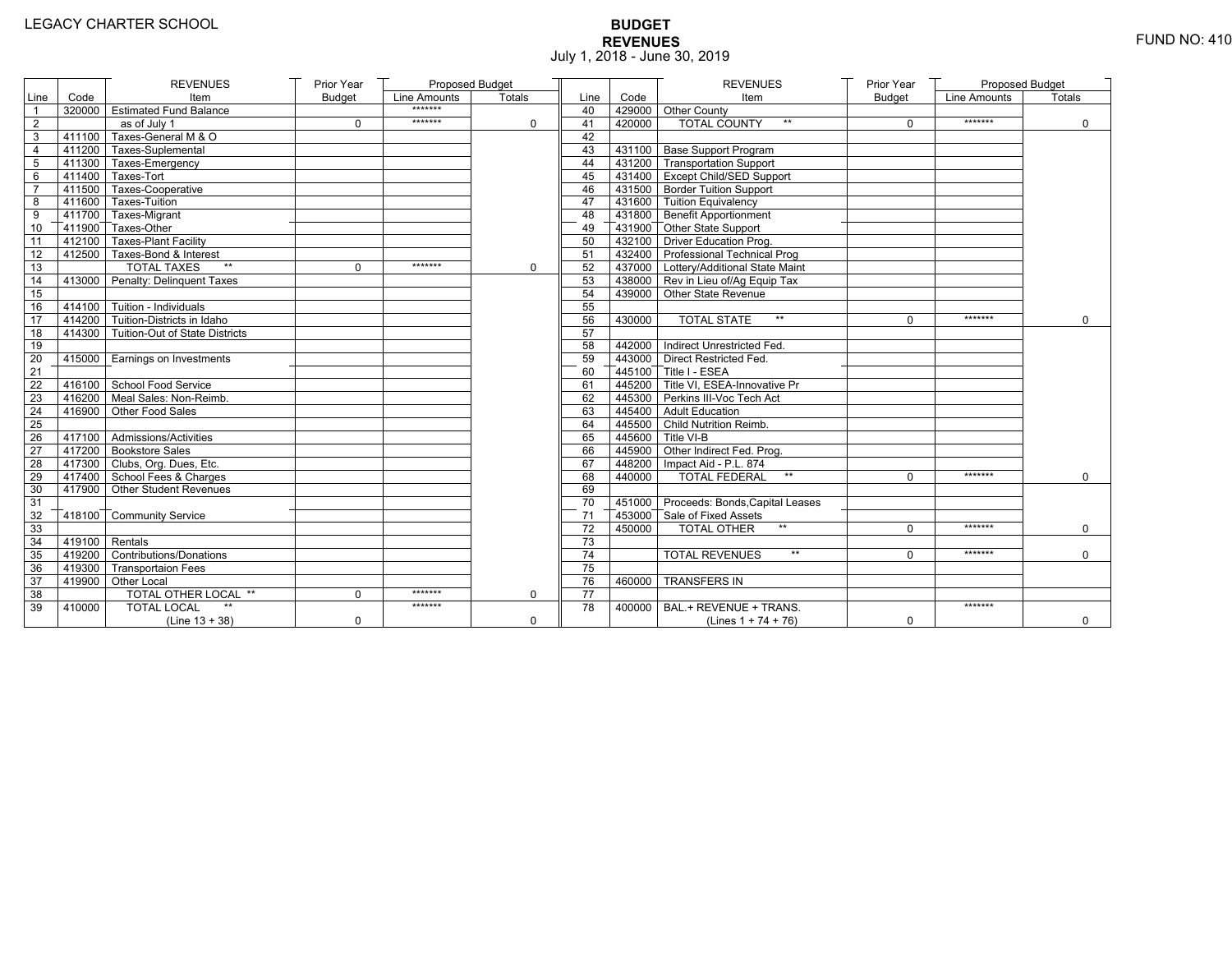# **BUDGET REVENUES** FUND NO: 410 July 1, 2018 - June 30, 2019

|                 |                   | <b>REVENUES</b>                       | Prior Year    | Proposed Budget |          |                 |        | <b>REVENUES</b>                         | Prior Year    | Proposed Budget |             |
|-----------------|-------------------|---------------------------------------|---------------|-----------------|----------|-----------------|--------|-----------------------------------------|---------------|-----------------|-------------|
| Line            | Code              | Item                                  | <b>Budget</b> | Line Amounts    | Totals   | Line            | Code   | Item                                    | <b>Budget</b> | Line Amounts    | Totals      |
|                 |                   | 320000 Estimated Fund Balance         |               | *******         |          | 40              |        | 429000 Other County                     |               |                 |             |
| $\sqrt{2}$      |                   | as of July 1                          | $\mathbf 0$   | *******         | 0        | 41              | 420000 | <b>TOTAL COUNTY</b><br>$\star\star$     | $\mathbf 0$   | *******         | $\mathbf 0$ |
| 3               |                   | 411100 Taxes-General M & O            |               |                 |          | 42              |        |                                         |               |                 |             |
| 4               |                   | 411200 Taxes-Suplemental              |               |                 |          | 43              |        | 431100 Base Support Program             |               |                 |             |
| 5               |                   | 411300 Taxes-Emergency                |               |                 |          | 44              |        | 431200 Transportation Support           |               |                 |             |
| 6               |                   | 411400 Taxes-Tort                     |               |                 |          | 45              |        | 431400 Except Child/SED Support         |               |                 |             |
| $\overline{7}$  |                   | 411500 Taxes-Cooperative              |               |                 |          | 46              |        | 431500 Border Tuition Support           |               |                 |             |
| 8               |                   | 411600 Taxes-Tuition                  |               |                 |          | 47              |        | 431600 Tuition Equivalency              |               |                 |             |
| 9               |                   | 411700 Taxes-Migrant                  |               |                 |          | 48              |        | 431800 Benefit Apportionment            |               |                 |             |
| 10              |                   | 411900 Taxes-Other                    |               |                 |          | 49              |        | 431900 Other State Support              |               |                 |             |
| 11              |                   | 412100 Taxes-Plant Facility           |               |                 |          | 50              |        | 432100 Driver Education Prog.           |               |                 |             |
| 12              |                   | 412500 Taxes-Bond & Interest          |               |                 |          | 51              |        | 432400 Professional Technical Prog      |               |                 |             |
| $\overline{13}$ |                   | <b>TOTAL TAXES</b><br>$\star\star$    | $\Omega$      | *******         | $\Omega$ | 52              |        | 437000 Lottery/Additional State Maint   |               |                 |             |
| 14              |                   | 413000 Penalty: Delinquent Taxes      |               |                 |          | 53              |        | 438000 Rev in Lieu of/Ag Equip Tax      |               |                 |             |
| 15              |                   |                                       |               |                 |          | 54              |        | 439000 Other State Revenue              |               |                 |             |
| 16              |                   | $-414100$ Tuition - Individuals       |               |                 |          | 55              |        |                                         |               |                 |             |
| 17              |                   | 414200 Tuition-Districts in Idaho     |               |                 |          | 56              | 430000 | $\star\star$<br><b>TOTAL STATE</b>      | $\Omega$      | *******         | $\Omega$    |
| 18              |                   | 414300 Tuition-Out of State Districts |               |                 |          | 57              |        |                                         |               |                 |             |
| 19              |                   |                                       |               |                 |          | 58              |        | 442000 Indirect Unrestricted Fed.       |               |                 |             |
| 20              |                   | 415000   Earnings on Investments      |               |                 |          | 59              |        | 443000 Direct Restricted Fed.           |               |                 |             |
| 21              |                   |                                       |               |                 |          | 60              |        | 445100 Title I - ESEA                   |               |                 |             |
| 22              |                   | 416100 School Food Service            |               |                 |          | 61              |        | 445200 Title VI. ESEA-Innovative Pr     |               |                 |             |
| 23              |                   | 416200 Meal Sales: Non-Reimb.         |               |                 |          | 62              |        | 445300 Perkins III-Voc Tech Act         |               |                 |             |
| 24              |                   | 416900 Other Food Sales               |               |                 |          | 63              |        | 445400 Adult Education                  |               |                 |             |
| 25              |                   |                                       |               |                 |          | 64              |        | 445500 Child Nutrition Reimb.           |               |                 |             |
| 26              |                   | $417100$ Admissions/Activities        |               |                 |          | 65              |        | 445600 Title VI-B                       |               |                 |             |
| 27              |                   | 417200 Bookstore Sales                |               |                 |          | 66              |        | 445900 Other Indirect Fed. Prog.        |               |                 |             |
| 28              |                   | 417300 Clubs, Org. Dues, Etc.         |               |                 |          | 67              |        | 448200   Impact Aid - P.L. 874          |               |                 |             |
| 29              |                   | 417400 School Fees & Charges          |               |                 |          | 68              | 440000 | <b>TOTAL FEDERAL</b><br>$^{\star\star}$ | $\Omega$      | *******         | $\Omega$    |
| 30              |                   | 417900 Other Student Revenues         |               |                 |          | 69              |        |                                         |               |                 |             |
| 31              |                   |                                       |               |                 |          | 70              |        | 451000 Proceeds: Bonds, Capital Leases  |               |                 |             |
| 32              |                   | 418100 Community Service              |               |                 |          | 71              |        | 453000 Sale of Fixed Assets             |               |                 |             |
| 33              |                   |                                       |               |                 |          | 72              | 450000 | <b>TOTAL OTHER</b><br>$\star\star$      | $\Omega$      | *******         | $\mathbf 0$ |
| 34              | $-419100$ Rentals |                                       |               |                 |          | 73              |        |                                         |               |                 |             |
| 35              |                   | 419200 Contributions/Donations        |               |                 |          | 74              |        | <b>TOTAL REVENUES</b><br>$**$           | $\Omega$      | *******         | $\Omega$    |
| 36              |                   | 419300 Transportaion Fees             |               |                 |          | 75              |        |                                         |               |                 |             |
| 37              |                   | 419900 Other Local                    |               |                 |          | 76              | 460000 | <b>TRANSFERS IN</b>                     |               |                 |             |
| 38              |                   | TOTAL OTHER LOCAL **                  | $\mathbf 0$   | *******         | $\Omega$ | $\overline{77}$ |        |                                         |               |                 |             |
| 39              | 410000            | <b>TOTAL LOCAL</b>                    |               | *******         |          | 78              | 400000 | BAL.+ REVENUE + TRANS.                  |               | *******         |             |
|                 |                   | (Line $13 + 38$ )                     | $\mathbf 0$   |                 | 0        |                 |        | (Lines $1 + 74 + 76$ )                  | 0             |                 | $\mathbf 0$ |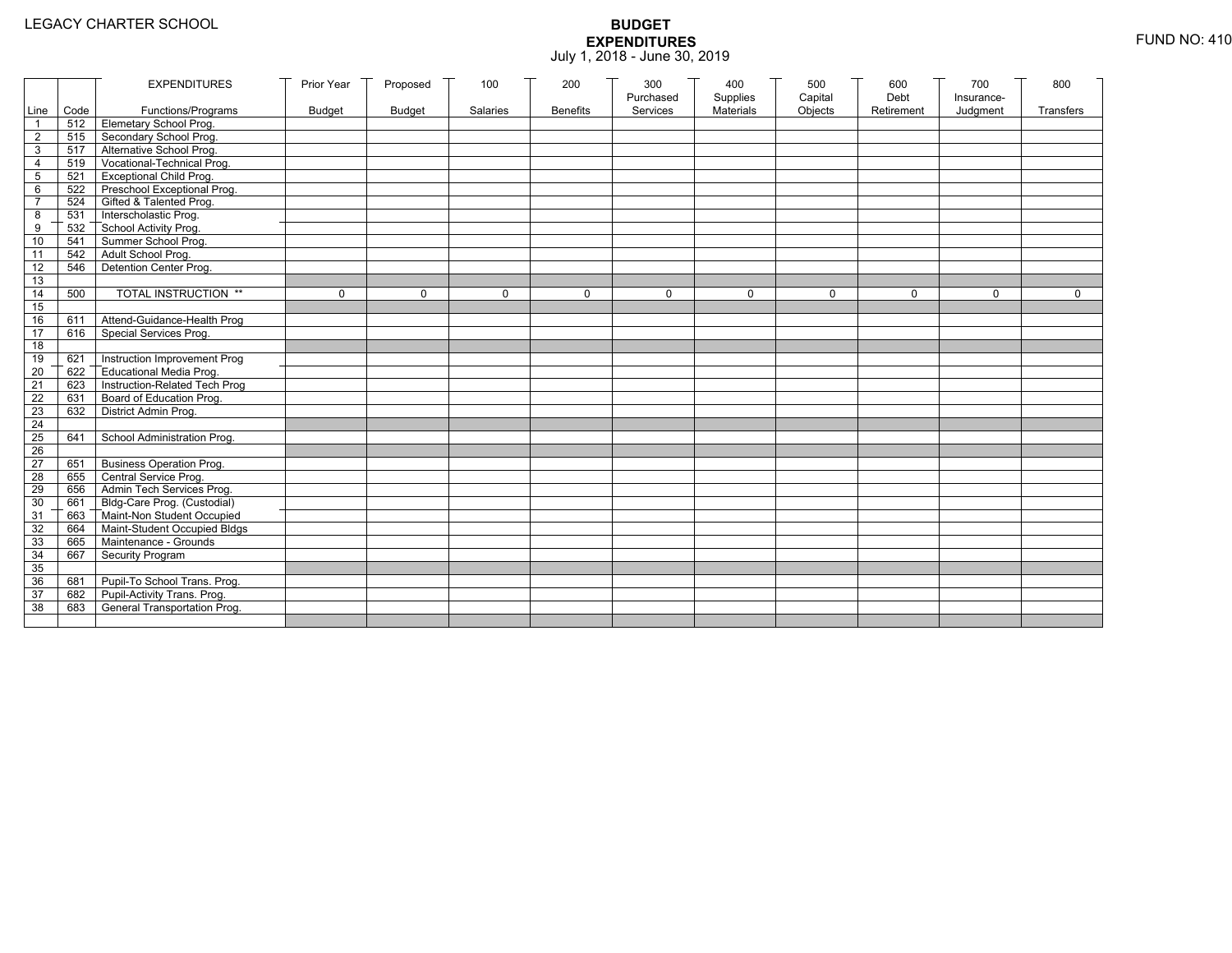|                 |           | <b>EXPENDITURES</b>                          | Prior Year    | Proposed      | 100      | 200             | 300                   | 400                   | 500                | 600                | 700                    | 800         |
|-----------------|-----------|----------------------------------------------|---------------|---------------|----------|-----------------|-----------------------|-----------------------|--------------------|--------------------|------------------------|-------------|
|                 | Line Code | Functions/Programs                           | <b>Budget</b> | <b>Budget</b> | Salaries | <b>Benefits</b> | Purchased<br>Services | Supplies<br>Materials | Capital<br>Objects | Debt<br>Retirement | Insurance-<br>Judgment | Transfers   |
| 1               |           | 512 Elemetary School Prog.                   |               |               |          |                 |                       |                       |                    |                    |                        |             |
| $\overline{2}$  |           | 515 Secondary School Prog.                   |               |               |          |                 |                       |                       |                    |                    |                        |             |
| 3               |           | 517 Alternative School Prog.                 |               |               |          |                 |                       |                       |                    |                    |                        |             |
| 4               | 519       | Vocational-Technical Prog.                   |               |               |          |                 |                       |                       |                    |                    |                        |             |
| 5               | 521       | <b>Exceptional Child Prog.</b>               |               |               |          |                 |                       |                       |                    |                    |                        |             |
| 6               |           | 522 Preschool Exceptional Prog.              |               |               |          |                 |                       |                       |                    |                    |                        |             |
| $\overline{7}$  |           | 524 Gifted & Talented Prog.                  |               |               |          |                 |                       |                       |                    |                    |                        |             |
| 8               |           | 531 Interscholastic Prog.                    |               |               |          |                 |                       |                       |                    |                    |                        |             |
| 9               | 532       | School Activity Prog.<br>Summer School Prog. |               |               |          |                 |                       |                       |                    |                    |                        |             |
| 10              | 541       |                                              |               |               |          |                 |                       |                       |                    |                    |                        |             |
| 11              | 542       | Adult School Prog.                           |               |               |          |                 |                       |                       |                    |                    |                        |             |
| $\overline{12}$ | 546       | Detention Center Prog.                       |               |               |          |                 |                       |                       |                    |                    |                        |             |
| 13              |           |                                              |               |               |          |                 |                       |                       |                    |                    |                        |             |
| 14              | 500       | TOTAL INSTRUCTION **                         | $\mathbf 0$   | $\Omega$      | $\Omega$ | $\mathbf 0$     | $\Omega$              | 0                     | $\mathbf 0$        | $\Omega$           | $\Omega$               | $\mathbf 0$ |
| 15              |           |                                              |               |               |          |                 |                       |                       |                    |                    |                        |             |
| 16              | 611       | Attend-Guidance-Health Prog                  |               |               |          |                 |                       |                       |                    |                    |                        |             |
| 17              | 616       | Special Services Prog.                       |               |               |          |                 |                       |                       |                    |                    |                        |             |
| 18              |           |                                              |               |               |          |                 |                       |                       |                    |                    |                        |             |
| 19              | 621       | Instruction Improvement Prog                 |               |               |          |                 |                       |                       |                    |                    |                        |             |
| $\overline{20}$ | 622       | Educational Media Prog.                      |               |               |          |                 |                       |                       |                    |                    |                        |             |
| 21              | 623       | Instruction-Related Tech Prog                |               |               |          |                 |                       |                       |                    |                    |                        |             |
| $\overline{22}$ | 631       | Board of Education Prog.                     |               |               |          |                 |                       |                       |                    |                    |                        |             |
| 23              | 632       | District Admin Prog.                         |               |               |          |                 |                       |                       |                    |                    |                        |             |
| 24              |           |                                              |               |               |          |                 |                       |                       |                    |                    |                        |             |
| 25              | 641       | School Administration Prog.                  |               |               |          |                 |                       |                       |                    |                    |                        |             |
| 26              |           |                                              |               |               |          |                 |                       |                       |                    |                    |                        |             |
| $\overline{27}$ | 651       | <b>Business Operation Prog.</b>              |               |               |          |                 |                       |                       |                    |                    |                        |             |
| 28              |           | 655 Central Service Prog.                    |               |               |          |                 |                       |                       |                    |                    |                        |             |
| 29              | 656       | Admin Tech Services Prog.                    |               |               |          |                 |                       |                       |                    |                    |                        |             |
| 30              |           | 661 Bldg-Care Prog. (Custodial)              |               |               |          |                 |                       |                       |                    |                    |                        |             |
| 31              |           | 663 Maint-Non Student Occupied               |               |               |          |                 |                       |                       |                    |                    |                        |             |
| 32              | 664       | Maint-Student Occupied Bldgs                 |               |               |          |                 |                       |                       |                    |                    |                        |             |
| 33              |           | 665 Maintenance - Grounds                    |               |               |          |                 |                       |                       |                    |                    |                        |             |
| 34              | 667       | Security Program                             |               |               |          |                 |                       |                       |                    |                    |                        |             |
| 35              |           |                                              |               |               |          |                 |                       |                       |                    |                    |                        |             |
| 36              | 681       | Pupil-To School Trans. Prog.                 |               |               |          |                 |                       |                       |                    |                    |                        |             |
| 37              | 682       | Pupil-Activity Trans. Prog.                  |               |               |          |                 |                       |                       |                    |                    |                        |             |
| 38              | 683       | General Transportation Prog.                 |               |               |          |                 |                       |                       |                    |                    |                        |             |
|                 |           |                                              |               |               |          |                 |                       |                       |                    |                    |                        |             |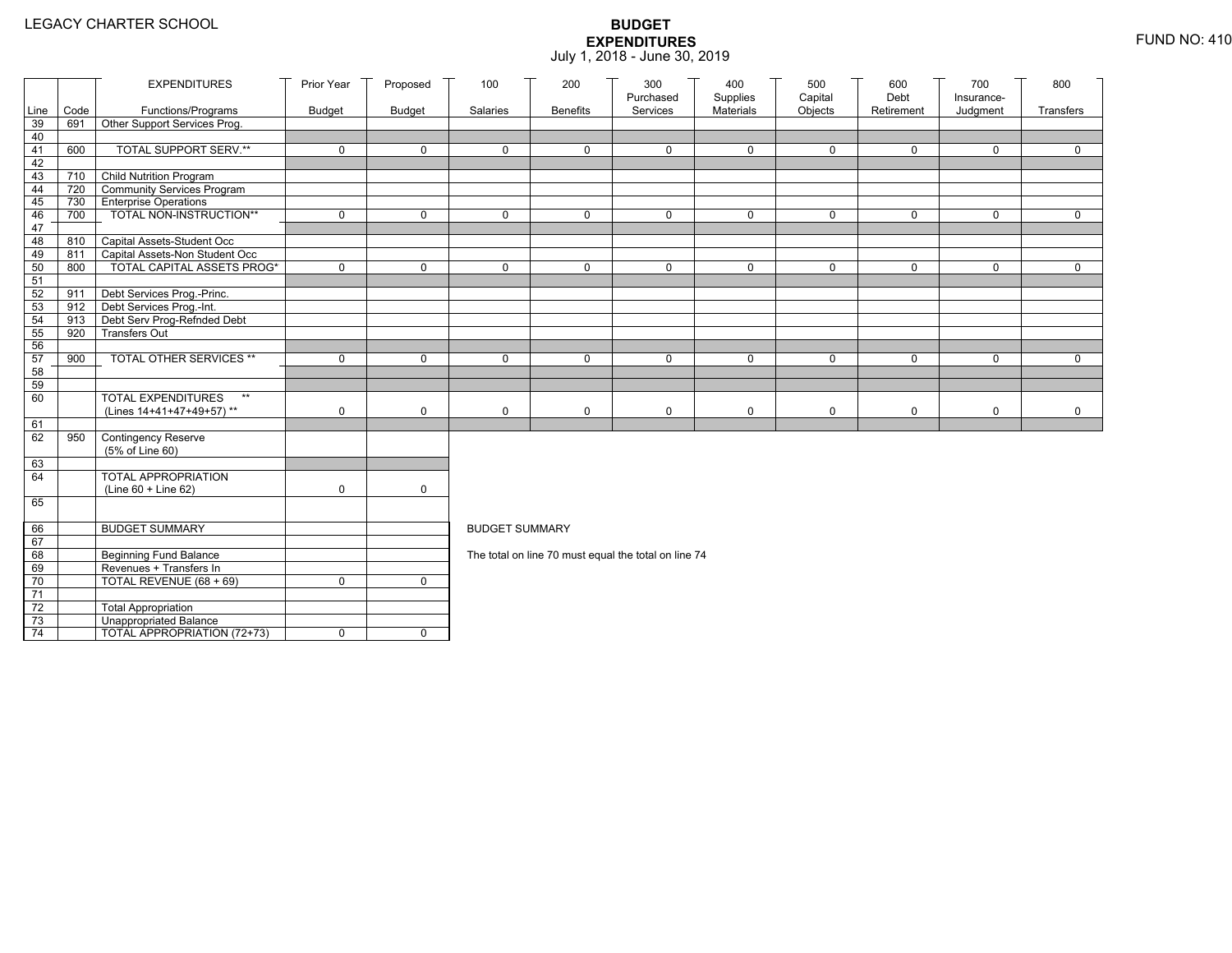|                 |      | <b>EXPENDITURES</b>                                        | Prior Year    | Proposed      | 100                   | 200             | 300                                                  | 400                   | 500                | 600<br>Debt  | 700                    | 800         |
|-----------------|------|------------------------------------------------------------|---------------|---------------|-----------------------|-----------------|------------------------------------------------------|-----------------------|--------------------|--------------|------------------------|-------------|
| Line            | Code | Functions/Programs                                         | <b>Budget</b> | <b>Budget</b> | Salaries              | <b>Benefits</b> | Purchased<br>Services                                | Supplies<br>Materials | Capital<br>Objects | Retirement   | Insurance-<br>Judgment | Transfers   |
| 39              | 691  | Other Support Services Prog.                               |               |               |                       |                 |                                                      |                       |                    |              |                        |             |
| 40              |      |                                                            |               |               |                       |                 |                                                      |                       |                    |              |                        |             |
| 41              | 600  | <b>TOTAL SUPPORT SERV.**</b>                               | $\mathbf 0$   | $\mathbf 0$   | $\mathbf 0$           | $\mathbf 0$     | $\mathbf 0$                                          | $\mathbf 0$           | $\mathbf 0$        | $\mathbf 0$  | $\mathbf 0$            | $\mathbf 0$ |
| 42              |      |                                                            |               |               |                       |                 |                                                      |                       |                    |              |                        |             |
| 43              |      | 710 Child Nutrition Program                                |               |               |                       |                 |                                                      |                       |                    |              |                        |             |
| 44              | 720  | Community Services Program                                 |               |               |                       |                 |                                                      |                       |                    |              |                        |             |
| 45              | 730  | <b>Enterprise Operations</b>                               |               |               |                       |                 |                                                      |                       |                    |              |                        |             |
| 46              | 700  | TOTAL NON-INSTRUCTION**                                    | $\mathbf 0$   | $\mathsf{O}$  | $\Omega$              | $\mathbf 0$     | $\mathbf 0$                                          | $\mathbf 0$           | $\mathsf{O}$       | $\mathsf{O}$ | $\mathbf 0$            | $\mathbf 0$ |
| 47              |      |                                                            |               |               |                       |                 |                                                      |                       |                    |              |                        |             |
| 48              | 810  | Capital Assets-Student Occ                                 |               |               |                       |                 |                                                      |                       |                    |              |                        |             |
| 49              | 811  | Capital Assets-Non Student Occ                             |               |               |                       |                 |                                                      |                       |                    |              |                        |             |
| 50              | 800  | <b>TOTAL CAPITAL ASSETS PROG*</b>                          | $\mathbf 0$   | $\mathbf 0$   | $\mathbf 0$           | $\mathbf 0$     | $\mathbf 0$                                          | $\mathbf 0$           | $\mathbf 0$        | $\mathbf 0$  | $\mathbf 0$            | $\mathbf 0$ |
| 51              |      |                                                            |               |               |                       |                 |                                                      |                       |                    |              |                        |             |
| 52<br>53        | 911  | Debt Services Prog.-Princ.<br>912 Debt Services Prog.-Int. |               |               |                       |                 |                                                      |                       |                    |              |                        |             |
| 54              | 913  |                                                            |               |               |                       |                 |                                                      |                       |                    |              |                        |             |
| 55              | 920  | Debt Serv Prog-Refnded Debt<br><b>Transfers Out</b>        |               |               |                       |                 |                                                      |                       |                    |              |                        |             |
| 56              |      |                                                            |               |               |                       |                 |                                                      |                       |                    |              |                        |             |
| 57              | 900  | TOTAL OTHER SERVICES **                                    | $\mathbf 0$   | 0             | $\mathbf 0$           | $\mathbf 0$     | $\mathbf 0$                                          | $\mathbf 0$           | $\mathsf{O}$       | 0            | $\mathbf 0$            | $\mathbf 0$ |
| 58              |      |                                                            |               |               |                       |                 |                                                      |                       |                    |              |                        |             |
| 59              |      |                                                            |               |               |                       |                 |                                                      |                       |                    |              |                        |             |
| 60              |      | <b>TOTAL EXPENDITURES</b><br>$\star\star$                  |               |               |                       |                 |                                                      |                       |                    |              |                        |             |
|                 |      | (Lines 14+41+47+49+57)**                                   | 0             | $\mathbf 0$   | $\mathbf 0$           | 0               | 0                                                    | 0                     | 0                  | 0            | 0                      | 0           |
| 61              |      |                                                            |               |               |                       |                 |                                                      |                       |                    |              |                        |             |
| 62              | 950  | Contingency Reserve                                        |               |               |                       |                 |                                                      |                       |                    |              |                        |             |
|                 |      | (5% of Line 60)                                            |               |               |                       |                 |                                                      |                       |                    |              |                        |             |
| 63              |      |                                                            |               |               |                       |                 |                                                      |                       |                    |              |                        |             |
| 64              |      | TOTAL APPROPRIATION                                        |               |               |                       |                 |                                                      |                       |                    |              |                        |             |
|                 |      | (Line 60 + Line 62)                                        | 0             | $\mathsf{O}$  |                       |                 |                                                      |                       |                    |              |                        |             |
| 65              |      |                                                            |               |               |                       |                 |                                                      |                       |                    |              |                        |             |
|                 |      |                                                            |               |               |                       |                 |                                                      |                       |                    |              |                        |             |
| 66              |      | <b>BUDGET SUMMARY</b>                                      |               |               | <b>BUDGET SUMMARY</b> |                 |                                                      |                       |                    |              |                        |             |
| 67              |      |                                                            |               |               |                       |                 |                                                      |                       |                    |              |                        |             |
| 68              |      | <b>Beginning Fund Balance</b>                              |               |               |                       |                 | The total on line 70 must equal the total on line 74 |                       |                    |              |                        |             |
| 69              |      | Revenues + Transfers In                                    |               |               |                       |                 |                                                      |                       |                    |              |                        |             |
| 70              |      | TOTAL REVENUE (68 + 69)                                    | 0             | $\mathbf 0$   |                       |                 |                                                      |                       |                    |              |                        |             |
| 71              |      |                                                            |               |               |                       |                 |                                                      |                       |                    |              |                        |             |
| 72              |      | <b>Total Appropriation</b>                                 |               |               |                       |                 |                                                      |                       |                    |              |                        |             |
| 73              |      | Unappropriated Balance                                     |               |               |                       |                 |                                                      |                       |                    |              |                        |             |
| $\overline{74}$ |      | TOTAL APPROPRIATION (72+73)                                | 0             | $\mathbf 0$   |                       |                 |                                                      |                       |                    |              |                        |             |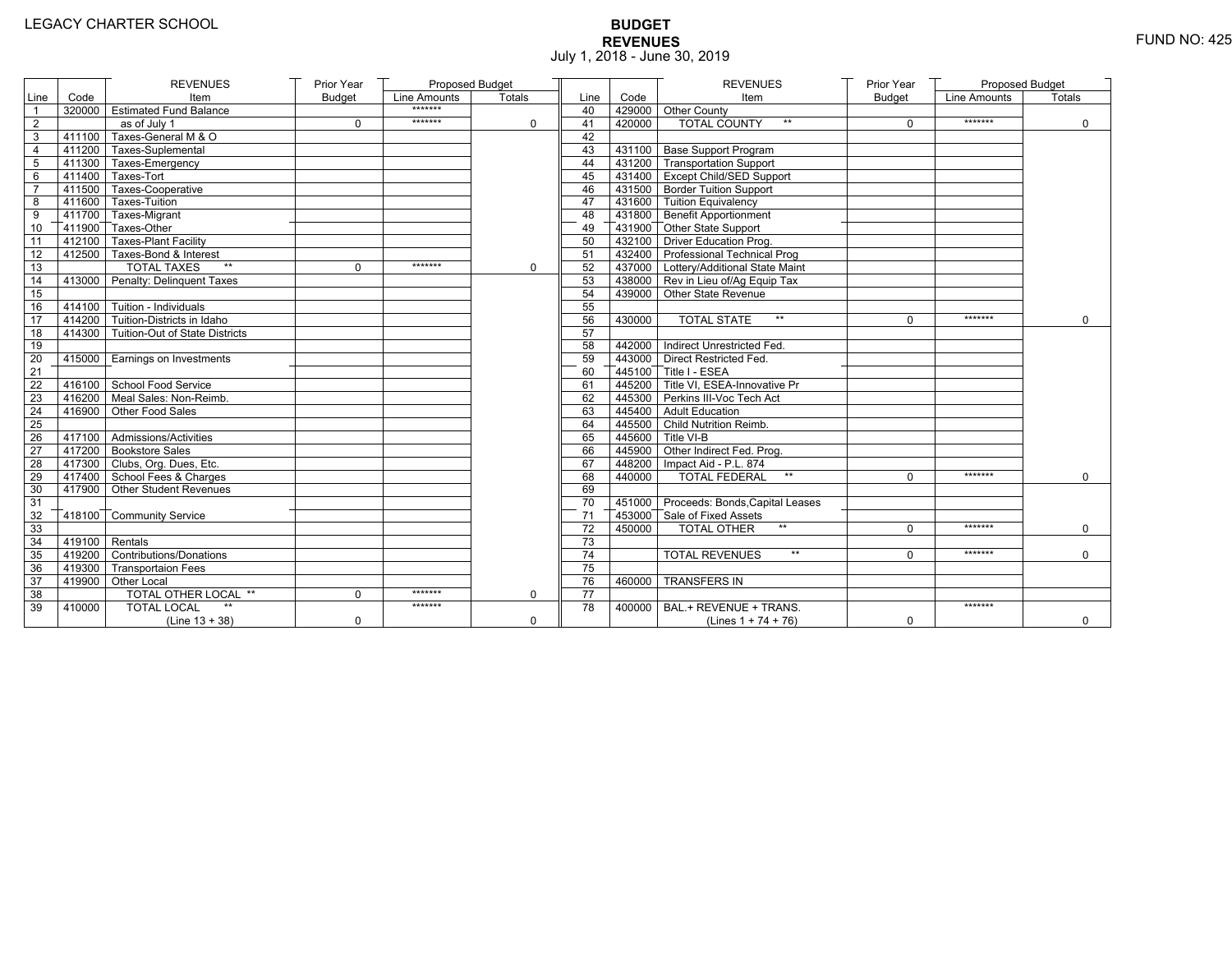# **BUDGET REVENUES** FUND NO: 425 July 1, 2018 - June 30, 2019

|                 |                   | <b>REVENUES</b>                       | Prior Year    | Proposed Budget |          |                 |        | <b>REVENUES</b>                         | Prior Year    | Proposed Budget |             |
|-----------------|-------------------|---------------------------------------|---------------|-----------------|----------|-----------------|--------|-----------------------------------------|---------------|-----------------|-------------|
| Line            | Code              | Item                                  | <b>Budget</b> | Line Amounts    | Totals   | Line            | Code   | Item                                    | <b>Budget</b> | Line Amounts    | Totals      |
|                 |                   | 320000 Estimated Fund Balance         |               | *******         |          | 40              |        | 429000 Other County                     |               |                 |             |
| $\sqrt{2}$      |                   | as of July 1                          | $\mathbf 0$   | *******         | 0        | 41              | 420000 | <b>TOTAL COUNTY</b><br>$\star\star$     | $\mathbf 0$   | *******         | $\mathbf 0$ |
| 3               |                   | 411100 Taxes-General M & O            |               |                 |          | 42              |        |                                         |               |                 |             |
| 4               |                   | 411200 Taxes-Suplemental              |               |                 |          | 43              |        | 431100 Base Support Program             |               |                 |             |
| 5               |                   | 411300 Taxes-Emergency                |               |                 |          | 44              |        | 431200 Transportation Support           |               |                 |             |
| 6               |                   | 411400 Taxes-Tort                     |               |                 |          | 45              |        | 431400 Except Child/SED Support         |               |                 |             |
| $\overline{7}$  |                   | 411500 Taxes-Cooperative              |               |                 |          | 46              |        | 431500 Border Tuition Support           |               |                 |             |
| 8               |                   | 411600 Taxes-Tuition                  |               |                 |          | 47              |        | 431600 Tuition Equivalency              |               |                 |             |
| 9               |                   | 411700 Taxes-Migrant                  |               |                 |          | 48              |        | 431800 Benefit Apportionment            |               |                 |             |
| 10              |                   | 411900 Taxes-Other                    |               |                 |          | 49              |        | 431900 Other State Support              |               |                 |             |
| 11              |                   | 412100 Taxes-Plant Facility           |               |                 |          | 50              |        | 432100 Driver Education Prog.           |               |                 |             |
| 12              |                   | 412500 Taxes-Bond & Interest          |               |                 |          | 51              |        | 432400 Professional Technical Prog      |               |                 |             |
| $\overline{13}$ |                   | <b>TOTAL TAXES</b><br>$\star\star$    | $\Omega$      | *******         | $\Omega$ | 52              |        | 437000 Lottery/Additional State Maint   |               |                 |             |
| 14              |                   | 413000 Penalty: Delinquent Taxes      |               |                 |          | 53              |        | 438000 Rev in Lieu of/Ag Equip Tax      |               |                 |             |
| 15              |                   |                                       |               |                 |          | 54              |        | 439000 Other State Revenue              |               |                 |             |
| 16              |                   | $-414100$ Tuition - Individuals       |               |                 |          | 55              |        |                                         |               |                 |             |
| 17              |                   | 414200 Tuition-Districts in Idaho     |               |                 |          | 56              | 430000 | $\star\star$<br><b>TOTAL STATE</b>      | $\Omega$      | *******         | $\Omega$    |
| 18              |                   | 414300 Tuition-Out of State Districts |               |                 |          | 57              |        |                                         |               |                 |             |
| 19              |                   |                                       |               |                 |          | 58              |        | 442000 Indirect Unrestricted Fed.       |               |                 |             |
| 20              |                   | 415000   Earnings on Investments      |               |                 |          | 59              |        | 443000 Direct Restricted Fed.           |               |                 |             |
| 21              |                   |                                       |               |                 |          | 60              |        | 445100 Title I - ESEA                   |               |                 |             |
| 22              |                   | 416100 School Food Service            |               |                 |          | 61              |        | 445200 Title VI. ESEA-Innovative Pr     |               |                 |             |
| 23              |                   | 416200 Meal Sales: Non-Reimb.         |               |                 |          | 62              |        | 445300 Perkins III-Voc Tech Act         |               |                 |             |
| 24              |                   | 416900 Other Food Sales               |               |                 |          | 63              |        | 445400 Adult Education                  |               |                 |             |
| 25              |                   |                                       |               |                 |          | 64              |        | 445500 Child Nutrition Reimb.           |               |                 |             |
| 26              |                   | $417100$ Admissions/Activities        |               |                 |          | 65              |        | 445600 Title VI-B                       |               |                 |             |
| 27              |                   | 417200 Bookstore Sales                |               |                 |          | 66              |        | 445900 Other Indirect Fed. Prog.        |               |                 |             |
| 28              |                   | 417300 Clubs, Org. Dues, Etc.         |               |                 |          | 67              |        | 448200   Impact Aid - P.L. 874          |               |                 |             |
| 29              |                   | 417400 School Fees & Charges          |               |                 |          | 68              | 440000 | <b>TOTAL FEDERAL</b><br>$^{\star\star}$ | $\Omega$      | *******         | $\Omega$    |
| 30              |                   | 417900 Other Student Revenues         |               |                 |          | 69              |        |                                         |               |                 |             |
| 31              |                   |                                       |               |                 |          | 70              |        | 451000 Proceeds: Bonds, Capital Leases  |               |                 |             |
| 32              |                   | 418100 Community Service              |               |                 |          | 71              |        | 453000 Sale of Fixed Assets             |               |                 |             |
| 33              |                   |                                       |               |                 |          | 72              | 450000 | <b>TOTAL OTHER</b><br>$\star\star$      | $\Omega$      | *******         | $\mathbf 0$ |
| 34              | $-419100$ Rentals |                                       |               |                 |          | 73              |        |                                         |               |                 |             |
| 35              |                   | 419200 Contributions/Donations        |               |                 |          | 74              |        | <b>TOTAL REVENUES</b><br>$**$           | $\Omega$      | *******         | $\Omega$    |
| 36              |                   | 419300 Transportaion Fees             |               |                 |          | 75              |        |                                         |               |                 |             |
| 37              |                   | 419900 Other Local                    |               |                 |          | 76              | 460000 | <b>TRANSFERS IN</b>                     |               |                 |             |
| 38              |                   | TOTAL OTHER LOCAL **                  | $\mathbf 0$   | *******         | $\Omega$ | $\overline{77}$ |        |                                         |               |                 |             |
| 39              | 410000            | <b>TOTAL LOCAL</b>                    |               | *******         |          | 78              | 400000 | BAL.+ REVENUE + TRANS.                  |               | *******         |             |
|                 |                   | (Line $13 + 38$ )                     | $\mathbf 0$   |                 | 0        |                 |        | (Lines $1 + 74 + 76$ )                  | 0             |                 | $\mathbf 0$ |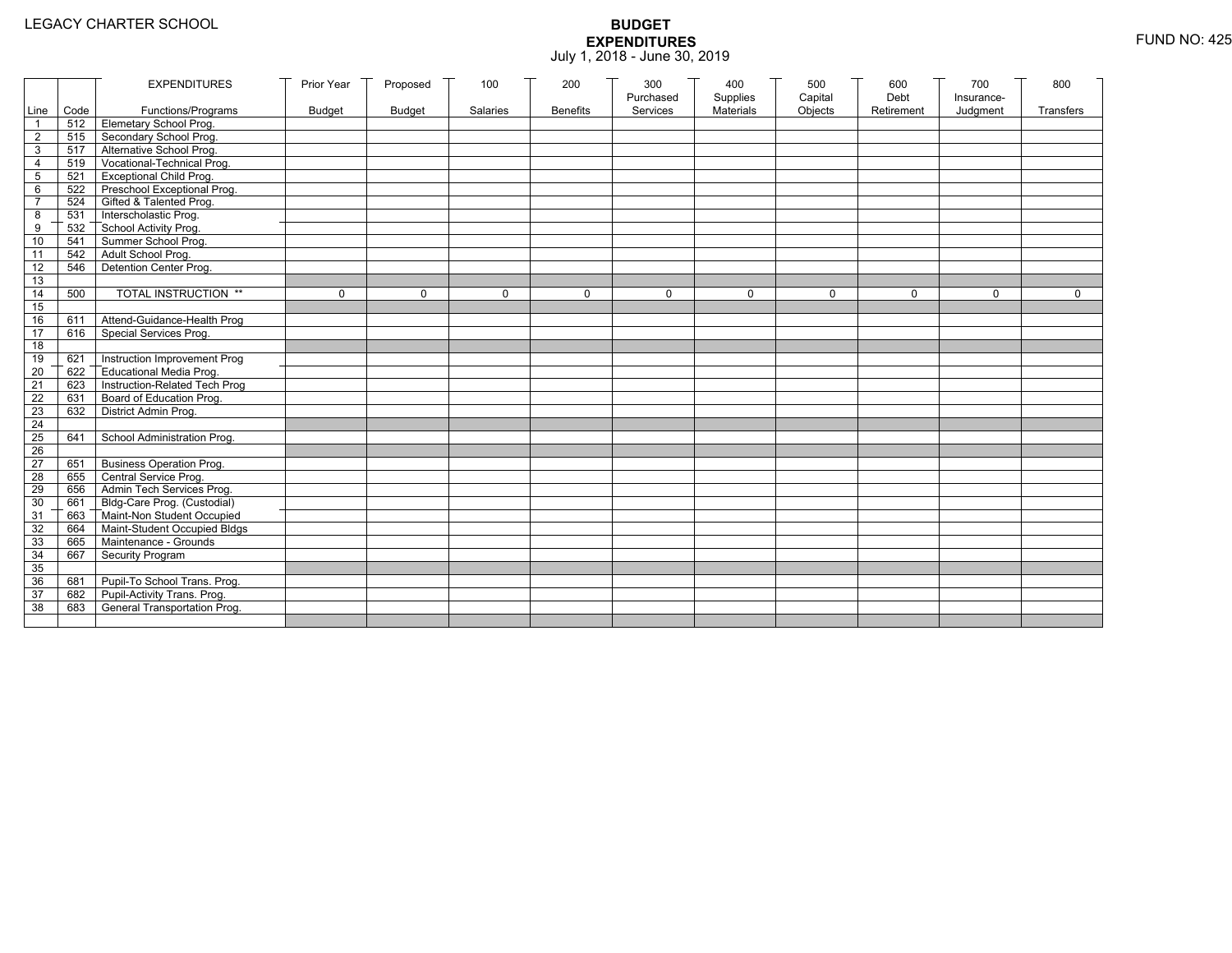|                 |           | <b>EXPENDITURES</b>                          | Prior Year    | Proposed      | 100          | 200             | 300          | 400              | 500         | 600        | 700          | 800          |
|-----------------|-----------|----------------------------------------------|---------------|---------------|--------------|-----------------|--------------|------------------|-------------|------------|--------------|--------------|
|                 |           |                                              |               |               |              |                 | Purchased    | Supplies         | Capital     | Debt       | Insurance-   |              |
|                 | Line Code | Functions/Programs                           | <b>Budget</b> | <b>Budget</b> | Salaries     | <b>Benefits</b> | Services     | <b>Materials</b> | Objects     | Retirement | Judgment     | Transfers    |
|                 |           | 512 Elemetary School Prog.                   |               |               |              |                 |              |                  |             |            |              |              |
| $\overline{2}$  | 515       | Secondary School Prog.                       |               |               |              |                 |              |                  |             |            |              |              |
| 3               |           | 517 Alternative School Prog.                 |               |               |              |                 |              |                  |             |            |              |              |
| 4               | 519       | Vocational-Technical Prog.                   |               |               |              |                 |              |                  |             |            |              |              |
| 5               | 521       | <b>Exceptional Child Prog.</b>               |               |               |              |                 |              |                  |             |            |              |              |
| 6               |           | 522 Preschool Exceptional Prog.              |               |               |              |                 |              |                  |             |            |              |              |
| $\overline{7}$  |           | 524 Gifted & Talented Prog.                  |               |               |              |                 |              |                  |             |            |              |              |
| 8               |           | 531 Interscholastic Prog.                    |               |               |              |                 |              |                  |             |            |              |              |
| 9               | 532       |                                              |               |               |              |                 |              |                  |             |            |              |              |
| 10              | 541       | School Activity Prog.<br>Summer School Prog. |               |               |              |                 |              |                  |             |            |              |              |
| 11              | 542       | Adult School Prog.                           |               |               |              |                 |              |                  |             |            |              |              |
| $\overline{12}$ | 546       | Detention Center Prog.                       |               |               |              |                 |              |                  |             |            |              |              |
| 13              |           |                                              |               |               |              |                 |              |                  |             |            |              |              |
| 14              | 500       | TOTAL INSTRUCTION **                         | $\mathbf 0$   | $\Omega$      | $\mathbf{0}$ | 0               | $\mathbf{0}$ | 0                | $\mathbf 0$ | $\Omega$   | $\mathbf{0}$ | $\mathbf{0}$ |
| 15              |           |                                              |               |               |              |                 |              |                  |             |            |              |              |
| 16              | 611       | Attend-Guidance-Health Prog                  |               |               |              |                 |              |                  |             |            |              |              |
| 17              | 616       | Special Services Prog.                       |               |               |              |                 |              |                  |             |            |              |              |
| 18              |           |                                              |               |               |              |                 |              |                  |             |            |              |              |
| 19              | 621       | Instruction Improvement Prog                 |               |               |              |                 |              |                  |             |            |              |              |
| $\overline{20}$ | 622       | Educational Media Prog.                      |               |               |              |                 |              |                  |             |            |              |              |
| 21              | 623       | Instruction-Related Tech Prog                |               |               |              |                 |              |                  |             |            |              |              |
| $\overline{22}$ | 631       | Board of Education Prog.                     |               |               |              |                 |              |                  |             |            |              |              |
| 23              | 632       | District Admin Prog.                         |               |               |              |                 |              |                  |             |            |              |              |
| 24              |           |                                              |               |               |              |                 |              |                  |             |            |              |              |
| 25              | 641       | School Administration Prog.                  |               |               |              |                 |              |                  |             |            |              |              |
| 26              |           |                                              |               |               |              |                 |              |                  |             |            |              |              |
| 27              | 651       | <b>Business Operation Prog.</b>              |               |               |              |                 |              |                  |             |            |              |              |
| 28              |           | 655 Central Service Prog.                    |               |               |              |                 |              |                  |             |            |              |              |
| 29              | 656       | Admin Tech Services Prog.                    |               |               |              |                 |              |                  |             |            |              |              |
| 30              |           | 661 Bldg-Care Prog. (Custodial)              |               |               |              |                 |              |                  |             |            |              |              |
| 31              |           | 663 Maint-Non Student Occupied               |               |               |              |                 |              |                  |             |            |              |              |
| 32              |           | 664 Maint-Student Occupied Bldgs             |               |               |              |                 |              |                  |             |            |              |              |
| 33              |           | 665 Maintenance - Grounds                    |               |               |              |                 |              |                  |             |            |              |              |
| 34              | 667       | Security Program                             |               |               |              |                 |              |                  |             |            |              |              |
| 35              |           |                                              |               |               |              |                 |              |                  |             |            |              |              |
| 36              | 681       | Pupil-To School Trans. Prog.                 |               |               |              |                 |              |                  |             |            |              |              |
| 37              | 682       | Pupil-Activity Trans. Prog.                  |               |               |              |                 |              |                  |             |            |              |              |
| 38              | 683       | General Transportation Prog.                 |               |               |              |                 |              |                  |             |            |              |              |
|                 |           |                                              |               |               |              |                 |              |                  |             |            |              |              |
|                 |           |                                              |               |               |              |                 |              |                  |             |            |              |              |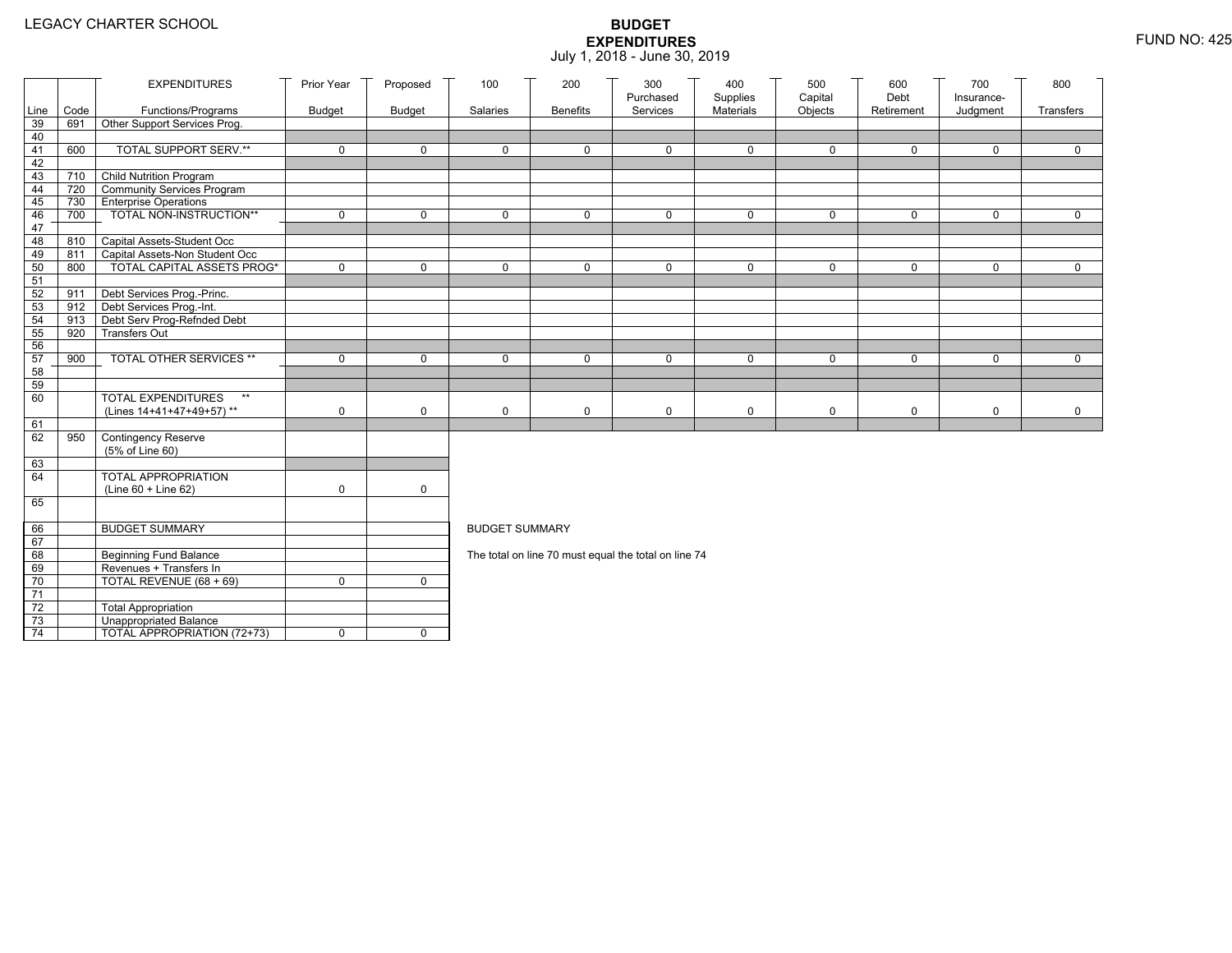|                 |      | <b>EXPENDITURES</b>                                        | Prior Year    | Proposed      | 100                   | 200             | 300                                                  | 400                   | 500                | 600<br>Debt  | 700                    | 800         |
|-----------------|------|------------------------------------------------------------|---------------|---------------|-----------------------|-----------------|------------------------------------------------------|-----------------------|--------------------|--------------|------------------------|-------------|
| Line            | Code | Functions/Programs                                         | <b>Budget</b> | <b>Budget</b> | Salaries              | <b>Benefits</b> | Purchased<br>Services                                | Supplies<br>Materials | Capital<br>Objects | Retirement   | Insurance-<br>Judgment | Transfers   |
| 39              | 691  | Other Support Services Prog.                               |               |               |                       |                 |                                                      |                       |                    |              |                        |             |
| 40              |      |                                                            |               |               |                       |                 |                                                      |                       |                    |              |                        |             |
| 41              | 600  | <b>TOTAL SUPPORT SERV.**</b>                               | $\mathbf 0$   | $\mathbf 0$   | $\mathbf 0$           | $\mathbf 0$     | $\mathbf 0$                                          | $\mathbf 0$           | $\mathbf 0$        | $\mathbf 0$  | $\mathbf 0$            | $\mathbf 0$ |
| 42              |      |                                                            |               |               |                       |                 |                                                      |                       |                    |              |                        |             |
| 43              |      | 710 Child Nutrition Program                                |               |               |                       |                 |                                                      |                       |                    |              |                        |             |
| 44              | 720  | Community Services Program                                 |               |               |                       |                 |                                                      |                       |                    |              |                        |             |
| 45              | 730  | <b>Enterprise Operations</b>                               |               |               |                       |                 |                                                      |                       |                    |              |                        |             |
| 46              | 700  | TOTAL NON-INSTRUCTION**                                    | $\mathbf 0$   | $\mathsf{O}$  | $\Omega$              | $\mathbf 0$     | $\mathbf 0$                                          | $\mathbf 0$           | $\mathsf{O}$       | $\mathsf{O}$ | $\mathbf 0$            | $\mathbf 0$ |
| 47              |      |                                                            |               |               |                       |                 |                                                      |                       |                    |              |                        |             |
| 48              | 810  | Capital Assets-Student Occ                                 |               |               |                       |                 |                                                      |                       |                    |              |                        |             |
| 49              | 811  | Capital Assets-Non Student Occ                             |               |               |                       |                 |                                                      |                       |                    |              |                        |             |
| 50              | 800  | <b>TOTAL CAPITAL ASSETS PROG*</b>                          | $\mathbf 0$   | $\mathbf 0$   | $\mathbf 0$           | $\mathbf 0$     | $\mathbf 0$                                          | $\mathbf 0$           | $\mathbf 0$        | $\mathbf 0$  | $\mathbf 0$            | $\mathbf 0$ |
| 51              |      |                                                            |               |               |                       |                 |                                                      |                       |                    |              |                        |             |
| 52<br>53        | 911  | Debt Services Prog.-Princ.<br>912 Debt Services Prog.-Int. |               |               |                       |                 |                                                      |                       |                    |              |                        |             |
| 54              | 913  |                                                            |               |               |                       |                 |                                                      |                       |                    |              |                        |             |
| 55              | 920  | Debt Serv Prog-Refnded Debt<br><b>Transfers Out</b>        |               |               |                       |                 |                                                      |                       |                    |              |                        |             |
| 56              |      |                                                            |               |               |                       |                 |                                                      |                       |                    |              |                        |             |
| 57              | 900  | TOTAL OTHER SERVICES **                                    | $\mathbf 0$   | 0             | $\mathbf 0$           | $\mathbf 0$     | $\mathbf 0$                                          | $\mathbf 0$           | $\mathsf{O}$       | 0            | $\mathbf 0$            | $\mathbf 0$ |
| 58              |      |                                                            |               |               |                       |                 |                                                      |                       |                    |              |                        |             |
| 59              |      |                                                            |               |               |                       |                 |                                                      |                       |                    |              |                        |             |
| 60              |      | <b>TOTAL EXPENDITURES</b><br>$\star\star$                  |               |               |                       |                 |                                                      |                       |                    |              |                        |             |
|                 |      | (Lines 14+41+47+49+57)**                                   | 0             | $\mathbf 0$   | $\mathbf 0$           | 0               | 0                                                    | 0                     | 0                  | 0            | 0                      | 0           |
| 61              |      |                                                            |               |               |                       |                 |                                                      |                       |                    |              |                        |             |
| 62              | 950  | Contingency Reserve                                        |               |               |                       |                 |                                                      |                       |                    |              |                        |             |
|                 |      | (5% of Line 60)                                            |               |               |                       |                 |                                                      |                       |                    |              |                        |             |
| 63              |      |                                                            |               |               |                       |                 |                                                      |                       |                    |              |                        |             |
| 64              |      | TOTAL APPROPRIATION                                        |               |               |                       |                 |                                                      |                       |                    |              |                        |             |
|                 |      | (Line 60 + Line 62)                                        | 0             | $\mathsf{O}$  |                       |                 |                                                      |                       |                    |              |                        |             |
| 65              |      |                                                            |               |               |                       |                 |                                                      |                       |                    |              |                        |             |
|                 |      |                                                            |               |               |                       |                 |                                                      |                       |                    |              |                        |             |
| 66              |      | <b>BUDGET SUMMARY</b>                                      |               |               | <b>BUDGET SUMMARY</b> |                 |                                                      |                       |                    |              |                        |             |
| 67              |      |                                                            |               |               |                       |                 |                                                      |                       |                    |              |                        |             |
| 68              |      | <b>Beginning Fund Balance</b>                              |               |               |                       |                 | The total on line 70 must equal the total on line 74 |                       |                    |              |                        |             |
| 69              |      | Revenues + Transfers In                                    |               |               |                       |                 |                                                      |                       |                    |              |                        |             |
| 70              |      | TOTAL REVENUE (68 + 69)                                    | 0             | $\mathbf 0$   |                       |                 |                                                      |                       |                    |              |                        |             |
| 71              |      |                                                            |               |               |                       |                 |                                                      |                       |                    |              |                        |             |
| 72              |      | <b>Total Appropriation</b>                                 |               |               |                       |                 |                                                      |                       |                    |              |                        |             |
| 73              |      | Unappropriated Balance                                     |               |               |                       |                 |                                                      |                       |                    |              |                        |             |
| $\overline{74}$ |      | TOTAL APPROPRIATION (72+73)                                | 0             | $\mathbf 0$   |                       |                 |                                                      |                       |                    |              |                        |             |